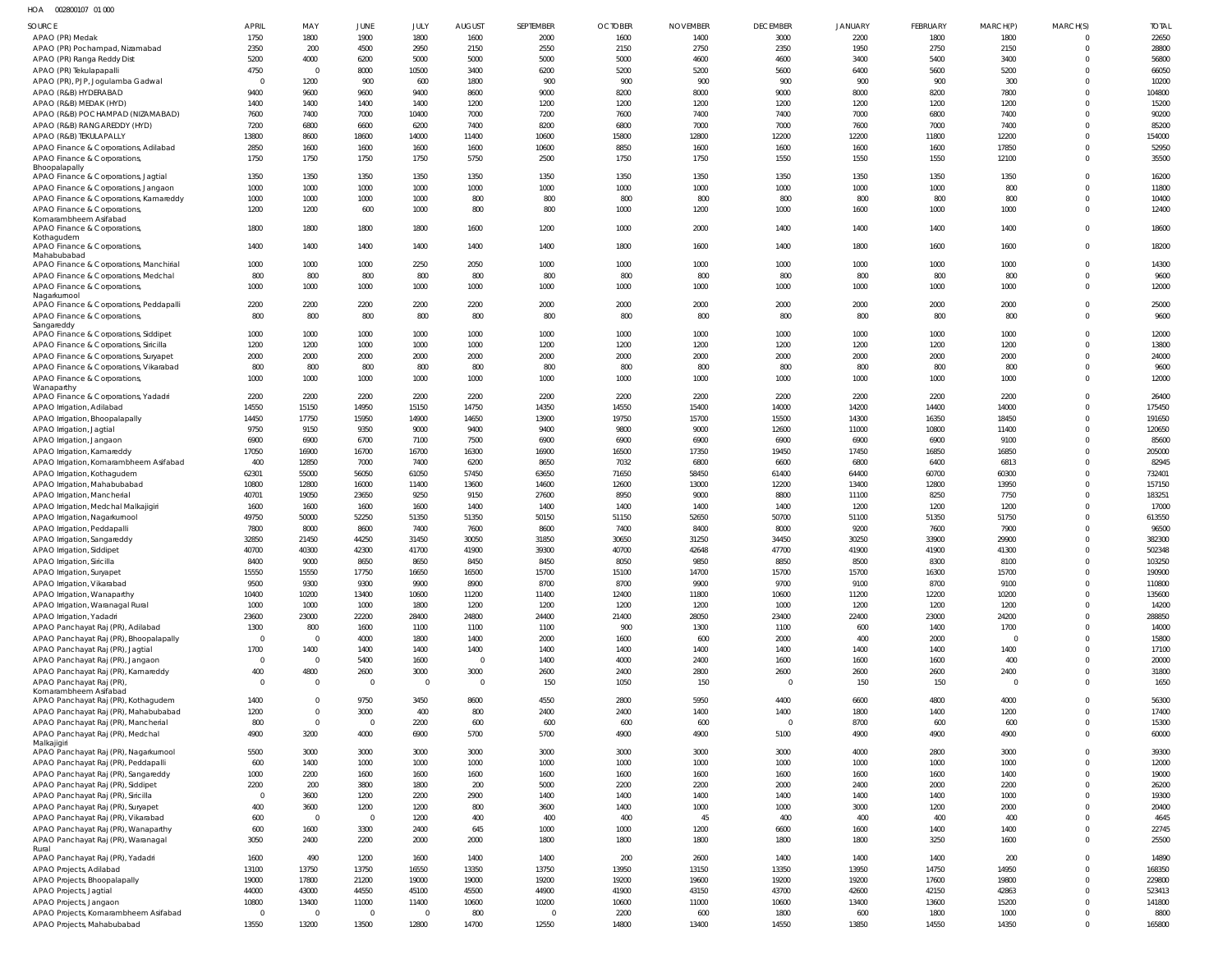HOA 002800107 01 000

| <b>SOURCE</b>                                                                   | <b>APRIL</b>  | MAY                    | JUNE                    | JULY           | <b>AUGUST</b>  | SEPTEMBER     | <b>OCTOBER</b> | <b>NOVEMBER</b> | <b>DECEMBER</b> | <b>JANUARY</b> | <b>FEBRUARY</b> | MARCH(P)       | MARCH(S)             | <b>TOTAL</b>     |
|---------------------------------------------------------------------------------|---------------|------------------------|-------------------------|----------------|----------------|---------------|----------------|-----------------|-----------------|----------------|-----------------|----------------|----------------------|------------------|
| APAO (PR) Medak                                                                 | 1750          | 1800                   | 1900                    | 1800           | 1600           | 2000          | 1600           | 1400            | 3000            | 2200           | 1800            | 1800           |                      | 22650            |
| APAO (PR) Pochampad, Nizamabad                                                  | 2350          | 200                    | 4500                    | 2950           | 2150           | 2550          | 2150           | 2750            | 2350            | 1950           | 2750            | 2150           | $\Omega$             | 28800            |
| APAO (PR) Ranga Reddy Dist                                                      | 5200          | 4000<br>$\overline{0}$ | 6200                    | 5000           | 5000           | 5000          | 5000           | 4600            | 4600            | 3400           | 5400            | 3400           |                      | 56800            |
| APAO (PR) Tekulapapalli<br>APAO (PR), PJP, Jogulamba Gadwal                     | 4750<br>- 0   | 1200                   | 8000<br>900             | 10500<br>600   | 3400<br>1800   | 6200<br>900   | 5200<br>900    | 5200<br>900     | 5600<br>900     | 6400<br>900    | 5600<br>900     | 5200<br>300    | 0                    | 66050<br>10200   |
| APAO (R&B) HYDERABAD                                                            | 9400          | 9600                   | 9600                    | 9400           | 8600           | 9000          | 8200           | 8000            | 9000            | 8000           | 8200            | 7800           | $\Omega$             | 104800           |
| APAO (R&B) MEDAK (HYD)                                                          | 1400          | 1400                   | 1400                    | 1400           | 1200           | 1200          | 1200           | 1200            | 1200            | 1200           | 1200            | 1200           |                      | 15200            |
| APAO (R&B) POCHAMPAD (NIZAMABAD)                                                | 7600          | 7400                   | 7000                    | 10400          | 7000           | 7200          | 7600           | 7400            | 7400            | 7000           | 6800            | 7400           | $\Omega$             | 90200            |
| APAO (R&B) RANGAREDDY (HYD)                                                     | 7200          | 6800                   | 6600                    | 6200           | 7400           | 8200          | 6800           | 7000            | 7000            | 7600           | 7000            | 7400           |                      | 85200            |
| APAO (R&B) TEKULAPALLY                                                          | 13800         | 8600                   | 18600                   | 14000          | 11400          | 10600         | 15800          | 12800           | 12200           | 12200          | 11800           | 12200          | $\Omega$             | 154000           |
| APAO Finance & Corporations, Adilabad                                           | 2850          | 1600                   | 1600                    | 1600           | 1600           | 10600         | 8850           | 1600            | 1600            | 1600           | 1600            | 17850          | $\Omega$             | 52950            |
| APAO Finance & Corporations,                                                    | 1750          | 1750                   | 1750                    | 1750           | 5750           | 2500          | 1750           | 1750            | 1550            | 1550           | 1550            | 12100          | $\Omega$             | 35500            |
| Bhoopalapally<br>APAO Finance & Corporations, Jagtial                           | 1350          | 1350                   | 1350                    | 1350           | 1350           | 1350          | 1350           | 1350            | 1350            | 1350           | 1350            | 1350           |                      | 16200            |
| APAO Finance & Corporations, Jangaon                                            | 1000          | 1000                   | 1000                    | 1000           | 1000           | 1000          | 1000           | 1000            | 1000            | 1000           | 1000            | 800            | $\Omega$             | 11800            |
| APAO Finance & Corporations, Kamareddy                                          | 1000          | 1000                   | 1000                    | 1000           | 800            | 800           | 800            | 800             | 800             | 800            | 800             | 800            | $\Omega$             | 10400            |
| APAO Finance & Corporations                                                     | 1200          | 1200                   | 600                     | 1000           | 800            | 800           | 1000           | 1200            | 1000            | 1600           | 1000            | 1000           | $\Omega$             | 12400            |
| Komarambheem Asifabad<br>APAO Finance & Corporations,                           | 1800          | 1800                   | 1800                    | 1800           | 1600           | 1200          | 1000           | 2000            | 1400            | 1400           | 1400            | 1400           | $\Omega$             | 18600            |
| Kothagudem                                                                      |               |                        |                         |                |                |               |                |                 |                 |                |                 |                |                      |                  |
| APAO Finance & Corporations,                                                    | 1400          | 1400                   | 1400                    | 1400           | 1400           | 1400          | 1800           | 1600            | 1400            | 1800           | 1600            | 1600           | $\Omega$             | 18200            |
| Mahabubabad                                                                     |               |                        |                         |                |                |               |                |                 |                 |                |                 |                |                      |                  |
| APAO Finance & Corporations, Manchirial<br>APAO Finance & Corporations, Medchal | 1000<br>800   | 1000<br>800            | 1000<br>800             | 2250<br>800    | 2050<br>800    | 1000<br>800   | 1000<br>800    | 1000<br>800     | 1000<br>800     | 1000<br>800    | 1000<br>800     | 1000<br>800    | 0<br>$\Omega$        | 14300<br>9600    |
| APAO Finance & Corporations,                                                    | 1000          | 1000                   | 1000                    | 1000           | 1000           | 1000          | 1000           | 1000            | 1000            | 1000           | 1000            | 1000           | $\Omega$             | 12000            |
| Nagarkurnool                                                                    |               |                        |                         |                |                |               |                |                 |                 |                |                 |                |                      |                  |
| APAO Finance & Corporations, Peddapalli                                         | 2200          | 2200                   | 2200                    | 2200           | 2200           | 2000          | 2000           | 2000            | 2000            | 2000           | 2000            | 2000           | $\Omega$             | 25000            |
| APAO Finance & Corporations,                                                    | 800           | 800                    | 800                     | 800            | 800            | 800           | 800            | 800             | 800             | 800            | 800             | 800            | $\Omega$             | 9600             |
| Sangareddy<br>APAO Finance & Corporations, Siddipet                             | 1000          | 1000                   | 1000                    | 1000           | 1000           | 1000          | 1000           | 1000            | 1000            | 1000           | 1000            | 1000           | $\Omega$             | 12000            |
| APAO Finance & Corporations, Siricilla                                          | 1200          | 1200                   | 1000                    | 1000           | 1000           | 1200          | 1200           | 1200            | 1200            | 1200           | 1200            | 1200           | $\Omega$             | 13800            |
| APAO Finance & Corporations, Suryapet                                           | 2000          | 2000                   | 2000                    | 2000           | 2000           | 2000          | 2000           | 2000            | 2000            | 2000           | 2000            | 2000           | $\Omega$             | 24000            |
| APAO Finance & Corporations, Vikarabad                                          | 800           | 800                    | 800                     | 800            | 800            | 800           | 800            | 800             | 800             | 800            | 800             | 800            | $\Omega$             | 9600             |
| APAO Finance & Corporations,                                                    | 1000          | 1000                   | 1000                    | 1000           | 1000           | 1000          | 1000           | 1000            | 1000            | 1000           | 1000            | 1000           | $\Omega$             | 12000            |
| Wanaparthy                                                                      |               |                        |                         |                |                |               |                |                 |                 |                |                 |                |                      |                  |
| APAO Finance & Corporations, Yadadri                                            | 2200          | 2200                   | 2200                    | 2200           | 2200           | 2200          | 2200           | 2200            | 2200            | 2200           | 2200            | 2200           |                      | 26400            |
| APAO Irrigation, Adilabad                                                       | 14550         | 15150                  | 14950                   | 15150          | 14750          | 14350         | 14550          | 15400           | 14000           | 14200          | 14400           | 14000          | $\Omega$             | 175450           |
| APAO Irrigation, Bhoopalapally<br>APAO Irrigation, Jagtial                      | 14450<br>9750 | 17750<br>9150          | 15950<br>9350           | 14900<br>9000  | 14650<br>9400  | 13900<br>9400 | 19750<br>9800  | 15700<br>9000   | 15500<br>12600  | 14300<br>11000 | 16350<br>10800  | 18450<br>11400 | $\Omega$<br>$\Omega$ | 191650<br>120650 |
| APAO Irrigation, Jangaon                                                        | 6900          | 6900                   | 6700                    | 7100           | 7500           | 6900          | 6900           | 6900            | 6900            | 6900           | 6900            | 9100           | $\Omega$             | 85600            |
| APAO Irrigation, Kamareddy                                                      | 17050         | 16900                  | 16700                   | 16700          | 16300          | 16900         | 16500          | 17350           | 19450           | 17450          | 16850           | 16850          | $\Omega$             | 205000           |
| APAO Irrigation, Komarambheem Asifabad                                          | 400           | 12850                  | 7000                    | 7400           | 6200           | 8650          | 7032           | 6800            | 6600            | 6800           | 6400            | 6813           | $\Omega$             | 82945            |
| APAO Irrigation, Kothagudem                                                     | 62301         | 55000                  | 56050                   | 61050          | 57450          | 63650         | 71650          | 58450           | 61400           | 64400          | 60700           | 60300          | $\Omega$             | 732401           |
| APAO Irrigation, Mahabubabad                                                    | 10800         | 12800                  | 16000                   | 11400          | 13600          | 14600         | 12600          | 13000           | 12200           | 13400          | 12800           | 13950          | $\Omega$             | 157150           |
| APAO Irrigation, Mancherial                                                     | 40701         | 19050                  | 23650                   | 9250           | 9150           | 27600         | 8950           | 9000            | 8800            | 11100          | 8250            | 7750           | $\Omega$             | 183251           |
| APAO Irrigation, Medchal Malkajigiri                                            | 1600          | 1600                   | 1600                    | 1600           | 1400           | 1400          | 1400           | 1400            | 1400            | 1200           | 1200            | 1200           | $\Omega$             | 17000            |
| APAO Irrigation, Nagarkurnool                                                   | 49750         | 50000                  | 52250                   | 51350          | 51350          | 50150         | 51150          | 52650           | 50700           | 51100          | 51350           | 51750          | $\Omega$             | 613550           |
| APAO Irrigation, Peddapalli                                                     | 7800          | 8000                   | 8600                    | 7400           | 7600           | 8600          | 7400           | 8400            | 8000            | 9200           | 7600            | 7900           |                      | 96500            |
| APAO Irrigation, Sangareddy                                                     | 32850         | 21450                  | 44250                   | 31450          | 30050          | 31850         | 30650          | 31250           | 34450           | 30250          | 33900           | 29900          |                      | 382300           |
| APAO Irrigation, Siddipet                                                       | 40700<br>8400 | 40300                  | 42300                   | 41700          | 41900          | 39300         | 40700          | 42648<br>9850   | 47700           | 41900          | 41900           | 41300          | $\Omega$             | 502348           |
| APAO Irrigation, Siricilla                                                      | 15550         | 9000<br>15550          | 8650<br>17750           | 8650<br>16650  | 8450<br>16500  | 8450<br>15700 | 8050<br>15100  | 14700           | 8850<br>15700   | 8500<br>15700  | 8300<br>16300   | 8100<br>15700  | $\Omega$<br>$\Omega$ | 103250<br>190900 |
| APAO Irrigation, Suryapet<br>APAO Irrigation, Vikarabad                         | 9500          | 9300                   | 9300                    | 9900           | 8900           | 8700          | 8700           | 9900            | 9700            | 9100           | 8700            | 9100           | $\Omega$             | 110800           |
| APAO Irrigation, Wanaparthy                                                     | 10400         | 10200                  | 13400                   | 10600          | 11200          | 11400         | 12400          | 11800           | 10600           | 11200          | 12200           | 10200          | $\Omega$             | 135600           |
| APAO Irrigation, Waranagal Rural                                                | 1000          | 1000                   | 1000                    | 1800           | 1200           | 1200          | 1200           | 1200            | 1000            | 1200           | 1200            | 1200           | $\Omega$             | 14200            |
| APAO Irrigation, Yadadri                                                        | 23600         | 23000                  | 22200                   | 28400          | 24800          | 24400         | 21400          | 28050           | 23400           | 22400          | 23000           | 24200          | $\Omega$             | 288850           |
| APAO Panchayat Raj (PR), Adilabad                                               | 1300          | 800                    | 1600                    | 1100           | 1100           | 1100          | 900            | 1300            | 1100            | 600            | 1400            | 1700           | $\Omega$             | 14000            |
| APAO Panchayat Raj (PR), Bhoopalapally                                          | $\Omega$      | $\Omega$               | 4000                    | 1800           | 1400           | 2000          | 1600           | 600             | 2000            | 400            | 2000            | $\mathbf{0}$   | $\Omega$             | 15800            |
| APAO Panchayat Raj (PR), Jagtial                                                | 1700          | 1400                   | 1400                    | 1400           | 1400           | 1400          | 1400           | 1400            | 1400            | 1400           | 1400            | 1400           | $\Omega$             | 17100            |
| APAO Panchayat Raj (PR), Jangaon                                                | $\Omega$      | $\overline{0}$         | 5400                    | 1600           | $\overline{0}$ | 1400          | 4000           | 2400            | 1600            | 1600           | 1600            | 400            | $\Omega$             | 20000            |
| APAO Panchayat Raj (PR), Kamareddy                                              | 400           | 4800                   | 2600                    | 3000           | 3000           | 2600          | 2400           | 2800            | 2600            | 2600           | 2600            | 2400           | $\Omega$             | 31800            |
| APAO Panchayat Raj (PR)<br>Komarambheem Asifabad                                | $\Omega$      | $\mathbf{0}$           | $\overline{\mathbf{0}}$ | $\overline{0}$ | $\overline{0}$ | 150           | 1050           | 150             | $\overline{0}$  | 150            | 150             | $\circ$        | $\Omega$             | 1650             |
| APAO Panchayat Raj (PR), Kothagudem                                             | 1400          | $\mathbf{0}$           | 9750                    | 3450           | 8600           | 4550          | 2800           | 5950            | 4400            | 6600           | 4800            | 4000           | $\Omega$             | 56300            |
| APAO Panchayat Raj (PR), Mahabubabad                                            | 1200          | $\overline{0}$         | 3000                    | 400            | 800            | 2400          | 2400           | 1400            | 1400            | 1800           | 1400            | 1200           | $\Omega$             | 17400            |
| APAO Panchayat Raj (PR), Mancherial                                             | 800           | $\overline{0}$         | $\overline{0}$          | 2200           | 600            | 600           | 600            | 600             | $\Omega$        | 8700           | 600             | 600            | $\Omega$             | 15300            |
| APAO Panchayat Raj (PR), Medchal                                                | 4900          | 3200                   | 4000                    | 6900           | 5700           | 5700          | 4900           | 4900            | 5100            | 4900           | 4900            | 4900           | $\Omega$             | 60000            |
| Malkajigiri<br>APAO Panchayat Raj (PR), Nagarkurnool                            | 5500          | 3000                   | 3000                    | 3000           | 3000           | 3000          | 3000           | 3000            | 3000            | 4000           | 2800            | 3000           | $\Omega$             | 39300            |
| APAO Panchayat Raj (PR), Peddapalli                                             | 600           | 1400                   | 1000                    | 1000           | 1000           | 1000          | 1000           | 1000            | 1000            | 1000           | 1000            | 1000           | $\Omega$             | 12000            |
| APAO Panchayat Raj (PR), Sangareddy                                             | 1000          | 2200                   | 1600                    | 1600           | 1600           | 1600          | 1600           | 1600            | 1600            | 1600           | 1600            | 1400           | $\Omega$             | 19000            |
| APAO Panchayat Raj (PR), Siddipet                                               | 2200          | 200                    | 3800                    | 1800           | 200            | 5000          | 2200           | 2200            | 2000            | 2400           | 2000            | 2200           | $\Omega$             | 26200            |
| APAO Panchayat Raj (PR), Siricilla                                              | $\Omega$      | 3600                   | 1200                    | 2200           | 2900           | 1400          | 1400           | 1400            | 1400            | 1400           | 1400            | 1000           | $\Omega$             | 19300            |
| APAO Panchayat Raj (PR), Suryapet                                               | 400           | 3600                   | 1200                    | 1200           | 800            | 3600          | 1400           | 1000            | 1000            | 3000           | 1200            | 2000           | $\Omega$             | 20400            |
| APAO Panchayat Raj (PR), Vikarabad                                              | 600           | $\overline{0}$         | $\overline{0}$          | 1200           | 400            | 400           | 400            | 45              | 400             | 400            | 400             | 400            | $\Omega$             | 4645             |
| APAO Panchayat Raj (PR), Wanaparthy                                             | 600           | 1600                   | 3300                    | 2400           | 645            | 1000          | 1000           | 1200            | 6600            | 1600           | 1400            | 1400           | $\Omega$             | 22745            |
| APAO Panchayat Raj (PR), Waranagal                                              | 3050          | 2400                   | 2200                    | 2000           | 2000           | 1800          | 1800           | 1800            | 1800            | 1800           | 3250            | 1600           | $\Omega$             | 25500            |
| Rural<br>APAO Panchayat Raj (PR), Yadadri                                       | 1600          | 490                    | 1200                    | 1600           | 1400           | 1400          | 200            | 2600            | 1400            | 1400           | 1400            | 200            | $\Omega$             | 14890            |
| APAO Projects, Adilabad                                                         | 13100         | 13750                  | 13750                   | 16550          | 13350          | 13750         | 13950          | 13150           | 13350           | 13950          | 14750           | 14950          | $\Omega$             | 168350           |
| APAO Projects, Bhoopalapally                                                    | 19000         | 17800                  | 21200                   | 19000          | 19000          | 19200         | 19200          | 19600           | 19200           | 19200          | 17600           | 19800          | $\Omega$             | 229800           |
| APAO Projects, Jagtial                                                          | 44000         | 43000                  | 44550                   | 45100          | 45500          | 44900         | 41900          | 43150           | 43700           | 42600          | 42150           | 42863          | $\Omega$             | 523413           |
| APAO Projects, Jangaon                                                          | 10800         | 13400                  | 11000                   | 11400          | 10600          | 10200         | 10600          | 11000           | 10600           | 13400          | 13600           | 15200          | $\Omega$             | 141800           |
| APAO Projects, Komarambheem Asifabad                                            | $\Omega$      | $\Omega$               | $\overline{0}$          | $\overline{0}$ | 800            | C.            | 2200           | 600             | 1800            | 600            | 1800            | 1000           |                      | 8800             |
| APAO Projects, Mahabubabad                                                      | 13550         | 13200                  | 13500                   | 12800          | 14700          | 12550         | 14800          | 13400           | 14550           | 13850          | 14550           | 14350          | $\mathbf 0$          | 165800           |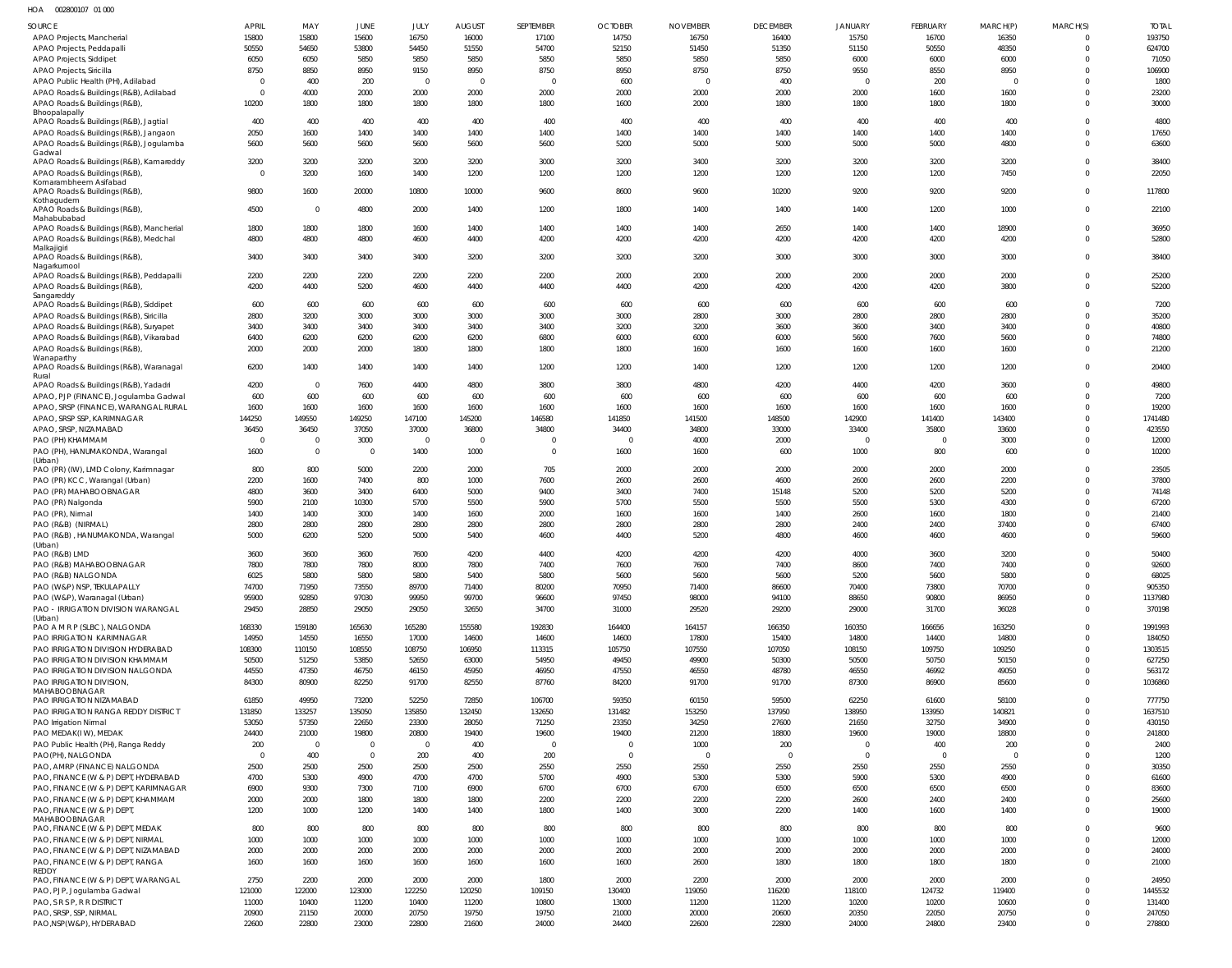HOA 002800107 01 000

| SOURCE                                                                      | APRIL             | MAY                     | JUNE                    | JULY                    | <b>AUGUST</b>          | SEPTEMBER              | <b>OCTOBER</b>    | <b>NOVEMBER</b>        | <b>DECEMBER</b> | <b>JANUARY</b>         | <b>FEBRUARY</b>   | MARCH(P)         | MARCH(S)                 | <b>TOTAL</b>     |
|-----------------------------------------------------------------------------|-------------------|-------------------------|-------------------------|-------------------------|------------------------|------------------------|-------------------|------------------------|-----------------|------------------------|-------------------|------------------|--------------------------|------------------|
| APAO Projects, Mancherial                                                   | 15800             | 15800                   | 15600                   | 16750                   | 16000                  | 17100                  | 14750             | 16750                  | 16400           | 15750                  | 16700             | 16350            |                          | 193750           |
| APAO Projects, Peddapalli                                                   | 50550             | 54650                   | 53800                   | 54450                   | 51550                  | 54700                  | 52150             | 51450                  | 51350           | 51150                  | 50550             | 48350            | $\Omega$                 | 624700           |
| APAO Projects, Siddipet                                                     | 6050              | 6050                    | 5850                    | 5850                    | 5850                   | 5850                   | 5850              | 5850                   | 5850            | 6000                   | 6000              | 6000             | $\Omega$                 | 71050            |
| APAO Projects, Siricilla<br>APAO Public Health (PH), Adilabad               | 8750<br>$\Omega$  | 8850<br>400             | 8950<br>200             | 9150<br>$\overline{0}$  | 8950<br>$\overline{0}$ | 8750<br>$\overline{0}$ | 8950<br>600       | 8750<br>$\overline{0}$ | 8750<br>400     | 9550<br>$\overline{0}$ | 8550<br>200       | 8950<br>$\Omega$ | $\Omega$                 | 106900<br>1800   |
| APAO Roads & Buildings (R&B), Adilabad                                      | $\Omega$          | 4000                    | 2000                    | 2000                    | 2000                   | 2000                   | 2000              | 2000                   | 2000            | 2000                   | 1600              | 1600             | $\Omega$                 | 23200            |
| APAO Roads & Buildings (R&B),                                               | 10200             | 1800                    | 1800                    | 1800                    | 1800                   | 1800                   | 1600              | 2000                   | 1800            | 1800                   | 1800              | 1800             | $\Omega$                 | 30000            |
| Bhoopalapally<br>APAO Roads & Buildings (R&B), Jagtial                      | 400               | 400                     | 400                     | 400                     | 400                    | 400                    | 400               | 400                    | 400             | 400                    | 400               | 400              | $\Omega$                 | 4800             |
| APAO Roads & Buildings (R&B), Jangaon                                       | 2050              | 1600                    | 1400                    | 1400                    | 1400                   | 1400                   | 1400              | 1400                   | 1400            | 1400                   | 1400              | 1400             | $\Omega$                 | 17650            |
| APAO Roads & Buildings (R&B), Jogulamba                                     | 5600              | 5600                    | 5600                    | 5600                    | 5600                   | 5600                   | 5200              | 5000                   | 5000            | 5000                   | 5000              | 4800             | $\Omega$                 | 63600            |
| Gadwal                                                                      | 3200              | 3200                    |                         |                         | 3200                   | 3000                   | 3200              | 3400                   | 3200            | 3200                   | 3200              | 3200             | $\Omega$                 | 38400            |
| APAO Roads & Buildings (R&B), Kamareddy<br>APAO Roads & Buildings (R&B)     | $\Omega$          | 3200                    | 3200<br>1600            | 3200<br>1400            | 1200                   | 1200                   | 1200              | 1200                   | 1200            | 1200                   | 1200              | 7450             | $\Omega$                 | 22050            |
| Komarambheem Asifabad                                                       |                   |                         |                         |                         |                        |                        |                   |                        |                 |                        |                   |                  |                          |                  |
| APAO Roads & Buildings (R&B),<br>Kothagudem                                 | 9800              | 1600                    | 20000                   | 10800                   | 10000                  | 9600                   | 8600              | 9600                   | 10200           | 9200                   | 9200              | 9200             | $\Omega$                 | 117800           |
| APAO Roads & Buildings (R&B),                                               | 4500              | $\overline{0}$          | 4800                    | 2000                    | 1400                   | 1200                   | 1800              | 1400                   | 1400            | 1400                   | 1200              | 1000             | $\Omega$                 | 22100            |
| Mahabubabad<br>APAO Roads & Buildings (R&B), Mancherial                     | 1800              | 1800                    | 1800                    | 1600                    | 1400                   | 1400                   | 1400              | 1400                   | 2650            | 1400                   | 1400              | 18900            | $\Omega$                 | 36950            |
| APAO Roads & Buildings (R&B), Medchal                                       | 4800              | 4800                    | 4800                    | 4600                    | 4400                   | 4200                   | 4200              | 4200                   | 4200            | 4200                   | 4200              | 4200             | $\Omega$                 | 52800            |
| Malkajigiri                                                                 |                   |                         |                         |                         |                        |                        |                   |                        |                 |                        |                   |                  |                          |                  |
| APAO Roads & Buildings (R&B),<br>Nagarkurnool                               | 3400              | 3400                    | 3400                    | 3400                    | 3200                   | 3200                   | 3200              | 3200                   | 3000            | 3000                   | 3000              | 3000             | $\Omega$                 | 38400            |
| APAO Roads & Buildings (R&B), Peddapalli                                    | 2200              | 2200                    | 2200                    | 2200                    | 2200                   | 2200                   | 2000              | 2000                   | 2000            | 2000                   | 2000              | 2000             | $\Omega$                 | 25200            |
| APAO Roads & Buildings (R&B),                                               | 4200              | 4400                    | 5200                    | 4600                    | 4400                   | 4400                   | 4400              | 4200                   | 4200            | 4200                   | 4200              | 3800             | $\Omega$                 | 52200            |
| Sangareddy<br>APAO Roads & Buildings (R&B), Siddipet                        | 600               | 600                     | 600                     | 600                     | 600                    | 600                    | 600               | 600                    | 600             | 600                    | 600               | 600              | $\Omega$                 | 7200             |
| APAO Roads & Buildings (R&B), Siricilla                                     | 2800              | 3200                    | 3000                    | 3000                    | 3000                   | 3000                   | 3000              | 2800                   | 3000            | 2800                   | 2800              | 2800             | <sup>0</sup>             | 35200            |
| APAO Roads & Buildings (R&B), Suryapet                                      | 3400              | 3400                    | 3400                    | 3400                    | 3400                   | 3400                   | 3200              | 3200                   | 3600            | 3600                   | 3400              | 3400             | $\Omega$                 | 40800            |
| APAO Roads & Buildings (R&B), Vikarabad                                     | 6400              | 6200                    | 6200                    | 6200                    | 6200                   | 6800                   | 6000              | 6000                   | 6000            | 5600                   | 7600              | 5600             | $\Omega$                 | 74800            |
| APAO Roads & Buildings (R&B)<br>Wanaparthy                                  | 2000              | 2000                    | 2000                    | 1800                    | 1800                   | 1800                   | 1800              | 1600                   | 1600            | 1600                   | 1600              | 1600             | $\Omega$                 | 21200            |
| APAO Roads & Buildings (R&B), Waranagal                                     | 6200              | 1400                    | 1400                    | 1400                    | 1400                   | 1200                   | 1200              | 1400                   | 1200            | 1200                   | 1200              | 1200             | $\Omega$                 | 20400            |
| Rural<br>APAO Roads & Buildings (R&B), Yadadri                              | 4200              | $\overline{0}$          | 7600                    | 4400                    | 4800                   | 3800                   | 3800              | 4800                   | 4200            | 4400                   | 4200              | 3600             | $\Omega$                 | 49800            |
| APAO, PJP (FINANCE), Jogulamba Gadwal                                       | 600               | 600                     | 600                     | 600                     | 600                    | 600                    | 600               | 600                    | 600             | 600                    | 600               | 600              | $\Omega$                 | 7200             |
| APAO, SRSP (FINANCE), WARANGAL RURAL                                        | 1600              | 1600                    | 1600                    | 1600                    | 1600                   | 1600                   | 1600              | 1600                   | 1600            | 1600                   | 1600              | 1600             | $\Omega$                 | 19200            |
| APAO, SRSP SSP, KARIMNAGAR                                                  | 144250            | 149550                  | 149250                  | 147100                  | 145200                 | 146580                 | 141850            | 141500                 | 148500          | 142900                 | 141400            | 143400           | $\Omega$                 | 1741480          |
| APAO, SRSP, NIZAMABAD<br>PAO (PH) KHAMMAM                                   | 36450<br>$\Omega$ | 36450<br>$\overline{0}$ | 37050<br>3000           | 37000<br>$\overline{0}$ | 36800<br>$\Omega$      | 34800<br>$\mathsf{C}$  | 34400<br>$\Omega$ | 34800<br>4000          | 33000<br>2000   | 33400<br>$\Omega$      | 35800<br>$\Omega$ | 33600<br>3000    | $\Omega$<br>$\Omega$     | 423550<br>12000  |
| PAO (PH), HANUMAKONDA, Warangal                                             | 1600              | $\overline{0}$          | $\overline{\mathbf{0}}$ | 1400                    | 1000                   | $\overline{0}$         | 1600              | 1600                   | 600             | 1000                   | 800               | 600              | $\Omega$                 | 10200            |
| (Urban)                                                                     |                   |                         |                         |                         |                        |                        |                   |                        |                 |                        |                   |                  |                          |                  |
| PAO (PR) (IW), LMD Colony, Karimnagar<br>PAO (PR) KCC, Warangal (Urban)     | 800<br>2200       | 800<br>1600             | 5000<br>7400            | 2200<br>800             | 2000<br>1000           | 705<br>7600            | 2000<br>2600      | 2000<br>2600           | 2000<br>4600    | 2000<br>2600           | 2000<br>2600      | 2000<br>2200     | <sup>0</sup><br>$\Omega$ | 23505<br>37800   |
| PAO (PR) MAHABOOBNAGAR                                                      | 4800              | 3600                    | 3400                    | 6400                    | 5000                   | 9400                   | 3400              | 7400                   | 15148           | 5200                   | 5200              | 5200             | $\Omega$                 | 74148            |
| PAO (PR) Nalgonda                                                           | 5900              | 2100                    | 10300                   | 5700                    | 5500                   | 5900                   | 5700              | 5500                   | 5500            | 5500                   | 5300              | 4300             | $\Omega$                 | 67200            |
| PAO (PR), Nirmal                                                            | 1400              | 1400                    | 3000                    | 1400                    | 1600                   | 2000                   | 1600              | 1600                   | 1400            | 2600                   | 1600              | 1800             | $\Omega$                 | 21400            |
| PAO (R&B) (NIRMAL)                                                          | 2800              | 2800                    | 2800                    | 2800                    | 2800                   | 2800                   | 2800              | 2800                   | 2800            | 2400                   | 2400              | 37400            | $\Omega$                 | 67400            |
| PAO (R&B), HANUMAKONDA, Warangal<br>(Urban)                                 | 5000              | 6200                    | 5200                    | 5000                    | 5400                   | 4600                   | 4400              | 5200                   | 4800            | 4600                   | 4600              | 4600             | $\Omega$                 | 59600            |
| PAO (R&B) LMD                                                               | 3600              | 3600                    | 3600                    | 7600                    | 4200                   | 4400                   | 4200              | 4200                   | 4200            | 4000                   | 3600              | 3200             | $\Omega$                 | 50400            |
| PAO (R&B) MAHABOOBNAGAR                                                     | 7800              | 7800                    | 7800                    | 8000                    | 7800                   | 7400                   | 7600              | 7600                   | 7400            | 8600                   | 7400              | 7400             |                          | 92600            |
| PAO (R&B) NALGONDA<br>PAO (W&P) NSP, TEKULAPALLY                            | 6025<br>74700     | 5800<br>71950           | 5800<br>73550           | 5800<br>89700           | 5400<br>71400          | 5800<br>80200          | 5600<br>70950     | 5600<br>71400          | 5600<br>86600   | 5200<br>70400          | 5600<br>73800     | 5800<br>70700    | $\Omega$<br>$\Omega$     | 68025<br>905350  |
| PAO (W&P), Waranagal (Urban)                                                | 95900             | 92850                   | 97030                   | 99950                   | 99700                  | 96600                  | 97450             | 98000                  | 94100           | 88650                  | 90800             | 86950            | $\Omega$                 | 1137980          |
| PAO - IRRIGATION DIVISION WARANGAL                                          | 29450             | 28850                   | 29050                   | 29050                   | 32650                  | 34700                  | 31000             | 29520                  | 29200           | 29000                  | 31700             | 36028            | $\Omega$                 | 370198           |
| (Urban)                                                                     | 168330            | 159180                  | 165630                  |                         | 155580                 | 192830                 | 164400            | 164157                 | 166350          | 160350                 | 166656            | 163250           | $\Omega$                 | 1991993          |
| PAO A M R P (SLBC), NALGONDA<br><b>PAO IRRIGATION KARIMNAGAR</b>            | 14950             | 14550                   | 16550                   | 165280<br>17000         | 14600                  | 14600                  | 14600             | 17800                  | 15400           | 14800                  | 14400             | 14800            | $\Omega$                 | 184050           |
| PAO IRRIGATION DIVISION HYDERABAD                                           | 108300            | 110150                  | 108550                  | 108750                  | 106950                 | 113315                 | 105750            | 107550                 | 107050          | 108150                 | 109750            | 109250           | $\Omega$                 | 1303515          |
| PAO IRRIGATION DIVISION KHAMMAM                                             | 50500             | 51250                   | 53850                   | 52650                   | 63000                  | 54950                  | 49450             | 49900                  | 50300           | 50500                  | 50750             | 50150            | $\Omega$                 | 627250           |
| PAO IRRIGATION DIVISION NALGONDA                                            | 44550             | 47350                   | 46750                   | 46150                   | 45950                  | 46950                  | 47550             | 46550                  | 48780           | 46550                  | 46992             | 49050            | $\Omega$                 | 563172           |
| PAO IRRIGATION DIVISION,<br>MAHABOOBNAGAR                                   | 84300             | 80900                   | 82250                   | 91700                   | 82550                  | 87760                  | 84200             | 91700                  | 91700           | 87300                  | 86900             | 85600            | $\Omega$                 | 1036860          |
| PAO IRRIGATION NIZAMABAD                                                    | 61850             | 49950                   | 73200                   | 52250                   | 72850                  | 106700                 | 59350             | 60150                  | 59500           | 62250                  | 61600             | 58100            | $\Omega$                 | 777750           |
| <b>PAO IRRIGATION RANGA REDDY DISTRICT</b>                                  | 131850            | 133257                  | 135050                  | 135850                  | 132450                 | 132650                 | 131482            | 153250                 | 137950          | 138950                 | 133950            | 140821           | $\Omega$                 | 1637510          |
| PAO Irrigation Nirmal<br>PAO MEDAK(IW), MEDAK                               | 53050<br>24400    | 57350<br>21000          | 22650<br>19800          | 23300<br>20800          | 28050<br>19400         | 71250<br>19600         | 23350<br>19400    | 34250<br>21200         | 27600<br>18800  | 21650<br>19600         | 32750<br>19000    | 34900<br>18800   | $\Omega$<br>$\Omega$     | 430150<br>241800 |
| PAO Public Health (PH), Ranga Reddy                                         | 200               | $\overline{0}$          | $\overline{\mathbf{0}}$ | $\overline{0}$          | 400                    | $\overline{0}$         | $\overline{0}$    | 1000                   | 200             | $\overline{0}$         | 400               | 200              | $\Omega$                 | 2400             |
| PAO(PH), NALGONDA                                                           | $\Omega$          | 400                     | $\overline{0}$          | 200                     | 400                    | 200                    | $\overline{0}$    | $\Omega$               | $\overline{0}$  | $\overline{0}$         | $\overline{0}$    | $\Omega$         | $\Omega$                 | 1200             |
| PAO, AMRP (FINANCE) NALGONDA                                                | 2500              | 2500                    | 2500                    | 2500                    | 2500                   | 2550                   | 2550              | 2550                   | 2550            | 2550                   | 2550              | 2550             | $\Omega$                 | 30350            |
| PAO, FINANCE (W & P) DEPT, HYDERABAD                                        | 4700              | 5300                    | 4900                    | 4700                    | 4700                   | 5700                   | 4900              | 5300                   | 5300            | 5900                   | 5300              | 4900             | $\Omega$                 | 61600            |
| PAO, FINANCE (W & P) DEPT, KARIMNAGAR<br>PAO, FINANCE (W & P) DEPT, KHAMMAM | 6900<br>2000      | 9300<br>2000            | 7300<br>1800            | 7100<br>1800            | 6900<br>1800           | 6700<br>2200           | 6700<br>2200      | 6700<br>2200           | 6500<br>2200    | 6500<br>2600           | 6500<br>2400      | 6500<br>2400     | $\Omega$<br>$\Omega$     | 83600<br>25600   |
| PAO, FINANCE (W & P) DEPT                                                   | 1200              | 1000                    | 1200                    | 1400                    | 1400                   | 1800                   | 1400              | 3000                   | 2200            | 1400                   | 1600              | 1400             | $\Omega$                 | 19000            |
| MAHABOOBNAGAR                                                               |                   |                         |                         |                         |                        |                        |                   |                        |                 |                        |                   |                  |                          |                  |
| PAO, FINANCE (W & P) DEPT, MEDAK                                            | 800               | 800                     | 800                     | 800                     | 800                    | 800                    | 800               | 800                    | 800             | 800                    | 800               | 800              | $\Omega$<br>$\Omega$     | 9600             |
| PAO, FINANCE (W & P) DEPT, NIRMAL<br>PAO, FINANCE (W & P) DEPT, NIZAMABAD   | 1000<br>2000      | 1000<br>2000            | 1000<br>2000            | 1000<br>2000            | 1000<br>2000           | 1000<br>2000           | 1000<br>2000      | 1000<br>2000           | 1000<br>2000    | 1000<br>2000           | 1000<br>2000      | 1000<br>2000     | $\Omega$                 | 12000<br>24000   |
| PAO, FINANCE (W & P) DEPT, RANGA                                            | 1600              | 1600                    | 1600                    | 1600                    | 1600                   | 1600                   | 1600              | 2600                   | 1800            | 1800                   | 1800              | 1800             | $\Omega$                 | 21000            |
| REDDY                                                                       |                   |                         |                         |                         |                        |                        |                   |                        |                 |                        |                   |                  |                          |                  |
| PAO, FINANCE (W & P) DEPT, WARANGAL<br>PAO, PJP, Jogulamba Gadwal           | 2750<br>121000    | 2200<br>122000          | 2000<br>123000          | 2000<br>122250          | 2000<br>120250         | 1800<br>109150         | 2000<br>130400    | 2200<br>119050         | 2000<br>116200  | 2000<br>118100         | 2000<br>124732    | 2000<br>119400   | $\Omega$<br>$\Omega$     | 24950<br>1445532 |
| PAO, S R S P, R R DISTRICT                                                  | 11000             | 10400                   | 11200                   | 10400                   | 11200                  | 10800                  | 13000             | 11200                  | 11200           | 10200                  | 10200             | 10600            | $\Omega$                 | 131400           |
| PAO, SRSP, SSP, NIRMAL                                                      | 20900             | 21150                   | 20000                   | 20750                   | 19750                  | 19750                  | 21000             | 20000                  | 20600           | 20350                  | 22050             | 20750            | $\Omega$                 | 247050           |
| PAO, NSP (W&P), HYDERABAD                                                   | 22600             | 22800                   | 23000                   | 22800                   | 21600                  | 24000                  | 24400             | 22600                  | 22800           | 24000                  | 24800             | 23400            | $\mathbf{0}$             | 278800           |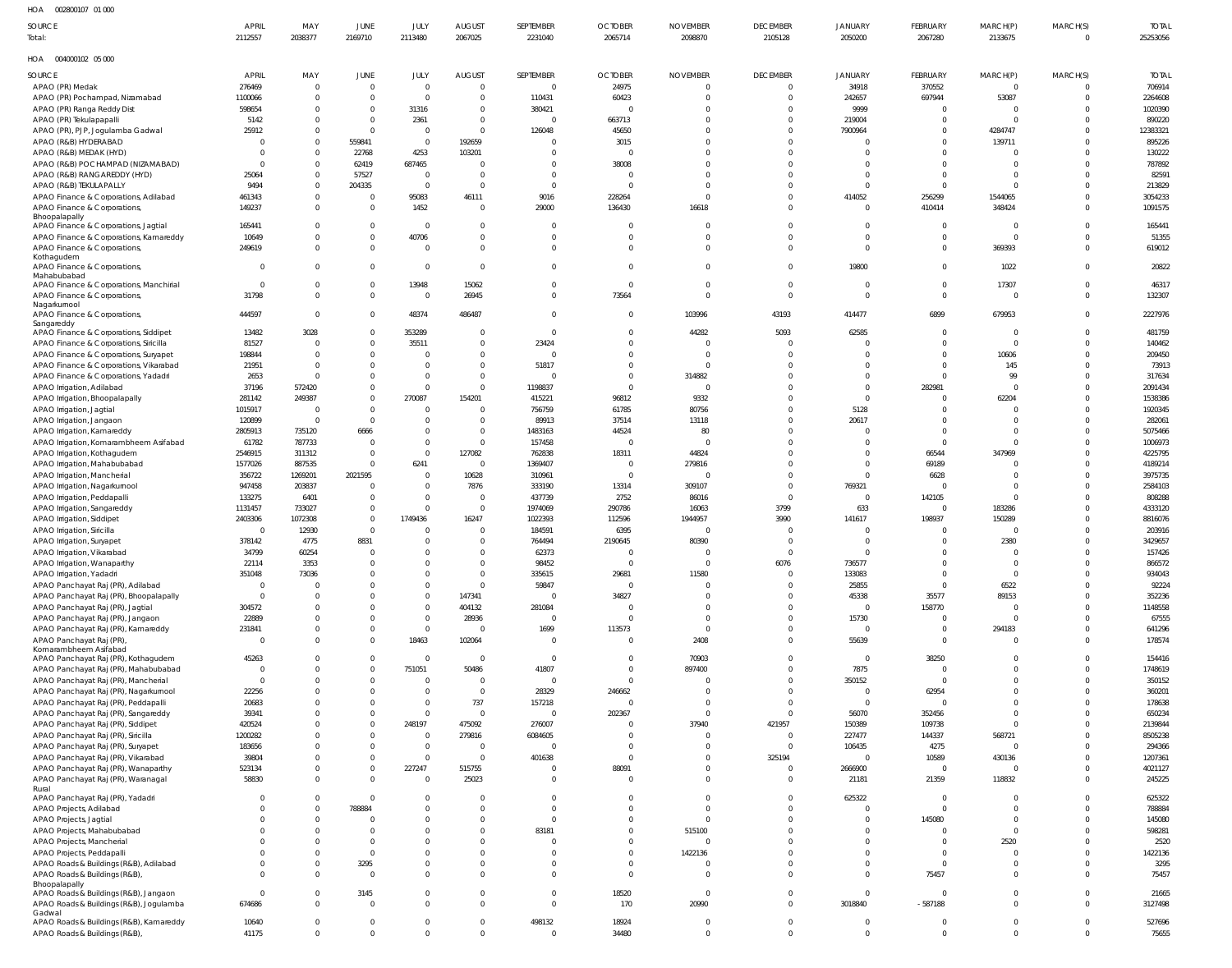002800107 01 000 HOA APRIL AUGUST SEPTEMBER DECEMBER FEBRUARY MARCH(P) TOTAL **SOURCE** MAY JUNE JULY **OCTOBER** NOVEMBER JANUARY MARCH(S) Total:0 25253056 2112557 2038377 2169710 2113480 2067025 2231040 2065714 2098870 2105128 2050200 2067280 2133675 004000102 05 000 HOA MARCH(S) **SEPTEMBER OCTOBER** NOVEMBER DECEMBER FEBRUARY TOTAL SOURCE **APRIL** MAY JUNE JULY AUGUST JANUARY MARCH(P) APAO (PR) Medak 276469  $\overline{0}$  $\overline{0}$ 24975 34918 370552 706914  $\overline{0}$  $\overline{0}$ 0  $\mathbf{0}$  $\overline{0}$ 0 0000000000000000000 00<br>000<br>00 0<br>0 0<br>0<br>0<br>0 00000000000 000000000000000000  $\overline{0}$ 000000000000000000000000000000000000000000000000000000000000000000000000 APAO (PR) Pochampad, Nizamabad 1100066  $\overline{0}$  $\mathbf{0}$  $\overline{0}$  $\overline{0}$ 110431  $60423$   $0$  $\overline{0}$  $\overline{0}$ 242657  $53087$ <sup>0</sup>  $\mathbf{0}$ 2264608 697944<br>0<br>0<br>0<br>0<br>0<br>0<br>0<br>0<br>0 APAO (PR) Ranga Reddy Dist 598654  $\,0\,$  $\,0\,$ 31316  $\,0\,$ 380421  $\mathbf{0}$  $\overline{0}$ 9999  $\mathbf 0$ 1020390 5142 663713 219004 APAO (PR) Tekulapapalli  $\begin{array}{c} 2361 \\ 0 \\ 0 \end{array}$ 890220  $\Omega$  $\overline{0}$  $\Omega$ 0  $\Omega$  $\Omega$  $\mathbf{0}$ APAO (PR), PJP, Jogulamba Gadwal 25912<br>0<br>0<br>0  $\overline{0}$  $\Omega$  $\Omega$ 45650  $\Omega$  $\Omega$ 4284747  $\mathbf{0}$ 12383321  $126048$ <br>0<br>0<br>0<br>0<br>0<br>0 7900964<br>0<br>0<br>0<br>0 APAO (R&B) HYDERABAD  $\overline{0}$ 559841 192659  $\begin{array}{c}\n3015 \\
0\n\end{array}$  $\overline{0}$ 139711  $\mathbf{0}$ 895226  $\overline{0}$ APAO (R&B) MEDAK (HYD)  $\Omega$ 22768 4253 103201  $\Omega$  $\Omega$  $\Omega$  $\Omega$ 130222 0<br>0<br>0<br>0 APAO (R&B) POCHAMPAD (NIZAMABAD)  $\overline{0}$ 62419  $687465$ <sup>0</sup>  $\boldsymbol{0}$  $\begin{array}{c}\n 38008 \\
 0\n \end{array}$  $\mathbf{0}$  $\overline{0}$  $\overline{0}$  $\mathbf{0}$ 787892 0<br>0<br>0 57527 APAO (R&B) RANGAREDDY (HYD) 82591 25064  $\overline{0}$  $\Omega$  $\Omega$  $\Omega$  $\overline{0}$  $\mathbf{0}$ APAO (R&B) TEKULAPALLY 9494 204335  $\mathbf{0}$ 213829  $\overline{0}$  $\Omega$  $\Omega$  $\Omega$  $\Omega$ 204335000000000000000000 APAO Finance & Corporations, Adilabad 461343 95083 9016 228264 256299 1544065  $\mathbf{0}$ 3054233  $\overline{0}$  $\overline{0}$  $\overline{0}$ 16111<br>0<br>0<br>0<br>0<br>0 414052<br>0<br>0<br>0<br>0 APAO Finance & Corporations, 149237  $\Omega$  $\Omega$ 1452<br>0 29000  $\Omega$ 348424<br>0<br>0  $\Omega$ 1091575 2900000000000 136430<br>0<br>0<br>0<br>0<br>0<br>0 16618<br>0<br>0<br>0<br>0<br>0<br>0 410414<br>0<br>0<br>0<br>0<br>0<br>0<br>0 Bhoopalapally APAO Finance & Corporations, Jagtial 165441  $\mathbb O$  $\overline{0}$  $\mathbf{0}$  $\Omega$  $\mathbf 0$ 165441 APAO Finance & Corporations, Kamareddy 10649  $\overline{0}$  $\overline{0}$  $\begin{array}{c}\n 40706 \\
 \circ \\
 0\n \end{array}$  $\Omega$  $\Omega$ 51355  $\Omega$ 369393 APAO Finance & Corporations, 249619<br>0<br>0  $\mathbf{0}$  $\overline{0}$  $\mathbf{0}$  $\overline{0}$  $\mathbf{0}$ 619012 Kothagudem APAO Finance & Corporations,  $\mathbf{0}$  $\mathbb O$  $\mathbf{0}$  $\Omega$ 19800<br>0<br>0 1022  $\mathbf{0}$ 20822 Mahabubabad  $17307$ <sup>0</sup> 46317 APAO Finance & Corporations, Manchirial  $\overline{0}$  $\mathbf{0}$ 13948<br>0 15062  $\mathbf{0}$  $\overline{0}$  $\mathbf{0}$ APAO Finance & Corporations, 31798 26945  $\mathbf 0$  $\mathbf 0$ 132307  $\overline{0}$  $\,0\,$  $\Omega$ 73564<br>0<br>0<br>0<br>0<br>0<br>0<br>0 Nagarkurnool 444597  $\Omega$  $\Omega$ 48374 103996 43193 414477  $679953$ <sup>0</sup>  $\Omega$ 2227976 APAO Finance & Corporations,  $\Omega$ 486487<br>0<br>0<br>0<br>0<br>0<br>0 6899<br>0<br>0<br>0<br>0 Sangareddy APAO Finance & Corporations, Siddipet 13482  $3028$ <br>0<br>0<br>0<br>0  $\overline{0}$ 353289  $\mathbf{0}$  $44282$ <br>0<br>0<br>0 5093  $\mathbf{0}$ 481759 5093000000000000000 62585<br>0<br>0<br>0<br>0<br>0<br>0 APAO Finance & Corporations, Siricilla 81527  $\Omega$ 35511<br>0<br>0<br>0<br>0 23424<br>0  $\Omega$ 140462  $\Omega$ 198844 209450 APAO Finance & Corporations, Suryapet  $\overline{0}$  $\overline{0}$ 10606  $\mathbf{0}$ APAO Finance & Corporations, Vikarabad 21951 51817<br>0 73913  $\overline{0}$  $\Omega$ 145  $\mathbf 0$ APAO Finance & Corporations, Yadadri 2653 314882<br>0 990  $\mathbf{0}$ 317634  $\,0\,$  $\Omega$ APAO Irrigation, Adilabad 37196 572420  $\mathbf{0}$ 1198837 282981  $\mathbf{0}$ 2091434  $\Omega$ APAO Irrigation, Bhoopalapally 281142 249387<br>0<br>0  $\mathbf{0}$ 154201 415221 96812 9332  $\Omega$  $62204$ <br>0<br>0<br>0<br>0  $\mathbf{0}$ 1538386  $270087$ <br>0<br>0<br>0<br>0<br>0<br>0  $\Omega$ 00<br>000<br>00 1015917 5128 APAO Irrigation, Jagtial  $\overline{0}$  $\overline{0}$ 756759 61785 80756  $\overline{0}$  $\mathbf{0}$ 1920345 0<br>0<br>0<br>0 APAO Irrigation, Jangaon 120899  $\overline{0}$  $\Omega$ 89913 37514 13118  $\Omega$  $\Omega$  $\mathbf{0}$ 282061 20617<br>0<br>0<br>0<br>0<br>0 APAO Irrigation, Kamareddy 2805913 735120 6666<br>0<br>0<br>0 1483163  $44524$ <sup>0</sub></sup> 800 5075466  $\overline{0}$  $\mathbf 0$ APAO Irrigation, Komarambheem Asifabad 61782 787733 157458 1006973  $\mathbf 0$ APAO Irrigation, Kothagudem 2546915 311312 127082<br>0 762838 18311<br>0<br>0 44824  $\Omega$ 66544 347969<br>0<br>0<br>0<br>0  $\mathbf{0}$ 4225795 1577026 1369407  $279816$ <sup>0</sub></sup> APAO Irrigation, Mahabubabad 887535  $6241$ <br>0<br>0<br>0 69189  $\mathbf{0}$ 4189214 APAO Irrigation, Mancherial 356722 1269201 10628 310961  $\Omega$ 6628  $\Omega$ 3975735 2021595<br>0<br>0<br>0<br>0 APAO Irrigation, Nagarkurnool 947458 203837 7876<br>0<br>0 333190 13314 309107 769321 2584103  $\Omega$  $\mathbf{0}$ 133275 6401 437739 2752 86016  $142105$ <sup>0</sup>  $\mathbf{0}$ 808288 APAO Irrigation, Peddapalli  $\Omega$  $\Omega$ APAO Irrigation, Sangareddy 1131457 733027 1974069 290786 16063 3799 633 183286  $\mathbf{0}$ 4333120 APAO Irrigation, Siddipet 2403306<br>0 1072308 16247<br>0<br>0<br>0<br>0<br>0 1022393 112596 1944957<br>0 3990<br>0<br>0<br>0 141617<br>0<br>0<br>0 198937<br>0<br>0<br>0<br>0 150289<br>0  $\mathbf{0}$ 8816076 1749436<br>0<br>0<br>0<br>0<br>0<br>0<br>0<br>0<br>0<br>0 APAO Irrigation, Siricilla 12930 184591 6395  $\Omega$ 203916 APAO Irrigation, Suryapet 378142 4775 8831 764494  $2190645$ <sup>0</sup>  $80390$ <br>0  $2380$ <br>0<br>0<br>0  $\mathbf{0}$ 3429657 88310000000000000000000000 34799 60254 APAO Irrigation, Vikarabad  $\overline{0}$ 62373  $\mathbf 0$ 157426 APAO Irrigation, Wanaparthy 22114 3353  $\Omega$ 98452 6076 736577  $\Omega$ 866572 60760000000000000 APAO Irrigation, Yadadri  $351048$ <sup>0</sub></sup> 73036  $\overline{0}$ 335615 29681<br>0 11580<br>0<br>0<br>0<br>0<br>0<br>0<br>0  $\overline{0}$ 133083  $\mathbf{0}$ 934043 73036000000000000000000000000000000 APAO Panchayat Raj (PR), Adilabad  $\Omega$  $\Omega$ 59847<br>0 25855 6522  $\Omega$ 92224  $\Omega$ APAO Panchayat Raj (PR), Bhoopalapally 147341  $\begin{array}{c}\n34827 \\
0 \\
0\n\end{array}$ 45338<br>0 35577  $\begin{array}{c}\n 89153 \\
 \circ \\
 0 \\
 \circ\n \end{array}$  $\overline{0}$  $\overline{0}$  $\mathbf{0}$ 352236 304572 158770<br>0<br>0 1148558 APAO Panchayat Raj (PR), Jagtial  $\overline{0}$  $\mathbf{0}$ 404132 281084<br>0  $\Omega$  $\mathbf{0}$ APAO Panchayat Raj (PR), Jangaon 22889 28936  $15730$ <sup>0</sup>  $\mathbf 0$ 67555  $\overline{0}$  $\,0\,$  $\Omega$ APAO Panchayat Raj (PR), Kamareddy 231841  $\Omega$  $\overline{0}$  $\begin{array}{c} 1699 \\0 \\0 \end{array}$ 113573<br>0<br>0<br>0<br>0  $\mathbf{0}$ 641296  $\Omega$ 294183<br>0<br>0<br>0<br>0<br>0<br>0<br>0<br>0 APAO Panchayat Raj (PR),  $\Omega$  $\Omega$  $\mathbf{0}$ 18463<br>0 102064<br>0 2408  $\Omega$ 55639<br>0  $\mathbf{0}$ 178574 Komarambheem Asifabad  $\mathbf 0$ APAO Panchayat Raj (PR), Kothagudem  $\begin{array}{c} 45263 \\ 0 \\ 0 \end{array}$  $\overline{0}$  $\mathbf{0}$ 70903  $\Omega$  $38250$ 154416 APAO Panchayat Raj (PR), Mahabubabad  $\overline{0}$ 751051  $\begin{array}{c}\n50486 \\
0 \\
0\n\end{array}$  $41807$ <sup>0</sup> 897400<br>0<br>0<br>0 7875  $\mathbf{0}$ 1748619  $\Omega$  $\Omega$ APAO Panchayat Raj (PR), Mancherial  $\begin{array}{c}\n350152 \\
0 \\
0\n\end{array}$  $\mathbf{0}$ 350152  $\mathbf 0$  $\overline{0}$  $\overline{0}$  $\overline{0}$ 0<br>0<br>0<br>0 APAO Panchayat Raj (PR), Nagarkurnool 22256  $\Omega$  $\Omega$  $\Omega$ 28329 246662<br>0  $\Omega$ 629540  $\Omega$ 360201 APAO Panchayat Raj (PR), Peddapalli 20683  $\mathbf{0}$  $\overline{0}$  $\overline{0}$ 7370 157218<br>0  $\mathbf{0}$ 178638 APAO Panchayat Raj (PR), Sangareddy 39341  $202367$ <br>0<br>0<br>0<br>0 56070 352456 650234  $\overline{0}$  $\mathbf 0$  $\Omega$  $\Omega$ APAO Panchayat Raj (PR), Siddipet 420524 248197<br>0 475092 276007 37940  $421957$ <sup>0</sup> 150389 109738  $\Omega$ 2139844  $\Omega$  $\overline{0}$ 37940<br>0<br>0<br>0<br>0<br>0<br>0<br>0<br>0 APAO Panchayat Raj (PR), Siricilla 1200282  $\begin{array}{c}\n279816 \\
0 \\
0\n\end{array}$  $6084605$ <sup>0</sub></sup> 227477 144337 568721  $\mathbf{0}$ 8505238  $\overline{0}$  $\overline{0}$  $\overline{0}$ APAO Panchayat Raj (PR), Suryapet 183656  $\Omega$  $\overline{0}$ 106435<br>0 4275  $\mathbf{0}$ 294366  $\Omega$  $\Omega$ APAO Panchayat Raj (PR), Vikarabad 39804 325194  $430136$ <sup>0</sup> 1207361  $\mathbf{0}$  $\overline{0}$  $\mathbf{0}$ 10589<br>0  $\mathbf{0}$ 401638<br>0<br>0<br>0<br>0<br>0 325194<br>0<br>0<br>0<br>0<br>0<br>0<br>0<br>0<br>0<br>0<br>0<br>0<br>0<br>0<br>0 515755 APAO Panchayat Raj (PR), Wanaparthy 523134  $\overline{0}$  $\mathbf{0}$ 227247 88091 2666900  $\mathbf{0}$ 4021127 227247<br>0<br>0<br>0<br>0<br>0<br>0<br>0<br>0<br>0<br>0<br>0<br>0<br>0<br>0<br>0<br>0 88091<br>0<br>0<br>0<br>0<br>0<br>0<br>0<br>0<br>0  $\overline{0}$  $\Omega$ APAO Panchayat Raj (PR), Waranagal 58830 25023  $\mathbf 0$ 21181 21359<br>0 118832<br>0<br>0<br>0<br>0  $\mathbf 0$ 245225  $\overline{0}$  $\,0\,$  $\Omega$  $\mathbf{0}$  $\overline{0}$ 58830<br>0<br>0<br>0<br>0<br>0<br>0<br>0<br>0 25023<br>0<br>0<br>0<br>0<br>0<br>0<br>0<br>0<br>0<br>0<br>0<br>0 Rural APAO Panchayat Raj (PR), Yadadri  $\Omega$  $\Omega$  $\Omega$  $\Omega$ 625322  $\Omega$  $\cap$  $\Omega$  $\Omega$  $\Omega$ 625322<br>0<br>0<br>0<br>0<br>0<br>0<br>0<br>0 APAO Projects, Adilabad 788884<br>0<br>0<br>0 788884  $\mathbf{C}$  $\,0\,$  $\overline{0}$  $\overline{0}$  $\,0\,$  $\Omega$  $\overline{0}$  $\mathbf{0}$ APAO Projects, Jagtial  $\overline{0}$  $\mathbf{0}$  $145080$ <br>0<br>0  $\mathbf{0}$ 145080  $\Omega$  $\Omega$  $\Omega$  $\Omega$  $\Omega$ APAO Projects, Mahabubabad  $\Omega$  $\Omega$  $\Omega$  $\Omega$  $\overline{0}$ 5151000  $\Omega$  $\mathbf{0}$ 598281 83181<br>0<br>0<br>0<br>0<br>0<br>0 APAO Projects, Mancherial  $\mathbf{0}$ 2520  $\mathbf{0}$ 2520  $\overline{0}$ 2520<br>0<br>0<br>0<br>0<br>0<br>0<br>0 APAO Projects, Peddapalli  $\Omega$  $\Omega$  $\Omega$  $\Omega$  $\Omega$  $\Omega$  $\Omega$  $\Omega$ 1422136 1422136<br>0<br>0 APAO Roads & Buildings (R&B), Adilabad  $\overline{0}$  $\overline{0}$ 32950  $\overline{0}$  $\overline{0}$  $\mathbf{0}$  $\overline{0}$  $\overline{0}$  $\mathbf{0}$ 3295 754570 APAO Roads & Buildings (R&B),  $\mathbf{0}$ 75457 -C  $\overline{0}$  $\Omega$  $\mathbf{0}$  $\mathbf{0}$  $\Omega$  $\overline{0}$ Bhoopalapally APAO Roads & Buildings (R&B), Jangaon  $\mathbf{0}$  $\mathbf{0}$  $\begin{array}{c} 3145 \\0 \\0 \\0 \\0 \end{array}$  $\overline{0}$ 18520  $\mathbf{0}$  $\mathbf{0}$ 21665 APAO Roads & Buildings (R&B), Jogulamba 674686  $\overline{0}$  $\mathbf{0}$ 170  $\begin{array}{c}\n 20990 \\
 \hline\n 0\n \end{array}$  $\mathbf{0}$ 3018840<br>0<br>0 -587188<br>0<br>0  $\overline{0}$  $\mathbf{0}$ 3127498  $\Omega$ Gadwal APAO Roads & Buildings (R&B), Kamareddy 10640  $\mathbf 0$  $\mathbb O$  $\mathbf 0$ 498132<br>0 18924  $\mathbf 0$  $\mathbf 0$  $\mathbf 0$ 527696

34480

 $\Omega$ 

75655

 $\Omega$ 

 $\Omega$ 

APAO Roads & Buildings (R&B),

41175

 $\Omega$ 

 $\Omega$ 

 $\Omega$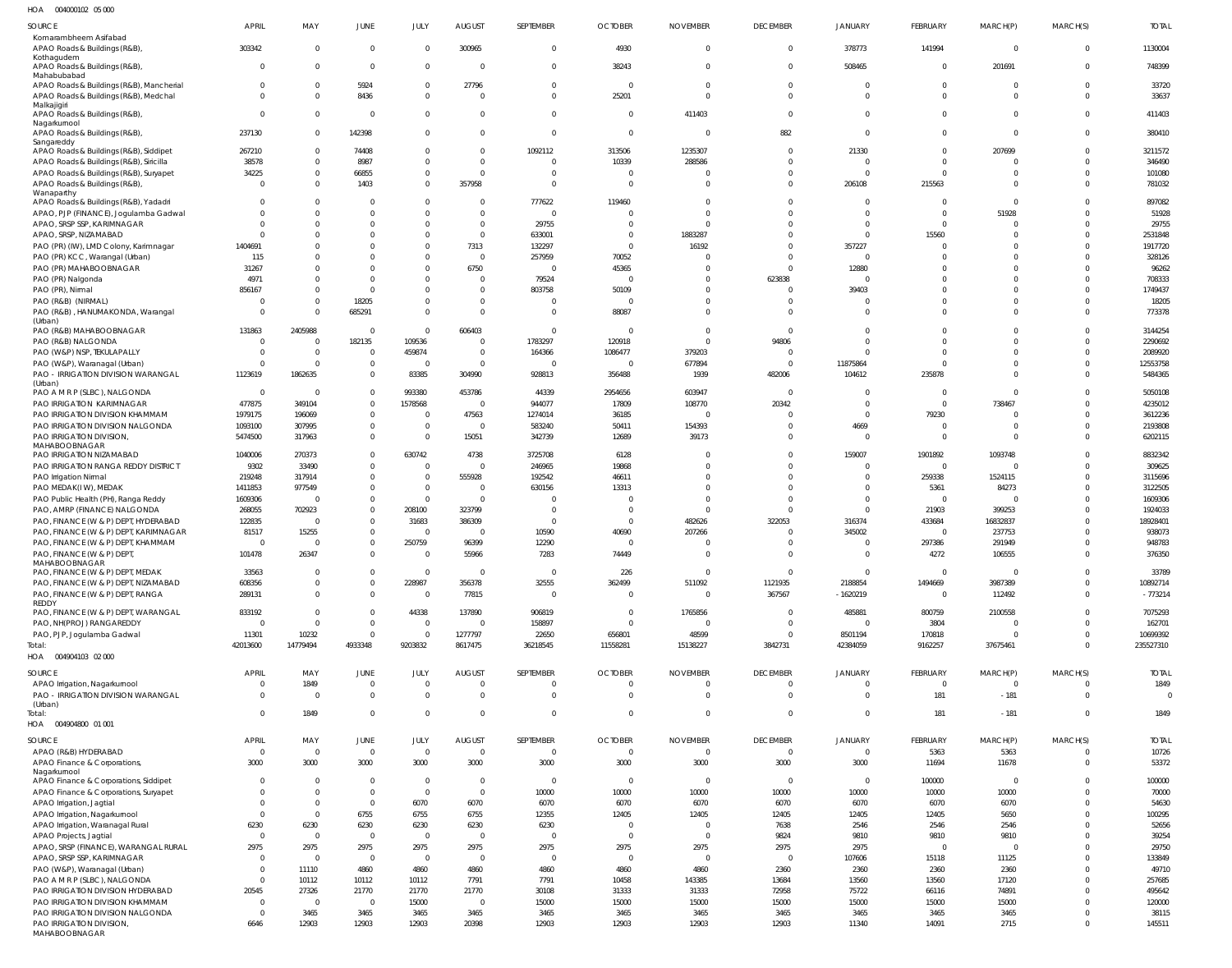004000102 05 000 HOA

| SOURCE                                                                                           | <b>APRIL</b>            | MAY                           | JUNE                         | JULY                 | <b>AUGUST</b>        | SEPTEMBER            | <b>OCTOBER</b>       | <b>NOVEMBER</b>      | <b>DECEMBER</b>        | <b>JANUARY</b>            | FEBRUARY             | MARCH(P)             | MARCH(S)                      | <b>TOTAL</b>          |
|--------------------------------------------------------------------------------------------------|-------------------------|-------------------------------|------------------------------|----------------------|----------------------|----------------------|----------------------|----------------------|------------------------|---------------------------|----------------------|----------------------|-------------------------------|-----------------------|
| Komarambheem Asifabad<br>APAO Roads & Buildings (R&B)                                            | 303342                  | $\overline{0}$                | $\Omega$                     | <sup>0</sup>         | 300965               | $\Omega$             | 4930                 | $\Omega$             | $\mathbf 0$            | 378773                    | 141994               | $\overline{0}$       | $\overline{0}$                | 1130004               |
| Kothagudem<br>APAO Roads & Buildings (R&B),                                                      | $\Omega$                | $\mathbf 0$                   | $\Omega$                     | <sup>0</sup>         | $\Omega$             | $\overline{0}$       | 38243                | $\Omega$             | $\mathbf 0$            | 508465                    | $^{\circ}$           | 201691               | 0                             | 748399                |
| Mahabubabad<br>APAO Roads & Buildings (R&B), Mancherial<br>APAO Roads & Buildings (R&B), Medchal | $\Omega$<br>$\Omega$    | $\mathbf 0$<br>$\overline{0}$ | 5924<br>8436                 | $\Omega$<br>$\Omega$ | 27796<br>$\Omega$    | $\Omega$<br>$\Omega$ | $\Omega$<br>25201    | $\Omega$<br>$\Omega$ | $\Omega$<br>$\Omega$   | $^{\circ}$<br>$\mathbf 0$ | $\Omega$<br>$\Omega$ | $\Omega$<br>$\Omega$ | $\mathbf 0$<br>$\Omega$       | 33720<br>33637        |
| Malkajigiri<br>APAO Roads & Buildings (R&B),                                                     | $\Omega$                | $\overline{0}$                | - 0                          | $\Omega$             | $\Omega$             | $\Omega$             | $\Omega$             | 411403               | $\Omega$               | $\mathbf 0$               | $\Omega$             | $\Omega$             | $\mathbf 0$                   | 411403                |
| Nagarkurnool<br>APAO Roads & Buildings (R&B),                                                    | 237130                  | $\overline{0}$                | 142398                       | $\Omega$             | $\Omega$             | $\Omega$             | $\Omega$             | $\Omega$             | 882                    | $\mathbf 0$               | $\Omega$             | $\Omega$             | $\mathbf 0$                   | 380410                |
| Sangareddy<br>APAO Roads & Buildings (R&B), Siddipet                                             | 267210                  | $\overline{0}$                | 74408                        | $\Omega$             | $\Omega$             | 1092112              | 313506               | 1235307              | $\Omega$               | 21330                     | $\Omega$             | 207699               | 0                             | 3211572               |
| APAO Roads & Buildings (R&B), Siricilla                                                          | 38578                   | $\mathbf 0$                   | 8987                         | $\Omega$             | $\mathbf 0$          |                      | 10339                | 288586               | $\Omega$               | $\mathbf 0$               | $\mathbf 0$          | $\Omega$             | 0                             | 346490                |
| APAO Roads & Buildings (R&B), Suryapet                                                           | 34225                   | $\mathbf 0$                   | 66855                        | $\Omega$             | $\Omega$             | $\cap$               |                      |                      | $\Omega$               | $\Omega$                  | $\Omega$             | $\Omega$             | $\Omega$                      | 101080                |
| APAO Roads & Buildings (R&B),                                                                    | $\Omega$                | $\mathbf 0$                   | 1403                         | $\Omega$             | 357958               | $\Omega$             | $\Omega$             |                      | $\mathbf 0$            | 206108                    | 215563               | $\Omega$             | $\Omega$                      | 781032                |
| Wanaparthy<br>APAO Roads & Buildings (R&B), Yadadri                                              |                         | $\mathbf 0$                   | - 0                          | <sup>0</sup>         | $\Omega$             | 777622               | 119460               | $\Omega$             | $\Omega$               | $\Omega$                  | $\Omega$             | $\Omega$             | $\Omega$                      | 897082                |
| APAO, PJP (FINANCE), Jogulamba Gadwal                                                            |                         | $\mathbf 0$                   |                              | $\Omega$             | $\Omega$             |                      |                      | $\Omega$             | $\Omega$               | $\Omega$                  | $\mathbf 0$          | 51928                | $\Omega$                      | 51928                 |
| APAO, SRSP SSP, KARIMNAGAR                                                                       |                         | $\Omega$                      |                              | <sup>0</sup>         | $\Omega$             | 29755                | $\Omega$             |                      | $\Omega$               | $\Omega$                  | $\Omega$             | $\Omega$             | $\Omega$                      | 29755                 |
| APAO, SRSP, NIZAMABAD<br>PAO (PR) (IW), LMD Colony, Karimnagar                                   | 1404691                 | $\Omega$<br>$\Omega$          |                              | $\Omega$<br>$\Omega$ | $\mathbf 0$<br>7313  | 633001<br>132297     | $\Omega$<br>$\Omega$ | 1883287<br>16192     | $\Omega$<br>$\Omega$   | $\Omega$<br>357227        | 15560<br>$\Omega$    | $\Omega$<br>$\Omega$ | 0<br>$\Omega$                 | 2531848<br>1917720    |
| PAO (PR) KCC, Warangal (Urban)                                                                   | 115                     | $\mathbf 0$                   |                              | $\Omega$             | $\mathbf 0$          | 257959               | 70052                |                      | $\Omega$               | $\mathbf 0$               | $\Omega$             | $\Omega$             | $\Omega$                      | 328126                |
| PAO (PR) MAHABOOBNAGAR                                                                           | 31267                   | $\mathbf 0$                   | $\Omega$                     | $\Omega$             | 6750                 |                      | 45365                |                      | $\Omega$               | 12880                     | $\Omega$             | $\Omega$             | $\Omega$                      | 96262                 |
| PAO (PR) Nalgonda                                                                                | 4971                    | $\mathbf 0$                   | $\Omega$                     | <sup>0</sup>         | 0                    | 79524                | $\cap$               | $\Omega$             | 623838                 | $\Omega$                  | $\Omega$             | $\Omega$             | $\Omega$                      | 708333                |
| PAO (PR), Nirmal<br>PAO (R&B) (NIRMAL)                                                           | 856167                  | $\mathbf 0$<br>$\mathbf 0$    | $\Omega$<br>18205            | $\Omega$<br>$\Omega$ | $\Omega$<br>0        | 803758               | 50109<br>$\Omega$    | $\Omega$<br>$\Omega$ | $\Omega$<br>$\Omega$   | 39403<br>$\mathbf 0$      | $\Omega$<br>$\Omega$ | $\Omega$<br>$\Omega$ | $\Omega$<br>0                 | 1749437<br>18205      |
| PAO (R&B), HANUMAKONDA, Warangal                                                                 | $\Omega$                | $\Omega$                      | 685291                       | $\Omega$             | $\mathbf 0$          | $\Omega$             | 88087                | $\Omega$             | $\Omega$               | $\Omega$                  | $\Omega$             | $\Omega$             | $\Omega$                      | 773378                |
| (Urban)<br>PAO (R&B) MAHABOOBNAGAR                                                               | 131863                  | 2405988                       | $\overline{0}$               | $\Omega$             | 606403               | $\Omega$             |                      | $\Omega$             | $\mathbf 0$            | $\Omega$                  | $\Omega$             | $\Omega$             | 0                             | 3144254               |
| PAO (R&B) NALGONDA                                                                               | $\Omega$                | $\overline{0}$                | 182135                       | 109536               | $\Omega$             | 1783297              | 120918               | $\Omega$             | 94806                  | $\Omega$                  | $\Omega$             | $\Omega$             | $\Omega$                      | 2290692               |
| PAO (W&P) NSP, TEKULAPALLY                                                                       |                         | $\overline{0}$                | $\overline{0}$               | 459874               | $\mathbf 0$          | 164366               | 1086477              | 379203               | $\mathbf 0$            | $\Omega$                  | $\Omega$             | $\Omega$             | $\mathbf 0$                   | 2089920               |
| PAO (W&P), Waranagal (Urban)<br>PAO - IRRIGATION DIVISION WARANGAL                               | 1123619                 | $\Omega$<br>1862635           | $\mathbf{0}$<br>$\mathbf{0}$ | $\Omega$<br>83385    | $\Omega$<br>304990   | 928813               | 356488               | 677894<br>1939       | $\Omega$<br>482006     | 11875864<br>104612        | $\Omega$<br>235878   | $\Omega$<br>$\Omega$ | $\mathbf 0$<br>$\mathbf 0$    | 12553758<br>5484365   |
| (Urban)                                                                                          |                         |                               |                              |                      |                      |                      |                      |                      |                        |                           |                      |                      |                               |                       |
| PAO A M R P (SLBC), NALGONDA                                                                     | $\Omega$                | $\Omega$                      | $\mathbf{0}$                 | 993380               | 453786               | 44339                | 2954656              | 603947               | $\Omega$               | $\Omega$                  | $\Omega$             | <sup>0</sup>         | $\Omega$                      | 5050108               |
| PAO IRRIGATION KARIMNAGAR<br>PAO IRRIGATION DIVISION KHAMMAM                                     | 477875<br>1979175       | 349104<br>196069              | $\Omega$<br>$\Omega$         | 1578568<br>$\Omega$  | 0<br>47563           | 944077<br>1274014    | 17809<br>36185       | 108770               | 20342<br>n             | $\Omega$<br>$\Omega$      | $\Omega$<br>79230    | 738467<br>$\Omega$   | $\Omega$<br>$\Omega$          | 4235012<br>3612236    |
| PAO IRRIGATION DIVISION NALGONDA                                                                 | 1093100                 | 307995                        | $\Omega$                     | $\Omega$             | 0                    | 583240               | 50411                | 154393               | $\Omega$               | 4669                      | $\Omega$             | $\Omega$             | $\Omega$                      | 2193808               |
| PAO IRRIGATION DIVISION<br>MAHABOOBNAGAR                                                         | 5474500                 | 317963                        | $\Omega$                     | $\Omega$             | 15051                | 342739               | 12689                | 39173                | $\Omega$               | $\Omega$                  | $\Omega$             | $\Omega$             | $\Omega$                      | 6202115               |
| PAO IRRIGATION NIZAMABAD                                                                         | 1040006                 | 270373                        |                              | 630742               | 4738                 | 3725708              | 6128                 |                      | $\Omega$               | 159007                    | 1901892              | 1093748              | $\Omega$                      | 8832342               |
| PAO IRRIGATION RANGA REDDY DISTRICT                                                              | 9302                    | 33490                         | $\Omega$                     | $\Omega$             | $\Omega$             | 246965               | 19868                |                      | $\Omega$               | n                         | $\Omega$             | <sup>0</sup>         | $\Omega$                      | 309625                |
| PAO Irrigation Nirmal                                                                            | 219248                  | 317914                        | $\Omega$                     | $\Omega$             | 555928               | 192542               | 46611                | $\Omega$             | $\Omega$               | $\Omega$                  | 259338               | 1524115              | $\Omega$                      | 3115696               |
| PAO MEDAK(IW), MEDAK<br>PAO Public Health (PH), Ranga Reddy                                      | 1411853<br>1609306      | 977549<br>0                   | $\Omega$                     | $\Omega$<br>$\Omega$ | $\Omega$<br>$\Omega$ | 630156               | 13313                | $\Omega$             | $\Omega$<br>$\Omega$   | $\Omega$<br>$\Omega$      | 5361<br>$^{\circ}$   | 84273                | $\Omega$<br>$\Omega$          | 3122505<br>1609306    |
| PAO, AMRP (FINANCE) NALGONDA                                                                     | 268055                  | 702923                        | $\Omega$                     | 208100               | 323799               | $\Omega$             | $\Omega$             |                      | $\Omega$               | $\Omega$                  | 21903                | 399253               | $\Omega$                      | 1924033               |
| PAO, FINANCE (W & P) DEPT, HYDERABAD                                                             | 122835                  | $\overline{\phantom{0}}$      | $\Omega$                     | 31683                | 386309               | $\Omega$             | $\Omega$             | 482626               | 322053                 | 316374                    | 433684               | 16832837             | $\Omega$                      | 18928401              |
| PAO, FINANCE (W & P) DEPT, KARIMNAGAR                                                            | 81517                   | 15255                         | $\Omega$                     | $\Omega$             | $\Omega$             | 10590                | 40690                | 207266               | $\Omega$               | 345002                    | $\Omega$             | 237753               | $\Omega$                      | 938073                |
| PAO, FINANCE (W & P) DEPT, KHAMMAM                                                               | $\mathbf 0$             | 0                             | $\Omega$                     | 250759               | 96399                | 12290                |                      |                      | $\Omega$               | $\Omega$                  | 297386               | 291949               | $\Omega$                      | 948783                |
| PAO, FINANCE (W & P) DEPT,<br>MAHABOOBNAGAR                                                      | 101478                  | 26347                         | $\Omega$                     | $\Omega$             | 55966                | 7283                 | 74449                | $\Omega$             | $\Omega$               | $\Omega$                  | 4272                 | 106555               | $\Omega$                      | 376350                |
| PAO, FINANCE (W & P) DEPT, MEDAK                                                                 | 33563                   | $\Omega$                      |                              | $\Omega$             | $\Omega$             | $\Omega$             | 226                  | $\Omega$             | $\Omega$               | $\Omega$                  | $\Omega$             | $\Omega$             | $\Omega$                      | 33789                 |
| PAO, FINANCE (W & P) DEPT, NIZAMABAD                                                             | 608356                  | $\mathbf 0$                   | $^{\circ}$                   | 228987               | 356378               | 32555                | 362499               | 511092               | 1121935                | 2188854                   | 1494669              | 3987389              | 0                             | 10892714              |
| PAO, FINANCE (W & P) DEPT, RANGA<br>REDDY                                                        | 289131                  | $\overline{0}$                | $\Omega$                     | $\Omega$             | 77815                | $\Omega$             | $\Omega$             | $\Omega$             | 367567                 | $-1620219$                | $\overline{0}$       | 112492               | $\mathbf 0$                   | $-773214$             |
| PAO, FINANCE (W & P) DEPT, WARANGAL                                                              | 833192                  | $\overline{0}$                | $\mathbf{0}$                 | 44338                | 137890               | 906819               | $\Omega$             | 1765856              | $\Omega$               | 485881                    | 800759               | 2100558              | $\Omega$                      | 7075293               |
| PAO, NH(PROJ) RANGAREDDY                                                                         | $\Omega$                | $\overline{0}$                | $\Omega$                     | $\Omega$             | $\mathbf 0$          | 158897               | $\Omega$             | $\Omega$             | $\mathbf 0$            | $\mathbf 0$               | 3804                 | $\Omega$             | 0                             | 162701                |
| PAO, PJP, Jogulamba Gadwal<br>Total:                                                             | 11301<br>42013600       | 10232<br>14779494             | $\Omega$<br>4933348          | $\Omega$<br>9203832  | 1277797<br>8617475   | 22650<br>36218545    | 656801<br>11558281   | 48599<br>15138227    | $\mathbf 0$<br>3842731 | 8501194<br>42384059       | 170818<br>9162257    | $\Omega$<br>37675461 | $\mathbf 0$<br>$\overline{0}$ | 10699392<br>235527310 |
| HOA  004904103  02  000                                                                          |                         |                               |                              |                      |                      |                      |                      |                      |                        |                           |                      |                      |                               |                       |
| SOURCE                                                                                           | <b>APRIL</b>            | MAY                           | JUNE                         | JULY                 | <b>AUGUST</b>        | SEPTEMBER            | <b>OCTOBER</b>       | <b>NOVEMBER</b>      | <b>DECEMBER</b>        | JANUARY                   | FEBRUARY             | MARCH(P)             | MARCH(S)                      | <b>TOTAL</b>          |
| APAO Irrigation, Nagarkurnool                                                                    | $\mathbf 0$             | 1849                          | 0                            | $\overline{0}$       | $\mathbf 0$          | $\overline{0}$       | $\overline{0}$       | $\mathbf{0}$         | $\mathbf 0$            | $\mathbf 0$               | $\overline{0}$       | $\overline{0}$       | 0                             | 1849                  |
| PAO - IRRIGATION DIVISION WARANGAL                                                               | $\overline{0}$          | $\overline{\mathbf{0}}$       | $\mathbf{0}$                 | $\overline{0}$       | $\mathbf 0$          | $\overline{0}$       | $\overline{0}$       | $\overline{0}$       | $\overline{0}$         | $\mathbf 0$               | 181                  | $-181$               | $\overline{0}$                | $\overline{0}$        |
| (Urban)<br>iotal:                                                                                | $\overline{0}$          | 1849                          | $\overline{0}$               | $\overline{0}$       | $\mathbf 0$          | $\overline{0}$       | $\overline{0}$       | $\mathbf 0$          | $\overline{0}$         | $\mathbf 0$               | 181                  | $-181$               | $\overline{0}$                | 1849                  |
| HOA   004904800   01   001                                                                       |                         |                               |                              |                      |                      |                      |                      |                      |                        |                           |                      |                      |                               |                       |
| SOURCE                                                                                           | <b>APRIL</b>            | MAY                           | JUNE                         | JULY                 | <b>AUGUST</b>        | SEPTEMBER            | <b>OCTOBER</b>       | <b>NOVEMBER</b>      | <b>DECEMBER</b>        | <b>JANUARY</b>            | <b>FEBRUARY</b>      | MARCH(P)             | MARCH(S)                      | <b>TOTAL</b>          |
| APAO (R&B) HYDERABAD                                                                             | $\overline{0}$          | $\overline{\mathbf{0}}$       | $\overline{0}$               | $\overline{0}$       | $\mathbf 0$          | $\Omega$             | $\overline{0}$       | $\Omega$             | $\overline{0}$         | $\mathbf 0$               | 5363                 | 5363                 | $\Omega$                      | 10726                 |
| APAO Finance & Corporations,                                                                     | 3000                    | 3000                          | 3000                         | 3000                 | 3000                 | 3000                 | 3000                 | 3000                 | 3000                   | 3000                      | 11694                | 11678                | $\mathbf 0$                   | 53372                 |
| Nagarkurnool<br>APAO Finance & Corporations, Siddipet                                            | $\overline{0}$          | $\overline{\phantom{0}}$      | $\mathbf{0}$                 | $\overline{0}$       | $\overline{0}$       | $\Omega$             | $\Omega$             | $\Omega$             | $\overline{0}$         | $\overline{0}$            | 100000               | $\Omega$             | 0                             | 100000                |
| APAO Finance & Corporations, Suryapet                                                            | $\mathbf 0$             | $\overline{0}$                | $\Omega$                     | $\Omega$             | $\mathbf 0$          | 10000                | 10000                | 10000                | 10000                  | 10000                     | 10000                | 10000                | 0                             | 70000                 |
| APAO Irrigation, Jagtial                                                                         | $\Omega$                | $\overline{0}$                | $^{\circ}$                   | 6070                 | 6070                 | 6070                 | 6070                 | 6070                 | 6070                   | 6070                      | 6070                 | 6070                 | $\Omega$                      | 54630                 |
| APAO Irrigation, Nagarkurnool<br>APAO Irrigation, Waranagal Rural                                | $\overline{0}$<br>6230  | $\overline{0}$<br>6230        | 6755<br>6230                 | 6755<br>6230         | 6755<br>6230         | 12355<br>6230        | 12405<br>$\Omega$    | 12405<br>$\Omega$    | 12405<br>7638          | 12405<br>2546             | 12405<br>2546        | 5650<br>2546         | $\Omega$<br>$\Omega$          | 100295<br>52656       |
| APAO Projects, Jagtial                                                                           | $\overline{0}$          | $\overline{\mathbf{0}}$       | $\overline{0}$               | $\overline{0}$       | $\overline{0}$       | $\Omega$             | $\Omega$             | $\Omega$             | 9824                   | 9810                      | 9810                 | 9810                 | $\Omega$                      | 39254                 |
| APAO, SRSP (FINANCE), WARANGAL RURAL                                                             | 2975                    | 2975                          | 2975                         | 2975                 | 2975                 | 2975                 | 2975                 | 2975                 | 2975                   | 2975                      | $\mathbf 0$          | <sup>0</sup>         | $\Omega$                      | 29750                 |
| APAO, SRSP SSP, KARIMNAGAR                                                                       | $\overline{0}$          | $\overline{0}$                | $\overline{0}$               | $\Omega$             | $\mathbf 0$          | $\Omega$             | $\Omega$             | $\Omega$             | $\overline{0}$         | 107606                    | 15118                | 11125                | $\Omega$                      | 133849                |
| PAO (W&P), Waranagal (Urban)                                                                     | $\overline{0}$          | 11110                         | 4860                         | 4860                 | 4860                 | 4860                 | 4860                 | 4860                 | 2360                   | 2360                      | 2360                 | 2360                 | $\Omega$                      | 49710                 |
| PAO A M R P (SLBC), NALGONDA<br>PAO IRRIGATION DIVISION HYDERABAD                                | $\overline{0}$<br>20545 | 10112<br>27326                | 10112<br>21770               | 10112<br>21770       | 7791<br>21770        | 7791<br>30108        | 10458<br>31333       | 143385<br>31333      | 13684<br>72958         | 13560<br>75722            | 13560<br>66116       | 17120<br>74891       | $\Omega$<br>$\Omega$          | 257685<br>495642      |
| PAO IRRIGATION DIVISION KHAMMAM                                                                  | $\overline{0}$          | $\overline{\mathbf{0}}$       | $\mathbf{0}$                 | 15000                | $\overline{0}$       | 15000                | 15000                | 15000                | 15000                  | 15000                     | 15000                | 15000                | 0                             | 120000                |
| PAO IRRIGATION DIVISION NALGONDA                                                                 | $\overline{0}$          | 3465                          | 3465                         | 3465                 | 3465                 | 3465                 | 3465                 | 3465                 | 3465                   | 3465                      | 3465                 | 3465                 | 0                             | 38115                 |
| PAO IRRIGATION DIVISION,<br>MAHABOOBNAGAR                                                        | 6646                    | 12903                         | 12903                        | 12903                | 20398                | 12903                | 12903                | 12903                | 12903                  | 11340                     | 14091                | 2715                 | $\mathbf 0$                   | 145511                |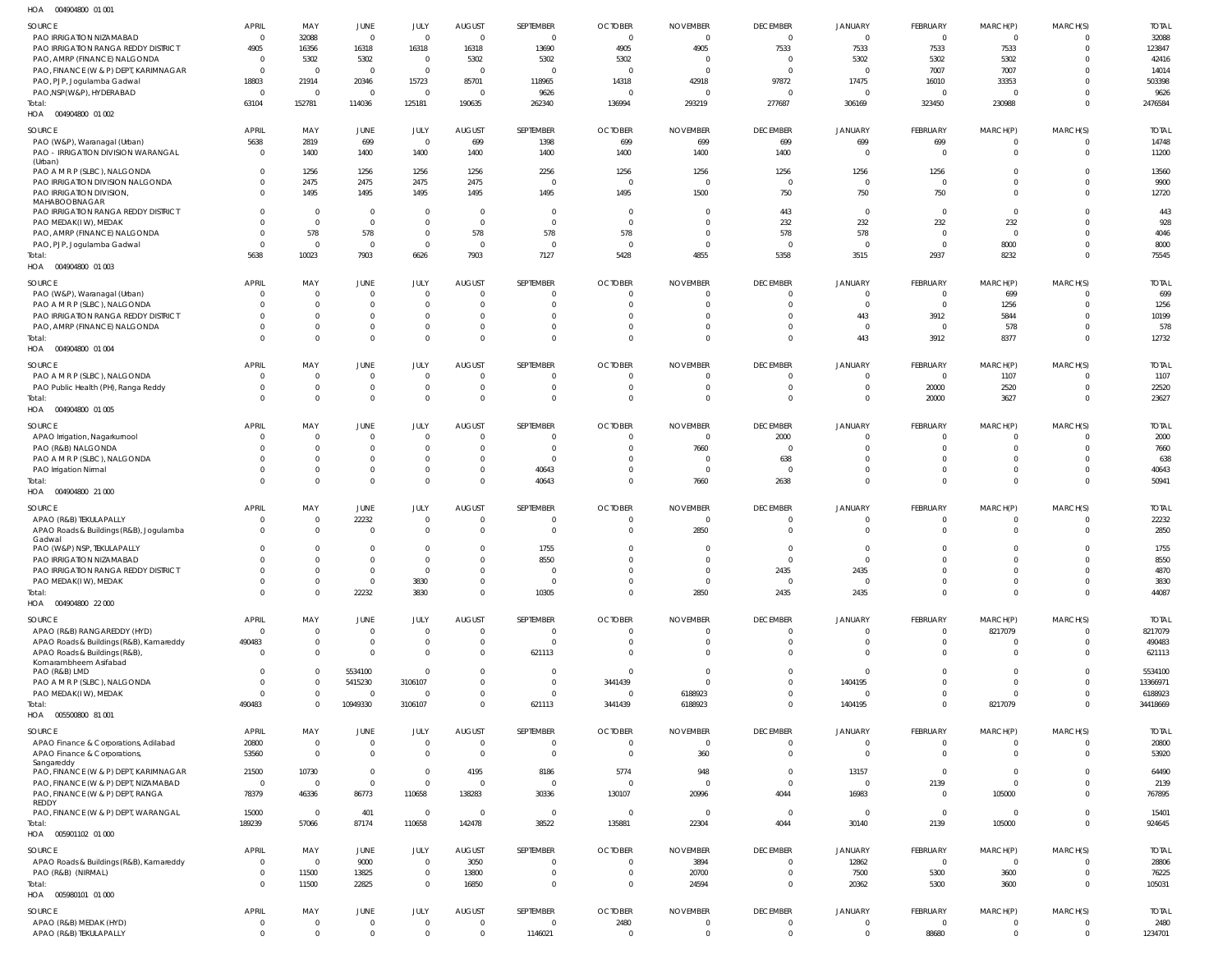| HOA | 004904800 01 001 |  |
|-----|------------------|--|

| SOURCE<br>PAO IRRIGATION NIZAMABAD<br>PAO IRRIGATION RANGA REDDY DISTRICT                | <b>APRIL</b><br>$\mathbf 0$<br>4905 | MAY<br>32088<br>16356            | JUNE<br>$\overline{0}$<br>16318  | JULY<br>$\overline{0}$<br>16318  | <b>AUGUST</b><br>$\overline{0}$<br>16318 | SEPTEMBER<br>$\Omega$<br>13690 | <b>OCTOBER</b><br>$\overline{0}$<br>4905 | <b>NOVEMBER</b><br>$\overline{0}$<br>4905 | <b>DECEMBER</b><br>$\overline{0}$<br>7533 | JANUARY<br>$\overline{0}$<br>7533 | FEBRUARY<br>$\overline{0}$<br>7533        | MARCH(P)<br>$\overline{0}$<br>7533 | MARCH(S)<br>0<br>$\mathbf{0}$ | <b>TOTAL</b><br>32088<br>123847 |
|------------------------------------------------------------------------------------------|-------------------------------------|----------------------------------|----------------------------------|----------------------------------|------------------------------------------|--------------------------------|------------------------------------------|-------------------------------------------|-------------------------------------------|-----------------------------------|-------------------------------------------|------------------------------------|-------------------------------|---------------------------------|
| PAO, AMRP (FINANCE) NALGONDA<br>PAO, FINANCE (W & P) DEPT, KARIMNAGAR                    | 0<br>$\mathbf 0$                    | 5302<br>$\overline{0}$           | 5302<br>$\overline{0}$           | $\overline{0}$<br>$\overline{0}$ | 5302<br>$\overline{0}$                   | 5302<br>$\Omega$               | 5302<br>$\Omega$                         | - 0<br>$\Omega$                           | $\overline{0}$<br>$\overline{0}$          | 5302<br>$\overline{0}$            | 5302<br>7007                              | 5302<br>7007                       | 0                             | 42416<br>14014                  |
| PAO, PJP, Jogulamba Gadwal<br>PAO, NSP (W&P), HYDERABAD                                  | 18803<br>$\mathbf 0$                | 21914<br>$\overline{0}$          | 20346<br>$\overline{0}$          | 15723<br>$\overline{0}$          | 85701<br>$\overline{0}$                  | 118965<br>9626                 | 14318<br>$\Omega$                        | 42918<br>$\Omega$                         | 97872<br>$\overline{0}$                   | 17475<br>$\overline{0}$           | 16010<br>$\overline{0}$                   | 33353<br>$\mathsf{C}$              | 0<br>$\Omega$                 | 503398<br>9626                  |
| Total:<br>004904800 01 002<br>HOA                                                        | 63104                               | 152781                           | 114036                           | 125181                           | 190635                                   | 262340                         | 136994                                   | 293219                                    | 277687                                    | 306169                            | 323450                                    | 230988                             | $\Omega$                      | 2476584                         |
| SOURCE<br>PAO (W&P), Waranagal (Urban)                                                   | <b>APRIL</b><br>5638                | MAY<br>2819                      | JUNE<br>699                      | JULY<br>$\overline{0}$           | <b>AUGUST</b><br>699                     | SEPTEMBER<br>1398              | <b>OCTOBER</b><br>699                    | <b>NOVEMBER</b><br>699                    | <b>DECEMBER</b><br>699                    | JANUARY<br>699                    | FEBRUARY<br>699                           | MARCH(P)<br>- 0                    | MARCH(S)<br>$\Omega$          | <b>TOTAL</b><br>14748           |
| PAO - IRRIGATION DIVISION WARANGAL<br>(Urban)                                            | 0                                   | 1400                             | 1400                             | 1400                             | 1400                                     | 1400                           | 1400                                     | 1400                                      | 1400                                      | $\overline{0}$                    | $\overline{\mathbf{0}}$                   | $\mathbf 0$                        | $\mathbf{0}$                  | 11200                           |
| PAO A M R P (SLBC), NALGONDA<br>PAO IRRIGATION DIVISION NALGONDA                         | $\Omega$<br>$\Omega$                | 1256<br>2475                     | 1256<br>2475                     | 1256<br>2475                     | 1256<br>2475                             | 2256<br>$\Omega$               | 1256<br>$\Omega$                         | 1256<br>$\Omega$                          | 1256<br>$\overline{0}$                    | 1256<br>$\overline{0}$            | 1256<br>$\overline{0}$                    | $\Omega$<br>$\Omega$               | $\Omega$<br>$\Omega$          | 13560<br>9900                   |
| PAO IRRIGATION DIVISION,<br>MAHABOOBNAGAR                                                | <sup>0</sup>                        | 1495                             | 1495                             | 1495                             | 1495                                     | 1495                           | 1495                                     | 1500                                      | 750                                       | 750                               | 750                                       | $\Omega$                           | $\Omega$                      | 12720                           |
| PAO IRRIGATION RANGA REDDY DISTRICT<br>PAO MEDAK(IW), MEDAK                              |                                     | $\overline{0}$<br>$\overline{0}$ | $\overline{0}$<br>$\overline{0}$ | $\overline{0}$<br>$\overline{0}$ | $\overline{0}$<br>$\overline{0}$         | $\overline{0}$<br>$\Omega$     | $\Omega$<br>$\Omega$                     | $\Omega$<br>$\Omega$                      | 443<br>232                                | $\overline{0}$<br>232             | $\overline{\mathbf{0}}$<br>232            | $\mathbf 0$<br>232                 | $\Omega$<br>$\Omega$          | 443<br>928                      |
| PAO, AMRP (FINANCE) NALGONDA<br>PAO, PJP, Jogulamba Gadwal                               |                                     | 578<br>$\overline{0}$            | 578<br>$\overline{0}$            | $\overline{0}$<br>$\overline{0}$ | 578<br>$\overline{0}$                    | 578<br>$\Omega$                | 578<br>$\Omega$                          | $\Omega$<br>$\Omega$                      | 578<br>$\Omega$                           | 578<br>$\overline{0}$             | $\overline{\mathbf{0}}$<br>$\Omega$       | $\mathbf 0$<br>8000                | $\Omega$<br>$\Omega$          | 4046<br>8000                    |
| Total:<br>HOA  004904800  01 003                                                         | 5638                                | 10023                            | 7903                             | 6626                             | 7903                                     | 7127                           | 5428                                     | 4855                                      | 5358                                      | 3515                              | 2937                                      | 8232                               | $\Omega$                      | 75545                           |
| SOURCE                                                                                   | <b>APRIL</b>                        | MAY                              | JUNE                             | JULY                             | <b>AUGUST</b>                            | SEPTEMBER                      | <b>OCTOBER</b>                           | <b>NOVEMBER</b>                           | <b>DECEMBER</b>                           | JANUARY                           | FEBRUARY                                  | MARCH(P)                           | MARCH(S)                      | <b>TOTAL</b>                    |
| PAO (W&P), Waranagal (Urban)<br>PAO A M R P (SLBC), NALGONDA                             | 0                                   | $\overline{0}$<br>$\mathbf{0}$   | $\overline{0}$<br>$\mathbf{0}$   | $\overline{0}$<br>$\overline{0}$ | $\overline{0}$<br>$\overline{0}$         | - 0<br>$\Omega$                | $\Omega$<br>$\Omega$                     | $\Omega$                                  | $\Omega$<br>$\Omega$                      | $\overline{0}$<br>$\overline{0}$  | $\overline{\mathbf{0}}$<br>$\overline{0}$ | 699<br>1256                        | 0<br>$\Omega$                 | 699<br>1256                     |
| PAO IRRIGATION RANGA REDDY DISTRICT<br>PAO, AMRP (FINANCE) NALGONDA                      |                                     | $\overline{0}$<br>$\mathbf 0$    | $\mathbf{0}$<br>$\mathbf{0}$     | $\overline{0}$<br>$\overline{0}$ | $\overline{0}$<br>$\overline{0}$         | $\Omega$<br>$\Omega$           | $\Omega$                                 | $\Omega$                                  | $\Omega$<br>$\Omega$                      | 443<br>$\overline{0}$             | 3912<br>$\overline{0}$                    | 5844<br>578                        | $\Omega$<br>$\Omega$          | 10199<br>578                    |
| Total:<br>004904800 01 004<br>HOA                                                        | $\Omega$                            | $\mathbf{0}$                     | $\Omega$                         | $\overline{0}$                   | $\overline{0}$                           | $\Omega$                       | $\Omega$                                 | $\Omega$                                  | $\Omega$                                  | 443                               | 3912                                      | 8377                               | $\Omega$                      | 12732                           |
| SOURCE                                                                                   | <b>APRIL</b>                        | MAY                              | JUNE                             | JULY                             | <b>AUGUST</b>                            | SEPTEMBER                      | <b>OCTOBER</b>                           | <b>NOVEMBER</b>                           | <b>DECEMBER</b>                           | JANUARY                           | FEBRUARY                                  | MARCH(P)                           | MARCH(S)                      | <b>TOTAL</b>                    |
| PAO A M R P (SLBC), NALGONDA<br>PAO Public Health (PH), Ranga Reddy                      | 0                                   | $\overline{0}$<br>$\mathbf{0}$   | $\overline{0}$<br>$\overline{0}$ | $\overline{0}$<br>$\overline{0}$ | $\overline{0}$<br>$\overline{0}$         | $\Omega$<br>$\Omega$           | $\Omega$<br>$\Omega$                     | $\Omega$<br>$\Omega$                      | $\Omega$<br>$\overline{0}$                | $\Omega$<br>$\overline{0}$        | $\overline{0}$<br>20000                   | 1107<br>2520                       | $\Omega$<br>$\Omega$          | 1107<br>22520                   |
| Total:<br>HOA<br>004904800 01 005                                                        | $\Omega$                            | $\mathbf{0}$                     | $\mathbf{0}$                     | $\overline{0}$                   | $\overline{0}$                           | $\Omega$                       | $\Omega$                                 | $\Omega$                                  | $\Omega$                                  | $\overline{0}$                    | 20000                                     | 3627                               | $\Omega$                      | 23627                           |
| SOURCE                                                                                   | <b>APRIL</b>                        | MAY                              | <b>JUNE</b>                      | JULY                             | <b>AUGUST</b>                            | SEPTEMBER                      | <b>OCTOBER</b>                           | <b>NOVEMBER</b>                           | <b>DECEMBER</b>                           | JANUARY                           | FEBRUARY                                  | MARCH(P)                           | MARCH(S)                      | <b>TOTAL</b>                    |
| APAO Irrigation, Nagarkurnool<br>PAO (R&B) NALGONDA                                      | 0                                   | $\overline{0}$<br>$\overline{0}$ | $\mathbf{0}$<br>$\overline{0}$   | $\overline{0}$<br>$\overline{0}$ | $\overline{0}$<br>$\overline{0}$         | $\Omega$<br>- 0                | $\Omega$<br>$\Omega$                     | $\Omega$<br>7660                          | 2000<br>$\Omega$                          | $\overline{0}$<br>$\Omega$        | $\overline{0}$<br>$\Omega$                | - 0                                | $\mathbf{0}$<br>$\Omega$      | 2000<br>7660                    |
| PAO A M R P (SLBC), NALGONDA<br>PAO Irrigation Nirmal                                    |                                     | $\overline{0}$<br>$\overline{0}$ | $\overline{0}$<br>$\mathbf{0}$   | $\overline{0}$<br>$\overline{0}$ | $\overline{0}$<br>$\overline{0}$         | - 0<br>40643                   | $\Omega$                                 | $\Omega$<br>$\Omega$                      | 638<br>$\overline{0}$                     | $\Omega$<br>$\Omega$              | $\Omega$<br>$\overline{0}$                | $\Omega$                           | $\Omega$<br>0                 | 638<br>40643                    |
| Total:<br>HOA  004904800  21 000                                                         | $\Omega$                            | $\mathbf{0}$                     | $\mathbf{0}$                     | $\overline{0}$                   | $\overline{0}$                           | 40643                          | $\Omega$                                 | 7660                                      | 2638                                      | $\Omega$                          | $\Omega$                                  | $\Omega$                           | $\mathbf{0}$                  | 50941                           |
| SOURCE                                                                                   | <b>APRIL</b>                        | MAY                              | JUNE                             | JULY                             | <b>AUGUST</b>                            | SEPTEMBER                      | <b>OCTOBER</b>                           | <b>NOVEMBER</b>                           | <b>DECEMBER</b>                           | JANUARY                           | FEBRUARY                                  | MARCH(P)                           | MARCH(S)                      | <b>TOTAL</b>                    |
| APAO (R&B) TEKULAPALLY<br>APAO Roads & Buildings (R&B), Jogulamba                        | $\Omega$<br>$\Omega$                | $\overline{0}$<br>$\mathbf{0}$   | 22232<br>$\overline{0}$          | $\overline{0}$<br>$\overline{0}$ | $\overline{0}$<br>$\overline{0}$         | - 0<br>$\Omega$                | $\Omega$<br>$\Omega$                     | $\Omega$<br>2850                          | $\Omega$<br>$\overline{0}$                | $\overline{0}$<br>$\Omega$        | $\overline{0}$<br>$\Omega$                | $\Omega$<br>$\Omega$               | 0<br>$\mathbf{0}$             | 22232<br>2850                   |
| Gadwal<br>PAO (W&P) NSP, TEKULAPALLY                                                     | $\Omega$                            | $\overline{0}$                   | $\overline{0}$                   | $\overline{0}$                   | $\overline{0}$                           | 1755                           | $\Omega$                                 | $\Omega$                                  | $\Omega$                                  | $\Omega$                          | $\Omega$                                  | $\Omega$                           | $\mathbf{0}$                  | 1755                            |
| PAO IRRIGATION NIZAMABAD<br>PAO IRRIGATION RANGA REDDY DISTRICT                          | $\mathbf 0$                         | $\overline{0}$<br>$\mathbf 0$    | $\overline{0}$<br>$\overline{0}$ | $\overline{0}$<br>$\overline{0}$ | $\overline{0}$<br>$\overline{0}$         | 8550<br>$\Omega$               | $\Omega$                                 | $\cap$<br>$\Omega$                        | $\cap$<br>2435                            | $\Omega$<br>2435                  | $\Omega$                                  | $\mathbf 0$                        | $\mathbf 0$<br>$\Omega$       | 8550<br>4870                    |
| PAO MEDAK(IW), MEDAK<br>Total:                                                           | 0<br>$\Omega$                       | $\mathbf{0}$<br>$\mathbf{0}$     | $\overline{0}$<br>22232          | 3830<br>3830                     | $\overline{0}$<br>$\overline{0}$         | $\Omega$<br>10305              | $\Omega$<br>$\Omega$                     | $\Omega$<br>2850                          | $\overline{0}$<br>2435                    | $\overline{0}$<br>2435            | $\overline{0}$<br>$\overline{0}$          | $\mathbf 0$<br>$\Omega$            | $\mathbf 0$<br>$\mathbf 0$    | 3830<br>44087                   |
| HOA  004904800  22 000                                                                   |                                     |                                  |                                  |                                  |                                          |                                |                                          |                                           |                                           |                                   |                                           |                                    |                               |                                 |
| SOURCE<br>APAO (R&B) RANGAREDDY (HYD)                                                    | <b>APRIL</b><br>$\mathbf 0$         | MAY<br>$\overline{0}$            | JUNE<br>$\overline{0}$           | JULY<br>$\overline{0}$           | <b>AUGUST</b><br>$\overline{0}$          | SEPTEMBER<br>- 0               | <b>OCTOBER</b><br>$\Omega$               | <b>NOVEMBER</b><br>$\Omega$               | <b>DECEMBER</b><br>$\mathbf 0$            | JANUARY<br>$\overline{0}$         | FEBRUARY<br>$\overline{0}$                | MARCH(P)<br>8217079                | MARCH(S)<br>0                 | <b>TOTAL</b><br>8217079         |
| APAO Roads & Buildings (R&B), Kamareddy<br>APAO Roads & Buildings (R&B),                 | 490483<br>0                         | $\mathbf{0}$<br>$\mathbf{0}$     | $\overline{0}$<br>$\overline{0}$ | $\overline{0}$<br>$\overline{0}$ | $\overline{0}$<br>$\overline{0}$         | $\Omega$<br>621113             | $\Omega$<br>$\Omega$                     | $\Omega$<br>$\Omega$                      | $\overline{0}$<br>$\Omega$                | $\overline{0}$<br>$\Omega$        | $\overline{0}$<br>$\Omega$                |                                    | $\mathbf{0}$<br>$\Omega$      | 490483<br>621113                |
| Komarambheem Asifabad<br>PAO (R&B) LMD                                                   | 0                                   | $\mathbf 0$                      | 5534100                          | $\overline{0}$                   | $\overline{0}$                           | $\Omega$                       | $\Omega$                                 | $\Omega$                                  | $\Omega$                                  | $\overline{0}$                    | $\Omega$                                  | $\Omega$                           | $\Omega$                      | 5534100                         |
| PAO A M R P (SLBC), NALGONDA<br>PAO MEDAK(IW), MEDAK                                     | 0<br>0                              | $\overline{0}$<br>$\mathbf{0}$   | 5415230<br>$\overline{0}$        | 3106107<br>$\overline{0}$        | $\overline{0}$<br>$\overline{0}$         | - 0<br>$\Omega$                | 3441439<br>$\overline{0}$                | $\Omega$<br>6188923                       | $\mathbf 0$<br>$\mathbf 0$                | 1404195<br>$\overline{0}$         | $\Omega$<br>$\overline{0}$                | $\Omega$<br>$\Omega$               | 0<br>$\mathbf{0}$             | 13366971<br>6188923             |
| Total:<br>HOA   005500800   81   001                                                     | 490483                              | $\overline{0}$                   | 10949330                         | 3106107                          | $\overline{0}$                           | 621113                         | 3441439                                  | 6188923                                   | $\Omega$                                  | 1404195                           | $\Omega$                                  | 8217079                            | $\mathbf{0}$                  | 34418669                        |
| SOURCE                                                                                   | <b>APRIL</b>                        | MAY                              | JUNE                             | JULY                             | <b>AUGUST</b>                            | SEPTEMBER                      | <b>OCTOBER</b>                           | <b>NOVEMBER</b>                           | <b>DECEMBER</b>                           | JANUARY                           | FEBRUARY                                  | MARCH(P)                           | MARCH(S)                      | <b>TOTAL</b>                    |
| APAO Finance & Corporations, Adilabad<br>APAO Finance & Corporations,<br>Sangareddy      | 20800<br>53560                      | $\overline{0}$<br>$\mathbf{0}$   | $\overline{0}$<br>$\overline{0}$ | $\overline{0}$<br>$\overline{0}$ | $\overline{0}$<br>$\overline{0}$         | - 0<br>$\Omega$                | $\Omega$<br>$\overline{0}$               | $\overline{0}$<br>360                     | $\Omega$<br>$\overline{0}$                | 0<br>$\overline{0}$               | $\overline{0}$<br>$\overline{0}$          | -0<br>$\mathbf 0$                  | 0<br>$\Omega$                 | 20800<br>53920                  |
| PAO, FINANCE (W & P) DEPT, KARIMNAGAR                                                    | 21500                               | 10730                            | $\overline{0}$                   | $\overline{0}$                   | 4195                                     | 8186<br>$\Omega$               | 5774<br>$\Omega$                         | 948                                       | $\overline{0}$                            | 13157                             | $\overline{0}$                            | $\mathbf 0$                        | $\Omega$<br>$\Omega$          | 64490                           |
| PAO, FINANCE (W & P) DEPT, NIZAMABAD<br>PAO, FINANCE (W & P) DEPT, RANGA<br><b>REDDY</b> | $\mathbf 0$<br>78379                | $\overline{0}$<br>46336          | $\overline{0}$<br>86773          | $\overline{0}$<br>110658         | $\overline{0}$<br>138283                 | 30336                          | 130107                                   | $\overline{0}$<br>20996                   | $\overline{0}$<br>4044                    | $\overline{0}$<br>16983           | 2139<br>$\overline{0}$                    | $\mathbf 0$<br>105000              | $\Omega$                      | 2139<br>767895                  |
| PAO, FINANCE (W & P) DEPT, WARANGAL<br>Total:                                            | 15000<br>189239                     | $\overline{0}$<br>57066          | 401<br>87174                     | $\overline{0}$<br>110658         | $\overline{0}$<br>142478                 | $\overline{0}$<br>38522        | $\Omega$<br>135881                       | $\Omega$<br>22304                         | $\overline{\mathbf{0}}$<br>4044           | $\overline{0}$<br>30140           | $\overline{0}$<br>2139                    | $\mathbf 0$<br>105000              | 0<br>$\mathbf 0$              | 15401<br>924645                 |
| HOA   005901102   01   000<br>SOURCE                                                     | <b>APRIL</b>                        | MAY                              | JUNE                             | JULY                             | <b>AUGUST</b>                            | SEPTEMBER                      | <b>OCTOBER</b>                           | <b>NOVEMBER</b>                           | <b>DECEMBER</b>                           | JANUARY                           | FEBRUARY                                  | MARCH(P)                           | MARCH(S)                      | <b>TOTAL</b>                    |
| APAO Roads & Buildings (R&B), Kamareddy                                                  | 0                                   | $\mathbf{0}$                     | 9000                             | $\overline{0}$                   | 3050                                     | - 0                            | $\overline{0}$                           | 3894                                      | $\mathbf 0$                               | 12862                             | $\overline{0}$                            | 0                                  | $\overline{0}$                | 28806                           |
| PAO (R&B) (NIRMAL)<br>Total:<br>HOA   005980101   01   000                               | $\mathbf 0$<br>$\mathbf 0$          | 11500<br>11500                   | 13825<br>22825                   | $\overline{0}$<br>$\overline{0}$ | 13800<br>16850                           | $\Omega$<br>$\Omega$           | $\Omega$<br>$\Omega$                     | 20700<br>24594                            | $\mathbf 0$<br>$\overline{0}$             | 7500<br>20362                     | 5300<br>5300                              | 3600<br>3600                       | $\mathbf{0}$<br>$\mathbf{0}$  | 76225<br>105031                 |
| SOURCE                                                                                   | <b>APRIL</b>                        | MAY                              | JUNE                             | JULY                             | <b>AUGUST</b>                            | SEPTEMBER                      | <b>OCTOBER</b>                           | <b>NOVEMBER</b>                           | <b>DECEMBER</b>                           | JANUARY                           | FEBRUARY                                  | MARCH(P)                           | MARCH(S)                      | <b>TOTAL</b>                    |
| APAO (R&B) MEDAK (HYD)<br>APAO (R&B) TEKULAPALLY                                         | $\mathbf 0$<br>$\mathbf 0$          | $\mathbf 0$<br>$\mathbf{0}$      | $\overline{0}$<br>$\mathbf{0}$   | $\overline{0}$<br>$\overline{0}$ | $\overline{0}$<br>$\overline{0}$         | $\Omega$<br>1146021            | 2480<br>$\Omega$                         | $\Omega$<br>$\Omega$                      | $\mathbf 0$<br>$\mathbf 0$                | $\overline{0}$<br>$\mathbf{0}$    | $\overline{0}$<br>88680                   | $\mathsf{C}$<br>$\Omega$           | $\mathbf 0$                   | 2480<br>1234701                 |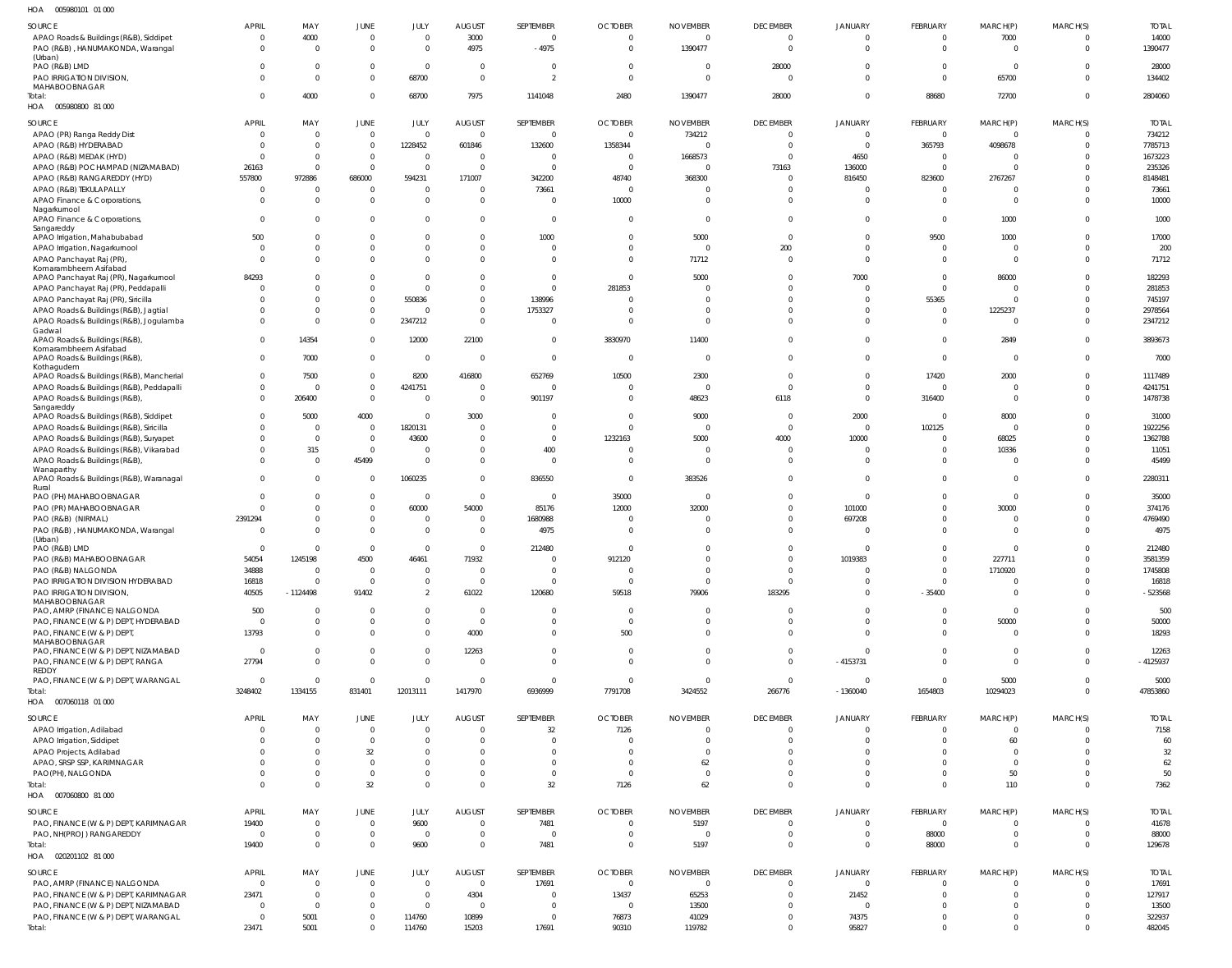005980101 01 000 HOA

| SOURCE                                                                    | <b>APRIL</b>        | MAY                  | JUNE                             | JULY                     | <b>AUGUST</b>                    | SEPTEMBER                  | <b>OCTOBER</b>                   | <b>NOVEMBER</b>         | <b>DECEMBER</b>             | <b>JANUARY</b>                   | FEBRUARY             | MARCH(P)                | MARCH(S)             | <b>TOTAL</b>      |
|---------------------------------------------------------------------------|---------------------|----------------------|----------------------------------|--------------------------|----------------------------------|----------------------------|----------------------------------|-------------------------|-----------------------------|----------------------------------|----------------------|-------------------------|----------------------|-------------------|
| APAO Roads & Buildings (R&B), Siddipet                                    | $\Omega$            | 4000                 | $\mathbf 0$                      | $\mathbf 0$              | 3000                             | $\overline{0}$             | $\overline{0}$                   | $\overline{0}$          | $\Omega$                    | $\overline{0}$                   | $\overline{0}$       | 7000                    | $\Omega$             | 14000             |
| PAO (R&B), HANUMAKONDA, Warangal                                          | $\Omega$            | $\Omega$             | $\overline{0}$                   | $\mathbf 0$              | 4975                             | -4975                      | $\overline{0}$                   | 1390477                 | $\Omega$                    | $\Omega$                         | $\Omega$             | $\overline{0}$          | $\mathbf 0$          | 1390477           |
| (Urban)                                                                   |                     |                      |                                  |                          |                                  |                            |                                  |                         |                             |                                  |                      |                         |                      |                   |
| PAO (R&B) LMD<br>PAO IRRIGATION DIVISION,                                 |                     | $\Omega$<br>$\Omega$ | $\overline{0}$<br>$\overline{0}$ | $\mathbf 0$<br>68700     | $\overline{0}$<br>$\overline{0}$ | 0<br>$\overline{2}$        | $\overline{0}$<br>$\overline{0}$ | 0<br>$\overline{0}$     | 28000<br>$\overline{0}$     | $\Omega$<br>$\Omega$             | $\Omega$<br>$\Omega$ | $\overline{0}$<br>65700 | $\Omega$<br>$\Omega$ | 28000<br>134402   |
| MAHABOOBNAGAR                                                             |                     |                      |                                  |                          |                                  |                            |                                  |                         |                             |                                  |                      |                         |                      |                   |
| Total:                                                                    | $\cap$              | 4000                 | $\overline{0}$                   | 68700                    | 7975                             | 1141048                    | 2480                             | 1390477                 | 28000                       | $\overline{0}$                   | 88680                | 72700                   | $\mathbf 0$          | 2804060           |
| HOA  005980800  81  000                                                   |                     |                      |                                  |                          |                                  |                            |                                  |                         |                             |                                  |                      |                         |                      |                   |
| SOURCE                                                                    | <b>APRIL</b>        | MAY                  | JUNE                             | JULY                     | <b>AUGUST</b>                    | SEPTEMBER                  | <b>OCTOBER</b>                   | <b>NOVEMBER</b>         | <b>DECEMBER</b>             | <b>JANUARY</b>                   | FEBRUARY             | MARCH(P)                | MARCH(S)             | <b>TOTAL</b>      |
| APAO (PR) Ranga Reddy Dist                                                | $\Omega$            | $\overline{0}$       | $\overline{0}$                   | $\Omega$                 | $\overline{0}$                   | $\overline{0}$             | $\overline{0}$                   | 734212                  | $\Omega$                    | $\Omega$                         | $\Omega$             | $\overline{0}$          | $\overline{0}$       | 734212            |
| APAO (R&B) HYDERABAD                                                      | $\Omega$            | $\Omega$             | $\overline{0}$                   | 1228452                  | 601846                           | 132600                     | 1358344                          | $\overline{0}$          | $\Omega$                    | $\Omega$                         | 365793               | 4098678                 | $\Omega$             | 7785713           |
| APAO (R&B) MEDAK (HYD)                                                    | $\cap$              | $\Omega$             | $\overline{0}$                   | $\overline{0}$           | $\Omega$                         | 0                          | $\overline{0}$                   | 1668573                 | $\Omega$                    | 4650                             | $\Omega$             | - 0                     | $\Omega$             | 1673223           |
| APAO (R&B) POCHAMPAD (NIZAMABAD)                                          | 26163               | $\overline{0}$       | $\overline{0}$                   | $\overline{0}$           | $\overline{0}$                   | $\overline{0}$             | $\overline{0}$                   | $\overline{0}$          | 73163                       | 136000                           | $\Omega$             | $\overline{0}$          | $\Omega$             | 235326            |
| APAO (R&B) RANGAREDDY (HYD)<br>APAO (R&B) TEKULAPALLY                     | 557800<br>$\Omega$  | 972886<br>$\Omega$   | 686000<br>$\overline{0}$         | 594231<br>- 0            | 171007<br>$\Omega$               | 342200<br>73661            | 48740<br>$\overline{0}$          | 368300<br>0             | $\Omega$<br>$\Omega$        | 816450<br>$\Omega$               | 823600<br>$\Omega$   | 2767267<br>0            | $\Omega$             | 8148481<br>73661  |
| APAO Finance & Corporations,                                              | $\Omega$            | $\Omega$             | $\overline{0}$                   | $\Omega$                 | $\Omega$                         | $\Omega$                   | 10000                            | $\overline{0}$          | $\Omega$                    | $\Omega$                         | $\Omega$             | $\overline{0}$          | $\Omega$             | 10000             |
| Nagarkurnool                                                              |                     |                      |                                  |                          |                                  |                            |                                  |                         |                             |                                  |                      |                         |                      |                   |
| APAO Finance & Corporations,                                              | $\Omega$            | $\Omega$             | $\overline{0}$                   | $\Omega$                 | $\Omega$                         | $\overline{0}$             | $\overline{0}$                   | $\overline{0}$          | $\Omega$                    | $\Omega$                         | $\Omega$             | 1000                    | $\Omega$             | 1000              |
| Sangareddy<br>APAO Irrigation, Mahabubabad                                | 500                 | $\Omega$             | $\overline{0}$                   | $\Omega$                 | $\Omega$                         | 1000                       | $\overline{0}$                   | 5000                    | $\Omega$                    | $\Omega$                         | 9500                 | 1000                    | $\Omega$             | 17000             |
| APAO Irrigation, Nagarkurnool                                             | $\Omega$            | $\mathbf 0$          | $\overline{0}$                   | $\mathbf 0$              | $\overline{0}$                   | $\overline{0}$             | $\mathbf{0}$                     | $\Omega$                | 200                         | $\overline{0}$                   | $\Omega$             | $\overline{0}$          | $\Omega$             | 200               |
| APAO Panchayat Raj (PR)                                                   | $\Omega$            | $\Omega$             | $\overline{0}$                   | $\Omega$                 | $\Omega$                         | $\overline{0}$             | $\Omega$                         | 71712                   | $\Omega$                    | $\Omega$                         | $\Omega$             | $\overline{0}$          | $\Omega$             | 71712             |
| Komarambheem Asifabad                                                     |                     |                      |                                  |                          |                                  |                            |                                  |                         |                             |                                  |                      |                         |                      |                   |
| APAO Panchayat Raj (PR), Nagarkurnool                                     | 84293               |                      | $\Omega$                         | $\Omega$                 | $\Omega$                         | $\overline{0}$             | $\overline{0}$                   | 5000                    | $\Omega$<br>$\cap$          | 7000<br>$\Omega$                 | $\Omega$<br>$\Omega$ | 86000                   | $\Omega$             | 182293            |
| APAO Panchayat Raj (PR), Peddapalli<br>APAO Panchayat Raj (PR), Siricilla |                     | $\Omega$<br>$\Omega$ | $\overline{0}$<br>$\overline{0}$ | $\Omega$<br>550836       | $\Omega$<br>$\Omega$             | $\Omega$<br>138996         | 281853<br>$\overline{0}$         | $\Omega$<br>$\Omega$    | $\Omega$                    | $\Omega$                         | 55365                | - 0<br>$\overline{0}$   | $\Omega$             | 281853<br>745197  |
| APAO Roads & Buildings (R&B), Jagtial                                     |                     | $\Omega$             | $\overline{0}$                   |                          | $\Omega$                         | 1753327                    | $\Omega$                         | $\Omega$                | $\cap$                      | $\Omega$                         | $\Omega$             | 1225237                 | $\Omega$             | 2978564           |
| APAO Roads & Buildings (R&B), Jogulamba                                   |                     | $\Omega$             | $\overline{0}$                   | 2347212                  | $\overline{0}$                   | $\overline{0}$             | $\overline{0}$                   | $\overline{0}$          | $\Omega$                    | $\Omega$                         | $\Omega$             | $\overline{0}$          | $\Omega$             | 2347212           |
| Gadwal                                                                    |                     |                      |                                  |                          |                                  |                            |                                  |                         |                             |                                  |                      |                         |                      |                   |
| APAO Roads & Buildings (R&B)                                              | $\Omega$            | 14354                | $\overline{0}$                   | 12000                    | 22100                            | $\overline{0}$             | 3830970                          | 11400                   | $\Omega$                    | $\Omega$                         | $\Omega$             | 2849                    | $\Omega$             | 3893673           |
| Komarambheem Asifabad<br>APAO Roads & Buildings (R&B),                    | $\Omega$            | 7000                 | $\overline{0}$                   | $\overline{0}$           | $\Omega$                         | $\overline{0}$             | $\overline{0}$                   | $\overline{0}$          | $\Omega$                    | $\Omega$                         | $\Omega$             | $\overline{0}$          | $\Omega$             | 7000              |
| Kothagudem                                                                |                     |                      |                                  |                          |                                  |                            |                                  |                         |                             |                                  |                      |                         |                      |                   |
| APAO Roads & Buildings (R&B), Mancherial                                  | $\Omega$            | 7500                 | $\overline{0}$                   | 8200                     | 416800                           | 652769                     | 10500                            | 2300                    | $\Omega$                    | $\Omega$                         | 17420                | 2000                    | $\Omega$             | 1117489           |
| APAO Roads & Buildings (R&B), Peddapalli                                  | $\Omega$            | $\Omega$             | $\mathbf 0$                      | 4241751                  | $\Omega$                         | $\overline{0}$             | $\overline{0}$                   | $\overline{0}$          | $\Omega$                    | $\Omega$                         | $\Omega$             | $\Omega$                | $\Omega$             | 4241751           |
| APAO Roads & Buildings (R&B),<br>Sangareddy                               | $\Omega$            | 206400               | $\overline{0}$                   | $\overline{0}$           | $\overline{0}$                   | 901197                     | $\mathbf{0}$                     | 48623                   | 6118                        | $\Omega$                         | 316400               | $\overline{0}$          | $\Omega$             | 1478738           |
| APAO Roads & Buildings (R&B), Siddipet                                    |                     | 5000                 | 4000                             | $\Omega$                 | 3000                             | $\Omega$                   | $\Omega$                         | 9000                    | $\Omega$                    | 2000                             | $\Omega$             | 8000                    |                      | 31000             |
| APAO Roads & Buildings (R&B), Siricilla                                   |                     | $\Omega$             | $\overline{0}$                   | 1820131                  | $\Omega$                         | $\Omega$                   | $\Omega$                         | $\Omega$                | $\Omega$                    | $\Omega$                         | 102125               | $\Omega$                | $\Omega$             | 1922256           |
| APAO Roads & Buildings (R&B), Suryapet                                    |                     | $\Omega$             | $\overline{0}$                   | 43600                    | $\overline{0}$                   | $\overline{0}$             | 1232163                          | 5000                    | 4000                        | 10000                            | $\Omega$             | 68025                   |                      | 1362788           |
| APAO Roads & Buildings (R&B), Vikarabad                                   |                     | 315                  | $\mathbf 0$                      |                          | $\Omega$                         | 400                        | $\Omega$                         | $\Omega$                | $\Omega$                    | $\Omega$                         | $\Omega$             | 10336                   |                      | 11051             |
| APAO Roads & Buildings (R&B),                                             |                     | $\Omega$             | 45499                            | $\Omega$                 | $\Omega$                         | $\Omega$                   | $\Omega$                         | $\Omega$                | $\Omega$                    | $\Omega$                         | $\Omega$             | $\Omega$                | $\Omega$             | 45499             |
| Wanaparthy<br>APAO Roads & Buildings (R&B), Waranagal                     | $\Omega$            | $\Omega$             | $\overline{0}$                   | 1060235                  | $\Omega$                         | 836550                     | $\Omega$                         | 383526                  | $\Omega$                    | $\Omega$                         | $\Omega$             | $\Omega$                | $\Omega$             | 2280311           |
| Rural                                                                     |                     |                      |                                  |                          |                                  |                            |                                  |                         |                             |                                  |                      |                         |                      |                   |
| PAO (PH) MAHABOOBNAGAR                                                    |                     |                      | $\overline{0}$                   | $\overline{0}$           | $\overline{0}$                   | $\overline{0}$             | 35000                            | $\Omega$                | $\Omega$                    | $\Omega$                         | $\Omega$             | $\overline{0}$          |                      | 35000             |
| PAO (PR) MAHABOOBNAGAR                                                    |                     | $\Omega$<br>$\Omega$ | $\mathbf 0$<br>$\overline{0}$    | 60000                    | 54000                            | 85176                      | 12000<br>$\Omega$                | 32000<br>$\Omega$       | $\Omega$<br>$\Omega$        | 101000                           | $\Omega$<br>$\Omega$ | 30000<br>$\Omega$       | $\Omega$<br>$\Omega$ | 374176<br>4769490 |
| PAO (R&B) (NIRMAL)<br>PAO (R&B), HANUMAKONDA, Warangal                    | 2391294<br>$\Omega$ | $\Omega$             | $\Omega$                         | $\mathbf{0}$<br>$\Omega$ | $\overline{0}$<br>$\Omega$       | 1680988<br>4975            | $\Omega$                         | $\Omega$                | $\Omega$                    | 697208<br>$\Omega$               | $\Omega$             | $\Omega$                |                      | 4975              |
| (Urban)                                                                   |                     |                      |                                  |                          |                                  |                            |                                  |                         |                             |                                  |                      |                         |                      |                   |
| PAO (R&B) LMD                                                             | $\cap$              | $\Omega$             | $\overline{0}$                   | $\Omega$                 | $\overline{0}$                   | 212480                     | $\Omega$                         | $\Omega$                | $\Omega$                    | $\Omega$                         | $\Omega$             | $\Omega$                | $\Omega$             | 212480            |
| PAO (R&B) MAHABOOBNAGAR                                                   | 54054               | 1245198              | 4500                             | 46461                    | 71932                            | $\cap$                     | 912120                           | $\Omega$                | $\Omega$                    | 1019383                          | $\Omega$             | 227711                  | $\Omega$             | 3581359           |
| PAO (R&B) NALGONDA                                                        | 34888               | $\Omega$             | $\overline{0}$                   |                          | $\Omega$                         | $\Omega$                   | $\Omega$                         | $\Omega$                | $\Omega$                    | $\Omega$                         | $\Omega$             | 1710920                 | $\Omega$             | 1745808           |
| PAO IRRIGATION DIVISION HYDERABAD                                         | 16818               | $\Omega$             | $\overline{0}$                   | $\mathbf{0}$<br>2        | $\Omega$                         | $\Omega$                   | - 0                              | $\Omega$                | $\Omega$                    | $\overline{0}$<br>$\overline{0}$ | $\Omega$             | - 0<br>$\Omega$         | $\Omega$<br>$\Omega$ | 16818             |
| PAO IRRIGATION DIVISION,<br>MAHABOOBNAGAR                                 | 40505               | $-1124498$           | 91402                            |                          | 61022                            | 120680                     | 59518                            | 79906                   | 183295                      |                                  | $-35400$             |                         |                      | $-523568$         |
| PAO, AMRP (FINANCE) NALGONDA                                              | 500                 | $\Omega$             | $\overline{0}$                   | $\Omega$                 | $\Omega$                         | $\Omega$                   | $\Omega$                         | $\Omega$                | $\Omega$                    | $\Omega$                         | $\Omega$             | $\overline{0}$          | $\Omega$             | 500               |
| PAO, FINANCE (W & P) DEPT, HYDERABAD                                      | $\Omega$            | $\Omega$             | $\overline{0}$                   | $\Omega$                 | $\overline{0}$                   | - 0                        | $\overline{0}$                   | - 0                     | $\overline{0}$              | $\overline{0}$                   | $\overline{0}$       | 50000                   | $\Omega$             | 50000             |
| PAO, FINANCE (W & P) DEPT                                                 | 13793               | $\Omega$             | $\overline{0}$                   | $\mathbf{0}$             | 4000                             | $\overline{0}$             | 500                              | $\Omega$                | $\Omega$                    | $\Omega$                         | $\Omega$             | $\overline{0}$          | $\Omega$             | 18293             |
| MAHABOOBNAGAR<br>PAO, FINANCE (W & P) DEPT, NIZAMABAD                     | $\Omega$            | $\Omega$             | $\overline{0}$                   | $\mathbf{0}$             | 12263                            | $\overline{0}$             | 0                                | $\overline{0}$          | $\overline{0}$              | $\overline{0}$                   | $\overline{0}$       | $\overline{0}$          | $\Omega$             | 12263             |
| PAO, FINANCE (W & P) DEPT, RANGA                                          | 27794               | $\Omega$             | $\overline{0}$                   | $\Omega$                 | $\Omega$                         | $\Omega$                   | $\Omega$                         | $\Omega$                | $\Omega$                    | $-4153731$                       | $\Omega$             | $\Omega$                | $\Omega$             | $-4125937$        |
| REDDY                                                                     |                     |                      |                                  |                          |                                  |                            |                                  |                         |                             |                                  |                      |                         |                      |                   |
| PAO, FINANCE (W & P) DEPT, WARANGAL                                       | $\Omega$            | $\Omega$             | $\overline{0}$                   | $\Omega$                 | $\overline{0}$                   | $\overline{0}$             | $\overline{0}$                   | $\Omega$                | $\Omega$                    | $\overline{0}$                   | $\Omega$             | 5000                    | $\Omega$             | 5000              |
| Total:<br>HOA  007060118  01  000                                         | 3248402             | 1334155              | 831401                           | 12013111                 | 1417970                          | 6936999                    | 7791708                          | 3424552                 | 266776                      | $-1360040$                       | 1654803              | 10294023                | $\Omega$             | 47853860          |
|                                                                           |                     |                      |                                  |                          |                                  |                            |                                  |                         |                             |                                  |                      |                         |                      |                   |
| SOURCE                                                                    | <b>APRIL</b>        | MAY                  | <b>JUNE</b>                      | JULY                     | <b>AUGUST</b>                    | SEPTEMBER                  | <b>OCTOBER</b>                   | <b>NOVEMBER</b>         | <b>DECEMBER</b>             | <b>JANUARY</b>                   | FEBRUARY             | MARCH(P)                | MARCH(S)             | <b>TOTAL</b>      |
| APAO Irrigation, Adilabad                                                 | $\Omega$            | $\mathbf 0$          | $\overline{0}$                   | $\mathbf 0$              | $\overline{0}$                   | 32                         | 7126                             | $\overline{0}$          | $\Omega$                    | $\overline{0}$                   | $\overline{0}$       | 0                       | $\Omega$             | 7158              |
| APAO Irrigation, Siddipet                                                 | - 0                 | $\Omega$             | $\overline{0}$                   | $\mathbf{0}$             | $\Omega$                         | $\Omega$                   | $\Omega$                         | $\Omega$                | $\Omega$                    | $\Omega$                         | $\Omega$             | 60                      | $\Omega$             | 60                |
| APAO Projects, Adilabad<br>APAO, SRSP SSP, KARIMNAGAR                     |                     | $\Omega$<br>0        | 32<br>$\overline{0}$             | $\Omega$<br>$\mathbf{0}$ | $\Omega$<br>$\overline{0}$       | $\Omega$<br>$\overline{0}$ | - 0<br>0                         | $\Omega$<br>62          | $\Omega$<br>$\Omega$        | $\Omega$<br>$\Omega$             | $\Omega$<br>$\Omega$ | - 0<br>$\overline{0}$   | $\Omega$<br>$\Omega$ | 32<br>62          |
| PAO(PH), NALGONDA                                                         |                     | $\Omega$             | $\mathbf 0$                      | $\Omega$                 | $\overline{0}$                   | $\overline{0}$             | $\overline{0}$                   | $\overline{0}$          | $\Omega$                    | $\overline{0}$                   | $\Omega$             | 50                      | $\Omega$             | 50                |
| Total:                                                                    | $\Omega$            | $\Omega$             | 32                               | $\mathbf 0$              | $\Omega$                         | 32                         | 7126                             | 62                      | $\Omega$                    | $\overline{0}$                   | $\Omega$             | 110                     | $\Omega$             | 7362              |
| HOA  007060800  81  000                                                   |                     |                      |                                  |                          |                                  |                            |                                  |                         |                             |                                  |                      |                         |                      |                   |
|                                                                           | <b>APRIL</b>        | MAY                  |                                  |                          |                                  |                            |                                  |                         |                             |                                  |                      |                         |                      | <b>TOTAL</b>      |
| SOURCE<br>PAO, FINANCE (W & P) DEPT, KARIMNAGAR                           | 19400               | $\mathbf 0$          | JUNE<br>$\overline{0}$           | JULY<br>9600             | <b>AUGUST</b><br>$\overline{0}$  | SEPTEMBER<br>7481          | <b>OCTOBER</b><br>$\overline{0}$ | <b>NOVEMBER</b><br>5197 | <b>DECEMBER</b><br>$\Omega$ | <b>JANUARY</b><br>$\Omega$       | FEBRUARY<br>$\Omega$ | MARCH(P)<br>$\Omega$    | MARCH(S)<br>$\Omega$ | 41678             |
| PAO, NH(PROJ) RANGAREDDY                                                  | $\overline{0}$      | $\mathbf 0$          | $\mathbf 0$                      | $\mathbf 0$              | $\overline{0}$                   | $\overline{0}$             | $\overline{0}$                   | $\Omega$                | $\overline{0}$              | $\overline{0}$                   | 88000                | $\overline{0}$          | $\Omega$             | 88000             |
| Total:                                                                    | 19400               | $\Omega$             | $\mathbf 0$                      | 9600                     | $\overline{0}$                   | 7481                       | $\Omega$                         | 5197                    | $\Omega$                    | $\overline{0}$                   | 88000                | $\overline{0}$          | $\Omega$             | 129678            |
| HOA  020201102  81  000                                                   |                     |                      |                                  |                          |                                  |                            |                                  |                         |                             |                                  |                      |                         |                      |                   |
| SOURCE                                                                    | APRIL               | MAY                  | JUNE                             | JULY                     | <b>AUGUST</b>                    | SEPTEMBER                  | <b>OCTOBER</b>                   | <b>NOVEMBER</b>         | <b>DECEMBER</b>             | <b>JANUARY</b>                   | FEBRUARY             | MARCH(P)                |                      | <b>TOTAL</b>      |
| PAO, AMRP (FINANCE) NALGONDA                                              | $\overline{0}$      | $\Omega$             | $\overline{0}$                   | $\mathbf 0$              | $\overline{0}$                   | 17691                      | $\mathbf 0$                      | $\overline{0}$          | $\Omega$                    | $\overline{0}$                   | $\Omega$             | 0                       | MARCH(S)<br>$\Omega$ | 17691             |
| PAO, FINANCE (W & P) DEPT, KARIMNAGAR                                     | 23471               | $\overline{0}$       | $\overline{0}$                   | $\mathbf{0}$             | 4304                             | 0                          | 13437                            | 65253                   | $\overline{0}$              | 21452                            | $\Omega$             | 0                       | $\Omega$             | 127917            |
| PAO, FINANCE (W & P) DEPT, NIZAMABAD                                      | $\Omega$            | $\Omega$             | $\mathbf 0$                      | $\mathbf{0}$             | $\overline{0}$                   | $\overline{0}$             | $\overline{0}$                   | 13500                   | $\Omega$                    | $\overline{0}$                   | $\Omega$             | $\Omega$                | $\Omega$             | 13500             |
| PAO, FINANCE (W & P) DEPT, WARANGAL                                       | - 0                 | 5001                 | $\mathbf 0$                      | 114760                   | 10899                            | $\overline{0}$             | 76873                            | 41029                   | $\mathbf 0$                 | 74375                            | $\mathbf 0$          | $\overline{0}$          | $\Omega$             | 322937            |
| Total:                                                                    | 23471               | 5001                 | $\overline{0}$                   | 114760                   | 15203                            | 17691                      | 90310                            | 119782                  | $\overline{0}$              | 95827                            | $\mathbf{0}$         | $\overline{0}$          | $\mathbf 0$          | 482045            |
|                                                                           |                     |                      |                                  |                          |                                  |                            |                                  |                         |                             |                                  |                      |                         |                      |                   |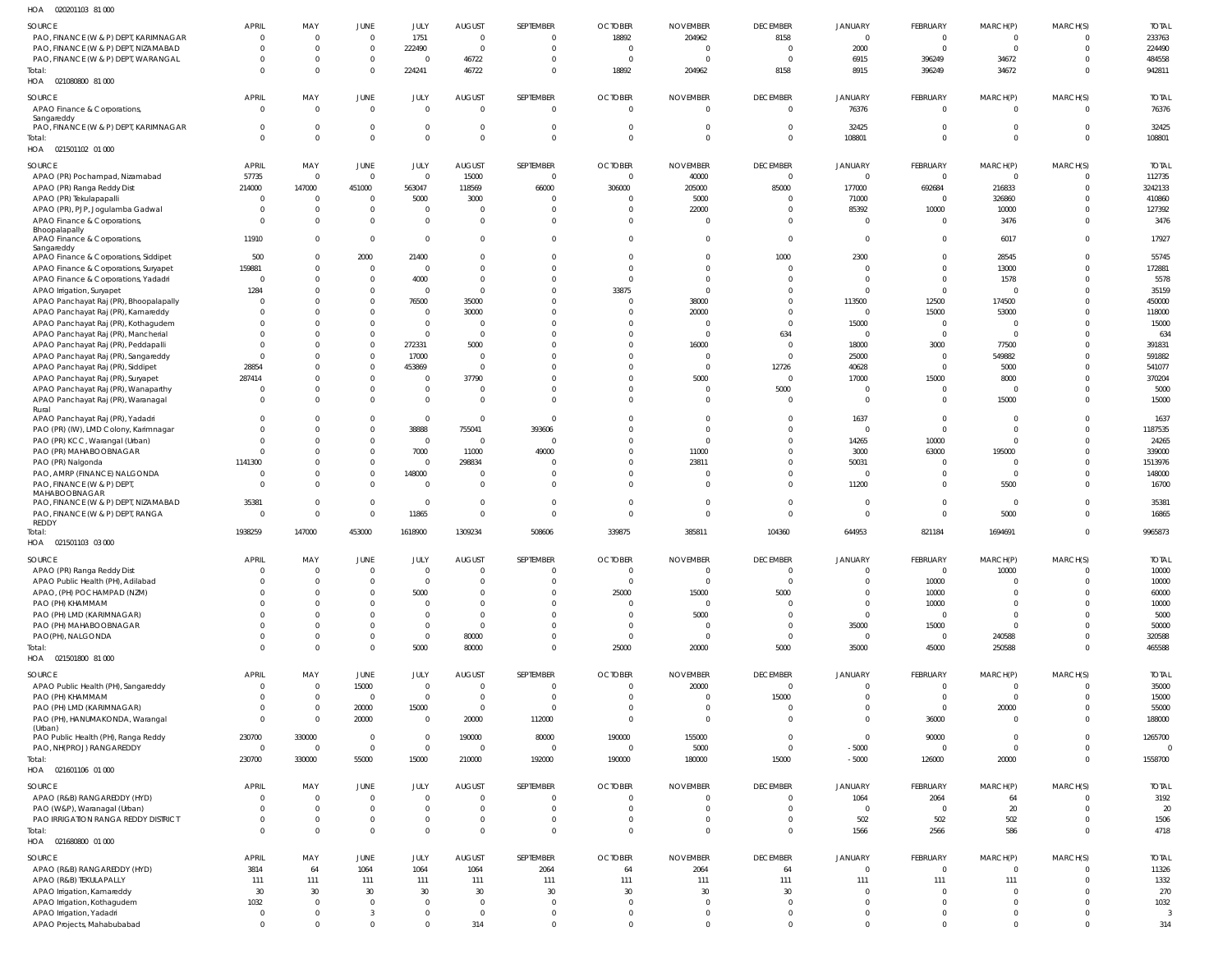| HOA<br>020201103 81 000                                                   |                |                |                |                |                          |                |                |                 |                 |                |                |                |          |                |
|---------------------------------------------------------------------------|----------------|----------------|----------------|----------------|--------------------------|----------------|----------------|-----------------|-----------------|----------------|----------------|----------------|----------|----------------|
| SOURCE                                                                    | APRIL          | MAY            | JUNE           | JULY           | <b>AUGUST</b>            | SEPTEMBER      | <b>OCTOBER</b> | <b>NOVEMBER</b> | <b>DECEMBER</b> | <b>JANUARY</b> | FEBRUARY       | MARCH(P)       | MARCH(S) | <b>TOTAL</b>   |
| PAO, FINANCE (W & P) DEPT, KARIMNAGAR                                     | $\overline{0}$ | $\Omega$       | $\overline{0}$ | 1751           | $\overline{0}$           | $\overline{0}$ | 18892          | 204962          | 8158            | $\overline{0}$ | $\mathbf{0}$   | $\overline{0}$ | $\Omega$ | 233763         |
| PAO, FINANCE (W & P) DEPT, NIZAMABAD                                      | $\mathbf 0$    | $\Omega$       | $\overline{0}$ | 222490         | $\overline{0}$           | $\mathbf 0$    | $\Omega$       | - 0             | $\overline{0}$  | 2000           | $\overline{0}$ | $\overline{0}$ | $\Omega$ | 224490         |
| PAO, FINANCE (W & P) DEPT, WARANGAL                                       | $\mathbf 0$    | $\Omega$       | $\mathbb O$    | $\overline{0}$ | 46722                    | $\overline{0}$ | $\Omega$       |                 | $\Omega$        | 6915           | 396249         | 34672          | $\Omega$ | 484558         |
| Total:                                                                    | $\Omega$       | $\Omega$       | $\overline{0}$ | 224241         | 46722                    | $\overline{0}$ | 18892          | 204962          | 8158            | 8915           | 396249         | 34672          | $\Omega$ | 942811         |
| HOA  021080800  81 000                                                    |                |                |                |                |                          |                |                |                 |                 |                |                |                |          |                |
|                                                                           |                |                |                |                |                          |                |                |                 |                 |                |                |                |          |                |
| SOURCE                                                                    | APRIL          | MAY            | JUNE           | JULY           | <b>AUGUST</b>            | SEPTEMBER      | <b>OCTOBER</b> | <b>NOVEMBER</b> | <b>DECEMBER</b> | <b>JANUARY</b> | FEBRUARY       | MARCH(P)       | MARCH(S) | <b>TOTAL</b>   |
| APAO Finance & Corporations,                                              | $\mathbf 0$    | $\mathbf{0}$   | $\overline{0}$ | $\mathbf 0$    | $\overline{0}$           | $\overline{0}$ | $\overline{0}$ | $\overline{0}$  | $\overline{0}$  | 76376          | $\overline{0}$ | $\overline{0}$ | $\Omega$ | 76376          |
| Sangareddy<br>PAO, FINANCE (W & P) DEPT, KARIMNAGAR                       | $\mathbf 0$    | $\Omega$       | $\overline{0}$ | $\mathbf 0$    | $\overline{0}$           | $\Omega$       | $\Omega$       |                 | $\overline{0}$  | 32425          | $\Omega$       | $\overline{0}$ |          | 32425          |
| Total:                                                                    | $\Omega$       | $\Omega$       | $\overline{0}$ | $\overline{0}$ | $\overline{0}$           | $\overline{0}$ | $\Omega$       | $\Omega$        | $\Omega$        | 108801         | $\Omega$       | $\overline{0}$ | $\Omega$ | 108801         |
| HOA  021501102  01  000                                                   |                |                |                |                |                          |                |                |                 |                 |                |                |                |          |                |
|                                                                           |                |                |                |                |                          |                |                |                 |                 |                |                |                |          |                |
| SOURCE                                                                    | APRIL          | MAY            | JUNE           | JULY           | <b>AUGUST</b>            | SEPTEMBER      | <b>OCTOBER</b> | <b>NOVEMBER</b> | <b>DECEMBER</b> | <b>JANUARY</b> | FEBRUARY       | MARCH(P)       | MARCH(S) | <b>TOTAL</b>   |
| APAO (PR) Pochampad, Nizamabad                                            | 57735          | $\overline{0}$ | $\overline{0}$ | $\overline{0}$ | 15000                    | $\overline{0}$ | $\overline{0}$ | 40000           | $\overline{0}$  | $\overline{0}$ | $\overline{0}$ | $\overline{0}$ | $\Omega$ | 112735         |
| APAO (PR) Ranga Reddy Dist                                                | 214000         | 147000         | 451000         | 563047         | 118569                   | 66000          | 306000         | 205000          | 85000           | 177000         | 692684         | 216833         | $\Omega$ | 3242133        |
| APAO (PR) Tekulapapalli                                                   | $\overline{0}$ | $\overline{0}$ | $\overline{0}$ | 5000           | 3000                     | $\Omega$       | - 0            | 5000            | $\Omega$        | 71000          | $\Omega$       | 326860         | $\Omega$ | 410860         |
| APAO (PR), PJP, Jogulamba Gadwal                                          | $\mathbf{0}$   | $\Omega$       | $\overline{0}$ | $\mathbf 0$    | $\overline{0}$           | $\Omega$       | $\Omega$       | 22000           | $\Omega$        | 85392          | 10000          | 10000          | $\Omega$ | 127392         |
| APAO Finance & Corporations,                                              | $\mathbf 0$    | $\Omega$       | $\overline{0}$ | $\mathbf{0}$   | $\overline{0}$           | $\overline{0}$ | $\Omega$       | $\Omega$        | $\Omega$        | $\overline{0}$ | $\mathbf{0}$   | 3476           | $\Omega$ | 3476           |
| Bhoopalapally                                                             |                |                |                |                |                          |                |                |                 |                 |                |                |                |          |                |
| APAO Finance & Corporations,                                              | 11910          | $\Omega$       | $\overline{0}$ | $\mathbf{0}$   | $\Omega$                 | $\mathbf 0$    | $\Omega$       | $\Omega$        | $\Omega$        | $\overline{0}$ | $\Omega$       | 6017           | $\Omega$ | 17927          |
| Sangareddy<br>APAO Finance & Corporations, Siddipet                       | 500            | $\Omega$       | 2000           | 21400          | $\overline{0}$           | $\Omega$       | $\Omega$       | $\Omega$        | 1000            | 2300           | $\Omega$       | 28545          |          | 55745          |
| APAO Finance & Corporations, Suryapet                                     | 159881         | $\Omega$       | $\overline{0}$ | $\mathbf{0}$   | $\overline{0}$           | $\Omega$       | $\Omega$       | $\Omega$        | $\Omega$        | $\Omega$       | $\Omega$       | 13000          | $\Omega$ | 172881         |
| APAO Finance & Corporations, Yadadri                                      | $\overline{0}$ | $\Omega$       | $\overline{0}$ | 4000           | $\overline{0}$           | $\Omega$       | $\Omega$       | $\Omega$        | $\Omega$        | $\overline{0}$ | $\Omega$       | 1578           | $\Omega$ | 5578           |
| APAO Irrigation, Suryapet                                                 | 1284           | $\Omega$       | $\overline{0}$ | $\mathbf{0}$   | $\Omega$                 | $\Omega$       | 33875          | $\Omega$        | $\Omega$        | $\Omega$       | $\Omega$       | $\Omega$       | $\Omega$ | 35159          |
| APAO Panchayat Raj (PR), Bhoopalapally                                    | $\mathbf 0$    | $\Omega$       | $\overline{0}$ | 76500          | 35000                    | $\Omega$       | $\Omega$       | 38000           | $\Omega$        | 113500         | 12500          | 174500         |          | 450000         |
| APAO Panchayat Raj (PR), Kamareddy                                        | $\Omega$       | $\Omega$       | $\overline{0}$ | $\mathbf{0}$   | 30000                    | $\Omega$       | $\Omega$       | 20000           | $\Omega$        | $\Omega$       | 15000          | 53000          |          | 118000         |
| APAO Panchayat Raj (PR), Kothagudem                                       | $\mathbf 0$    | $\Omega$       | $\overline{0}$ | $\overline{0}$ | $\overline{0}$           | $\Omega$       | $\Omega$       | $\Omega$        | $\Omega$        | 15000          | $\mathbf{0}$   | $\overline{0}$ |          | 15000          |
| APAO Panchayat Raj (PR), Mancherial                                       | $\Omega$       | $\Omega$       | $\overline{0}$ | $\overline{0}$ | $\overline{0}$           | $\Omega$       | $\Omega$       | $\Omega$        | 634             | $\Omega$       | $\Omega$       | $\overline{0}$ |          | 634            |
| APAO Panchayat Raj (PR), Peddapalli                                       | $\Omega$       | $\Omega$       | $\overline{0}$ | 272331         | 5000                     | $\Omega$       | $\Omega$       | 16000           | $\Omega$        | 18000          | 3000           | 77500          |          | 391831         |
| APAO Panchayat Raj (PR), Sangareddy                                       | $\mathbf{0}$   | $\Omega$       | $\overline{0}$ | 17000          | $\overline{\phantom{0}}$ | $\Omega$       | $\Omega$       | $\Omega$        | $\Omega$        | 25000          | $\Omega$       | 549882         |          | 591882         |
| APAO Panchayat Raj (PR), Siddipet                                         | 28854          | $\Omega$       | $\overline{0}$ | 453869         | $\overline{0}$           | $\Omega$       | $\Omega$       | $\Omega$        | 12726           | 40628          | $\mathbf 0$    | 5000           |          | 541077         |
|                                                                           | 287414         | $\Omega$       | $\overline{0}$ | $\mathbf 0$    | 37790                    | $\Omega$       | $\cap$         | 5000            | $\Omega$        | 17000          | 15000          | 8000           | $\Omega$ | 370204         |
| APAO Panchayat Raj (PR), Suryapet                                         | $\mathbf 0$    | $\Omega$       | $\overline{0}$ | $\mathbf 0$    | $\overline{0}$           | $\Omega$       | $\Omega$       | $\Omega$        | 5000            | $\overline{0}$ | $\Omega$       | $\Omega$       | $\Omega$ | 5000           |
| APAO Panchayat Raj (PR), Wanaparthy<br>APAO Panchayat Raj (PR), Waranagal | $\Omega$       | $\Omega$       | $\Omega$       | $\overline{0}$ | $\Omega$                 | $\Omega$       | $\cap$         | $\Omega$        | $\Omega$        | $\overline{0}$ | $\Omega$       | 15000          | $\Omega$ | 15000          |
| Rural                                                                     |                |                |                |                |                          |                |                |                 |                 |                |                |                |          |                |
| APAO Panchayat Raj (PR), Yadadri                                          | $\Omega$       | $\Omega$       | $\overline{0}$ | $\mathbf{0}$   | $\overline{0}$           | $\Omega$       | $\Omega$       |                 | $\Omega$        | 1637           | $\mathbf{0}$   | $\overline{0}$ |          | 1637           |
| PAO (PR) (IW), LMD Colony, Karimnagar                                     | $\Omega$       | $\Omega$       | $\overline{0}$ | 38888          | 755041                   | 393606         | $\cap$         | $\Omega$        | $\Omega$        | $\Omega$       | $\Omega$       | $\overline{0}$ | $\Omega$ | 1187535        |
| PAO (PR) KCC, Warangal (Urban)                                            | $\mathbf 0$    | $\Omega$       | $\overline{0}$ | $\overline{0}$ | $\overline{\mathbf{0}}$  | $\Omega$       | $\cap$         | $\Omega$        | $\overline{0}$  | 14265          | 10000          | $\overline{0}$ |          | 24265          |
| PAO (PR) MAHABOOBNAGAR                                                    | $\Omega$       | $\Omega$       | $\overline{0}$ | 7000           | 11000                    | 49000          | $\cap$         | 11000           | $\Omega$        | 3000           | 63000          | 195000         |          | 339000         |
| PAO (PR) Nalgonda                                                         | 1141300        | $\Omega$       | $\overline{0}$ | $\overline{0}$ | 298834                   | $\Omega$       | $\Omega$       | 23811           | $\Omega$        | 50031          | $\Omega$       | $\Omega$       |          | 1513976        |
| PAO, AMRP (FINANCE) NALGONDA                                              | $^{\circ}$     | $\Omega$       | $\mathbf 0$    | 148000         | $\overline{0}$           | $\Omega$       | $\Omega$       |                 | $\Omega$        | $\Omega$       | $\Omega$       | $\overline{0}$ | $\Omega$ | 148000         |
| PAO, FINANCE (W & P) DEPT,                                                | $\Omega$       | $\Omega$       | $\mathbf 0$    | $\Omega$       | $\Omega$                 | $\mathbf{0}$   | $\Omega$       | $\Omega$        | $\Omega$        | 11200          | $\Omega$       | 5500           | $\Omega$ | 16700          |
| MAHABOOBNAGAR                                                             |                |                |                |                |                          |                |                |                 |                 |                |                |                |          |                |
| PAO, FINANCE (W & P) DEPT, NIZAMABAD                                      | 35381          | $\Omega$       | $\overline{0}$ | $\overline{0}$ | $\overline{0}$           | $\Omega$       | $\Omega$       | - 0             | $\Omega$        | $\Omega$       | $\Omega$       | $\mathbf{0}$   | $\Omega$ | 35381          |
| PAO, FINANCE (W & P) DEPT, RANGA                                          | $\overline{0}$ | $\Omega$       | $\overline{0}$ | 11865          | $\Omega$                 | $\Omega$       | $\Omega$       | $\Omega$        | $\Omega$        | $\overline{0}$ | $\Omega$       | 5000           | $\Omega$ | 16865          |
| REDDY                                                                     |                |                |                |                |                          |                |                |                 |                 |                |                | 1694691        |          |                |
| Total:<br>HOA  021501103  03  000                                         | 1938259        | 147000         | 453000         | 1618900        | 1309234                  | 508606         | 339875         | 385811          | 104360          | 644953         | 821184         |                |          | 9965873        |
|                                                                           |                |                |                |                |                          |                |                |                 |                 |                |                |                |          |                |
| SOURCE                                                                    | APRIL          | MAY            | <b>JUNE</b>    | JULY           | <b>AUGUST</b>            | SEPTEMBER      | <b>OCTOBER</b> | <b>NOVEMBER</b> | <b>DECEMBER</b> | <b>JANUARY</b> | FEBRUARY       | MARCH(P)       | MARCH(S) | <b>TOTAL</b>   |
| APAO (PR) Ranga Reddy Dist                                                | $\mathbf 0$    | $\Omega$       | $\overline{0}$ | $\mathbf{0}$   | $\overline{0}$           | $\Omega$       | - 0            | - 0             | $\overline{0}$  | $\overline{0}$ | $\overline{0}$ | 10000          |          | 10000          |
| APAO Public Health (PH), Adilabad                                         | $\mathbf{0}$   | $\Omega$       | $\overline{0}$ | $\mathbf{0}$   | $\overline{0}$           | $\Omega$       | $\Omega$       | $\Omega$        | $\overline{0}$  | $\Omega$       | 10000          | $\overline{0}$ |          | 10000          |
| APAO, (PH) POCHAMPAD (NZM)                                                | $\mathbf 0$    | $\Omega$       | $\overline{0}$ | 5000           | $\overline{0}$           | $\Omega$       | 25000          | 15000           | 5000            | $\Omega$       | 10000          | $\overline{0}$ |          | 60000          |
| PAO (PH) KHAMMAM                                                          | $\Omega$       | $\Omega$       | $\overline{0}$ | $\mathbf 0$    | $\Omega$                 | $\Omega$       | $\Omega$       | $\Omega$        | $\Omega$        | $\Omega$       | 10000          | $\overline{0}$ |          | 10000          |
| PAO (PH) LMD (KARIMNAGAR)                                                 | $\Omega$       | $\Omega$       | $\overline{0}$ | $\mathbf{0}$   | $\overline{0}$           | $\Omega$       |                | 5000            | $\Omega$        | $\overline{0}$ | $\overline{0}$ | $\overline{0}$ |          | 5000           |
| PAO (PH) MAHABOOBNAGAR                                                    | $\Omega$       | $\Omega$       | $\overline{0}$ | $\mathbf{0}$   | $\overline{0}$           | $\Omega$       | $\Omega$       | $\mathsf{C}$    | $\Omega$        | 35000          | 15000          | $\overline{0}$ |          | 50000          |
| PAO(PH), NALGONDA                                                         | $\Omega$       | $\Omega$       |                |                |                          |                |                |                 |                 |                |                |                |          |                |
| Total:                                                                    |                |                | $\overline{0}$ | $\overline{0}$ | 80000                    | $\Omega$       | $\Omega$       | $\Omega$        | $\overline{0}$  | $\overline{0}$ | $\mathbf{0}$   | 240588         |          | 320588         |
|                                                                           | $\Omega$       | $\Omega$       | $\overline{0}$ | 5000           | 80000                    | $\mathbf 0$    | 25000          | 20000           | 5000            | 35000          | 45000          | 250588         |          | 465588         |
| HOA  021501800  81  000                                                   |                |                |                |                |                          |                |                |                 |                 |                |                |                |          |                |
|                                                                           |                |                |                |                |                          |                |                |                 |                 |                |                |                |          |                |
| SOURCE                                                                    | <b>APRIL</b>   | MAY            | JUNE           | JULY           | <b>AUGUST</b>            | SEPTEMBER      | <b>OCTOBER</b> | <b>NOVEMBER</b> | <b>DECEMBER</b> | <b>JANUARY</b> | FEBRUARY       | MARCH(P)       | MARCH(S) | <b>TOTAL</b>   |
| APAO Public Health (PH), Sangareddy                                       | $\mathbf 0$    | $\Omega$       | 15000          | $\overline{0}$ | $\overline{0}$           | $\Omega$       | $\Omega$       | 20000           | $\Omega$        | $\Omega$       | $\Omega$       | $\overline{0}$ | $\Omega$ | 35000          |
| PAO (PH) KHAMMAM                                                          | $\mathbf 0$    | $\mathbf{0}$   | $\overline{0}$ | $\overline{0}$ | $\overline{0}$           | $\Omega$       | $\Omega$       | $\Omega$        | 15000           | $\overline{0}$ | $\mathbf{0}$   | $\overline{0}$ | $\Omega$ | 15000          |
| PAO (PH) LMD (KARIMNAGAR)                                                 | $\mathbf 0$    | $\Omega$       | 20000          | 15000          | $\overline{0}$           | $\Omega$       | $\Omega$       | $\Omega$        | $\Omega$        | $\Omega$       | $\Omega$       | 20000          |          | 55000          |
| PAO (PH), HANUMAKONDA, Warangal                                           | $\mathbf 0$    | $\Omega$       | 20000          | $\overline{0}$ | 20000                    | 112000         | $\Omega$       | $\Omega$        | $\Omega$        | $\mathbf{0}$   | 36000          | $\overline{0}$ | $\Omega$ | 188000         |
| (Urban)<br>PAO Public Health (PH), Ranga Reddy                            | 230700         | 330000         | $\overline{0}$ | $\overline{0}$ | 190000                   | 80000          | 190000         | 155000          | $\overline{0}$  | $\overline{0}$ | 90000          | $\overline{0}$ | $\Omega$ | 1265700        |
| PAO, NH(PROJ) RANGAREDDY                                                  | $\mathbf{0}$   | $\Omega$       | $\overline{0}$ | $\overline{0}$ | $\overline{0}$           | $\Omega$       | $\Omega$       | 5000            | $\overline{0}$  | $-5000$        | $\overline{0}$ | $\overline{0}$ | $\Omega$ | $\overline{0}$ |
| Total:                                                                    | 230700         | 330000         | 55000          | 15000          | 210000                   | 192000         | 190000         | 180000          | 15000           | $-5000$        | 126000         | 20000          | $\Omega$ | 1558700        |
| HOA  021601106  01  000                                                   |                |                |                |                |                          |                |                |                 |                 |                |                |                |          |                |
|                                                                           |                |                |                |                |                          |                |                |                 |                 |                |                |                |          |                |
| SOURCE                                                                    | APRIL          | MAY            | JUNE           | JULY           | <b>AUGUST</b>            | SEPTEMBER      | <b>OCTOBER</b> | <b>NOVEMBER</b> | <b>DECEMBER</b> | <b>JANUARY</b> | FEBRUARY       | MARCH(P)       | MARCH(S) | <b>TOTAL</b>   |
| APAO (R&B) RANGAREDDY (HYD)                                               | $\mathbf 0$    | $\Omega$       | $\overline{0}$ | $\mathbf{0}$   | $\overline{0}$           | $\mathbf{0}$   | $\Omega$       | $\Omega$        | $\overline{0}$  | 1064           | 2064           | 64             |          | 3192           |
| PAO (W&P), Waranagal (Urban)                                              | $\mathbf 0$    | $\Omega$       | $\overline{0}$ | $\overline{0}$ | $\overline{0}$           | $\Omega$       | $\cap$         |                 | $\overline{0}$  | $\overline{0}$ | $\overline{0}$ | 20             |          | 20             |
| PAO IRRIGATION RANGA REDDY DISTRICT                                       | $\mathbf 0$    | $\Omega$       | $\overline{0}$ | $\mathbf 0$    | $\overline{0}$           | $\mathbf 0$    | $\Omega$       | - 0             | $\overline{0}$  | 502            | 502            | 502            | $\Omega$ | 1506           |
| Total:                                                                    | $\Omega$       | $\Omega$       | $\overline{0}$ | $\overline{0}$ | $\Omega$                 | $\mathbf 0$    | $\Omega$       | $\Omega$        | $\Omega$        | 1566           | 2566           | 586            |          | 4718           |
| 021680800 01 000<br>HOA                                                   |                |                |                |                |                          |                |                |                 |                 |                |                |                |          |                |
| SOURCE                                                                    | <b>APRIL</b>   | MAY            | JUNE           | JULY           | <b>AUGUST</b>            | SEPTEMBER      | <b>OCTOBER</b> | <b>NOVEMBER</b> | <b>DECEMBER</b> | <b>JANUARY</b> | FEBRUARY       | MARCH(P)       | MARCH(S) | <b>TOTAL</b>   |
| APAO (R&B) RANGAREDDY (HYD)                                               | 3814           | 64             | 1064           | 1064           | 1064                     | 2064           | 64             | 2064            | 64              | $\overline{0}$ | $\mathbf{0}$   | $\overline{0}$ |          | 11326          |
| APAO (R&B) TEKULAPALLY                                                    | 111            | 111            | 111            | 111            | 111                      | 111            | 111            | 111             | 111             | 111            | 111            | 111            |          | 1332           |
| APAO Irrigation, Kamareddy                                                | 30             | 30             | 30             | 30             | 30                       | 30             | 30             | 30              | 30              | $\Omega$       | $\Omega$       | $\overline{0}$ |          | 270            |
| APAO Irrigation, Kothagudem                                               | 1032           | $\Omega$       | $\overline{0}$ | $\mathbf{0}$   | $\overline{\phantom{0}}$ | $\mathbf 0$    | $\Omega$       | $\Omega$        | $\overline{0}$  | $\mathbf{0}$   | $\Omega$       | $\overline{0}$ | $\Omega$ | 1032           |
| APAO Irrigation, Yadadri                                                  | $\overline{0}$ | $\Omega$       | $\overline{3}$ | $\mathbf 0$    | $\overline{0}$           | $\mathbf 0$    | $\Omega$       | $\overline{0}$  | $\overline{0}$  | $\Omega$       | $\Omega$       | $\overline{0}$ |          | $\overline{3}$ |
| APAO Projects, Mahabubabad                                                | $\mathbf 0$    | $\Omega$       | $\overline{0}$ | $\mathbf 0$    | 314                      | $\mathbf 0$    | $\Omega$       | $\Omega$        | $\overline{0}$  | $\Omega$       | $\Omega$       | $\mathbf 0$    | $\Omega$ | 314            |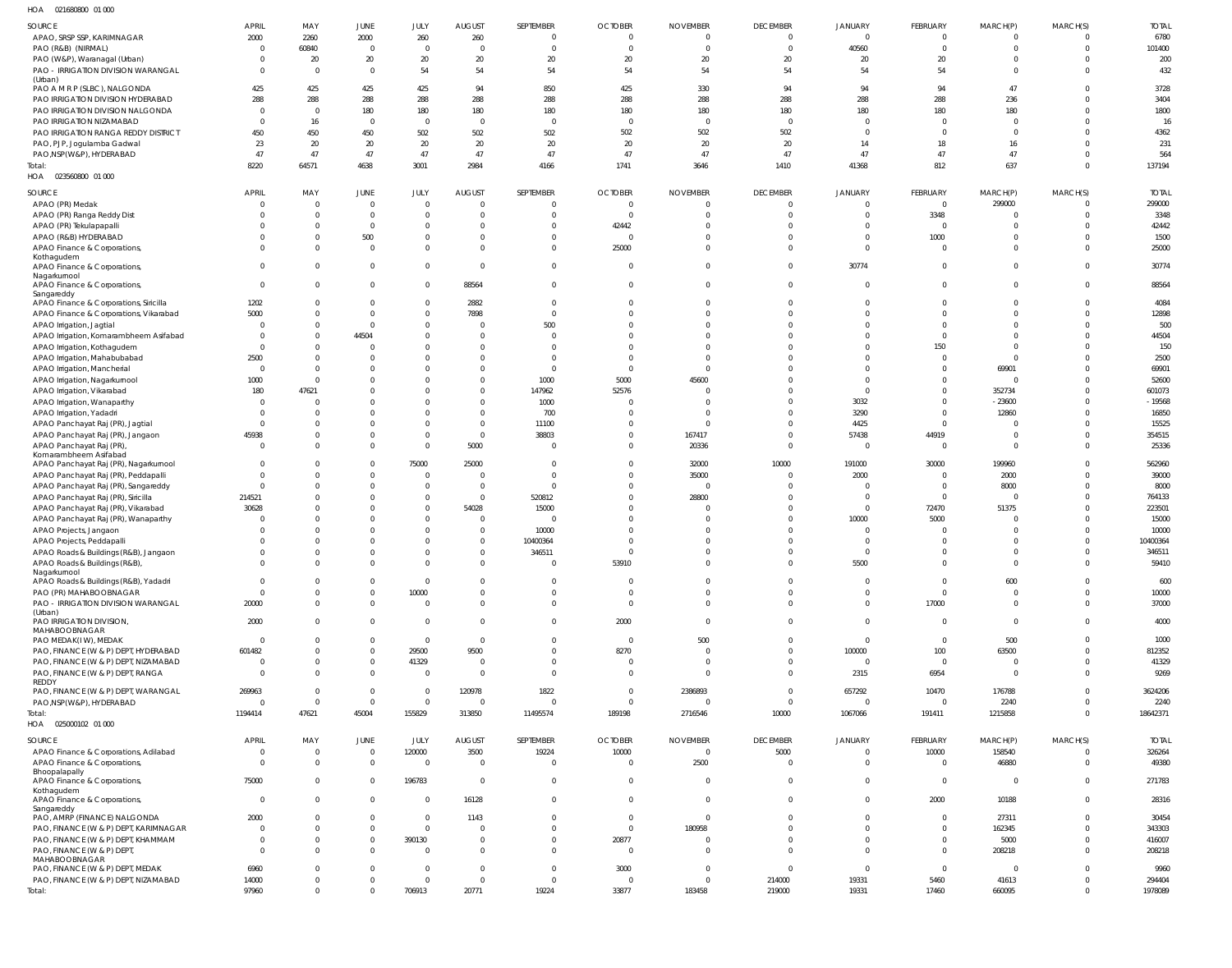021680800 01 000 HOA

| .                                                     |                |             |                |                |                |                |                |                 |                 |                |                |                         |                |              |
|-------------------------------------------------------|----------------|-------------|----------------|----------------|----------------|----------------|----------------|-----------------|-----------------|----------------|----------------|-------------------------|----------------|--------------|
| SOURCE                                                | <b>APRIL</b>   | MAY         | JUNE           | JULY           | <b>AUGUST</b>  | SEPTEMBER      | <b>OCTOBER</b> | <b>NOVEMBER</b> | <b>DECEMBER</b> | JANUARY        | FEBRUARY       | MARCH(P)                | MARCH(S)       | <b>TOTAL</b> |
| APAO, SRSP SSP, KARIMNAGAR                            | 2000           | 2260        | 2000           | 260            | 260            | $\overline{0}$ | $\overline{0}$ | $\Omega$        |                 | $\overline{0}$ | $\Omega$       | $\Omega$                | $\Omega$       | 6780         |
| PAO (R&B) (NIRMAL)                                    | $\Omega$       | 60840       | $\mathbf{0}$   | $\Omega$       | $\Omega$       | $\Omega$       | $\overline{0}$ | $\Omega$        | $\Omega$        | 40560          | $\Omega$       | $\Omega$                | $\mathbf 0$    | 101400       |
| PAO (W&P), Waranagal (Urban)                          | $\Omega$       | 20          | 20             | 20             | 20             | 20             | 20             | $20\,$          | 20              | 20             | 20             | $\Omega$                | $\Omega$       | 200          |
| PAO - IRRIGATION DIVISION WARANGAL                    | $\Omega$       | $\Omega$    | $\mathbf 0$    | 54             | 54             | 54             | 54             | 54              | 54              | 54             | 54             | $\Omega$                | $\Omega$       | 432          |
| (Urban)                                               |                |             |                |                |                |                |                |                 |                 |                |                |                         |                |              |
| PAO A M R P (SLBC), NALGONDA                          | 425            | 425         | 425            | 425            | 94             | 850            | 425            | 330             | 94              | 94             | 94             | 47                      | 0              | 3728         |
| PAO IRRIGATION DIVISION HYDERABAD                     | 288            | 288         | 288            | 288            | 288            | 288            | 288            | 288             | 288             | 288            | 288            | 236                     | $\mathbf 0$    | 3404         |
| PAO IRRIGATION DIVISION NALGONDA                      | $\Omega$       | $\Omega$    | 180            | 180            | 180            | 180            | 180            | 180             | 180             | 180            | 180            | 180                     | $\Omega$       | 1800         |
| PAO IRRIGATION NIZAMABAD                              | <sup>0</sup>   | 16          | $\mathbf{0}$   | $\Omega$       | $\Omega$       | $\overline{0}$ | $\overline{0}$ | $\overline{0}$  | $\Omega$        | $\overline{0}$ | $\Omega$       | $\Omega$                | $\Omega$       | 16           |
| PAO IRRIGATION RANGA REDDY DISTRICT                   | 450            | 450         | 450            | 502            | 502            | 502            | 502            | 502             | 502             | $\Omega$       | $\Omega$       | $\Omega$                | $\Omega$       | 4362         |
| PAO, PJP, Jogulamba Gadwal                            | 23             | 20          | 20             | 20             | 20             | 20             | 20             | $20\,$          | 20              | 14             | 18             | 16                      | $\Omega$       | 231          |
| PAO, NSP(W&P), HYDERABAD                              | 47             | 47          | 47             | 47             | 47             | 47             | 47             | 47              | 47              | 47             | 47             | 47                      | $\Omega$       | 564          |
| Total:                                                | 8220           | 64571       | 4638           | 3001           | 2984           | 4166           | 1741           | 3646            | 1410            | 41368          | 812            | 637                     | $\Omega$       | 137194       |
| HOA  023560800  01  000                               |                |             |                |                |                |                |                |                 |                 |                |                |                         |                |              |
|                                                       |                |             |                |                |                |                |                |                 |                 |                |                |                         |                |              |
| SOURCE                                                | <b>APRIL</b>   | MAY         | JUNE           | JULY           | <b>AUGUST</b>  | SEPTEMBER      | <b>OCTOBER</b> | <b>NOVEMBER</b> | <b>DECEMBER</b> | JANUARY        | FEBRUARY       | MARCH(P)                | MARCH(S)       | <b>TOTAL</b> |
| APAO (PR) Medak                                       | $\Omega$       | $\mathbf 0$ | $\mathbf 0$    | $\Omega$       | $\Omega$       | $\overline{0}$ | $\overline{0}$ | $\circ$         | $\Omega$        | $\overline{0}$ | $\mathbf{0}$   | 299000                  | $\overline{0}$ | 299000       |
| APAO (PR) Ranga Reddy Dist                            | $\Omega$       | $\Omega$    | $\mathbf 0$    | $\Omega$       | $\Omega$       | $\Omega$       | $\overline{0}$ | $\Omega$        | $\Omega$        | $\mathbf 0$    | 3348           | $\Omega$                | $\Omega$       | 3348         |
| APAO (PR) Tekulapapalli                               |                | $\Omega$    | $\mathbf 0$    | $\Omega$       | $\Omega$       | $\Omega$       | 42442          | $\Omega$        |                 | $\Omega$       | $\overline{0}$ | $\Omega$                | $\Omega$       | 42442        |
| APAO (R&B) HYDERABAD                                  |                | 0           | 500            | $\Omega$       | $\Omega$       | $\Omega$       | $\overline{0}$ | $\Omega$        | $\Omega$        | $\mathbf 0$    | 1000           | $\Omega$                | $\Omega$       | 1500         |
| APAO Finance & Corporations,                          | <sup>0</sup>   | $\Omega$    | $\mathbf 0$    | $\Omega$       | $\Omega$       | $\Omega$       | 25000          | $\Omega$        | $\Omega$        | $\mathbf 0$    | $\overline{0}$ | $\Omega$                | $\Omega$       | 25000        |
| Kothagudem                                            |                |             |                |                |                |                |                |                 |                 |                |                |                         |                |              |
| APAO Finance & Corporations,                          | $\Omega$       | $\Omega$    | $\mathbf 0$    | $\Omega$       | $\Omega$       | $\overline{0}$ | $\overline{0}$ | $\overline{0}$  | $\Omega$        | 30774          | $\mathbf 0$    | $\Omega$                | $\Omega$       | 30774        |
| Nagarkurnool                                          |                |             |                |                |                |                |                |                 |                 |                |                |                         |                |              |
| APAO Finance & Corporations,                          | $\Omega$       | $\Omega$    | $\mathbf 0$    | $\Omega$       | 88564          | $\overline{0}$ | $\Omega$       | $\Omega$        | $\Omega$        | $\mathbf 0$    | $\mathbf 0$    | $\Omega$                | $\mathbf{0}$   | 88564        |
| Sangareddy                                            |                |             |                |                |                |                |                |                 |                 |                |                |                         |                |              |
| APAO Finance & Corporations, Siricilla                | 1202           | $\Omega$    | $\mathbf{0}$   | $\Omega$       | 2882           | $\overline{0}$ | $\Omega$       | $\Omega$        |                 | $\Omega$       | $\Omega$       | $\Omega$                | $\Omega$       | 4084         |
| APAO Finance & Corporations, Vikarabad                | 5000           | $\Omega$    | $\mathbf 0$    | $\Omega$       | 7898           | $\overline{0}$ | $\Omega$       | $\Omega$        |                 | $\Omega$       | $\Omega$       | $\Omega$                | $\mathbf 0$    | 12898        |
| APAO Irrigation, Jagtial                              | $\Omega$       | $\Omega$    | $\mathbf 0$    | $\Omega$       | $\Omega$       | 500            | $\Omega$       | $\Omega$        | $\Omega$        | $\Omega$       | $\Omega$       | $\Omega$                | $\Omega$       | 500          |
| APAO Irrigation, Komarambheem Asifabad                | $\Omega$       | $\Omega$    | 44504          | $\Omega$       | $\Omega$       | $\Omega$       | $\Omega$       | $\Omega$        |                 | $\Omega$       | $\Omega$       | $\Omega$                | $\Omega$       | 44504        |
| APAO Irrigation, Kothagudem                           | $\Omega$       | $\Omega$    | $\overline{0}$ |                | $\Omega$       | $\Omega$       | $\Omega$       | $\Omega$        |                 | $\Omega$       | 150            | $\Omega$                | $\Omega$       | 150          |
| APAO Irrigation, Mahabubabad                          | 2500           | $\Omega$    | $\overline{0}$ | $\Omega$       | $\Omega$       | $\Omega$       | $\Omega$       | $\Omega$        |                 | $\Omega$       | $\mathbf 0$    | $\Omega$                | $\Omega$       | 2500         |
| APAO Irrigation, Mancherial                           | $\Omega$       | $\Omega$    | $\Omega$       | $\Omega$       | $\Omega$       | $\Omega$       | $\overline{0}$ | $\Omega$        |                 | $\Omega$       | $\Omega$       | 69901                   | $\Omega$       | 69901        |
| APAO Irrigation, Nagarkurnool                         | 1000           | $\Omega$    | $\Omega$       | $\Omega$       | $\Omega$       | 1000           | 5000           | 45600           |                 | $\mathbf 0$    | $\mathbf 0$    | $\Omega$                | $\Omega$       | 52600        |
| APAO Irrigation, Vikarabad                            | 180            | 47621       | $\Omega$       |                | $\Omega$       | 147962         | 52576          | $\Omega$        |                 | $\mathbf{0}$   | $\Omega$       | 352734                  | $\Omega$       | 601073       |
| APAO Irrigation, Wanaparthy                           | $\Omega$       | $\Omega$    | $\Omega$       | $\Omega$       | $\Omega$       | 1000           | $^{\circ}$     | $\Omega$        | $\Omega$        | 3032           | $\Omega$       | $-23600$                | $\Omega$       | $-19568$     |
| APAO Irrigation, Yadadri                              | $\Omega$       | $\Omega$    | $\Omega$       | $\Omega$       | $\Omega$       | 700            | $\Omega$       | $\Omega$        | $\Omega$        | 3290           | $\Omega$       | 12860                   | $\Omega$       | 16850        |
| APAO Panchayat Raj (PR), Jagtial                      | $\Omega$       | $\Omega$    | $\mathbf 0$    | $\Omega$       | $\Omega$       | 11100          | $\Omega$       | $\Omega$        | $\Omega$        | 4425           | $\mathbf 0$    | $\Omega$                | $\Omega$       | 15525        |
| APAO Panchayat Raj (PR), Jangaon                      | 45938          | $\Omega$    | $\mathbf 0$    | $\Omega$       | $\Omega$       | 38803          | $\Omega$       | 167417          | $\Omega$        | 57438          | 44919          | $\overline{\mathbf{0}}$ | $\mathbf 0$    | 354515       |
| APAO Panchayat Raj (PR),                              | $\Omega$       | $\Omega$    | $\mathbf{0}$   | $\Omega$       | 5000           | $\Omega$       | $\Omega$       | 20336           | $\Omega$        | $\overline{0}$ | $\overline{0}$ | $\Omega$                | $\Omega$       | 25336        |
| Komarambheem Asifabad                                 |                |             |                |                |                |                |                |                 |                 |                |                |                         |                |              |
| APAO Panchayat Raj (PR), Nagarkurnool                 | $\Omega$       | $\Omega$    | $\mathbf 0$    | 75000          | 25000          | - 0            | $\Omega$       | 32000           | 10000           | 191000         | 30000          | 199960                  | $\Omega$       | 562960       |
| APAO Panchayat Raj (PR), Peddapalli                   | $\Omega$       | $\Omega$    | $\mathbf 0$    | $\Omega$       | $\Omega$       | 0              | $\overline{0}$ | 35000           | $\Omega$        | 2000           | 0              | 2000                    | 0              | 39000        |
| APAO Panchayat Raj (PR), Sangareddy                   | $\Omega$       | $\Omega$    | $\mathbf 0$    | $\Omega$       | $\overline{0}$ | $\overline{0}$ | $\Omega$       | $\Omega$        | $\Omega$        | $^{\circ}$     | $\mathbf{0}$   | 8000                    | $\Omega$       | 8000         |
| APAO Panchayat Raj (PR), Siricilla                    | 214521         | $\Omega$    | $\mathbf 0$    | $\Omega$       | $\overline{0}$ | 520812         | $\Omega$       | 28800           |                 | $\mathbf 0$    | $\mathbf{0}$   |                         | $\Omega$       | 764133       |
| APAO Panchayat Raj (PR), Vikarabad                    | 30628          | $\Omega$    | $\mathbf 0$    | $\Omega$       | 54028          | 15000          | $\Omega$       | $\Omega$        | $\Omega$        | $\overline{0}$ | 72470          | 51375                   | $\Omega$       | 223501       |
| APAO Panchayat Raj (PR), Wanaparthy                   | $\Omega$       | $\Omega$    | $\mathbf 0$    | $\Omega$       | $\overline{0}$ | $\overline{0}$ | $\Omega$       | $\Omega$        |                 | 10000          | 5000           | $\Omega$                | $\Omega$       | 15000        |
| APAO Projects, Jangaon                                |                |             | $\mathbf 0$    | $\Omega$       | $\Omega$       | 10000          | C              | $\Omega$        |                 | $\mathbf 0$    | 0              | $\Omega$                | $\Omega$       | 10000        |
|                                                       |                | $\Omega$    | $\mathbf 0$    | $\Omega$       | $\overline{0}$ | 10400364       | C              | $\Omega$        | $\Omega$        | $\mathbf 0$    | $\mathbf 0$    | $\Omega$                | $\Omega$       | 10400364     |
| APAO Projects, Peddapalli                             | $\Omega$       | $\Omega$    | $\Omega$       | $\Omega$       | $\Omega$       | 346511         | $\Omega$       | $\Omega$        | $\Omega$        | $\Omega$       | $\Omega$       | $\Omega$                | $\Omega$       | 346511       |
| APAO Roads & Buildings (R&B), Jangaon                 |                |             |                |                |                |                |                |                 |                 |                |                |                         |                |              |
| APAO Roads & Buildings (R&B),                         |                |             |                |                |                |                | 53910          |                 |                 | 5500           |                |                         |                | 59410        |
| Nagarkurnool<br>APAO Roads & Buildings (R&B), Yadadri | $\Omega$       | $\Omega$    | $\mathbf{0}$   | $\Omega$       | $\overline{0}$ | $\overline{0}$ | $\overline{0}$ | $\overline{0}$  | $\Omega$        | $\mathbf 0$    | $\mathbf{0}$   | 600                     | $\mathbf{0}$   | 600          |
| PAO (PR) MAHABOOBNAGAR                                | $\Omega$       | $\Omega$    | $\mathbf{0}$   | 10000          | $\overline{0}$ | $\mathbf{0}$   | $\overline{0}$ | $\overline{0}$  | $\mathbf 0$     | $\mathbf 0$    | $\mathbf{0}$   | $\overline{0}$          | $\mathbf 0$    | 10000        |
|                                                       |                | $\mathbf 0$ | $\mathbf 0$    | $\Omega$       | $\overline{0}$ | $\mathbf{0}$   | $\overline{0}$ | $\overline{0}$  | $\Omega$        | $\mathbf 0$    | 17000          | $\overline{0}$          | $\Omega$       | 37000        |
| PAO - IRRIGATION DIVISION WARANGAL<br>(Urban)         | 20000          |             |                |                |                |                |                |                 |                 |                |                |                         |                |              |
| <b>PAO IRRIGATION DIVISION,</b>                       | 2000           | $\Omega$    | $\mathbf{0}$   | $\Omega$       | $\overline{0}$ | $\overline{0}$ | 2000           | $\overline{0}$  | $\Omega$        | $\mathbf 0$    | $\mathbf{0}$   | $\overline{0}$          | $\mathbf{0}$   | 4000         |
| MAHABOOBNAGAR                                         |                |             |                |                |                |                |                |                 |                 |                |                |                         |                |              |
| PAO MEDAK(IW), MEDAK                                  | $\Omega$       | $\Omega$    | $\mathbf{0}$   | $\Omega$       | $\overline{0}$ | $\mathbf{0}$   | $\overline{0}$ | 500             | $\Omega$        | $\mathbf 0$    | $\overline{0}$ | 500                     | $\overline{0}$ | 1000         |
| PAO, FINANCE (W & P) DEPT, HYDERABAD                  | 601482         | $\Omega$    | $\mathbf 0$    | 29500          | 9500           | $\overline{0}$ | 8270           | $\overline{0}$  | $\mathbf{0}$    | 100000         | 100            | 63500                   | $\overline{0}$ | 812352       |
| PAO, FINANCE (W & P) DEPT, NIZAMABAD                  | $\overline{0}$ | $\Omega$    | $\mathbf{0}$   | 41329          | $\overline{0}$ | $\overline{0}$ | $\overline{0}$ | $\overline{0}$  | $\Omega$        | $\mathbf{0}$   | $\mathbf{0}$   | $\overline{0}$          | $\overline{0}$ | 41329        |
| PAO, FINANCE (W & P) DEPT, RANGA                      | $\Omega$       | $\Omega$    | $\mathbf{0}$   | $\Omega$       | $\Omega$       | $\overline{0}$ | $\Omega$       | $\Omega$        | $\Omega$        | 2315           | 6954           | $\Omega$                | $\overline{0}$ | 9269         |
| REDDY                                                 |                |             |                |                |                |                |                |                 |                 |                |                |                         |                |              |
| PAO, FINANCE (W & P) DEPT, WARANGAL                   | 269963         | $\mathbf 0$ | $\mathbf 0$    | $\Omega$       | 120978         | 1822           | $\overline{0}$ | 2386893         | $\Omega$        | 657292         | 10470          | 176788                  | $\overline{0}$ | 3624206      |
| PAO, NSP(W&P), HYDERABAD                              | $\overline{0}$ | $\mathbf 0$ | $\mathbf 0$    | $\overline{0}$ | $\overline{0}$ | $\overline{0}$ | $\overline{0}$ | $\overline{0}$  | $\overline{0}$  | $\overline{0}$ | $\mathbf{0}$   | 2240                    | $\overline{0}$ | 2240         |
| Total:                                                | 1194414        | 47621       | 45004          | 155829         | 313850         | 11495574       | 189198         | 2716546         | 10000           | 1067066        | 191411         | 1215858                 | $\overline{0}$ | 18642371     |
| HOA  025000102  01 000                                |                |             |                |                |                |                |                |                 |                 |                |                |                         |                |              |
|                                                       |                |             |                |                |                |                |                |                 |                 |                |                |                         |                |              |
| SOURCE                                                | <b>APRIL</b>   | MAY         | JUNE           | JULY           | <b>AUGUST</b>  | SEPTEMBER      | <b>OCTOBER</b> | <b>NOVEMBER</b> | <b>DECEMBER</b> | <b>JANUARY</b> | FEBRUARY       | MARCH(P)                | MARCH(S)       | <b>TOTAL</b> |
| APAO Finance & Corporations, Adilabad                 | $\overline{0}$ | $\mathbf 0$ | $\mathbf 0$    | 120000         | 3500           | 19224          | 10000          | $\overline{0}$  | 5000            | $\mathbf{0}$   | 10000          | 158540                  | $\overline{0}$ | 326264       |
| APAO Finance & Corporations,                          | $\mathbf 0$    | $\mathbf 0$ | $\mathbf 0$    | $\Omega$       | $\overline{0}$ | $\overline{0}$ | $\overline{0}$ | 2500            | $\Omega$        | $\mathbf 0$    | $\mathbf 0$    | 46880                   | $\mathbf{0}$   | 49380        |
| Bhoopalapally<br>APAO Finance & Corporations,         | 75000          | $\mathbf 0$ | $\mathbf 0$    | 196783         | $\overline{0}$ | $\overline{0}$ | $\overline{0}$ | $\overline{0}$  | $\mathbf 0$     | $\mathbf 0$    | $\mathbf 0$    | $\overline{0}$          | $\mathbf{0}$   | 271783       |
| Kothagudem                                            |                |             |                |                |                |                |                |                 |                 |                |                |                         |                |              |
| APAO Finance & Corporations,                          | $\mathbf 0$    | $\mathbf 0$ | $\mathbf{0}$   | $\Omega$       | 16128          | $\overline{0}$ | $\mathbf{0}$   | $\overline{0}$  | $\Omega$        | $\mathbf 0$    | 2000           | 10188                   | $\mathbf{0}$   | 28316        |
| Sangareddy                                            |                |             |                |                |                |                |                |                 |                 |                |                |                         |                |              |
| PAO, AMRP (FINANCE) NALGONDA                          | 2000           | $\Omega$    | $\mathbf 0$    | $\Omega$       | 1143           | $\overline{0}$ | $\overline{0}$ | $\overline{0}$  | $\Omega$        | $\mathbf 0$    | $\mathbf 0$    | 27311                   | $\mathbf{0}$   | 30454        |
| PAO, FINANCE (W & P) DEPT, KARIMNAGAR                 | 0              | $\Omega$    | $\mathbf 0$    | $\Omega$       | $\overline{0}$ | $\mathbf{0}$   | $\overline{0}$ | 180958          | $\Omega$        | $\mathbf 0$    | $\mathbf{0}$   | 162345                  | $\mathbf 0$    | 343303       |
| PAO, FINANCE (W & P) DEPT, KHAMMAM                    | $\mathbf 0$    | $\Omega$    | $\mathbf 0$    | 390130         | $\overline{0}$ | $\mathbf 0$    | 20877          | $\overline{0}$  | $\Omega$        | $\mathbf 0$    | $\mathbf 0$    | 5000                    | $\mathbf 0$    | 416007       |
| PAO, FINANCE (W & P) DEPT,                            | $\Omega$       | $\Omega$    | $\mathbf{0}$   | $\Omega$       | $\overline{0}$ | $\overline{0}$ | $\overline{0}$ | $\Omega$        | $\Omega$        | $\mathbf 0$    | $\mathbf{0}$   | 208218                  | $\overline{0}$ | 208218       |
| MAHABOOBNAGAR                                         |                |             |                |                |                |                |                |                 |                 |                |                |                         |                |              |
| PAO, FINANCE (W & P) DEPT, MEDAK                      | 6960           | $\Omega$    | $\mathbf 0$    | $\Omega$       | $\Omega$       | $\overline{0}$ | 3000           | $\overline{0}$  | $\Omega$        | $\mathbf 0$    | $\mathbf{0}$   | $\overline{\mathbf{0}}$ | $\overline{0}$ | 9960         |
| PAO, FINANCE (W & P) DEPT, NIZAMABAD                  | 14000          | $\Omega$    | $\mathbf 0$    | $\Omega$       | $\overline{0}$ | $\overline{0}$ | $\overline{0}$ | $\overline{0}$  | 214000          | 19331          | 5460           | 41613                   | 0              | 294404       |
| Total:                                                | 97960          | $\mathbf 0$ | $\mathbf 0$    | 706913         | 20771          | 19224          | 33877          | 183458          | 219000          | 19331          | 17460          | 660095                  | $\mathbf 0$    | 1978089      |
|                                                       |                |             |                |                |                |                |                |                 |                 |                |                |                         |                |              |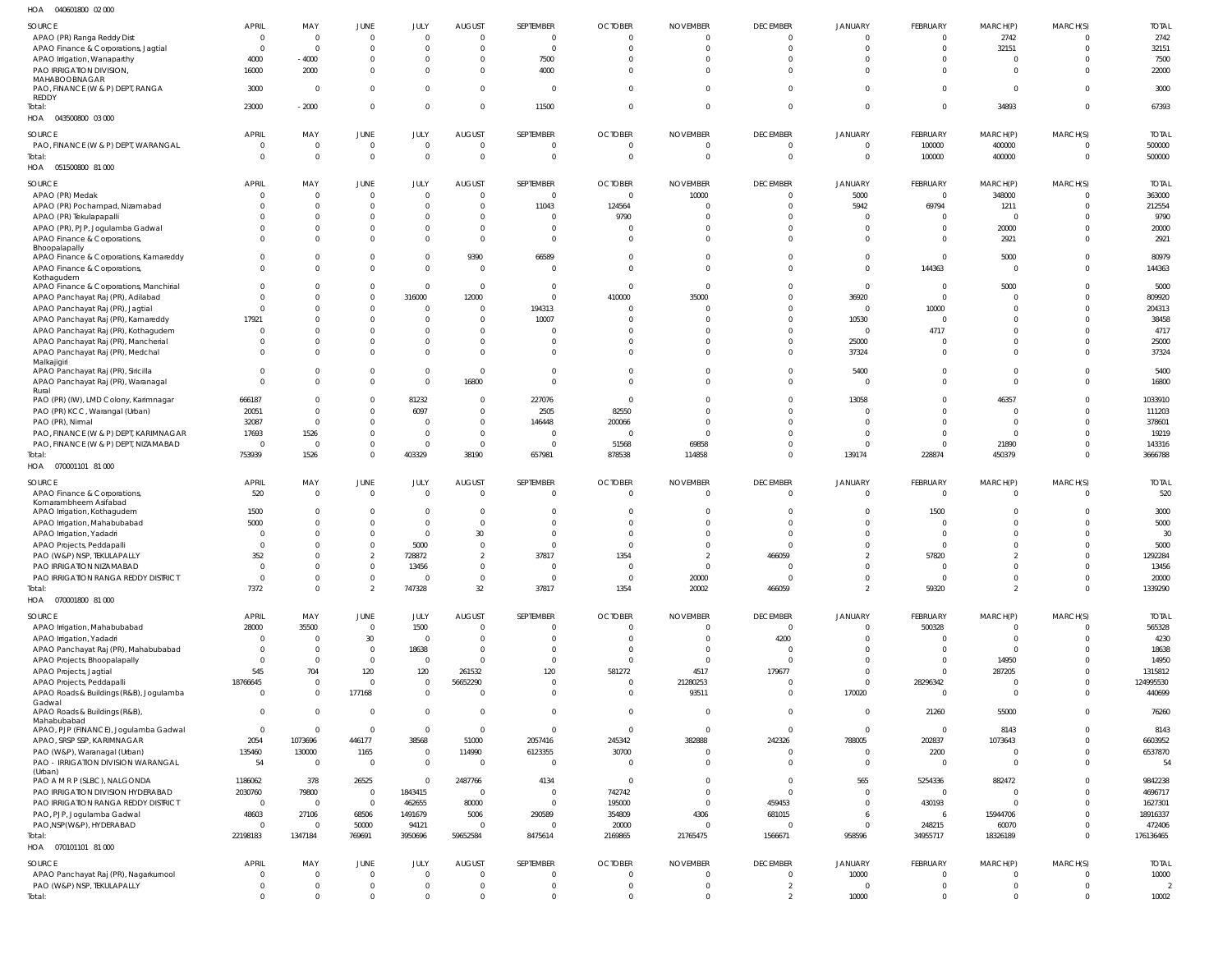| HOA | 040601800 02 000 |  |
|-----|------------------|--|

| $\cdots$<br><b>PLACE ON A PLACE</b>          |                |                |                |                |                |                |                |                 |                 |                |                |                         |                            |                |
|----------------------------------------------|----------------|----------------|----------------|----------------|----------------|----------------|----------------|-----------------|-----------------|----------------|----------------|-------------------------|----------------------------|----------------|
| SOURCE                                       | APRIL          | MAY            | JUNE           | JULY           | <b>AUGUST</b>  | SEPTEMBER      | <b>OCTOBER</b> | <b>NOVEMBER</b> | <b>DECEMBER</b> | <b>JANUARY</b> | FEBRUARY       | MARCH(P)                | MARCH(S)                   | <b>TOTAL</b>   |
| APAO (PR) Ranga Reddy Dist                   | $\overline{0}$ | $\Omega$       | $\overline{0}$ | $\Omega$       | $\Omega$       | $\overline{0}$ | $\mathbf 0$    | $\Omega$        | 0               | $\Omega$       | $\overline{0}$ | 2742                    | $\Omega$                   | 2742           |
| APAO Finance & Corporations, Jagtial         | -0             | $\Omega$       | $\mathbf 0$    | $\Omega$       | $\Omega$       | $\overline{0}$ | $\Omega$       | $\Omega$        | $\mathbf 0$     | 0              | $\mathbf{0}$   | 32151                   | $^{\circ}$                 | 32151          |
| APAO Irrigation, Wanaparthy                  | 4000           | $-4000$        | $\mathbf 0$    | $\overline{0}$ | $\Omega$       | 7500           | $\Omega$       | $\Omega$        | $\Omega$        | $\Omega$       | $\Omega$       | $\Omega$                | - 0                        | 7500           |
| PAO IRRIGATION DIVISION,                     | 16000          | 2000           | $\mathbf 0$    | $\Omega$       | $\Omega$       | 4000           | $\Omega$       | <sup>0</sup>    | $\Omega$        | $\mathbf 0$    | $\Omega$       | $\Omega$                | $\Omega$                   | 22000          |
| MAHABOOBNAGAR                                |                |                |                |                |                |                |                |                 |                 |                |                |                         |                            |                |
| PAO, FINANCE (W & P) DEPT, RANGA             | 3000           | $\Omega$       | $\overline{0}$ | $\overline{0}$ | $\Omega$       | $\mathbf{0}$   | $\Omega$       | $\Omega$        | $\Omega$        | $\Omega$       | $\Omega$       | $\overline{0}$          | $\Omega$                   | 3000           |
| REDDY                                        |                |                |                |                |                |                |                |                 |                 |                |                |                         |                            |                |
| Total:                                       | 23000          | $-2000$        | $\mathbf 0$    | $\overline{0}$ | $\Omega$       | 11500          | $\mathbf 0$    | $\Omega$        | $\overline{0}$  | $\mathbf{0}$   | $\overline{0}$ | 34893                   | $\overline{0}$             | 67393          |
| HOA  043500800  03  000                      |                |                |                |                |                |                |                |                 |                 |                |                |                         |                            |                |
| <b>SOURCE</b>                                | <b>APRIL</b>   | MAY            | <b>JUNE</b>    | JULY           | <b>AUGUST</b>  | SEPTEMBER      | <b>OCTOBER</b> | <b>NOVEMBER</b> | <b>DECEMBER</b> | JANUARY        | FEBRUARY       | MARCH(P)                | MARCH(S)                   | <b>TOTAL</b>   |
| PAO, FINANCE (W & P) DEPT, WARANGAL          | - 0            | $\overline{0}$ | $\mathbf 0$    | $\overline{0}$ | $\Omega$       | $\overline{0}$ | $\mathbf 0$    | $\mathbf 0$     | $\overline{0}$  | $\mathbf 0$    | 100000         | 400000                  | -0                         | 500000         |
| Total:                                       | $\Omega$       | $\Omega$       | $\mathbf 0$    | $\overline{0}$ | $\mathbf 0$    | $\mathbf{0}$   | $\mathbf 0$    | $\mathbf 0$     | $\mathbf 0$     | $\mathbf 0$    | 100000         | 400000                  | $\overline{0}$             | 500000         |
| HOA  051500800  81 000                       |                |                |                |                |                |                |                |                 |                 |                |                |                         |                            |                |
|                                              |                |                |                |                |                |                |                |                 |                 |                |                |                         |                            |                |
| <b>SOURCE</b>                                | <b>APRIL</b>   | MAY            | JUNE           | JULY           | <b>AUGUST</b>  | SEPTEMBER      | <b>OCTOBER</b> | <b>NOVEMBER</b> | <b>DECEMBER</b> | JANUARY        | FEBRUARY       | MARCH(P)                | MARCH(S)                   | <b>TOTAL</b>   |
| APAO (PR) Medak                              | $\Omega$       | $\Omega$       | $\mathbf 0$    | $\overline{0}$ | $\Omega$       | $\mathbf{0}$   | 0              | 10000           | 0               | 5000           | $\overline{0}$ | 348000                  | $\Omega$                   | 363000         |
| APAO (PR) Pochampad, Nizamabad               | - 0            | $\Omega$       | $\Omega$       | $\Omega$       | $\Omega$       | 11043          | 124564         |                 | $\Omega$        | 5942           | 69794          | 1211                    | $\Omega$                   | 212554         |
| APAO (PR) Tekulapapalli                      |                | $\Omega$       | $\Omega$       | $\Omega$       |                | $\overline{0}$ | 9790           |                 | $\Omega$        | 0              | $\Omega$       | $\Omega$                | $\Omega$                   | 9790           |
| APAO (PR), PJP, Jogulamba Gadwal             | - 0            | - 0            | $\Omega$       | $\Omega$       | $\Omega$       | $\overline{0}$ | 0              |                 | $\Omega$        | $\mathbf 0$    | $\Omega$       | 20000                   | $\Omega$                   | 20000          |
| APAO Finance & Corporations,                 | - 0            | $\cap$         | $\Omega$       | $\Omega$       | $\Omega$       | $\mathbf{0}$   | $\Omega$       | <sup>0</sup>    | $\Omega$        | $\mathbf 0$    | $\Omega$       | 2921                    | $\Omega$                   | 2921           |
| Bhoopalapally                                |                |                |                |                |                |                |                |                 |                 |                |                |                         |                            |                |
| APAO Finance & Corporations, Kamareddy       | $\Omega$       | - 0            | $\mathbf 0$    | $\mathbf 0$    | 9390           | 66589          | $\Omega$       | 0               | $\Omega$        | $\mathbf 0$    | $\overline{0}$ | 5000                    | $\Omega$                   | 80979          |
| APAO Finance & Corporations,                 | $\Omega$       | $\Omega$       | $\Omega$       | $\Omega$       | $\mathbf 0$    | $\overline{0}$ | $\Omega$       | $\Omega$        | $\Omega$        | $\overline{0}$ | 144363         | $\overline{0}$          | $\Omega$                   | 144363         |
| Kothagudem                                   |                |                |                |                |                |                |                |                 |                 |                |                |                         |                            |                |
| APAO Finance & Corporations, Manchirial      | $\Omega$       | - 0            | $\mathbf 0$    | $\overline{0}$ | $\mathbf 0$    | $\mathbf{0}$   | $\mathbf 0$    | $\Omega$        | $\Omega$        | $\overline{0}$ | $\overline{0}$ | 5000                    | $\Omega$                   | 5000           |
| APAO Panchayat Raj (PR), Adilabad            | - 0            | - 0            | $\mathbf 0$    | 316000         | 12000          | $\mathbf{0}$   | 410000         | 35000           | $\Omega$        | 36920          | $\overline{0}$ | $\Omega$                | $\Omega$                   | 809920         |
| APAO Panchayat Raj (PR), Jagtial             | $\Omega$       | - 0            | $\Omega$       | $\overline{0}$ | $\Omega$       | 194313         | 0              |                 | $\Omega$        | $\overline{0}$ | 10000          | $\Omega$                | $\Omega$                   | 204313         |
| APAO Panchayat Raj (PR), Kamareddy           | 17921          |                | $\Omega$       | $\Omega$       |                | 10007          |                |                 | $\Omega$        | 10530          | $\Omega$       | $\Omega$                | $\Omega$                   | 38458          |
| APAO Panchayat Raj (PR), Kothagudem          | $\Omega$       | - 0            | $\Omega$       | $\Omega$       |                |                |                |                 | $\Omega$        | $\mathbf 0$    | 4717           | $\Omega$                | $\Omega$                   | 4717           |
| APAO Panchayat Raj (PR), Mancherial          | -0             | - 0            | $\Omega$       | $\Omega$       | $\Omega$       | $\Omega$       | $\Omega$       | $\Omega$        | $\Omega$        | 25000          | $\Omega$       | $\Omega$                | $\Omega$                   | 25000          |
| APAO Panchayat Raj (PR), Medchal             | - 0            | $\Omega$       | $\Omega$       | $\Omega$       | $\Omega$       | $\Omega$       | <sup>0</sup>   | $\Omega$        | $\Omega$        | 37324          | $\Omega$       | $\Omega$                | $\Omega$                   | 37324          |
| Malkajigiri                                  |                |                |                |                |                |                |                |                 |                 |                |                |                         |                            |                |
| APAO Panchayat Raj (PR), Siricilla           | $\Omega$       | - 0            | $\Omega$       | $\overline{0}$ | $\Omega$       | $\overline{0}$ | $\Omega$       |                 | $\mathbf 0$     | 5400           | $\Omega$       | $\overline{0}$          | $\Omega$                   | 5400           |
| APAO Panchayat Raj (PR), Waranagal           | $\Omega$       | $\Omega$       | $\Omega$       | $\Omega$       | 16800          | $\Omega$       | $\Omega$       | $\Omega$        | $\Omega$        | $\overline{0}$ | $\Omega$       | $\Omega$                | $\Omega$                   | 16800          |
| Rural                                        |                |                |                |                |                |                |                |                 |                 |                |                |                         |                            |                |
| PAO (PR) (IW), LMD Colony, Karimnagar        | 666187         | - 0            | $\Omega$       | 81232          | - 0            | 227076         | $\mathbf 0$    | $\Omega$        | $\Omega$        | 13058          | $\Omega$       | 46357                   | $\Omega$                   | 1033910        |
| PAO (PR) KCC, Warangal (Urban)               | 20051          | $\Omega$       | $\Omega$       | 6097           |                | 2505           | 82550          | $\Omega$        | $\Omega$        | $\Omega$       | $\Omega$       | $\Omega$                | - 0                        | 111203         |
| PAO (PR), Nirmal                             | 32087          | $\Omega$       | $\Omega$       | $\Omega$       |                | 146448         | 200066         | $\Omega$        | $\Omega$        | $\Omega$       | $\Omega$       | $\Omega$                | $\Omega$                   | 378601         |
| PAO, FINANCE (W & P) DEPT, KARIMNAGAR        | 17693          | 1526           | $\mathbf 0$    | $\Omega$       | $\Omega$       | $\Omega$       | $\Omega$       |                 | $\Omega$        | $\Omega$       | $\Omega$       | $\Omega$                | - 0                        | 19219          |
| PAO, FINANCE (W & P) DEPT, NIZAMABAD         | $\overline{0}$ | $\Omega$       | $\mathbf 0$    | $\overline{0}$ | $\Omega$       | $\overline{0}$ | 51568          | 69858           | $\mathbf 0$     | $\overline{0}$ | $\mathbf{0}$   | 21890                   | $\Omega$                   | 143316         |
| Total:                                       | 753939         | 1526           | $\mathbf 0$    | 403329         | 38190          | 657981         | 878538         | 114858          | $\Omega$        | 139174         | 228874         | 450379                  | $\Omega$                   | 3666788        |
| HOA  070001101  81 000                       |                |                |                |                |                |                |                |                 |                 |                |                |                         |                            |                |
| <b>SOURCE</b>                                | <b>APRIL</b>   | MAY            | <b>JUNE</b>    | JULY           | <b>AUGUST</b>  | SEPTEMBER      | <b>OCTOBER</b> | <b>NOVEMBER</b> | <b>DECEMBER</b> | JANUARY        | FEBRUARY       | MARCH(P)                |                            | <b>TOTAL</b>   |
| APAO Finance & Corporations,                 |                |                |                | $\overline{0}$ | $\mathbf 0$    |                | $\mathbf 0$    | $\mathbf 0$     |                 |                |                | $\overline{0}$          | MARCH(S)<br>$\overline{0}$ |                |
| Komarambheem Asifabad                        | 520            | $\overline{0}$ | $\overline{0}$ |                |                | $\mathbf 0$    |                |                 | $\overline{0}$  | $\overline{0}$ | $\mathbf 0$    |                         |                            | 520            |
| APAO Irrigation, Kothagudem                  | 1500           | $\Omega$       | $\mathbf 0$    | $\overline{0}$ | $\mathbf 0$    | $\overline{0}$ | $\mathbf 0$    |                 | $\mathbf 0$     | $\mathbf 0$    | 1500           | $\overline{0}$          | -0                         | 3000           |
| APAO Irrigation, Mahabubabad                 | 5000           | $\Omega$       | $\Omega$       | $\overline{0}$ | $\Omega$       | $\Omega$       | $\Omega$       |                 | $\Omega$        | $\Omega$       | $\overline{0}$ | $\Omega$                | $\Omega$                   | 5000           |
| APAO Irrigation, Yadadri                     | $\Omega$       |                | $\Omega$       | $\overline{0}$ | 30             | $\Omega$       | $\Omega$       |                 | $\mathbf 0$     | $\Omega$       | $\overline{0}$ | $\Omega$                |                            | 30             |
| APAO Projects, Peddapalli                    | $\Omega$       |                | $\Omega$       | 5000           | $\Omega$       | $\Omega$       | $\Omega$       |                 | $\Omega$        | $\Omega$       | $\mathbf{0}$   | $\Omega$                |                            | 5000           |
| PAO (W&P) NSP, TEKULAPALLY                   | 352            |                |                | 728872         | $\overline{2}$ | 37817          | 1354           | $\mathcal{D}$   | 466059          | $\mathcal{L}$  | 57820          |                         |                            | 1292284        |
| PAO IRRIGATION NIZAMABAD                     | $\overline{0}$ | $\Omega$       | $\overline{0}$ |                | $\Omega$       | $\overline{0}$ | $\mathbf{0}$   | $\mathbf 0$     |                 | $\overline{0}$ | $\overline{0}$ | $\overline{0}$          | $\Omega$                   | 13456          |
|                                              |                |                |                | 13456          |                |                |                |                 | $\overline{0}$  |                |                |                         |                            |                |
| PAO IRRIGATION RANGA REDDY DISTRICT          | $\overline{0}$ | $\Omega$       | $\mathbf 0$    | $\overline{0}$ | $\mathbf{0}$   | $\mathbf 0$    | $\mathbf 0$    | 20000           | $\overline{0}$  | $\overline{0}$ | $\mathbf 0$    | $\overline{0}$          | $\overline{0}$             | 20000          |
| Total:                                       | 7372           | $\Omega$       | $\overline{2}$ | 747328         | 32             | 37817          | 1354           | 20002           | 466059          | $\overline{2}$ | 59320          | $\overline{2}$          | $\mathbf 0$                | 1339290        |
| HOA  070001800  81 000                       |                |                |                |                |                |                |                |                 |                 |                |                |                         |                            |                |
| SOURCE                                       | <b>APRIL</b>   | MAY            | <b>JUNE</b>    | JULY           | <b>AUGUST</b>  | SEPTEMBER      | <b>OCTOBER</b> | <b>NOVEMBER</b> | <b>DECEMBER</b> | JANUARY        | FEBRUARY       | MARCH(P)                | MARCH(S)                   | <b>TOTAL</b>   |
| APAO Irrigation, Mahabubabad                 | 28000          | 35500          | $\mathbf 0$    | 1500           | $\Omega$       | $\mathbf{0}$   | $\mathbf 0$    | $\mathbf 0$     | $\overline{0}$  | $\overline{0}$ | 500328         | $\overline{0}$          | $\Omega$                   | 565328         |
| APAO Irrigation, Yadadri                     | $\overline{0}$ | $\Omega$       | 30             | $\overline{0}$ | $\Omega$       | $\mathbf{0}$   | $\mathbf 0$    | $\mathbf 0$     | 4200            | $\mathbf 0$    | $\mathbf{0}$   | $\overline{0}$          | $\Omega$                   | 4230           |
| APAO Panchayat Raj (PR), Mahabubabad         |                |                |                |                |                |                |                |                 |                 |                |                | $\overline{0}$          | $\Omega$                   | 18638          |
| APAO Projects, Bhoopalapally                 |                |                |                |                |                |                |                |                 |                 |                |                |                         |                            |                |
| APAO Projects, Jagtial                       | -0             | $\Omega$       | $\mathbf 0$    | 18638          | $\mathbf 0$    | $\overline{0}$ | $\mathbf 0$    | $\mathbf 0$     | $\overline{0}$  | $\mathbf 0$    | $\Omega$       |                         |                            |                |
|                                              | $\Omega$       | $\Omega$       | $\mathbf{0}$   | $\overline{0}$ | $\Omega$       | $\mathbf{0}$   | $\Omega$       | $\Omega$        | $\mathbf 0$     | $\mathbf 0$    | $\Omega$       | 14950                   |                            | 14950          |
|                                              | 545            | 704            | 120            | 120            | 261532         | 120            | 581272         | 4517            | 179677          | $\mathbf 0$    | $\mathbf{0}$   | 287205                  | $^{\circ}$                 | 1315812        |
| APAO Projects, Peddapalli                    | 18766645       | $\Omega$       | $\mathbf{0}$   | $\overline{0}$ | 56652290       | $\mathbf 0$    | $\mathbf 0$    | 21280253        | 0               | $\overline{0}$ | 28296342       | $\overline{0}$          | $\Omega$                   | 124995530      |
| APAO Roads & Buildings (R&B), Jogulamba      | $\mathbf 0$    | $\Omega$       | 177168         | $\mathbf 0$    | $\Omega$       | $\mathbf 0$    | $\mathbf 0$    | 93511           | $\overline{0}$  | 170020         | $\overline{0}$ | $\overline{\mathbf{0}}$ | $\mathbf{0}$               | 440699         |
| Gadwal                                       |                | $\Omega$       |                |                | $\Omega$       |                | $\Omega$       |                 |                 |                |                |                         | $\Omega$                   |                |
| APAO Roads & Buildings (R&B),<br>Mahabubabad | $\overline{0}$ |                | $\overline{0}$ | $\mathbf 0$    |                | $\mathbf 0$    |                | $\mathbf 0$     | $\overline{0}$  | $\mathbf 0$    | 21260          | 55000                   |                            | 76260          |
| APAO, PJP (FINANCE), Jogulamba Gadwal        | $\overline{0}$ | $\Omega$       | $\overline{0}$ | $\mathbf 0$    | $\Omega$       | $\overline{0}$ | $\mathbf 0$    | $\mathbf 0$     | $\overline{0}$  | $\mathbf 0$    | $\overline{0}$ | 8143                    | $\Omega$                   | 8143           |
| APAO, SRSP SSP, KARIMNAGAR                   | 2054           | 1073696        | 446177         | 38568          | 51000          | 2057416        | 245342         | 382888          | 242326          | 788005         | 202837         | 1073643                 | $\Omega$                   | 6603952        |
| PAO (W&P), Waranagal (Urban)                 | 135460         | 130000         | 1165           | $\overline{0}$ | 114990         | 6123355        | 30700          | $\mathbf 0$     | $\overline{0}$  | $\overline{0}$ | 2200           | $\overline{0}$          | $\overline{0}$             | 6537870        |
| PAO - IRRIGATION DIVISION WARANGAL           | 54             | $\overline{0}$ | $\overline{0}$ | $\mathbf 0$    | $\Omega$       | $\mathbf 0$    | $\Omega$       | $\Omega$        | $\Omega$        | $\overline{0}$ | $\overline{0}$ | $\overline{0}$          |                            | 54             |
| (Urban)                                      |                |                |                |                |                |                |                |                 |                 |                |                |                         |                            |                |
| PAO A M R P (SLBC), NALGONDA                 | 1186062        | 378            | 26525          | $\Omega$       | 2487766        | 4134           | $\mathbf 0$    | $\Omega$        | $\mathbf 0$     | 565            | 5254336        | 882472                  |                            | 9842238        |
| PAO IRRIGATION DIVISION HYDERABAD            | 2030760        | 79800          | $\overline{0}$ | 1843415        | $\Omega$       | $\mathbf{0}$   | 742742         | $\mathbf 0$     | $\Omega$        | $\overline{0}$ | $\overline{0}$ | $\Omega$                |                            | 4696717        |
| PAO IRRIGATION RANGA REDDY DISTRICT          | $\mathbf 0$    | $\overline{0}$ | $\overline{0}$ | 462655         | 80000          | $\overline{0}$ | 195000         | $\Omega$        | 459453          | $\overline{0}$ | 430193         | $\Omega$                | $\Omega$                   | 1627301        |
| PAO, PJP, Jogulamba Gadwal                   | 48603          | 27106          | 68506          | 1491679        | 5006           | 290589         | 354809         | 4306            | 681015          | 6              | -6             | 15944706                | $\Omega$                   | 18916337       |
| PAO, NSP(W&P), HYDERABAD                     | $\overline{0}$ | - 0            | 50000          | 94121          | $\Omega$       | $\mathbf 0$    | 20000          | $\Omega$        | $\overline{0}$  | $\mathbf{0}$   | 248215         | 60070                   | $\Omega$                   | 472406         |
| Total:                                       | 22198183       | 1347184        | 769691         | 3950696        | 59652584       | 8475614        | 2169865        | 21765475        | 1566671         | 958596         | 34955717       | 18326189                | $\Omega$                   | 176136465      |
| HOA  070101101  81  000                      |                |                |                |                |                |                |                |                 |                 |                |                |                         |                            |                |
|                                              |                |                |                |                |                |                |                |                 |                 |                |                |                         |                            |                |
| SOURCE                                       | <b>APRIL</b>   | MAY            | <b>JUNE</b>    | JULY           | <b>AUGUST</b>  | SEPTEMBER      | <b>OCTOBER</b> | <b>NOVEMBER</b> | <b>DECEMBER</b> | JANUARY        | FEBRUARY       | MARCH(P)                | MARCH(S)                   | <b>TOTAL</b>   |
| APAO Panchayat Raj (PR), Nagarkurnool        | $\overline{0}$ | $\Omega$       | $\mathbf 0$    | $\overline{0}$ | $\mathbf{0}$   | $\mathbf 0$    | $\mathbf 0$    | $\mathbf 0$     | $\overline{0}$  | 10000          | $\overline{0}$ | $\overline{0}$          | $\Omega$                   | 10000          |
| PAO (W&P) NSP, TEKULAPALLY                   | $\overline{0}$ | $\overline{0}$ | $\mathbf 0$    | $\overline{0}$ | $\mathbf{0}$   | $\mathbf 0$    | $\mathbf 0$    | $\mathbf 0$     | $\overline{2}$  | $\overline{0}$ | $\mathbf 0$    | $\overline{0}$          | $\Omega$                   | $\overline{2}$ |
| Total:                                       | $\Omega$       | $\Omega$       | $\mathbf 0$    | $\mathbf 0$    | $\Omega$       | $\mathbf{0}$   | $\mathbf 0$    | $\mathbf 0$     | $\overline{2}$  | 10000          | $\mathbf 0$    | $\overline{0}$          | $\mathbf 0$                | 10002          |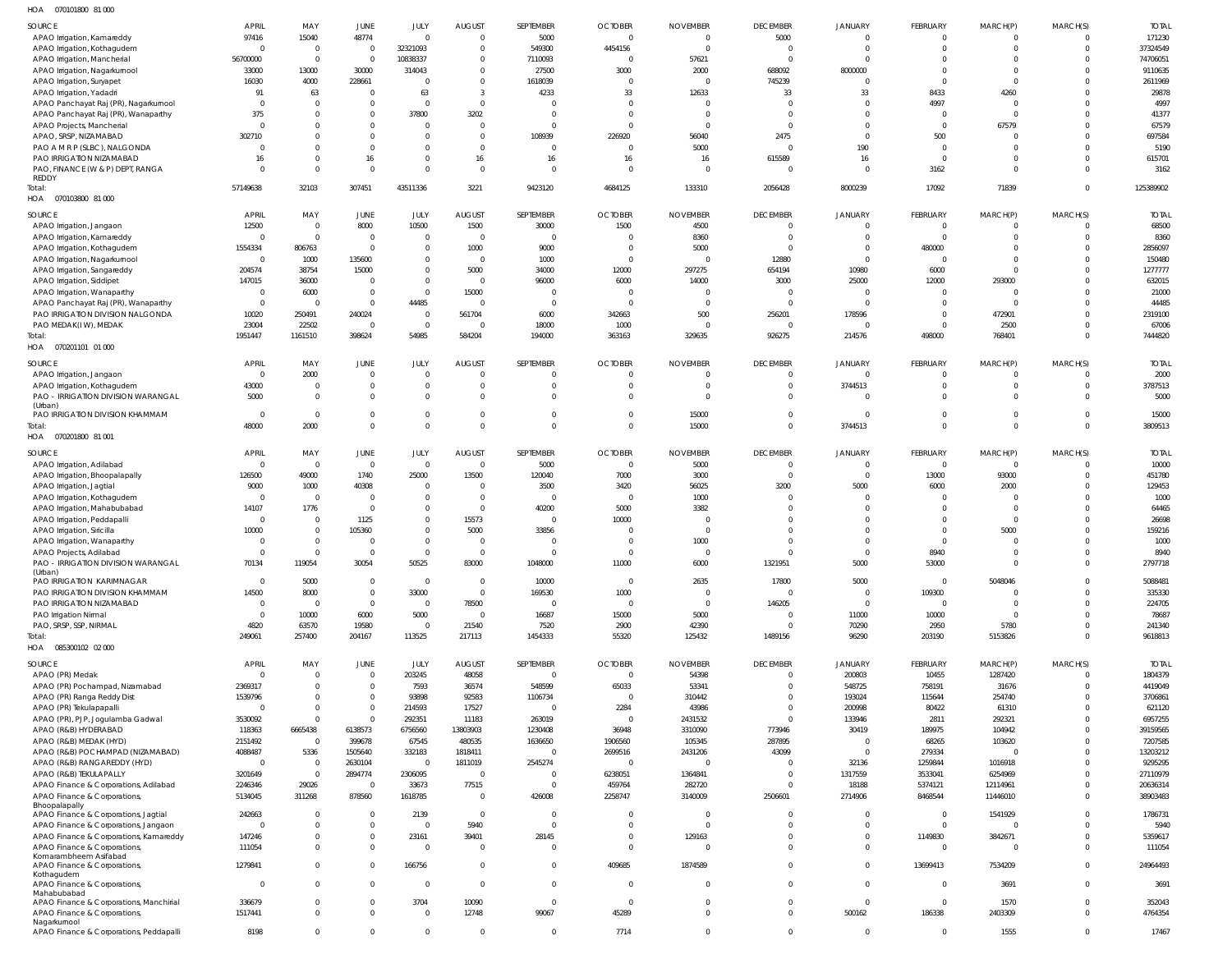070101800 81 000 HOA

| 10011<br><b>UIUIUUU UIUU</b>            |                |                |                |                |                |                |                |                 |                 |                          |                 |                |             |              |
|-----------------------------------------|----------------|----------------|----------------|----------------|----------------|----------------|----------------|-----------------|-----------------|--------------------------|-----------------|----------------|-------------|--------------|
| SOURCE                                  | APRIL          | MAY            | JUNE           | JULY           | <b>AUGUST</b>  | SEPTEMBER      | <b>OCTOBER</b> | <b>NOVEMBER</b> | <b>DECEMBER</b> | <b>JANUARY</b>           | <b>FEBRUARY</b> | MARCH(P)       | MARCH(S)    | <b>TOTAL</b> |
| APAO Irrigation, Kamareddy              | 97416          | 15040          | 48774          | $\mathbf 0$    | $\Omega$       | 5000           | $\Omega$       | $\Omega$        | 5000            | $\Omega$                 | $\overline{0}$  | $\Omega$       | $\Omega$    | 171230       |
| APAO Irrigation, Kothagudem             | $\overline{0}$ | $\overline{0}$ | $\overline{0}$ | 32321093       | $\Omega$       | 549300         | 4454156        | $\Omega$        | $\overline{0}$  | $\Omega$                 | $\overline{0}$  | $\Omega$       | $\Omega$    | 37324549     |
| APAO Irrigation, Mancherial             | 56700000       | $\Omega$       | $\overline{0}$ | 10838337       | $\Omega$       | 7110093        | $\Omega$       | 57621           | $\overline{0}$  |                          | $\Omega$        | $\Omega$       |             | 74706051     |
| APAO Irrigation, Nagarkurnool           | 33000          | 13000          | 30000          | 314043         | $\Omega$       | 27500          | 3000           | 2000            | 688092          | 8000000                  | $\Omega$        | $\Omega$       |             | 9110635      |
| APAO Irrigation, Suryapet               | 16030          | 4000           | 228661         | $\overline{0}$ | $\Omega$       | 1618039        | $\Omega$       |                 | 745239          | $\Omega$                 | $\Omega$        | $\Omega$       |             | 2611969      |
| APAO Irrigation, Yadadri                | 91             | 63             | $\overline{0}$ | 63             | $\overline{3}$ | 4233           | 33             | 12633           | 33              | 33                       | 8433            | 4260           |             | 29878        |
|                                         |                |                |                |                |                |                |                |                 | $\Omega$        |                          |                 |                |             |              |
| APAO Panchayat Raj (PR), Nagarkurnool   | $\overline{0}$ | $\Omega$       | $\overline{0}$ | $\overline{0}$ | $\Omega$       | <sup>0</sup>   | $\Omega$       |                 |                 | $\Omega$                 | 4997            | $\Omega$       |             | 4997         |
| APAO Panchayat Raj (PR), Wanaparthy     | 375            | $\Omega$       | $\overline{0}$ | 37800          | 3202           | $\Omega$       | $\Omega$       |                 | $\Omega$        | $\mathbf 0$              | $\Omega$        | $\Omega$       |             | 41377        |
| APAO Projects, Mancherial               | $\Omega$       | $\Omega$       | $\overline{0}$ | $\mathbf{0}$   | $\Omega$       | $\Omega$       | $\Omega$       |                 | $\Omega$        | $\Omega$                 | $\Omega$        | 67579          |             | 67579        |
| APAO, SRSP, NIZAMABAD                   | 302710         | $\Omega$       | $\overline{0}$ | $\mathbf{0}$   | $\Omega$       | 108939         | 226920         | 56040           | 2475            | $\mathbf 0$              | 500             | $\Omega$       |             | 697584       |
| PAO A M R P (SLBC), NALGONDA            | $\mathbf{0}$   | $\Omega$       | $\overline{0}$ | $\mathbf 0$    | $\Omega$       | $\Omega$       | $\Omega$       | 5000            | $\Omega$        | 190                      | $\Omega$        | $\Omega$       |             | 5190         |
| PAO IRRIGATION NIZAMABAD                | 16             | $\Omega$       | 16             | $\mathbf{0}$   | 16             | 16             | 16             | 16              | 615589          | 16                       | $\Omega$        | $\Omega$       | $\Omega$    | 615701       |
| PAO, FINANCE (W & P) DEPT, RANGA        | $\Omega$       | $\Omega$       | $\overline{0}$ | $\mathbf 0$    | $\Omega$       | $\overline{0}$ | $\Omega$       | $\Omega$        | $\Omega$        | $\overline{0}$           | 3162            | $\Omega$       | $\Omega$    | 3162         |
| <b>REDDY</b>                            |                |                |                |                |                |                |                |                 |                 |                          |                 |                |             |              |
| Total:                                  | 57149638       | 32103          | 307451         | 43511336       | 3221           | 9423120        | 4684125        | 133310          | 2056428         | 8000239                  | 17092           | 71839          | $\Omega$    | 125389902    |
| HOA  070103800  81 000                  |                |                |                |                |                |                |                |                 |                 |                          |                 |                |             |              |
|                                         |                |                |                |                |                |                |                |                 |                 |                          |                 |                |             |              |
| SOURCE                                  | <b>APRIL</b>   | MAY            | JUNE           | JULY           | <b>AUGUST</b>  | SEPTEMBER      | <b>OCTOBER</b> | <b>NOVEMBER</b> | <b>DECEMBER</b> | JANUARY                  | <b>FEBRUARY</b> | MARCH(P)       | MARCH(S)    | <b>TOTAL</b> |
| APAO Irrigation, Jangaon                | 12500          | $\overline{0}$ | 8000           | 10500          | 1500           | 30000          | 1500           | 4500            | $\mathbf 0$     | $\mathbf 0$              | $\overline{0}$  | - 0            |             | 68500        |
| APAO Irrigation, Kamareddy              | $\mathbf 0$    | $\mathbf{0}$   | $\overline{0}$ | $\overline{0}$ | $\overline{0}$ | $\overline{0}$ | $\overline{0}$ | 8360            | $\overline{0}$  | $\mathbf 0$              | $\overline{0}$  | $\Omega$       | $\Omega$    | 8360         |
| APAO Irrigation, Kothagudem             | 1554334        | 806763         | $\overline{0}$ | $\overline{0}$ | 1000           | 9000           | $\Omega$       | 5000            | $\overline{0}$  | $\overline{0}$           | 480000          | $\Omega$       | $\Omega$    | 2856097      |
| APAO Irrigation, Nagarkurnool           | $\overline{0}$ | 1000           | 135600         | $\overline{0}$ | $\overline{0}$ | 1000           | $\Omega$       |                 | 12880           | $\overline{0}$           | $\overline{0}$  | $\Omega$       | $\Omega$    | 150480       |
| APAO Irrigation, Sangareddy             | 204574         | 38754          | 15000          | $\overline{0}$ | 5000           | 34000          | 12000          | 297275          | 654194          | 10980                    | 6000            | $^{\circ}$     | $\Omega$    | 1277777      |
| APAO Irrigation, Siddipet               | 147015         | 36000          | $\overline{0}$ | $\overline{0}$ | $\overline{0}$ | 96000          | 6000           | 14000           | 3000            | 25000                    | 12000           | 293000         | $\Omega$    | 632015       |
|                                         | $\overline{0}$ | 6000           | $\overline{0}$ | $\,$ 0         | 15000          | $\overline{0}$ | $\Omega$       |                 | $\Omega$        | $\overline{0}$           | $\overline{0}$  | $\Omega$       | U           | 21000        |
| APAO Irrigation, Wanaparthy             |                |                |                |                |                |                |                |                 |                 |                          |                 |                |             |              |
| APAO Panchayat Raj (PR), Wanaparthy     | $\mathbf 0$    | $\Omega$       | $\overline{0}$ | 44485          | $\overline{0}$ | $\overline{0}$ | $\Omega$       | $\Omega$        | $\overline{0}$  | $\overline{\phantom{0}}$ | $\Omega$        | $\Omega$       | U           | 44485        |
| PAO IRRIGATION DIVISION NALGONDA        | 10020          | 250491         | 240024         | $\overline{0}$ | 561704         | 6000           | 342663         | 500             | 256201          | 178596                   | $\overline{0}$  | 472901         | U           | 2319100      |
| PAO MEDAK(IW), MEDAK                    | 23004          | 22502          | $\overline{0}$ | $\,$ 0         | $\overline{0}$ | 18000          | 1000           | $\overline{0}$  | $\overline{0}$  | $\overline{0}$           | $\overline{0}$  | 2500           | U           | 67006        |
| Total:                                  | 1951447        | 1161510        | 398624         | 54985          | 584204         | 194000         | 363163         | 329635          | 926275          | 214576                   | 498000          | 768401         | $\Omega$    | 7444820      |
| HOA  070201101  01  000                 |                |                |                |                |                |                |                |                 |                 |                          |                 |                |             |              |
|                                         |                |                |                |                |                |                |                |                 |                 |                          |                 |                |             |              |
| SOURCE                                  | <b>APRIL</b>   | MAY            | JUNE           | JULY           | <b>AUGUST</b>  | SEPTEMBER      | <b>OCTOBER</b> | <b>NOVEMBER</b> | <b>DECEMBER</b> | JANUARY                  | <b>FEBRUARY</b> | MARCH(P)       | MARCH(S)    | <b>TOTAL</b> |
| APAO Irrigation, Jangaon                | $\mathbf{0}$   | 2000           | $\overline{0}$ | $\overline{0}$ | $\Omega$       | $\Omega$       | $\Omega$       |                 | $\Omega$        | $\Omega$                 | $\Omega$        | $\Omega$       | $\Omega$    | 2000         |
| APAO Irrigation, Kothagudem             | 43000          | $\Omega$       | $\overline{0}$ | $\overline{0}$ | $\overline{0}$ | $\overline{0}$ | $\Omega$       | $\Omega$        | $\mathbf 0$     | 3744513                  | $\overline{0}$  | $^{\circ}$     | $\Omega$    | 3787513      |
| PAO - IRRIGATION DIVISION WARANGAL      | 5000           | $\Omega$       | $\overline{0}$ | $\overline{0}$ | $\Omega$       | $\overline{0}$ | $\Omega$       | $\Omega$        | $\Omega$        | $\Omega$                 | $\Omega$        | $\Omega$       |             | 5000         |
| (Urban)                                 |                |                |                |                |                |                |                |                 |                 |                          |                 |                |             |              |
| PAO IRRIGATION DIVISION KHAMMAM         | $\mathbf 0$    | $\Omega$       | $\overline{0}$ | $\mathbf{0}$   | $\mathbf{0}$   | $\overline{0}$ | $\Omega$       | 15000           | $\mathbf 0$     | $\overline{0}$           | $\overline{0}$  | $^{\circ}$     | $\Omega$    | 15000        |
| Total:                                  | 48000          | 2000           | $\overline{0}$ | $\mathbf{0}$   | $\Omega$       | $\Omega$       | $\Omega$       | 15000           | $\Omega$        | 3744513                  | $\Omega$        | $\Omega$       | $\Omega$    | 3809513      |
| HOA<br>070201800 81 001                 |                |                |                |                |                |                |                |                 |                 |                          |                 |                |             |              |
|                                         |                |                |                |                |                |                |                |                 |                 |                          |                 |                |             |              |
| SOURCE                                  | <b>APRIL</b>   | MAY            | JUNE           | JULY           | <b>AUGUST</b>  | SEPTEMBER      | <b>OCTOBER</b> | <b>NOVEMBER</b> | <b>DECEMBER</b> | JANUARY                  | <b>FEBRUARY</b> | MARCH(P)       | MARCH(S)    | <b>TOTAL</b> |
| APAO Irrigation, Adilabad               | $\overline{0}$ | $\overline{0}$ | $\overline{0}$ | $\overline{0}$ | $\overline{0}$ | 5000           | $\overline{0}$ | 5000            | $\mathbf{0}$    | $\overline{0}$           | $\overline{0}$  | $\circ$        | $\mathbf 0$ | 10000        |
| APAO Irrigation, Bhoopalapally          | 126500         | 49000          | 1740           | 25000          | 13500          | 120040         | 7000           | 3000            | $\overline{0}$  | $\overline{0}$           | 13000           | 93000          | $\Omega$    | 451780       |
| APAO Irrigation, Jagtial                | 9000           | 1000           | 40308          | $\overline{0}$ | $\overline{0}$ | 3500           | 3420           | 56025           | 3200            | 5000                     | 6000            | 2000           | $\Omega$    | 129453       |
| APAO Irrigation, Kothagudem             | $\overline{0}$ | $\overline{0}$ | $\overline{0}$ | $\overline{0}$ | $\overline{0}$ | $\overline{0}$ | $\Omega$       | 1000            | $\Omega$        | $\overline{0}$           | $\Omega$        |                | U           | 1000         |
| APAO Irrigation, Mahabubabad            |                |                | $\overline{0}$ | $\overline{0}$ | $\overline{0}$ |                |                |                 | $\Omega$        | $\Omega$                 | $\Omega$        |                | U           |              |
|                                         | 14107          | 1776           |                |                |                | 40200          | 5000           | 3382            |                 |                          |                 | - 0            |             | 64465        |
| APAO Irrigation, Peddapalli             | $\mathbf 0$    | $\overline{0}$ | 1125           | $\overline{0}$ | 15573          | $\overline{0}$ | 10000          |                 | $\Omega$        | $\Omega$                 | $\Omega$        | $\overline{0}$ |             | 26698        |
| APAO Irrigation, Siricilla              | 10000          | $\Omega$       | 105360         | $\overline{0}$ | 5000           | 33856          | $\Omega$       | $\Omega$        | $\Omega$        | $\Omega$                 | $\Omega$        | 5000           |             | 159216       |
| APAO Irrigation, Wanaparthy             | $\mathbf{0}$   | $\Omega$       | $\overline{0}$ | $\mathbf 0$    | - 0            | $\overline{0}$ | <sup>0</sup>   | 1000            | $\Omega$        | $\Omega$                 | $\Omega$        | $\Omega$       |             | 1000         |
| APAO Projects, Adilabad                 | $\mathbf 0$    | $\Omega$       | $\overline{0}$ | $\mathbf{0}$   | $\Omega$       | $\mathbf{0}$   | $\Omega$       | $\Omega$        | $\Omega$        | $\Omega$                 | 8940            | $\Omega$       | $\Omega$    | 8940         |
| PAO - IRRIGATION DIVISION WARANGAL      | 70134          | 119054         | 30054          | 50525          | 83000          | 1048000        | 11000          | 6000            | 1321951         | 5000                     | 53000           |                |             | 2797718      |
| (Urban)                                 |                |                |                |                |                |                |                |                 |                 |                          |                 |                |             |              |
| PAO IRRIGATION KARIMNAGAR               | $\overline{0}$ | 5000           | $\overline{0}$ | $\overline{0}$ | $\overline{0}$ | 10000          | $\overline{0}$ | 2635            | 17800           | 5000                     | $\overline{0}$  | 5048046        | $\Omega$    | 5088481      |
| PAO IRRIGATION DIVISION KHAMMAM         | 14500          | 8000           | $\,0\,$        | 33000          | $\mathbf{0}$   | 169530         | 1000           | $\Omega$        | $\overline{0}$  | $\overline{0}$           | 109300          | $\Omega$       | $\Omega$    | 335330       |
| PAO IRRIGATION NIZAMABAD                | $\overline{0}$ | $\Omega$       | $\,0\,$        | $\overline{0}$ | 78500          | $\overline{0}$ | $\overline{0}$ | $\Omega$        | 146205          | $\overline{0}$           | $\overline{0}$  | $^{\circ}$     | $\Omega$    | 224705       |
| PAO Irrigation Nirmal                   | $\overline{0}$ | 10000          | 6000           | 5000           | $\overline{0}$ | 16687          | 15000          | 5000            | $\overline{0}$  | 11000                    | 10000           | $\overline{0}$ | $\Omega$    | 78687        |
| PAO, SRSP, SSP, NIRMAL                  | 4820           | 63570          | 19580          | $\overline{0}$ | 21540          | 7520           | 2900           | 42390           | $\overline{0}$  | 70290                    | 2950            | 5780           | $\Omega$    | 241340       |
|                                         |                |                |                |                |                |                |                |                 |                 |                          |                 |                |             |              |
| Total:                                  | 249061         | 257400         | 204167         | 113525         | 217113         | 1454333        | 55320          | 125432          | 1489156         | 96290                    | 203190          | 5153826        | $\Omega$    | 9618813      |
| HOA  085300102  02  000                 |                |                |                |                |                |                |                |                 |                 |                          |                 |                |             |              |
| SOURCE                                  | APRIL          | MAY            | JUNE           | JULY           | <b>AUGUST</b>  | SEPTEMBER      | <b>OCTOBER</b> | <b>NOVEMBER</b> | <b>DECEMBER</b> | JANUARY                  | FEBRUARY        | MARCH(P)       | MARCH(S)    | <b>TOTAL</b> |
| APAO (PR) Medak                         | $\overline{0}$ | $\Omega$       | $\overline{0}$ | 203245         | 48058          | $\Omega$       | $\Omega$       | 54398           | $\Omega$        | 200803                   | 10455           | 1287420        | $\Omega$    | 1804379      |
| APAO (PR) Pochampad, Nizamabad          | 2369317        | $\Omega$       | $\overline{0}$ | 7593           | 36574          | 548599         | 65033          | 53341           | $\mathbf 0$     | 548725                   | 758191          | 31676          | $\Omega$    | 4419049      |
| APAO (PR) Ranga Reddy Dist              | 1539796        | $\Omega$       | $\overline{0}$ | 93898          | 92583          | 1106734        | $\Omega$       | 310442          | $\Omega$        | 193024                   | 115644          | 254740         |             | 3706861      |
|                                         | $\overline{0}$ | $\Omega$       | $\overline{0}$ |                |                | $\Omega$       |                |                 | $\Omega$        | 200998                   |                 |                |             |              |
| APAO (PR) Tekulapapalli                 |                |                |                | 214593         | 17527          |                | 2284           | 43986           |                 |                          | 80422           | 61310          |             | 621120       |
| APAO (PR), PJP, Jogulamba Gadwal        | 3530092        | $\Omega$       | $\overline{0}$ | 292351         | 11183          | 263019         | $\Omega$       | 2431532         | $\Omega$        | 133946                   | 2811            | 292321         |             | 6957255      |
| APAO (R&B) HYDERABAD                    | 118363         | 6665438        | 6138573        | 6756560        | 13803903       | 1230408        | 36948          | 3310090         | 773946          | 30419                    | 189975          | 104942         |             | 39159565     |
| APAO (R&B) MEDAK (HYD)                  |                | $\Omega$       | 399678         | 67545          | 480535         | 1636650        | 1906560        | 105345          | 287895          | $\mathbf 0$              | 68265           | 103620         |             | 7207585      |
|                                         | 2151492        |                |                |                |                |                |                |                 |                 |                          |                 |                |             | 13203212     |
| APAO (R&B) POCHAMPAD (NIZAMABAD)        | 4088487        | 5336           | 1505640        | 332183         | 1818411        | $\Omega$       | 2699516        | 2431206         | 43099           | $\overline{0}$           | 279334          | $\Omega$       |             |              |
| APAO (R&B) RANGAREDDY (HYD)             | $\overline{0}$ | $\Omega$       | 2630104        | $\overline{0}$ | 1811019        | 2545274        | $\Omega$       | $\Omega$        | $\Omega$        | 32136                    | 1259844         | 1016918        | $\Omega$    | 9295295      |
|                                         |                | $\Omega$       |                |                | $\overline{0}$ |                |                |                 | $\overline{0}$  |                          |                 |                |             |              |
| APAO (R&B) TEKULAPALLY                  | 3201649        |                | 2894774        | 2306095        |                | $\overline{0}$ | 6238051        | 1364841         |                 | 1317559                  | 3533041         | 6254969        |             | 27110979     |
| APAO Finance & Corporations, Adilabad   | 2246346        | 29026          | $\Omega$       | 33673          | 77515          | $\Omega$       | 459764         | 282720          | $\Omega$        | 18188                    | 5374121         | 12114961       |             | 20636314     |
| APAO Finance & Corporations,            | 5134045        | 311268         | 878560         | 1618785        | $\overline{0}$ | 426008         | 2258747        | 3140009         | 2506601         | 2714906                  | 8468544         | 11446010       | $\Omega$    | 38903483     |
| Bhoopalapally                           |                |                |                |                |                |                |                |                 |                 |                          |                 |                |             |              |
| APAO Finance & Corporations, Jagtial    | 242663         | $\Omega$       | $\overline{0}$ | 2139           | $\overline{0}$ | $\Omega$       | $\Omega$       |                 | $\mathbf 0$     | $\mathbf 0$              | $\overline{0}$  | 1541929        | $\Omega$    | 1786731      |
| APAO Finance & Corporations, Jangaon    | $\overline{0}$ | $\Omega$       | $\,0\,$        | $\overline{0}$ | 5940           | $\Omega$       | $\Omega$       | $\Omega$        | $\Omega$        | $\mathbf 0$              | $\overline{0}$  | $\Omega$       | $\Omega$    | 5940         |
| APAO Finance & Corporations, Kamareddy  | 147246         | $\Omega$       | $\overline{0}$ | 23161          | 39401          | 28145          | $\Omega$       | 129163          | $\Omega$        | $\mathbf 0$              | 1149830         | 3842671        | $\Omega$    | 5359617      |
| APAO Finance & Corporations,            | 111054         | $\Omega$       | $\overline{0}$ | $\overline{0}$ | $\Omega$       | $\overline{0}$ | $\Omega$       | $\Omega$        | $\Omega$        | $\mathbf 0$              | $\overline{0}$  | $\Omega$       | $\Omega$    | 111054       |
| Komarambheem Asifabad                   |                |                |                |                |                |                |                |                 |                 |                          |                 |                |             |              |
| APAO Finance & Corporations,            | 1279841        | $\Omega$       | $\overline{0}$ | 166756         | $\Omega$       | $\overline{0}$ | 409685         | 1874589         | $\Omega$        | $\mathbf 0$              | 13699413        | 7534209        | $\Omega$    | 24964493     |
| Kothagudem                              |                |                |                |                |                |                |                |                 |                 |                          |                 |                |             |              |
| APAO Finance & Corporations,            | $\overline{0}$ | $\Omega$       | $\overline{0}$ | $\overline{0}$ | $\Omega$       | $\mathbf{0}$   | $\Omega$       | $\Omega$        | $\Omega$        | $\mathbf 0$              | $\overline{0}$  | 3691           | $\Omega$    | 3691         |
| Mahabubabad                             |                |                |                |                |                |                |                |                 |                 |                          |                 |                |             |              |
| APAO Finance & Corporations, Manchirial | 336679         | $\Omega$       | $\overline{0}$ | 3704           | 10090          | $\overline{0}$ | $\overline{0}$ | $\Omega$        | $\mathbf 0$     | $\overline{0}$           | $\Omega$        | 1570           | $\Omega$    | 352043       |
| APAO Finance & Corporations,            | 1517441        | $\Omega$       | $\overline{0}$ | $\overline{0}$ | 12748          | 99067          | 45289          | $\Omega$        | $\mathbf 0$     | 500162                   | 186338          | 2403309        | $\Omega$    | 4764354      |
| Nagarkurnool                            |                |                |                |                |                |                |                |                 |                 |                          |                 |                |             |              |
| APAO Finance & Corporations, Peddapalli | 8198           | $\Omega$       | $\overline{0}$ | $\overline{0}$ | $\overline{0}$ | $\mathbf{0}$   | 7714           | $\Omega$        | $\Omega$        | $\overline{0}$           | $\overline{0}$  | 1555           | $\Omega$    | 17467        |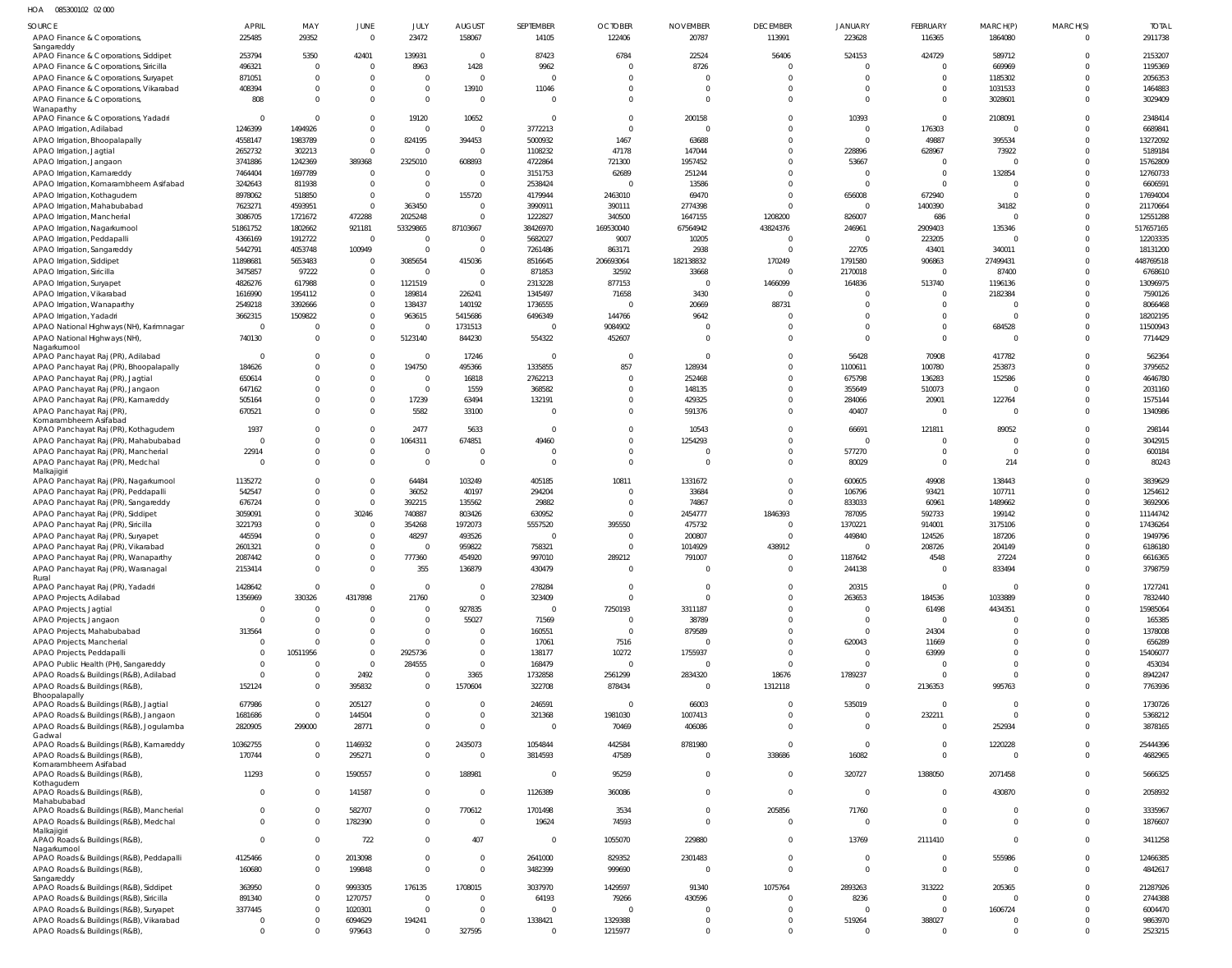HOA 085300102 02 000

| SOURCE                                                                          | APRIL                    | MAY                           | <b>JUNE</b>                | JULY               | <b>AUGUST</b>          | SEPTEMBER                 | <b>OCTOBER</b>             | <b>NOVEMBER</b>            | <b>DECEMBER</b>            | <b>JANUARY</b>             | FEBRUARY                | MARCH(P)                      | MARCH(S) | <b>TOTAL</b>         |
|---------------------------------------------------------------------------------|--------------------------|-------------------------------|----------------------------|--------------------|------------------------|---------------------------|----------------------------|----------------------------|----------------------------|----------------------------|-------------------------|-------------------------------|----------|----------------------|
| APAO Finance & Corporations,                                                    | 225485                   | 29352                         | $\Omega$                   | 23472              | 158067                 | 14105                     | 122406                     | 20787                      | 113991                     | 223628                     | 116365                  | 1864080                       | $\Omega$ | 2911738              |
| Sangareddy                                                                      |                          |                               |                            |                    |                        |                           |                            |                            |                            |                            |                         |                               |          |                      |
| APAO Finance & Corporations, Siddipet                                           | 253794                   | 5350                          | 42401                      | 139931             | $\mathbf{0}$           | 87423                     | 6784                       | 22524                      | 56406                      | 524153                     | 424729                  | 589712                        |          | 2153207              |
| APAO Finance & Corporations, Siricilla                                          | 496321                   | $\overline{0}$                | $\Omega$                   | 8963               | 1428                   | 9962                      | $\overline{0}$<br>$\Omega$ | 8726                       | $\mathbf 0$                | $\mathbf 0$                | $\Omega$<br>$\Omega$    | 669969                        |          | 1195369              |
| APAO Finance & Corporations, Suryapet<br>APAO Finance & Corporations, Vikarabad | 871051<br>408394         | $\overline{0}$<br>$\mathbf 0$ | $\overline{0}$<br>$\Omega$ | 0                  | $\mathbf{0}$<br>13910  | 11046                     | $\Omega$                   | $\Omega$                   | $\mathbf 0$<br>$\mathbf 0$ | $\mathbf 0$<br>$\mathbf 0$ | $\Omega$                | 1185302<br>1031533            |          | 2056353<br>1464883   |
| APAO Finance & Corporations,                                                    | 808                      | $\mathbf 0$                   | $\overline{0}$             | $\mathbf 0$        | $\mathbf 0$            |                           | $\Omega$                   | $\Omega$                   | $\mathbf 0$                | $\Omega$                   | $\Omega$                | 3028601                       |          | 3029409              |
| Wanaparthy                                                                      |                          |                               |                            |                    |                        |                           |                            |                            |                            |                            |                         |                               |          |                      |
| APAO Finance & Corporations, Yadadri                                            | $\overline{0}$           | $\overline{0}$                | $\Omega$                   | 19120              | 10652                  | $\Omega$                  | $\Omega$                   | 200158                     | $\mathbf 0$                | 10393                      | $\Omega$                | 2108091                       |          | 2348414              |
| APAO Irrigation, Adilabad                                                       | 1246399                  | 1494926                       | $\Omega$                   | $\Omega$           | $\mathbf{0}$           | 3772213                   | $\Omega$                   | $\Omega$                   | $\mathbf 0$                | $\mathbf 0$                | 176303                  | $\mathbf 0$                   |          | 6689841              |
| APAO Irrigation, Bhoopalapally                                                  | 4558147                  | 1983789                       | $\overline{0}$             | 824195             | 394453                 | 5000932                   | 1467                       | 63688                      | $\mathbf 0$                | $\mathbf 0$                | 49887                   | 395534                        |          | 13272092             |
| APAO Irrigation, Jagtial                                                        | 2652732                  | 302213                        | $\Omega$                   |                    | $\mathbf{0}$           | 1108232                   | 47178                      | 147044                     | $\mathbf 0$                | 228896                     | 628967                  | 73922                         |          | 5189184              |
| APAO Irrigation, Jangaon                                                        | 3741886                  | 1242369                       | 389368                     | 2325010            | 608893                 | 4722864                   | 721300                     | 1957452                    | $\Omega$                   | 53667                      | $\Omega$                | $\Omega$                      |          | 15762809             |
| APAO Irrigation, Kamareddy                                                      | 7464404                  | 1697789                       | $\overline{0}$             |                    | $\mathbf{0}$           | 3151753                   | 62689                      | 251244                     | $\mathbf 0$                | $\mathbf 0$                | $\mathbf{0}$            | 132854                        |          | 12760733             |
| APAO Irrigation, Komarambheem Asifabad                                          | 3242643                  | 811938                        | $\Omega$                   | $\Omega$           | $\mathbf{0}$           | 2538424                   | $\Omega$                   | 13586                      | $\mathbf{0}$               | $\mathbf 0$                | $\Omega$                | $\overline{0}$                |          | 6606591              |
| APAO Irrigation, Kothagudem                                                     | 8978062<br>7623271       | 518850<br>4593951             | $\overline{0}$<br>$\Omega$ | $\Omega$<br>363450 | 155720<br>$\mathbf{0}$ | 4179944<br>3990911        | 2463010<br>390111          | 69470<br>2774398           | $\mathbf 0$<br>$\mathbf 0$ | 656008<br>$\mathbf 0$      | 672940<br>1400390       | $\Omega$<br>34182             |          | 17694004<br>21170664 |
| APAO Irrigation, Mahabubabad<br>APAO Irrigation, Mancherial                     | 3086705                  | 1721672                       | 472288                     | 2025248            | $\mathbf 0$            | 1222827                   | 340500                     | 1647155                    | 1208200                    | 826007                     | 686                     | $\mathbf 0$                   |          | 12551288             |
| APAO Irrigation, Nagarkurnool                                                   | 51861752                 | 1802662                       | 921181                     | 53329865           | 87103667               | 38426970                  | 169530040                  | 67564942                   | 43824376                   | 246961                     | 2909403                 | 135346                        |          | 517657165            |
| APAO Irrigation, Peddapalli                                                     | 4366169                  | 1912722                       | $\Omega$                   | 0                  | $\mathbf 0$            | 5682027                   | 9007                       | 10205                      | $\mathbf 0$                | $\mathbf 0$                | 223205                  | $\Omega$                      |          | 12203335             |
| APAO Irrigation, Sangareddy                                                     | 5442791                  | 4053748                       | 100949                     | $\Omega$           | $\mathbf 0$            | 7261486                   | 863171                     | 2938                       | $\mathbf 0$                | 22705                      | 43401                   | 340011                        |          | 18131200             |
| APAO Irrigation, Siddipet                                                       | 11898681                 | 5653483                       | $\Omega$                   | 3085654            | 415036                 | 8516645                   | 206693064                  | 182138832                  | 170249                     | 1791580                    | 906863                  | 27499431                      |          | 448769518            |
| APAO Irrigation, Siricilla                                                      | 3475857                  | 97222                         | $\Omega$                   | $\Omega$           | $\mathbf{0}$           | 871853                    | 32592                      | 33668                      | $\mathbf 0$                | 2170018                    | $\overline{0}$          | 87400                         |          | 6768610              |
| APAO Irrigation, Suryapet                                                       | 4826276                  | 617988                        | $\overline{0}$             | 1121519            | $\mathbf 0$            | 2313228                   | 877153                     |                            | 1466099                    | 164836                     | 513740                  | 1196136                       |          | 13096975             |
| APAO Irrigation, Vikarabad                                                      | 1616990                  | 1954112                       | $\Omega$                   | 189814             | 226241                 | 1345497                   | 71658                      | 3430                       | $\mathbf 0$                | $\Omega$                   | $\Omega$                | 2182384                       |          | 7590126              |
| APAO Irrigation, Wanaparthy                                                     | 2549218                  | 3392666                       | $\Omega$                   | 138437             | 140192                 | 1736555                   | $\Omega$                   | 20669                      | 88731                      | $\Omega$                   | $\Omega$                | $\Omega$                      |          | 8066468              |
| APAO Irrigation, Yadadri                                                        | 3662315                  | 1509822                       | $\Omega$                   | 963615             | 5415686                | 6496349                   | 144766                     | 9642                       | $\mathbf 0$                | $\Omega$                   | $\Omega$                | $\overline{0}$                |          | 18202195             |
| APAO National Highways (NH), Karimnagar                                         | $\overline{0}$           | $\Omega$                      | $\overline{0}$             |                    | 1731513                | $\Omega$                  | 9084902                    |                            | $\mathbf 0$                | $\Omega$                   | $\Omega$                | 684528                        |          | 11500943             |
| APAO National Highways (NH),                                                    | 740130                   | $\overline{0}$                | $\Omega$                   | 5123140            | 844230                 | 554322                    | 452607                     | $\Omega$                   | $\mathbf 0$                | $\mathbf 0$                | $\mathbf 0$             | $\overline{0}$                |          | 7714429              |
| Nagarkurnool<br>APAO Panchayat Raj (PR), Adilabad                               | 0                        | $^{\circ}$                    | $\Omega$                   | $\Omega$           | 17246                  | $\Omega$                  | $\Omega$                   | $\Omega$                   | $\mathbf 0$                | 56428                      | 70908                   | 417782                        |          | 562364               |
| APAO Panchayat Raj (PR), Bhoopalapally                                          | 184626                   | $\mathbf 0$                   | $\Omega$                   | 194750             | 495366                 | 1335855                   | 857                        | 128934                     | $\mathbf 0$                | 1100611                    | 100780                  | 253873                        |          | 3795652              |
| APAO Panchayat Raj (PR), Jagtial                                                | 650614                   | -0                            | $\overline{0}$             | 0                  | 16818                  | 2762213                   | $\Omega$                   | 252468                     | $\mathbf 0$                | 675798                     | 136283                  | 152586                        |          | 4646780              |
| APAO Panchayat Raj (PR), Jangaon                                                | 647162                   | -0                            | $\Omega$                   | $\mathbf 0$        | 1559                   | 368582                    | $\Omega$                   | 148135                     | $\mathbf 0$                | 355649                     | 510073                  | $\Omega$                      |          | 2031160              |
| APAO Panchayat Raj (PR), Kamareddy                                              | 505164                   | -0                            | $\overline{0}$             | 17239              | 63494                  | 132191                    | $\Omega$                   | 429325                     | $\mathbf 0$                | 284066                     | 20901                   | 122764                        |          | 1575144              |
| APAO Panchayat Raj (PR),                                                        | 670521                   | -0                            | $\Omega$                   | 5582               | 33100                  |                           | $\Omega$                   | 591376                     | $\mathbf 0$                | 40407                      | $\mathbf{0}$            | $\overline{0}$                |          | 1340986              |
| Komarambheem Asifabad                                                           |                          |                               |                            |                    |                        |                           |                            |                            |                            |                            |                         |                               |          |                      |
| APAO Panchayat Raj (PR), Kothagudem                                             | 1937                     | $^{\circ}$                    | $\Omega$                   | 2477               | 5633                   | $\Omega$                  | $\Omega$                   | 10543                      | $\mathbf 0$                | 66691                      | 121811                  | 89052                         |          | 298144               |
| APAO Panchayat Raj (PR), Mahabubabad                                            | $\mathbf 0$              | $\mathbf 0$                   | $\Omega$                   | 1064311            | 674851                 | 49460                     | $\Omega$                   | 1254293                    | $\mathbf 0$                | $\mathbf 0$                | $\Omega$                | $\overline{0}$                |          | 3042915              |
| APAO Panchayat Raj (PR), Mancherial                                             | 22914                    | -0                            | $\overline{0}$             | 0                  | $\mathbf 0$            |                           | $\mathbf 0$                |                            | $\mathbf 0$                | 577270                     | $\mathbf{0}$            | $\overline{0}$                |          | 600184               |
| APAO Panchayat Raj (PR), Medchal<br>Malkajigiri                                 | $\mathbf 0$              | $^{\circ}$                    | $\Omega$                   | $\mathbf 0$        | $\mathbf 0$            | $\Omega$                  | $\Omega$                   | $\Omega$                   | $\mathbf 0$                | 80029                      | $\mathbf{0}$            | 214                           |          | 80243                |
| APAO Panchayat Raj (PR), Nagarkurnool                                           | 1135272                  | $^{\circ}$                    | $\Omega$                   | 64484              | 103249                 | 405185                    | 10811                      | 1331672                    | $\mathbf 0$                | 600605                     | 49908                   | 138443                        |          | 3839629              |
| APAO Panchayat Raj (PR), Peddapalli                                             | 542547                   | $\mathbf 0$                   | $\Omega$                   | 36052              | 40197                  | 294204                    | $\overline{0}$             | 33684                      | $\mathbf 0$                | 106796                     | 93421                   | 107711                        |          | 1254612              |
| APAO Panchayat Raj (PR), Sangareddy                                             | 676724                   | $^{\circ}$                    | $\Omega$                   | 392215             | 135562                 | 29882                     | $\overline{0}$             | 74867                      | $\mathbf 0$                | 833033                     | 60961                   | 1489662                       |          | 3692906              |
| APAO Panchayat Raj (PR), Siddipet                                               | 3059091                  | $\mathbf 0$                   | 30246                      | 740887             | 803426                 | 630952                    | $\overline{0}$             | 2454777                    | 1846393                    | 787095                     | 592733                  | 199142                        |          | 11144742             |
| APAO Panchayat Raj (PR), Siricilla                                              | 3221793                  | $^{\circ}$                    | $\overline{0}$             | 354268             | 1972073                | 5557520                   | 395550                     | 475732                     | $\mathbf 0$                | 1370221                    | 914001                  | 3175106                       |          | 17436264             |
| APAO Panchayat Raj (PR), Suryapet                                               | 445594                   | $\mathbf 0$                   | $\Omega$                   | 48297              | 493526                 | $\Omega$                  | $\Omega$                   | 200807                     | $\mathbf 0$                | 449840                     | 124526                  | 187206                        |          | 1949796              |
| APAO Panchayat Raj (PR), Vikarabad                                              | 2601321                  | $\Omega$                      | $\Omega$                   |                    | 959822                 | 758321                    | $\Omega$                   | 1014929                    | 438912                     | $\Omega$                   | 208726                  | 204149                        |          | 6186180              |
| APAO Panchayat Raj (PR), Wanaparthy                                             | 2087442                  | $\Omega$                      | $\Omega$                   | 777360             | 454920                 | 997010                    | 289212                     | 791007                     | $\mathbf 0$                | 1187642                    | 4548                    | 27224                         | $\Omega$ | 6616365              |
| APAO Panchayat Raj (PR), Waranagal<br>Rural                                     | 2153414                  | $\mathbf{0}$                  |                            | 355                | 136879                 | 430479                    |                            |                            | $\Omega$                   | 244138                     |                         | 833494                        |          | 3798759              |
| APAO Panchayat Raj (PR), Yadadri                                                | 1428642                  | $\overline{0}$                | $\Omega$                   | $\mathbf 0$        | $\mathbf{0}$           | 278284                    | $\Omega$                   | $\mathbf 0$                | $\mathbf 0$                | 20315                      | $\mathbf 0$             | $\overline{0}$                |          | 1727241              |
| APAO Projects, Adilabad                                                         | 1356969                  | 330326                        | 4317898                    | 21760              | $\mathbf{0}$           | 323409                    | $\Omega$                   | $\Omega$                   | $\mathbf 0$                | 263653                     | 184536                  | 1033889                       |          | 7832440              |
| APAO Projects, Jagtial                                                          | $\overline{0}$           | $\overline{0}$                | $\Omega$                   | $\mathbf 0$        | 927835                 | $\overline{0}$            | 7250193                    | 3311187                    | $\mathbf 0$                | $\mathbf 0$                | 61498                   | 4434351                       |          | 15985064             |
| APAO Projects, Jangaon                                                          | $\mathbf 0$              | $\overline{0}$                |                            | $\mathbf 0$        | 55027                  | 71569                     | $\overline{0}$             | 38789                      | $\mathbf{0}$               | $\mathbf 0$                | $\mathbf{0}$            | $\mathbf 0$                   |          | 165385               |
| APAO Projects, Mahabubabad                                                      | 313564                   | -0                            |                            | $\Omega$           | $\mathbf 0$            | 160551                    | $\overline{0}$             | 879589                     | $\mathbf{0}$               | $\mathbf 0$                | 24304                   | $\overline{0}$                |          | 1378008              |
| APAO Projects, Mancherial                                                       | $\mathbf 0$              | $\Omega$                      | $\overline{0}$             | $\Omega$           | $\mathbf 0$            | 17061                     | 7516                       | $\Omega$                   | $\mathbf 0$                | 620043                     | 11669                   | $\overline{0}$                |          | 656289               |
| APAO Projects, Peddapalli                                                       | $\overline{0}$           | 10511956                      | $\Omega$                   | 2925736            | $\mathbf{0}$           | 138177                    | 10272                      | 1755937                    | $\mathbf 0$                | $\mathbf 0$                | 63999                   | $^{\circ}$                    |          | 15406077             |
| APAO Public Health (PH), Sangareddy                                             | $^{\circ}$               | -0                            | $\overline{0}$             | 284555             | $\overline{0}$         | 168479                    | $\overline{0}$             | $\mathbf 0$                | $\mathbf 0$                | $\mathbf 0$                | $\Omega$                | $\overline{0}$                |          | 453034               |
| APAO Roads & Buildings (R&B), Adilabad                                          | $\overline{0}$<br>152124 | $\mathbf 0$<br>-0             | 2492<br>395832             | 0<br>0             | 3365<br>1570604        | 1732858<br>322708         | 2561299<br>878434          | 2834320<br>$\Omega$        | 18676<br>1312118           | 1789237<br>$\mathbf 0$     | $\mathbf{0}$<br>2136353 | $\overline{0}$<br>995763      |          | 8942247<br>7763936   |
| APAO Roads & Buildings (R&B),<br>Bhoopalapally                                  |                          |                               |                            |                    |                        |                           |                            |                            |                            |                            |                         |                               |          |                      |
| APAO Roads & Buildings (R&B), Jagtial                                           | 677986                   | $\overline{0}$                | 205127                     | 0                  | $\mathbf{0}$           | 246591                    | $\overline{0}$             | 66003                      | $\mathbf 0$                | 535019                     | $\mathbf{0}$            | $\overline{0}$                |          | 1730726              |
| APAO Roads & Buildings (R&B), Jangaon                                           | 1681686                  | $\overline{0}$                | 144504                     | 0                  | $\overline{0}$         | 321368                    | 1981030                    | 1007413                    | $\mathbf 0$                | $\mathbf 0$                | 232211                  | $\overline{0}$                |          | 5368212              |
| APAO Roads & Buildings (R&B), Jogulamba                                         | 2820905                  | 299000                        | 28771                      | 0                  | $\mathbf{0}$           | $\Omega$                  | 70469                      | 406086                     | $\mathbf 0$                | $\mathbf 0$                | $\mathbf{0}$            | 252934                        |          | 3878165              |
| Gadwal                                                                          | 10362755                 | $\overline{0}$                | 1146932                    | 0                  | 2435073                | 1054844                   | 442584                     | 8781980                    | $\mathbf 0$                | $\overline{0}$             | $\mathbf{0}$            | 1220228                       |          | 25444396             |
| APAO Roads & Buildings (R&B), Kamareddy<br>APAO Roads & Buildings (R&B),        | 170744                   | $\overline{0}$                | 295271                     | $\mathbf 0$        | $\mathbf{0}$           | 3814593                   | 47589                      | $\mathbf 0$                | 338686                     | 16082                      | $\mathbf 0$             | $\overline{0}$                | $\Omega$ | 4682965              |
| Komarambheem Asifabad                                                           |                          |                               |                            |                    |                        |                           |                            |                            |                            |                            |                         |                               |          |                      |
| APAO Roads & Buildings (R&B),                                                   | 11293                    | $\overline{0}$                | 1590557                    | 0                  | 188981                 | $\Omega$                  | 95259                      | 0                          | $\mathbf 0$                | 320727                     | 1388050                 | 2071458                       | $\Omega$ | 5666325              |
| Kothagudem                                                                      |                          |                               |                            |                    |                        |                           |                            |                            |                            |                            |                         |                               |          |                      |
| APAO Roads & Buildings (R&B),<br>Mahabubabad                                    | $\mathbf 0$              | $\overline{0}$                | 141587                     | $\mathbf 0$        | $\mathbf{0}$           | 1126389                   | 360086                     | $\mathbf 0$                | $\mathbf 0$                | $\overline{0}$             | $\mathbf{0}$            | 430870                        | $\Omega$ | 2058932              |
| APAO Roads & Buildings (R&B), Mancherial                                        | $\mathbf 0$              | $^{\circ}$                    | 582707                     | 0                  | 770612                 | 1701498                   | 3534                       | 0                          | 205856                     | 71760                      | $\mathbf{0}$            | $\mathbf 0$                   | $\Omega$ | 3335967              |
| APAO Roads & Buildings (R&B), Medchal                                           | $\mathbf 0$              | $\overline{0}$                | 1782390                    | $\mathbf 0$        | $\mathbf 0$            | 19624                     | 74593                      | $\mathbf 0$                | $\mathbf 0$                | $\mathbf 0$                | $\Omega$                | $\overline{0}$                | $\Omega$ | 1876607              |
| Malkajigiri                                                                     |                          |                               |                            |                    |                        |                           |                            |                            |                            |                            |                         |                               |          |                      |
| APAO Roads & Buildings (R&B),                                                   | $\mathbf 0$              | $\overline{0}$                | 722                        | 0                  | 407                    | $\Omega$                  | 1055070                    | 229880                     | $\mathbf 0$                | 13769                      | 2111410                 | $\overline{0}$                | $\Omega$ | 3411258              |
| Nagarkurnool<br>APAO Roads & Buildings (R&B), Peddapalli                        | 4125466                  | 0                             | 2013098                    | $\mathbf 0$        | $\mathbf{0}$           | 2641000                   | 829352                     | 2301483                    | $\mathbf 0$                | $\mathbf 0$                | $\Omega$                | 555986                        | $\Omega$ | 12466385             |
| APAO Roads & Buildings (R&B),                                                   | 160680                   | $\mathbf 0$                   | 199848                     | $\mathbf 0$        | $\mathbf 0$            | 3482399                   | 999690                     | $\mathbf 0$                | $\mathbf 0$                | $\mathbf 0$                | $\Omega$                | $\Omega$                      | $\Omega$ | 4842617              |
| Sangareddy                                                                      |                          |                               |                            |                    |                        |                           |                            |                            |                            |                            |                         |                               |          |                      |
| APAO Roads & Buildings (R&B), Siddipet                                          | 363950                   | $\mathbf 0$                   | 9993305                    | 176135             | 1708015                | 3037970                   | 1429597                    | 91340                      | 1075764                    | 2893263                    | 313222                  | 205365                        |          | 21287926             |
| APAO Roads & Buildings (R&B), Siricilla                                         | 891340                   | $\mathbf 0$                   | 1270757                    | $\mathbf 0$        | 0                      | 64193                     | 79266                      | 430596                     | $^{\circ}$                 | 8236                       | $\Omega$                | $^{\circ}$                    |          | 2744388              |
| APAO Roads & Buildings (R&B), Suryapet                                          | 3377445                  | $\mathbf 0$                   | 1020301                    | $\mathbf 0$        | $\mathbf{0}$           | $\overline{0}$            | $\mathbf 0$                | $\Omega$                   | $\mathbf 0$                | $\mathbf 0$                | $\mathbf{0}$            | 1606724                       |          | 6004470              |
| APAO Roads & Buildings (R&B), Vikarabad                                         | 0<br>$\mathbf 0$         | 0<br>$\mathbf 0$              | 6094629                    | 194241<br>0        | $\mathbf{0}$           | 1338421<br>$\overline{0}$ | 1329388                    | $\mathbf 0$<br>$\mathbf 0$ | $\mathbf 0$<br>$\mathbf 0$ | 519264<br>$\mathbf 0$      | 388027<br>$\Omega$      | $\mathbf 0$<br>$\overline{0}$ | $\Omega$ | 9863970              |
| APAO Roads & Buildings (R&B),                                                   |                          |                               | 979643                     |                    | 327595                 |                           | 1215977                    |                            |                            |                            |                         |                               |          | 2523215              |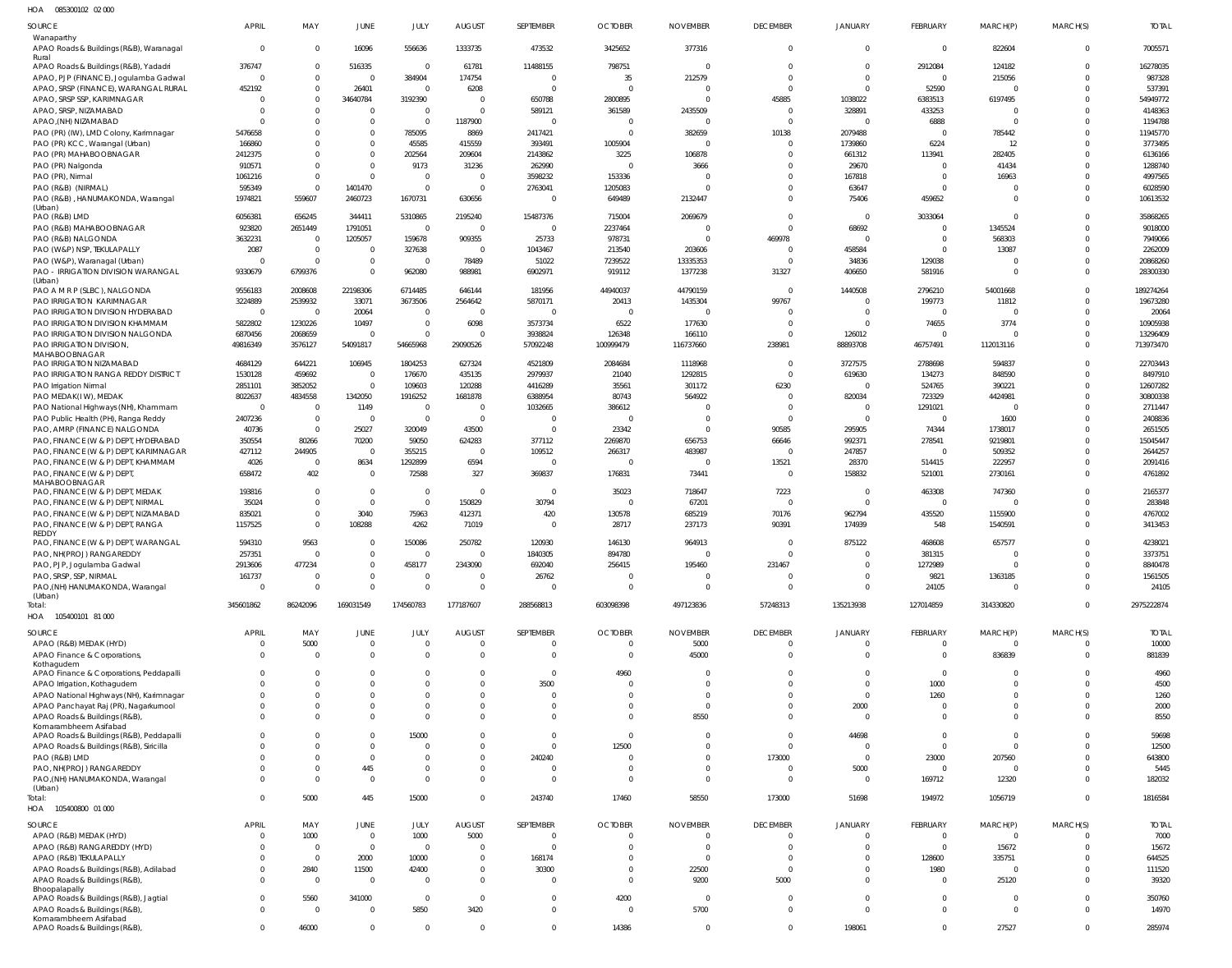085300102 02 000 HOA

| <b>SOURCE</b>                                                               | <b>APRIL</b>               | MAY                        | <b>JUNE</b>                   | JULY                         | <b>AUGUST</b>              | SEPTEMBER                   | <b>OCTOBER</b>                   | <b>NOVEMBER</b>                  | <b>DECEMBER</b>             | <b>JANUARY</b>             | FEBRUARY                       | MARCH(P)                   | MARCH(S)             | <b>TOTAL</b>          |
|-----------------------------------------------------------------------------|----------------------------|----------------------------|-------------------------------|------------------------------|----------------------------|-----------------------------|----------------------------------|----------------------------------|-----------------------------|----------------------------|--------------------------------|----------------------------|----------------------|-----------------------|
| Wanaparthy<br>APAO Roads & Buildings (R&B), Waranagal<br>Rural              | $\Omega$                   | $\mathbf 0$                | 16096                         | 556636                       | 1333735                    | 473532                      | 3425652                          | 377316                           | $\mathbf{0}$                | $\mathbf{0}$               | $\overline{0}$                 | 822604                     | $\overline{0}$       | 7005571               |
| APAO Roads & Buildings (R&B), Yadadri                                       | 376747                     | $\mathbf 0$                | 516335                        | $\overline{0}$               | 61781                      | 11488155                    | 798751                           | - 0                              | $\Omega$                    | $\overline{0}$             | 2912084                        | 124182                     | $\Omega$             | 16278035              |
| APAO, PJP (FINANCE), Jogulamba Gadwal                                       | $\Omega$                   | $\mathbf 0$                | $\mathbf{0}$                  | 384904                       | 174754                     | $\overline{0}$              | 35                               | 212579                           | $\Omega$                    | $\Omega$                   | $\overline{0}$                 | 215056                     | $\Omega$             | 987328                |
| APAO, SRSP (FINANCE), WARANGAL RURAL<br>APAO, SRSP SSP, KARIMNAGAR          | 452192<br>$\Omega$         | $\mathbf 0$<br>$\mathbf 0$ | 26401<br>34640784             | $\Omega$<br>3192390          | 6208<br>$\overline{0}$     | 0<br>650788                 | $\overline{0}$<br>2800895        | $\Omega$<br>$\Omega$             | $\Omega$<br>45885           | $\Omega$<br>1038022        | 52590<br>6383513               | $\Omega$<br>6197495        | $\Omega$<br>$\Omega$ | 537391<br>54949772    |
| APAO, SRSP, NIZAMABAD                                                       | $\Omega$                   | $\Omega$                   | $\mathbf 0$                   | $\Omega$                     | $\overline{0}$             | 589121                      | 361589                           | 2435509                          | $\Omega$                    | 328891                     | 433253                         | $\Omega$                   | $\Omega$             | 4148363               |
| APAO, (NH) NIZAMABAD                                                        | $\Omega$                   | $\Omega$                   | $\mathbf 0$                   | $\Omega$                     | 1187900                    | $\Omega$                    | 0                                | $\Omega$                         | $\Omega$                    | $\Omega$                   | 6888                           | $\Omega$                   | $\Omega$             | 1194788               |
| PAO (PR) (IW), LMD Colony, Karimnagar                                       | 5476658                    | $\Omega$                   | $\mathbf 0$                   | 785095                       | 8869                       | 2417421                     | $\overline{0}$                   | 382659                           | 10138                       | 2079488                    | $\mathbf 0$                    | 785442                     | $\Omega$             | 11945770              |
| PAO (PR) KCC, Warangal (Urban)                                              | 166860                     | $\Omega$                   | $\mathbf 0$                   | 45585                        | 415559                     | 393491                      | 1005904                          | $\Omega$                         | $\Omega$                    | 1739860                    | 6224                           | 12                         | $\Omega$             | 3773495               |
| PAO (PR) MAHABOOBNAGAR<br>PAO (PR) Nalgonda                                 | 2412375<br>910571          | $\Omega$<br>$\Omega$       | $\mathbf{0}$<br>$\mathbf 0$   | 202564<br>9173               | 209604<br>31236            | 2143862<br>262990           | 3225<br>$\Omega$                 | 106878<br>3666                   | $\Omega$<br>$\Omega$        | 661312<br>29670            | 113941<br>$\mathbf 0$          | 282405<br>41434            | $\Omega$<br>$\Omega$ | 6136166<br>1288740    |
| PAO (PR), Nirmal                                                            | 1061216                    | $\mathbf 0$                | $\mathbf 0$                   | $\Omega$                     | $\overline{0}$             | 3598232                     | 153336                           | $\Omega$                         | $\Omega$                    | 167818                     | $\mathbf 0$                    | 16963                      | $\Omega$             | 4997565               |
| PAO (R&B) (NIRMAL)                                                          | 595349                     | $\Omega$                   | 1401470                       | $\Omega$                     | $\overline{0}$             | 2763041                     | 1205083                          | $\Omega$                         | $\Omega$                    | 63647                      | $\mathbf 0$                    |                            | $\Omega$             | 6028590               |
| PAO (R&B), HANUMAKONDA, Warangal<br>(Urban)                                 | 1974821                    | 559607                     | 2460723                       | 1670731                      | 630656                     | 0                           | 649489                           | 2132447                          | $\Omega$                    | 75406                      | 459652                         | $\Omega$                   | $\Omega$             | 10613532              |
| PAO (R&B) LMD                                                               | 6056381                    | 656245                     | 344411                        | 5310865                      | 2195240                    | 15487376                    | 715004                           | 2069679                          | $\Omega$                    | $\overline{0}$             | 3033064                        | $\Omega$                   | $\Omega$             | 35868265              |
| PAO (R&B) MAHABOOBNAGAR                                                     | 923820                     | 2651449                    | 1791051                       | $\mathbf 0$                  | $\overline{0}$             | $\mathbf 0$                 | 2237464                          | $\Omega$                         | $\Omega$                    | 68692                      | $\mathbf 0$                    | 1345524                    | $\Omega$             | 9018000               |
| PAO (R&B) NALGONDA                                                          | 3632231                    | $^{\circ}$                 | 1205057                       | 159678                       | 909355                     | 25733                       | 978731                           | $\Omega$                         | 469978                      | $\Omega$                   | $\mathbf 0$                    | 568303                     | $\Omega$             | 7949066               |
| PAO (W&P) NSP, TEKULAPALLY<br>PAO (W&P), Waranagal (Urban)                  | 2087<br>$\Omega$           | $\overline{0}$<br>$\Omega$ | $\mathbf{0}$<br>$\mathbf 0$   | 327638<br>$\Omega$           | $\overline{0}$<br>78489    | 1043467<br>51022            | 213540<br>7239522                | 203606<br>13335353               | $\Omega$<br>$\Omega$        | 458584<br>34836            | $\mathbf 0$<br>129038          | 13087                      | $\Omega$<br>$\Omega$ | 2262009<br>20868260   |
| PAO - IRRIGATION DIVISION WARANGAL                                          | 9330679                    | 6799376                    | $\mathbf 0$                   | 962080                       | 988981                     | 6902971                     | 919112                           | 1377238                          | 31327                       | 406650                     | 581916                         | $\Omega$                   | $\Omega$             | 28300330              |
| (Urban)                                                                     |                            |                            |                               |                              |                            |                             |                                  |                                  | $\Omega$                    |                            |                                |                            | $\Omega$             |                       |
| PAO A M R P (SLBC), NALGONDA<br><b>PAO IRRIGATION KARIMNAGAR</b>            | 9556183<br>3224889         | 2008608<br>2539932         | 22198306<br>33071             | 6714485<br>3673506           | 646144<br>2564642          | 181956<br>5870171           | 44940037<br>20413                | 44790159<br>1435304              | 99767                       | 1440508<br>$\Omega$        | 2796210<br>199773              | 54001668<br>11812          | $\Omega$             | 189274264<br>19673280 |
| PAO IRRIGATION DIVISION HYDERABAD                                           | $\overline{0}$             | $\overline{0}$             | 20064                         | $\Omega$                     | $\overline{0}$             | $\overline{0}$              | $\overline{0}$                   | $\Omega$                         | $\Omega$                    | $\Omega$                   | $\overline{0}$                 |                            | $\Omega$             | 20064                 |
| PAO IRRIGATION DIVISION KHAMMAM                                             | 5822802                    | 1230226                    | 10497                         | $\Omega$                     | 6098                       | 3573734                     | 6522                             | 177630                           | $\Omega$                    | $\Omega$                   | 74655                          | 3774                       | $\mathbf 0$          | 10905938              |
| PAO IRRIGATION DIVISION NALGONDA                                            | 6870456                    | 2068659                    | $\mathbf 0$                   | $\Omega$                     | $\overline{0}$             | 3938824                     | 126348                           | 166110                           | $\Omega$                    | 126012                     | $\mathbf 0$                    |                            | $\Omega$             | 13296409              |
| <b>PAO IRRIGATION DIVISION.</b><br>MAHABOOBNAGAR                            | 49816349                   | 3576127                    | 54091817                      | 54665968                     | 29090526                   | 57092248                    | 100999479                        | 116737660                        | 238981                      | 88893708                   | 46757491                       | 112013116                  | $\mathbf 0$          | 713973470             |
| PAO IRRIGATION NIZAMABAD                                                    | 4684129                    | 644221                     | 106945                        | 1804253                      | 627324                     | 4521809                     | 2084684                          | 1118968                          | $\Omega$                    | 3727575                    | 2788698                        | 594837                     | $\Omega$             | 22703443              |
| PAO IRRIGATION RANGA REDDY DISTRICT                                         | 1530128                    | 459692                     | $\mathbf 0$                   | 176670                       | 435135                     | 2979937                     | 21040                            | 1292815                          | $\Omega$                    | 619630                     | 134273                         | 848590                     | $\Omega$             | 8497910               |
| PAO Irrigation Nirmal<br>PAO MEDAK(IW), MEDAK                               | 2851101<br>8022637         | 3852052<br>4834558         | $\mathbf{0}$<br>1342050       | 109603<br>1916252            | 120288<br>1681878          | 4416289<br>6388954          | 35561<br>80743                   | 301172<br>564922                 | 6230<br>$\Omega$            | $\Omega$<br>820034         | 524765<br>723329               | 390221<br>4424981          | $\Omega$<br>$\Omega$ | 12607282<br>30800338  |
| PAO National Highways (NH), Khammam                                         | $\Omega$                   | $\overline{0}$             | 1149                          | $\Omega$                     | $\overline{0}$             | 1032665                     | 386612                           | $\Omega$                         | $\Omega$                    | $\mathbf{0}$               | 1291021                        | $\Omega$                   | $\Omega$             | 2711447               |
| PAO Public Health (PH), Ranga Reddy                                         | 2407236                    | $\overline{0}$             | $\mathbf{0}$                  | $\overline{0}$               | $\overline{0}$             | 0                           | $\overline{0}$                   | - 0                              | $\Omega$                    | $\mathbf 0$                | $\overline{0}$                 | 1600                       | $\Omega$             | 2408836               |
| PAO, AMRP (FINANCE) NALGONDA                                                | 40736                      | $\overline{0}$             | 25027                         | 320049                       | 43500                      | $\mathbf 0$                 | 23342                            | $\mathbf 0$                      | 90585                       | 295905                     | 74344                          | 1738017                    | $\Omega$             | 2651505               |
| PAO, FINANCE (W & P) DEPT, HYDERABAD                                        | 350554                     | 80266                      | 70200                         | 59050                        | 624283                     | 377112                      | 2269870                          | 656753                           | 66646                       | 992371                     | 278541                         | 9219801                    | $\Omega$             | 15045447              |
| PAO, FINANCE (W & P) DEPT, KARIMNAGAR<br>PAO, FINANCE (W & P) DEPT, KHAMMAM | 427112<br>4026             | 244905<br>$\overline{0}$   | $\mathbf 0$<br>8634           | 355215<br>1292899            | $\overline{0}$<br>6594     | 109512<br>$\overline{0}$    | 266317<br>$\overline{0}$         | 483987<br>$\mathbf 0$            | $\Omega$<br>13521           | 247857<br>28370            | $\overline{0}$<br>514415       | 509352<br>222957           | $\Omega$<br>$\Omega$ | 2644257<br>2091416    |
| PAO, FINANCE (W & P) DEPT,                                                  | 658472                     | 402                        | $\mathbf 0$                   | 72588                        | 327                        | 369837                      | 176831                           | 73441                            | $\mathbf{0}$                | 158832                     | 521001                         | 2730161                    | $\Omega$             | 4761892               |
| MAHABOOBNAGAR                                                               |                            |                            |                               |                              |                            |                             |                                  |                                  |                             |                            |                                |                            |                      |                       |
| PAO, FINANCE (W & P) DEPT, MEDAK<br>PAO, FINANCE (W & P) DEPT, NIRMAL       | 193816<br>35024            | $\mathbf 0$<br>$\Omega$    | $\overline{0}$<br>$\mathbf 0$ | $\mathbf{0}$<br>$\mathbf{0}$ | $\overline{0}$<br>150829   | - 0<br>30794                | 35023<br>$\overline{0}$          | 718647<br>67201                  | 7223<br>$\Omega$            | $\overline{0}$<br>$\Omega$ | 463308<br>$\overline{0}$       | 747360<br>$\Omega$         | $\Omega$<br>$\Omega$ | 2165377<br>283848     |
| PAO, FINANCE (W & P) DEPT, NIZAMABAD                                        | 835021                     | $\mathbf 0$                | 3040                          | 75963                        | 412371                     | 420                         | 130578                           | 685219                           | 70176                       | 962794                     | 435520                         | 1155900                    | $\Omega$             | 4767002               |
| PAO, FINANCE (W & P) DEPT, RANGA                                            | 1157525                    | $\mathbf 0$                | 108288                        | 4262                         | 71019                      | 0                           | 28717                            | 237173                           | 90391                       | 174939                     | 548                            | 1540591                    | $\Omega$             | 3413453               |
| REDDY<br>PAO, FINANCE (W & P) DEPT, WARANGAL                                | 594310                     | 9563                       | $\mathbf 0$                   | 150086                       | 250782                     | 120930                      | 146130                           | 964913                           | $\overline{0}$              | 875122                     | 468608                         | 657577                     |                      | 4238021               |
| PAO, NH(PROJ) RANGAREDDY                                                    | 257351                     | $\Omega$                   | $\mathbf 0$                   | $\Omega$                     | $\Omega$                   | 1840305                     | 894780                           | $\Omega$                         | $\Omega$                    | $\Omega$                   | 381315                         | $\Omega$                   | $\Omega$             | 3373751               |
| PAO, PJP, Jogulamba Gadwal                                                  | 2913606                    | 477234                     | 0                             | 458177                       | 2343090                    | 692040                      | 256415                           | 195460                           | 231467                      |                            | 1272989                        |                            |                      | 8840478               |
| PAO, SRSP, SSP, NIRMAL<br>PAO, (NH) HANUMAKONDA, Warangal                   | 161737<br>$\Omega$         | $\mathbf 0$<br>$\Omega$    | $\mathbf 0$<br>$\mathbf{0}$   | $\Omega$<br>$\Omega$         | $\overline{0}$<br>$\Omega$ | 26762<br>$\Omega$           | $\overline{0}$<br>$\Omega$       | 0<br>$\Omega$                    | $\Omega$<br>$\Omega$        | $\Omega$<br>$\Omega$       | 9821<br>24105                  | 1363185<br>$\Omega$        | $\Omega$<br>$\Omega$ | 1561505<br>24105      |
| (Urban)                                                                     |                            |                            |                               |                              |                            |                             |                                  |                                  |                             |                            |                                |                            |                      |                       |
| Total:                                                                      | 345601862                  | 86242096                   | 169031549                     | 174560783                    | 177187607                  | 288568813                   | 603098398                        | 497123836                        | 57248313                    | 135213938                  | 127014859                      | 314330820                  | $\Omega$             | 2975222874            |
| HOA  105400101  81 000                                                      |                            |                            |                               |                              |                            |                             |                                  |                                  |                             |                            |                                |                            |                      |                       |
| SOURCE<br>APAO (R&B) MEDAK (HYD)                                            | <b>APRIL</b><br>$^{\circ}$ | MAY<br>5000                | JUNE<br>$\mathbf{0}$          | JULY<br>$\Omega$             | AUGUST<br>$\overline{0}$   | SEPTEMBER<br>$\overline{0}$ | <b>OCTOBER</b><br>$\overline{0}$ | <b>NOVEMBER</b><br>5000          | <b>DECEMBER</b><br>$\Omega$ | JANUARY<br>$\mathbf 0$     | FEBRUARY<br>$\mathbf 0$        | MARCH(P)<br>$\overline{0}$ | MARCH(S)<br>$\Omega$ | <b>TOTAL</b><br>10000 |
| APAO Finance & Corporations,                                                | $\Omega$                   | $\Omega$                   | $\mathbf 0$                   | $\Omega$                     | $\overline{0}$             | $\mathbf{0}$                | $\Omega$                         | 45000                            | $\Omega$                    | $\Omega$                   | $\Omega$                       | 836839                     | $\Omega$             | 881839                |
| Kothagudem                                                                  |                            |                            |                               |                              |                            |                             |                                  |                                  |                             |                            |                                |                            |                      |                       |
| APAO Finance & Corporations, Peddapalli                                     | $\Omega$<br>$\Omega$       | $\Omega$<br>$\Omega$       | $\Omega$<br>$\mathbf 0$       | $\Omega$<br>$\Omega$         | $\Omega$<br>$\overline{0}$ | $\mathbf{0}$<br>3500        | 4960<br>$\Omega$                 | $\Omega$<br>$\Omega$             | $\Omega$<br>$\Omega$        | $\Omega$<br>$\Omega$       | $\overline{0}$<br>1000         | $\Omega$<br>$\Omega$       | $\cup$               | 4960<br>4500          |
| APAO Irrigation, Kothagudem<br>APAO National Highways (NH), Karimnagar      |                            | $\Omega$                   | $\mathbf 0$                   | $\Omega$                     | $\Omega$                   | $\overline{0}$              | $\Omega$                         | $\overline{0}$                   | $\Omega$                    | $\Omega$                   | 1260                           | $\Omega$                   | $\Omega$             | 1260                  |
| APAO Panchayat Raj (PR), Nagarkurnool                                       |                            | $\Omega$                   | $\mathbf 0$                   | $\Omega$                     | $\Omega$                   | $\Omega$                    | $\Omega$                         | $\overline{0}$                   | $\Omega$                    | 2000                       | $\mathbf 0$                    | $\Omega$                   |                      | 2000                  |
| APAO Roads & Buildings (R&B),                                               |                            | $\Omega$                   | $\Omega$                      | $\Omega$                     | $\Omega$                   | $\Omega$                    | $\Omega$                         | 8550                             | $\Omega$                    | $\mathbf{0}$               | $\Omega$                       | $\Omega$                   | $\Omega$             | 8550                  |
| Komarambheem Asifabad<br>APAO Roads & Buildings (R&B), Peddapalli           | $\Omega$                   | $\Omega$                   | $\mathbf 0$                   | 15000                        | $\mathbf{0}$               | $\mathbf{0}$                | $\mathbf{0}$                     | $\mathbf 0$                      | $\Omega$                    | 44698                      | $\mathbf{0}$                   | $\overline{0}$             |                      | 59698                 |
| APAO Roads & Buildings (R&B), Siricilla                                     | $\Omega$                   | $\Omega$                   | $\mathbf{0}$                  | $\Omega$                     | $\overline{0}$             | $\mathbf{0}$                | 12500                            | $\mathbf 0$                      | $\Omega$                    | $\mathbf 0$                | $\mathbf 0$                    | $\Omega$                   | $\Omega$             | 12500                 |
| PAO (R&B) LMD                                                               |                            | $\Omega$                   | $\mathbf{0}$                  | $\Omega$                     | $\overline{0}$             | 240240                      | $\overline{0}$                   | $\mathbf 0$                      | 173000                      | $\overline{0}$             | 23000                          | 207560                     | $\Omega$             | 643800                |
| PAO, NH(PROJ) RANGAREDDY<br>PAO,(NH) HANUMAKONDA, Warangal                  | $\Omega$                   | $\Omega$<br>$\Omega$       | 445<br>$\mathbf{0}$           | $\Omega$<br>$\Omega$         | $\mathbf{0}$<br>$\Omega$   | $\overline{0}$<br>$\Omega$  | 0<br>$\Omega$                    | $\overline{0}$<br>$\overline{0}$ | $\Omega$<br>$\Omega$        | 5000<br>$\mathbf 0$        | $\mathbf{0}$<br>169712         | $\overline{0}$<br>12320    | $\Omega$<br>$\Omega$ | 5445<br>182032        |
| (Urban)                                                                     |                            |                            |                               |                              |                            |                             |                                  |                                  |                             |                            |                                |                            |                      |                       |
| Total:                                                                      | $\Omega$                   | 5000                       | 445                           | 15000                        | $\Omega$                   | 243740                      | 17460                            | 58550                            | 173000                      | 51698                      | 194972                         | 1056719                    | $\Omega$             | 1816584               |
| HOA  105400800  01 000                                                      |                            |                            |                               |                              |                            |                             |                                  |                                  |                             |                            |                                |                            |                      |                       |
| SOURCE                                                                      | <b>APRIL</b>               | MAY                        | JUNE                          | JULY                         | AUGUST                     | SEPTEMBER                   | <b>OCTOBER</b>                   | <b>NOVEMBER</b>                  | <b>DECEMBER</b>             | <b>JANUARY</b>             | FEBRUARY                       | MARCH(P)                   | MARCH(S)             | <b>TOTAL</b>          |
| APAO (R&B) MEDAK (HYD)<br>APAO (R&B) RANGAREDDY (HYD)                       | $\mathbf 0$<br>$\Omega$    | 1000<br>$\overline{0}$     | $\mathbf 0$<br>$\mathbf{0}$   | 1000<br>$\Omega$             | 5000<br>$\overline{0}$     | $\overline{0}$<br>0         | $\overline{0}$<br>$\mathbf{0}$   | $\mathbf 0$<br>$\mathbf 0$       | $\Omega$<br>$\Omega$        | $\Omega$<br>$\Omega$       | $\overline{0}$<br>$\mathbf{0}$ | $\overline{0}$<br>15672    | $\Omega$<br>$\Omega$ | 7000<br>15672         |
| APAO (R&B) TEKULAPALLY                                                      | $\Omega$                   | $\mathbf 0$                | 2000                          | 10000                        | $\overline{0}$             | 168174                      | $\Omega$                         | $\overline{0}$                   | $\Omega$                    | $\mathbf{0}$               | 128600                         | 335751                     | $\Omega$             | 644525                |
| APAO Roads & Buildings (R&B), Adilabad                                      | $\Omega$                   | 2840                       | 11500                         | 42400                        | $\overline{0}$             | 30300                       | $\Omega$                         | 22500                            | $\Omega$                    | $\Omega$                   | 1980                           | $\Omega$                   | $\Omega$             | 111520                |
| APAO Roads & Buildings (R&B),                                               | $\Omega$                   | $\mathbf 0$                | $\mathbf 0$                   | $\Omega$                     | $\overline{0}$             | $\overline{0}$              | $\Omega$                         | 9200                             | 5000                        | $\Omega$                   | $\overline{0}$                 | 25120                      | $\Omega$             | 39320                 |
| Bhoopalapally<br>APAO Roads & Buildings (R&B), Jagtial                      | $\Omega$                   | 5560                       | 341000                        | $\Omega$                     | $\overline{0}$             | $\overline{0}$              | 4200                             | $\overline{0}$                   | $\Omega$                    | $\Omega$                   | $\mathbf 0$                    | $\overline{0}$             | $\Omega$             | 350760                |
| APAO Roads & Buildings (R&B),                                               | $\Omega$                   | $\Omega$                   | $\mathbf 0$                   | 5850                         | 3420                       | $\mathbf 0$                 | $\overline{0}$                   | 5700                             | $\Omega$                    | $\Omega$                   | $\Omega$                       | $\Omega$                   | $\Omega$             | 14970                 |
| Komarambheem Asifabad<br>APAO Roads & Buildings (R&B),                      | $\mathbf 0$                | 46000                      | $\mathbf{0}$                  | $\Omega$                     | $\overline{0}$             | $\overline{0}$              | 14386                            | $\mathbf 0$                      | $\Omega$                    | 198061                     | $\mathbf 0$                    | 27527                      | $\mathbf{0}$         | 285974                |
|                                                                             |                            |                            |                               |                              |                            |                             |                                  |                                  |                             |                            |                                |                            |                      |                       |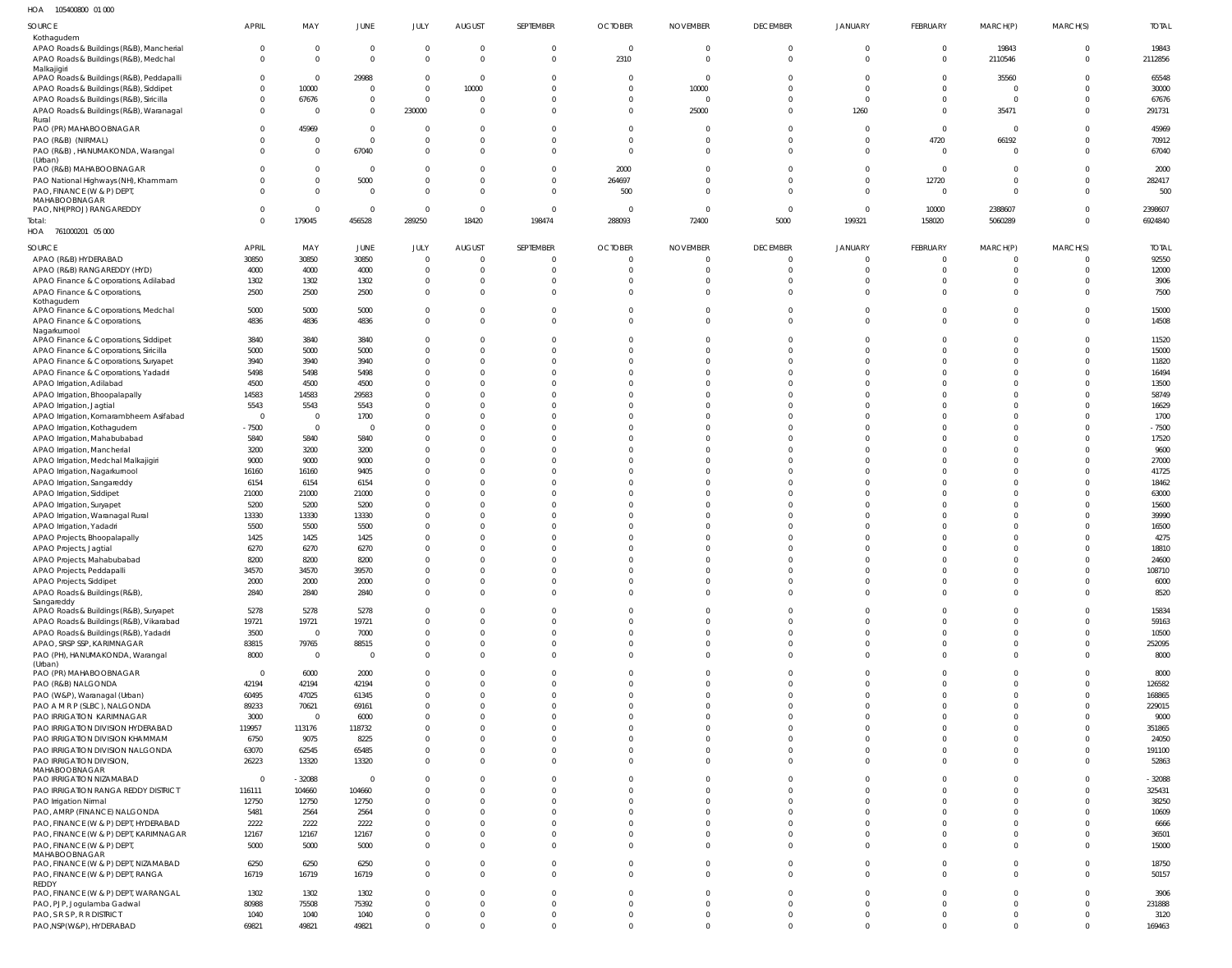105400800 01 000 HOA

| SOURCE                                                                             | <b>APRIL</b>               | MAY                        | JUNE                        | JULY                    | <b>AUGUST</b>                             | SEPTEMBER                     | <b>OCTOBER</b>             | <b>NOVEMBER</b>            | <b>DECEMBER</b>                   | <b>JANUARY</b>                   | FEBRUARY                         | MARCH(P)                         | MARCH(S)                   | <b>TOTAL</b>          |
|------------------------------------------------------------------------------------|----------------------------|----------------------------|-----------------------------|-------------------------|-------------------------------------------|-------------------------------|----------------------------|----------------------------|-----------------------------------|----------------------------------|----------------------------------|----------------------------------|----------------------------|-----------------------|
| Kothagudem                                                                         |                            |                            |                             |                         |                                           |                               |                            |                            |                                   |                                  |                                  |                                  |                            |                       |
| APAO Roads & Buildings (R&B), Mancherial<br>APAO Roads & Buildings (R&B), Medchal  | $\overline{0}$<br>$\Omega$ | $\Omega$<br>$\mathbf 0$    | $\mathbf 0$<br>$\mathbf{0}$ | $\Omega$<br>$\Omega$    | $\overline{\mathbf{0}}$<br>$\overline{0}$ | $\overline{0}$<br>$\mathbf 0$ | $\overline{0}$<br>2310     | $\circ$<br>$\overline{0}$  | $\overline{0}$<br>$\Omega$        | $\overline{0}$<br>$\overline{0}$ | $\overline{0}$<br>$\overline{0}$ | 19843<br>2110546                 | $\mathbf 0$<br>$\mathbf 0$ | 19843<br>2112856      |
| Malkajigiri                                                                        |                            |                            |                             |                         |                                           |                               |                            |                            |                                   |                                  |                                  |                                  |                            |                       |
| APAO Roads & Buildings (R&B), Peddapalli<br>APAO Roads & Buildings (R&B), Siddipet | $\Omega$<br>$\Omega$       | $\mathbf 0$<br>10000       | 29988<br>$\mathbf{0}$       | $\Omega$<br>$\Omega$    | $\overline{\mathbf{0}}$<br>10000          | $\mathbf 0$<br>$\Omega$       | $\overline{0}$<br>$\Omega$ | $\overline{0}$<br>10000    | $\Omega$<br>$\Omega$              | $\Omega$<br>$\Omega$             | $\overline{0}$<br>$\overline{0}$ | 35560<br>$\overline{0}$          | $\Omega$<br>$\Omega$       | 65548<br>30000        |
| APAO Roads & Buildings (R&B), Siricilla                                            | $\Omega$                   | 67676                      | $\mathbf 0$                 | $\Omega$                | $\overline{\mathbf{0}}$                   | $\Omega$                      | $\Omega$                   | $\Omega$                   | $\Omega$                          | $\Omega$                         | $\overline{0}$                   | 0                                | $\Omega$                   | 67676                 |
| APAO Roads & Buildings (R&B), Waranagal                                            | $\Omega$                   | $\Omega$                   | $\mathbf{0}$                | 230000                  | $\overline{0}$                            | $\Omega$                      | $\Omega$                   | 25000                      | $\Omega$                          | 1260                             | $\overline{0}$                   | 35471                            | $\Omega$                   | 291731                |
| Rural<br>PAO (PR) MAHABOOBNAGAR                                                    | $\Omega$                   | 45969                      | $\mathbf 0$                 | $\Omega$                | $\overline{0}$                            | $\Omega$                      | $\Omega$                   | $\Omega$                   | $\Omega$                          | $\overline{0}$                   | $\overline{0}$                   | $\overline{0}$                   | $\Omega$                   | 45969                 |
| PAO (R&B) (NIRMAL)                                                                 | <sup>0</sup>               | 0                          | $\mathbf 0$                 | $\Omega$                | $\overline{0}$                            | $\Omega$                      | $\overline{0}$             | $\Omega$                   | $\Omega$                          | $\overline{0}$                   | 4720                             | 66192                            | $\Omega$                   | 70912                 |
| PAO (R&B), HANUMAKONDA, Warangal<br>(Urban)                                        | $\Omega$                   | $\mathbf 0$                | 67040                       | $\Omega$                | $\overline{0}$                            | $\Omega$                      | $\Omega$                   | $\mathbf 0$                | $\Omega$                          | $\overline{0}$                   | $\Omega$                         | $\overline{0}$                   | $\Omega$                   | 67040                 |
| PAO (R&B) MAHABOOBNAGAR                                                            | <sup>0</sup>               | $\Omega$                   | $\mathbf 0$                 | $\Omega$                | $\overline{0}$                            | $\overline{0}$                | 2000                       | $\Omega$                   | $\Omega$                          | $\overline{0}$                   | $\overline{0}$                   | $\overline{0}$                   | $\Omega$                   | 2000                  |
| PAO National Highways (NH), Khammam                                                | $\Omega$                   | $\mathbf 0$                | 5000                        | $\Omega$                | $\overline{0}$                            | $\mathbf 0$                   | 264697                     | $\Omega$                   | $\Omega$                          | $\overline{0}$                   | 12720                            | $\overline{0}$                   | $\Omega$                   | 282417                |
| PAO, FINANCE (W & P) DEPT,<br>MAHABOOBNAGAR                                        | $\Omega$                   | $\mathbf 0$                | $\mathbf 0$                 | $\Omega$                | $\overline{0}$                            | $\mathbf 0$                   | 500                        | $\Omega$                   | $\Omega$                          | $\overline{0}$                   | $\Omega$                         | $\overline{0}$                   | $\Omega$                   | 500                   |
| PAO, NH(PROJ) RANGAREDDY                                                           | $\Omega$                   | $\Omega$                   | $\mathbf 0$                 | $\Omega$                | $\overline{\mathbf{0}}$                   | $\circ$                       | $\circ$                    | $\overline{0}$             | $\Omega$                          | $\overline{0}$                   | 10000                            | 2388607                          |                            | 2398607               |
| Total:<br>HOA 761000201 05 000                                                     | $\Omega$                   | 179045                     | 456528                      | 289250                  | 18420                                     | 198474                        | 288093                     | 72400                      | 5000                              | 199321                           | 158020                           | 5060289                          | $\Omega$                   | 6924840               |
|                                                                                    |                            |                            |                             |                         |                                           |                               |                            |                            |                                   |                                  |                                  |                                  |                            |                       |
| SOURCE<br>APAO (R&B) HYDERABAD                                                     | <b>APRIL</b><br>30850      | MAY<br>30850               | JUNE<br>30850               | JULY<br>$\mathbf 0$     | <b>AUGUST</b><br>$\overline{0}$           | SEPTEMBER<br>- 0              | <b>OCTOBER</b><br>$\circ$  | <b>NOVEMBER</b><br>$\circ$ | <b>DECEMBER</b><br>$\overline{0}$ | <b>JANUARY</b><br>$\Omega$       | FEBRUARY<br>$\overline{0}$       | MARCH(P)<br>$\overline{0}$       | MARCH(S)<br>$\Omega$       | <b>TOTAL</b><br>92550 |
| APAO (R&B) RANGAREDDY (HYD)                                                        | 4000                       | 4000                       | 4000                        | $\Omega$                | $\overline{0}$                            | - 0                           | - 0                        | $\circ$                    | $\overline{0}$                    | $\overline{0}$                   | $\overline{0}$                   | $\overline{0}$                   | $\mathbf 0$                | 12000                 |
| APAO Finance & Corporations, Adilabad                                              | 1302                       | 1302                       | 1302                        | $\mathbf 0$             | $\overline{0}$                            | - 0                           | $\Omega$                   | - 0                        | $\Omega$                          | $\Omega$                         | $\Omega$                         | $\overline{0}$                   | $\Omega$                   | 3906                  |
| APAO Finance & Corporations,<br>Kothagudem                                         | 2500                       | 2500                       | 2500                        | $\Omega$                | $\Omega$                                  | $\Omega$                      | $\Omega$                   | $\Omega$                   | $\Omega$                          | $\Omega$                         | $\Omega$                         | $\mathbf 0$                      | $\Omega$                   | 7500                  |
| APAO Finance & Corporations, Medchal                                               | 5000                       | 5000                       | 5000                        | $\Omega$                | $\overline{0}$                            | $\Omega$                      | $\Omega$                   | $\Omega$                   | $\Omega$                          | $\overline{0}$                   | $\Omega$                         | $\overline{0}$                   | $\Omega$                   | 15000                 |
| APAO Finance & Corporations,<br>Nagarkurnool                                       | 4836                       | 4836                       | 4836                        | $\Omega$                | $\overline{0}$                            | $\Omega$                      | $\overline{0}$             | $\overline{0}$             | $\Omega$                          | $\overline{0}$                   | $\Omega$                         | $\mathbf 0$                      | $\Omega$                   | 14508                 |
| APAO Finance & Corporations, Siddipet                                              | 3840                       | 3840                       | 3840                        | $\Omega$                | $\overline{0}$                            | $\Omega$                      | $\Omega$                   | $\Omega$                   | $\Omega$                          | $\overline{0}$                   | $\Omega$                         | $\mathbf{0}$                     | $\Omega$                   | 11520                 |
| APAO Finance & Corporations, Siricilla                                             | 5000                       | 5000                       | 5000                        | $\Omega$                | $\Omega$                                  | $\Omega$                      | $\Omega$                   | $\Omega$                   | $\Omega$                          | $\Omega$                         | $\Omega$                         | $\Omega$                         | $\Omega$                   | 15000                 |
| APAO Finance & Corporations, Suryapet<br>APAO Finance & Corporations, Yadadri      | 3940<br>5498               | 3940<br>5498               | 3940<br>5498                | $\Omega$<br>$\Omega$    | $\Omega$<br>$\Omega$                      | $\Omega$<br>-0                | $\Omega$<br>$\Omega$       | $\Omega$<br>$\Omega$       | $\Omega$<br>$\Omega$              | $\Omega$<br>$\Omega$             | $\Omega$<br>$\Omega$             | $\Omega$<br>$\Omega$             | $\Omega$<br>$\Omega$       | 11820<br>16494        |
| APAO Irrigation, Adilabad                                                          | 4500                       | 4500                       | 4500                        | $\Omega$                | $\Omega$                                  | - 0                           | $\Omega$                   | - 0                        | $\Omega$                          | $\Omega$                         | $\Omega$                         | $\Omega$                         | $\Omega$                   | 13500                 |
| APAO Irrigation, Bhoopalapally                                                     | 14583                      | 14583                      | 29583                       | $\Omega$                | $\Omega$                                  |                               | $\Omega$                   |                            | $\Omega$                          | $\Omega$                         | $\Omega$                         | $\Omega$                         | $\Omega$                   | 58749                 |
| APAO Irrigation, Jagtial                                                           | 5543                       | 5543                       | 5543                        | $\Omega$                | $\Omega$                                  | - 0                           | $\Omega$                   | - 0                        | $\Omega$                          | $\Omega$                         | $\Omega$                         | $\Omega$                         | $\Omega$                   | 16629                 |
| APAO Irrigation, Komarambheem Asifabad<br>APAO Irrigation, Kothagudem              | $\overline{0}$<br>$-7500$  | $\mathbf 0$<br>$\mathbf 0$ | 1700<br>$\mathbf 0$         | $\Omega$<br>$\Omega$    | $\Omega$<br>$\Omega$                      | $\Omega$<br>$\Omega$          | $\Omega$<br>$\Omega$       | $\Omega$<br>$\Omega$       | $\Omega$<br>$\Omega$              | $\Omega$<br>$\Omega$             | $\Omega$<br>$\Omega$             | $\Omega$<br>$\Omega$             | $\Omega$<br>$\Omega$       | 1700<br>$-7500$       |
| APAO Irrigation, Mahabubabad                                                       | 5840                       | 5840                       | 5840                        | $\Omega$                | $\Omega$                                  |                               | $\Omega$                   | $\Omega$                   | $\Omega$                          | $\Omega$                         | $\Omega$                         | $\Omega$                         | $\Omega$                   | 17520                 |
| APAO Irrigation, Mancherial                                                        | 3200                       | 3200                       | 3200                        | $\Omega$                | $\Omega$                                  | $\Omega$                      | $\Omega$                   | $\Omega$                   | $\Omega$                          | $\Omega$                         | $\Omega$                         | $\Omega$                         | $\Omega$                   | 9600                  |
| APAO Irrigation, Medchal Malkajigiri                                               | 9000                       | 9000                       | 9000                        | $\Omega$                | $\Omega$                                  | $\Omega$                      | $\Omega$                   | $\Omega$                   | $\Omega$                          | $\Omega$                         | $\Omega$                         | $\Omega$                         | $\Omega$                   | 27000                 |
| APAO Irrigation, Nagarkurnool<br>APAO Irrigation, Sangareddy                       | 16160<br>6154              | 16160<br>6154              | 9405<br>6154                | $\Omega$<br>$\Omega$    | $\Omega$<br>$\Omega$                      | $\Omega$                      | $\Omega$<br>$\Omega$       | $\Omega$<br>- 0            | $\Omega$<br>$\Omega$              | $\Omega$<br>$\Omega$             | $\Omega$<br>$\Omega$             | $\Omega$<br>$\Omega$             | $\Omega$<br>$\Omega$       | 41725<br>18462        |
| APAO Irrigation, Siddipet                                                          | 21000                      | 21000                      | 21000                       | $\Omega$                | $\Omega$                                  | $\Omega$                      | $\Omega$                   | $\Omega$                   | $\Omega$                          | $\Omega$                         | $\Omega$                         | $\Omega$                         | $\Omega$                   | 63000                 |
| APAO Irrigation, Suryapet                                                          | 5200                       | 5200                       | 5200                        | $\Omega$                | $\Omega$                                  | $\Omega$                      | $\Omega$                   | $\Omega$                   | $\Omega$                          | $\Omega$                         | $\Omega$                         | $\Omega$                         | $\Omega$                   | 15600                 |
| APAO Irrigation, Waranagal Rural                                                   | 13330<br>5500              | 13330<br>5500              | 13330<br>5500               | $\Omega$<br>$\Omega$    | $\Omega$<br>$\Omega$                      |                               | $\Omega$<br>$\Omega$       | - 0                        | $\Omega$<br>$\Omega$              | $\Omega$<br>$\Omega$             | $\Omega$<br>$\Omega$             | $\Omega$<br>$\Omega$             | $\Omega$                   | 39990<br>16500        |
| APAO Irrigation, Yadadri<br>APAO Projects, Bhoopalapally                           | 1425                       | 1425                       | 1425                        | $\Omega$                | $\Omega$                                  |                               | $\Omega$                   |                            | $\Omega$                          | $\Omega$                         | $\Omega$                         | $\Omega$                         | $\Omega$                   | 4275                  |
| APAO Projects, Jagtial                                                             | 6270                       | 6270                       | 6270                        | $\Omega$                | $\Omega$                                  |                               | $\Omega$                   |                            | $\Omega$                          | $\Omega$                         | $\Omega$                         | $\Omega$                         | $\Omega$                   | 18810                 |
| APAO Projects, Mahabubabad                                                         | 8200                       | 8200                       | 8200                        | $\Omega$                | $\Omega$                                  |                               |                            |                            |                                   |                                  | $\cap$                           | $\Omega$                         |                            | 24600                 |
| APAO Projects, Peddapalli<br>APAO Projects, Siddipet                               | 34570<br>2000              | 34570<br>2000              | 39570<br>2000               | $\Omega$<br>$\mathbf 0$ | $\overline{0}$<br>$\overline{0}$          | $\Omega$<br>$\overline{0}$    | $\Omega$<br>$\overline{0}$ | $\Omega$<br>$\overline{0}$ | $\Omega$<br>$\overline{0}$        | $\Omega$<br>$\overline{0}$       | $\overline{0}$<br>$\overline{0}$ | $\overline{0}$<br>$\mathbf{0}$   | $\Omega$<br>$\mathbf 0$    | 108710<br>6000        |
| APAO Roads & Buildings (R&B),                                                      | 2840                       | 2840                       | 2840                        | $\Omega$                | $\overline{0}$                            | $\mathbf 0$                   | $\mathbf 0$                | $\mathbf 0$                | $\overline{0}$                    | $\overline{0}$                   | $\overline{0}$                   | $\overline{0}$                   | $\Omega$                   | 8520                  |
| Sangareddy<br>APAO Roads & Buildings (R&B), Suryapet                               | 5278                       | 5278                       | 5278                        | $\Omega$                | $\overline{0}$                            | $\mathbf 0$                   | $\overline{0}$             | $\overline{0}$             | $\Omega$                          | $\overline{0}$                   | $\overline{0}$                   | $\overline{0}$                   | $\Omega$                   | 15834                 |
| APAO Roads & Buildings (R&B), Vikarabad                                            | 19721                      | 19721                      | 19721                       | $\Omega$                | $\overline{0}$                            | $\Omega$                      | $\Omega$                   | $\Omega$                   | $\Omega$                          | $\Omega$                         | $\Omega$                         | $\mathbf{0}$                     | $\Omega$                   | 59163                 |
| APAO Roads & Buildings (R&B), Yadadri                                              | 3500                       | $\mathbf 0$                | 7000                        | $\Omega$                | $\overline{0}$                            | $\Omega$                      | $\Omega$                   | $\Omega$                   | $\Omega$                          | $\Omega$                         | $\Omega$                         | $\overline{0}$                   | $\Omega$                   | 10500                 |
| APAO, SRSP SSP, KARIMNAGAR                                                         | 83815<br>8000              | 79765<br>$\mathbf 0$       | 88515<br>$\mathbf 0$        | $\Omega$<br>$\Omega$    | $\overline{0}$<br>$\overline{0}$          | $\Omega$<br>$\Omega$          | $\Omega$<br>$\Omega$       | $\overline{0}$<br>$\Omega$ | $\Omega$<br>$\Omega$              | $\overline{0}$<br>$\Omega$       | $\overline{0}$<br>$\Omega$       | $\overline{0}$<br>$\overline{0}$ | $\Omega$<br>$\Omega$       | 252095<br>8000        |
| PAO (PH), HANUMAKONDA, Warangal<br>(Urban)                                         |                            |                            |                             |                         |                                           |                               |                            |                            |                                   |                                  |                                  |                                  |                            |                       |
| PAO (PR) MAHABOOBNAGAR                                                             | $\overline{0}$             | 6000                       | 2000                        | $\Omega$<br>$\Omega$    | $\Omega$                                  | $\Omega$<br>$\Omega$          | $\Omega$<br>$\Omega$       | $\Omega$<br>$\Omega$       | $\Omega$<br>$\Omega$              | $\Omega$<br>$\Omega$             | $\Omega$<br>$\Omega$             | $\Omega$                         | $\Omega$<br>$\Omega$       | 8000                  |
| PAO (R&B) NALGONDA<br>PAO (W&P), Waranagal (Urban)                                 | 42194<br>60495             | 42194<br>47025             | 42194<br>61345              | $\Omega$                | $\overline{0}$<br>$\Omega$                | $\Omega$                      | $\Omega$                   | $\Omega$                   | $\Omega$                          | $\Omega$                         | $\Omega$                         | $\overline{0}$<br>$\mathbf 0$    | $\Omega$                   | 126582<br>168865      |
| PAO A M R P (SLBC), NALGONDA                                                       | 89233                      | 70621                      | 69161                       | $\Omega$                | $\Omega$                                  | $\Omega$                      | $\Omega$                   | $\Omega$                   | $\Omega$                          | $\Omega$                         | $\Omega$                         | $\overline{0}$                   | $\Omega$                   | 229015                |
| PAO IRRIGATION KARIMNAGAR                                                          | 3000                       | $\mathbf 0$                | 6000                        | $\Omega$                | $\Omega$                                  | $\Omega$                      | $\Omega$                   | $\Omega$                   | $\Omega$                          | $\Omega$                         | $\Omega$                         | $\mathbf 0$                      | $\Omega$                   | 9000                  |
| PAO IRRIGATION DIVISION HYDERABAD<br>PAO IRRIGATION DIVISION KHAMMAM               | 119957<br>6750             | 113176<br>9075             | 118732<br>8225              | $\Omega$<br>$\Omega$    | $\Omega$<br>$\Omega$                      | $\Omega$<br>$\Omega$          | $\Omega$<br>$\Omega$       | $\Omega$<br>$\Omega$       | $\Omega$<br>$\Omega$              | $\Omega$<br>$\Omega$             | $\Omega$<br>$\Omega$             | $\Omega$<br>$\mathbf 0$          | $\Omega$<br>$\Omega$       | 351865<br>24050       |
| PAO IRRIGATION DIVISION NALGONDA                                                   | 63070                      | 62545                      | 65485                       | $\Omega$                | $\Omega$                                  | $\Omega$                      | $\Omega$                   | $\mathbf 0$                | $\Omega$                          | $\Omega$                         | $\Omega$                         | $\overline{0}$                   | $\Omega$                   | 191100                |
| PAO IRRIGATION DIVISION,                                                           | 26223                      | 13320                      | 13320                       | $\Omega$                | $\overline{0}$                            | $\mathbf 0$                   | $\Omega$                   | $\mathbf 0$                | $\Omega$                          | $\overline{0}$                   | $\Omega$                         | $\overline{0}$                   | $\Omega$                   | 52863                 |
| MAHABOOBNAGAR<br>PAO IRRIGATION NIZAMABAD                                          | $\overline{0}$             | $-32088$                   | $\mathbf 0$                 | $\Omega$                | $\overline{0}$                            | $\Omega$                      | $\Omega$                   | $\Omega$                   | $\Omega$                          | $\Omega$                         | $\Omega$                         | $\Omega$                         | $\Omega$                   | $-32088$              |
| PAO IRRIGATION RANGA REDDY DISTRICT                                                | 116111                     | 104660                     | 104660                      | $\Omega$                | $\overline{0}$                            | $\Omega$                      | $\Omega$                   | $\Omega$                   | $\Omega$                          | $\Omega$                         | $\Omega$                         | $\Omega$                         | $\Omega$                   | 325431                |
| PAO Irrigation Nirmal                                                              | 12750                      | 12750                      | 12750                       | $\Omega$                | $\overline{0}$                            | $\Omega$                      | $\Omega$                   | $\Omega$                   | $\Omega$                          | $\Omega$                         | $\Omega$                         | $\Omega$                         | $\Omega$                   | 38250                 |
| PAO, AMRP (FINANCE) NALGONDA<br>PAO, FINANCE (W & P) DEPT, HYDERABAD               | 5481<br>2222               | 2564<br>2222               | 2564<br>2222                | $\Omega$<br>$\Omega$    | $\Omega$<br>$\overline{0}$                | $\Omega$<br>$\Omega$          | $\Omega$<br>$\Omega$       | $\Omega$<br>$\Omega$       | $\Omega$<br>$\Omega$              | $\Omega$<br>$\Omega$             | $\Omega$<br>$\Omega$             | $\Omega$<br>$\Omega$             | $\Omega$<br>$\Omega$       | 10609<br>6666         |
| PAO, FINANCE (W & P) DEPT, KARIMNAGAR                                              | 12167                      | 12167                      | 12167                       | $\Omega$                | $\overline{0}$                            | $\Omega$                      | $\Omega$                   | $\Omega$                   | $\Omega$                          | $\Omega$                         | $\Omega$                         | $\Omega$                         | $\Omega$                   | 36501                 |
| PAO, FINANCE (W & P) DEPT,                                                         | 5000                       | 5000                       | 5000                        | $\Omega$                | $\Omega$                                  | $\Omega$                      | $\Omega$                   | $\Omega$                   | $\Omega$                          | $\Omega$                         | $\Omega$                         | $\Omega$                         | $\Omega$                   | 15000                 |
| MAHABOOBNAGAR<br>PAO, FINANCE (W & P) DEPT, NIZAMABAD                              | 6250                       | 6250                       | 6250                        | $\Omega$                | $\overline{0}$                            | $\Omega$                      | $\Omega$                   | $\Omega$                   | $\Omega$                          | $\overline{0}$                   | $\overline{0}$                   | $\Omega$                         | $\Omega$                   | 18750                 |
| PAO, FINANCE (W & P) DEPT, RANGA                                                   | 16719                      | 16719                      | 16719                       | $\Omega$                | $\overline{0}$                            | $\Omega$                      | $\Omega$                   | $\Omega$                   | $\Omega$                          | $\overline{0}$                   | $\overline{0}$                   | $\Omega$                         | $\Omega$                   | 50157                 |
| REDDY<br>PAO, FINANCE (W & P) DEPT, WARANGAL                                       | 1302                       | 1302                       | 1302                        | $\Omega$                | $\overline{0}$                            | $\Omega$                      | $\Omega$                   | $\Omega$                   | $\Omega$                          | $\Omega$                         | $\Omega$                         | $\Omega$                         | $\Omega$                   | 3906                  |
| PAO, PJP, Jogulamba Gadwal                                                         | 80988                      | 75508                      | 75392                       | $\Omega$                | $\overline{0}$                            | $\Omega$                      | $\Omega$                   | $\Omega$                   | $\Omega$                          | $\overline{0}$                   | $\overline{0}$                   | $\Omega$                         | $\Omega$                   | 231888                |
| PAO, S R S P, R R DISTRICT                                                         | 1040                       | 1040                       | 1040                        | $\Omega$                | $\overline{0}$                            | $\mathbf 0$                   | $\overline{0}$             | $\mathbf 0$                | $\mathbf{0}$                      | $\overline{0}$                   | $\overline{0}$                   | $\overline{0}$                   | $\Omega$                   | 3120                  |
| PAO,NSP(W&P), HYDERABAD                                                            | 69821                      | 49821                      | 49821                       | $\mathbf{0}$            | $\overline{0}$                            | $\Omega$                      | $\Omega$                   | $\mathbf 0$                | $\Omega$                          | $\overline{0}$                   | $\overline{0}$                   | $\mathbf 0$                      | $\Omega$                   | 169463                |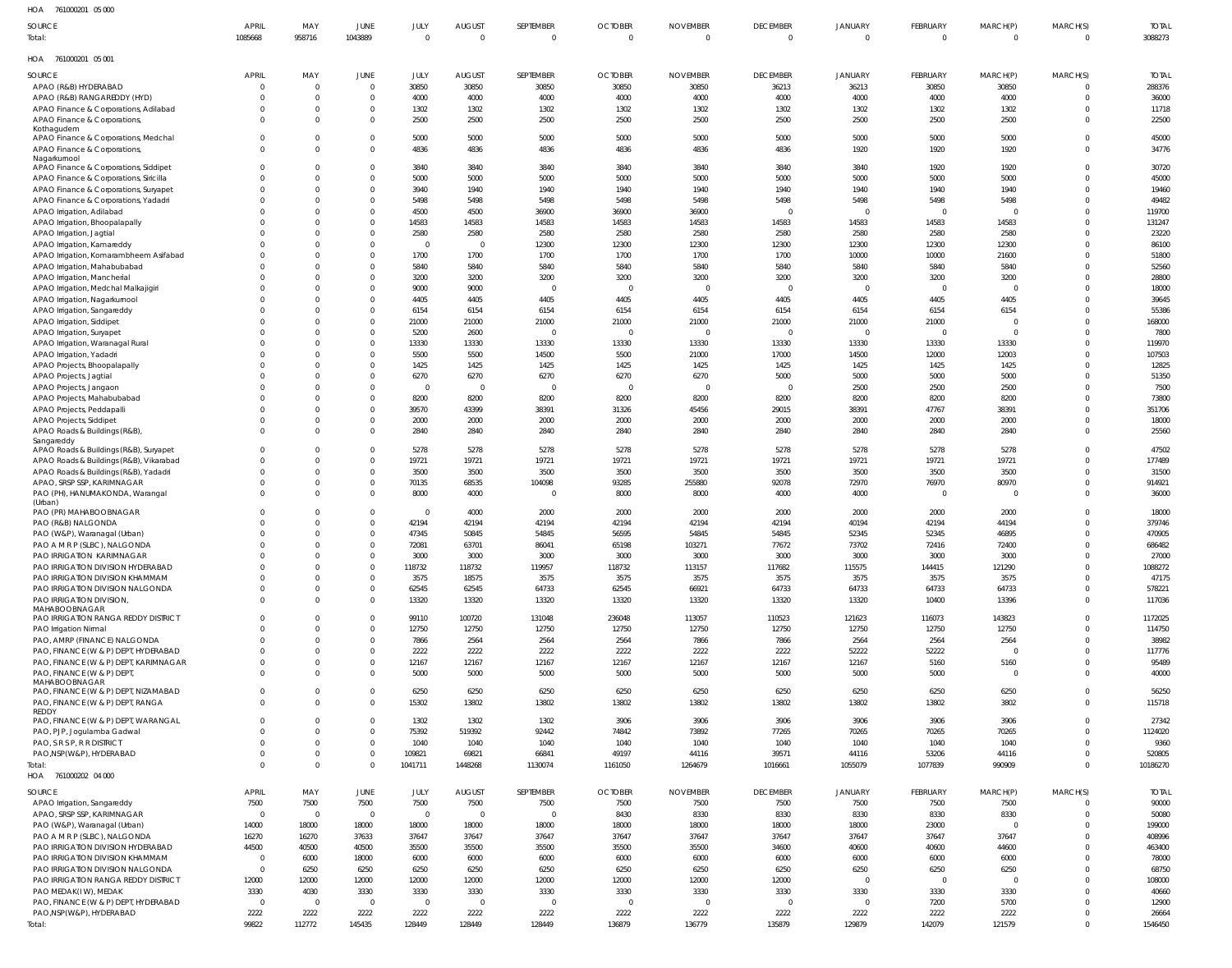761000201 05 000 HOA

| השו<br><b>IDIOUDEDI UJUUU</b>                        |                |             |                |                |                         |            |                |                 |                 |                          |                          |          |              |              |
|------------------------------------------------------|----------------|-------------|----------------|----------------|-------------------------|------------|----------------|-----------------|-----------------|--------------------------|--------------------------|----------|--------------|--------------|
| SOURCE                                               | <b>APRIL</b>   | MAY         | JUNE           | JULY           | <b>AUGUST</b>           | SEPTEMBER  | <b>OCTOBER</b> | <b>NOVEMBER</b> | <b>DECEMBER</b> | <b>JANUARY</b>           | FEBRUARY                 | MARCH(P) | MARCH(S)     | <b>TOTAL</b> |
| Total:                                               | 1085668        | 958716      | 1043889        | $\Omega$       | $\overline{0}$          | $\Omega$   | $\Omega$       | $\Omega$        | $\overline{0}$  | $\overline{0}$           | $\overline{0}$           | $\Omega$ | $\mathbf 0$  | 3088273      |
| HOA 761000201 05 001                                 |                |             |                |                |                         |            |                |                 |                 |                          |                          |          |              |              |
| SOURCE                                               | <b>APRIL</b>   | MAY         | <b>JUNE</b>    | JULY           | <b>AUGUST</b>           | SEPTEMBER  | <b>OCTOBER</b> | <b>NOVEMBER</b> | <b>DECEMBER</b> | JANUARY                  | FEBRUARY                 | MARCH(P) | MARCH(S)     | <b>TOTAL</b> |
| APAO (R&B) HYDERABAD                                 |                | $\mathbf 0$ | $\mathbf{0}$   | 30850          | 30850                   | 30850      | 30850          | 30850           | 36213           | 36213                    | 30850                    | 30850    | 0            | 288376       |
| APAO (R&B) RANGAREDDY (HYD)                          |                | $\Omega$    | $\overline{0}$ | 4000           | 4000                    | 4000       | 4000           | 4000            | 4000            | 4000                     | 4000                     | 4000     | $\mathbf 0$  | 36000        |
| APAO Finance & Corporations, Adilabad                |                | $\Omega$    | $\mathbf 0$    | 1302           | 1302                    | 1302       | 1302           | 1302            | 1302            | 1302                     | 1302                     | 1302     | $\mathbf 0$  | 11718        |
| APAO Finance & Corporations,                         | 0              | $\Omega$    | $\mathbf 0$    | 2500           | 2500                    | 2500       | 2500           | 2500            | 2500            | 2500                     | 2500                     | 2500     | $\mathbf 0$  | 22500        |
| Kothagudem                                           |                |             |                |                |                         |            |                |                 |                 |                          |                          |          |              |              |
| APAO Finance & Corporations, Medchal                 | $\Omega$       | $\Omega$    | $\mathbf 0$    | 5000           | 5000                    | 5000       | 5000           | 5000            | 5000            | 5000                     | 5000                     | 5000     | $\mathbf{0}$ | 45000        |
| APAO Finance & Corporations,                         | $\Omega$       | $\Omega$    | $\mathbf 0$    | 4836           | 4836                    | 4836       | 4836           | 4836            | 4836            | 1920                     | 1920                     | 1920     | $\mathbf 0$  | 34776        |
| Nagarkurnool                                         |                |             |                |                |                         |            |                |                 |                 |                          |                          |          |              |              |
| APAO Finance & Corporations, Siddipet                |                | $\Omega$    | $\mathbf 0$    | 3840           | 3840                    | 3840       | 3840           | 3840            | 3840            | 3840                     | 1920                     | 1920     | $\mathbf 0$  | 30720        |
| APAO Finance & Corporations, Siricilla               |                | $\Omega$    | $\mathbf 0$    | 5000           | 5000                    | 5000       | 5000           | 5000            | 5000            | 5000                     | 5000                     | 5000     | $\mathbf 0$  | 45000        |
| APAO Finance & Corporations, Suryapet                |                | $\Omega$    | $\mathbf{0}$   | 3940           | 1940                    | 1940       | 1940           | 1940            | 1940            | 1940                     | 1940                     | 1940     | $\mathbf 0$  | 19460        |
| APAO Finance & Corporations, Yadadri                 |                | $\Omega$    | $\mathbf{0}$   | 5498           | 5498                    | 5498       | 5498           | 5498            | 5498            | 5498                     | 5498                     | 5498     | $\mathbf 0$  | 49482        |
| APAO Irrigation, Adilabad                            |                | $\Omega$    | $\mathbf 0$    | 4500           | 4500                    | 36900      | 36900          | 36900           | $\overline{0}$  | $\overline{0}$           | $\overline{\phantom{0}}$ |          | $\mathbf 0$  | 119700       |
| APAO Irrigation, Bhoopalapally                       |                |             | $\mathbf 0$    | 14583          | 14583                   | 14583      | 14583          | 14583           | 14583           | 14583                    | 14583                    | 14583    | $\mathbf 0$  | 131247       |
| APAO Irrigation, Jagtial                             |                | $\Omega$    | $\mathbf 0$    | 2580           | 2580                    | 2580       | 2580           | 2580            | 2580            | 2580                     | 2580                     | 2580     | $\mathbf 0$  | 23220        |
| APAO Irrigation, Kamareddy                           |                |             | $\mathbf 0$    | $\Omega$       | $\overline{0}$          | 12300      | 12300          | 12300           | 12300           | 12300                    | 12300                    | 12300    | $\mathbf 0$  | 86100        |
| APAO Irrigation, Komarambheem Asifabad               |                | $\Omega$    | $\mathbf 0$    | 1700           | 1700                    | 1700       | 1700           | 1700            | 1700            | 10000                    | 10000                    | 21600    | $\mathbf 0$  | 51800        |
| APAO Irrigation, Mahabubabad                         |                |             | $\mathbf 0$    | 5840           | 5840                    | 5840       | 5840           | 5840            | 5840            | 5840                     | 5840                     | 5840     | $\mathbf 0$  | 52560        |
| APAO Irrigation, Mancherial                          |                | $\Omega$    | $\mathbf 0$    | 3200           | 3200                    | 3200       | 3200           | 3200            | 3200            | 3200                     | 3200                     | 3200     | $\Omega$     | 28800        |
| APAO Irrigation, Medchal Malkajigiri                 |                |             | $\mathbf 0$    | 9000           | 9000                    | $\Omega$   | $\Omega$       | $\Omega$        | $\overline{0}$  | $\overline{\phantom{0}}$ | $\overline{\phantom{0}}$ | $\Omega$ | $\Omega$     | 18000        |
| APAO Irrigation, Nagarkurnool                        |                | $\Omega$    | $\mathbf 0$    | 4405           | 4405                    | 4405       | 4405           | 4405            | 4405            | 4405                     | 4405                     | 4405     | $\Omega$     | 39645        |
| APAO Irrigation, Sangareddy                          |                | $\Omega$    | $\mathbf 0$    | 6154           | 6154                    | 6154       | 6154           | 6154            | 6154            | 6154                     | 6154                     | 6154     | $\mathbf 0$  | 55386        |
| APAO Irrigation, Siddipet                            |                | $\Omega$    | $\mathbf 0$    | 21000          | 21000                   | 21000      | 21000          | 21000           | 21000           | 21000                    | 21000                    |          | $\Omega$     | 168000       |
| APAO Irrigation, Suryapet                            |                | $\Omega$    | $\mathbf 0$    | 5200           | 2600                    | $\sqrt{ }$ | $\Omega$       | $\Omega$        | $\overline{0}$  | $\overline{\mathbf{0}}$  | $\overline{\phantom{0}}$ | $\Omega$ | $\mathbf 0$  | 7800         |
| APAO Irrigation, Waranagal Rural                     |                | $\Omega$    | $\mathbf 0$    | 13330          | 13330                   | 13330      | 13330          | 13330           | 13330           | 13330                    | 13330                    | 13330    | $\mathbf 0$  | 119970       |
| APAO Irrigation, Yadadri                             |                | $\Omega$    | $\mathbf 0$    | 5500           | 5500                    | 14500      | 5500           | 21000           | 17000           | 14500                    | 12000                    | 12003    | $\mathbf 0$  | 107503       |
| APAO Projects, Bhoopalapally                         |                | $\Omega$    | $\mathbf 0$    | 1425           | 1425                    | 1425       | 1425           | 1425            | 1425            | 1425                     | 1425                     | 1425     | $\mathbf 0$  | 12825        |
| APAO Projects, Jagtial                               |                | $\Omega$    | $\mathbf 0$    | 6270           | 6270                    | 6270       | 6270           | 6270            | 5000            | 5000                     | 5000                     | 5000     | $\mathbf 0$  | 51350        |
| APAO Projects, Jangaon                               |                | $\Omega$    | $\mathbf 0$    | $\overline{0}$ | $\overline{0}$          | $\epsilon$ | $\Omega$       | $\sqrt{ }$      | $\overline{0}$  | 2500                     | 2500                     | 2500     | $\mathbf 0$  | 7500         |
| APAO Projects, Mahabubabad                           |                | $\Omega$    | $\mathbf 0$    | 8200           | 8200                    | 8200       | 8200           | 8200            | 8200            | 8200                     | 8200                     | 8200     | $\mathbf 0$  | 73800        |
| APAO Projects, Peddapalli                            |                | $\Omega$    | $\mathbf 0$    | 39570          | 43399                   | 38391      | 31326          | 45456           | 29015           | 38391                    | 47767                    | 38391    | $\mathbf 0$  | 351706       |
| APAO Projects, Siddipet                              |                | $\Omega$    | $\mathbf 0$    | 2000           | 2000                    | 2000       | 2000           | 2000            | 2000            | 2000                     | 2000                     | 2000     | $\mathbf 0$  | 18000        |
| APAO Roads & Buildings (R&B),                        | $\Omega$       | $\Omega$    | $\mathbf 0$    | 2840           | 2840                    | 2840       | 2840           | 2840            | 2840            | 2840                     | 2840                     | 2840     | $\mathbf{0}$ | 25560        |
| Sangareddy                                           |                |             |                |                |                         |            |                |                 |                 |                          |                          |          |              |              |
| APAO Roads & Buildings (R&B), Suryapet               | $\Omega$       | $\Omega$    | $\mathbf 0$    | 5278           | 5278                    | 5278       | 5278           | 5278            | 5278            | 5278                     | 5278                     | 5278     | $\mathbf 0$  | 47502        |
| APAO Roads & Buildings (R&B), Vikarabad              |                | $\Omega$    | $\mathbf 0$    | 19721          | 19721                   | 19721      | 19721          | 19721           | 19721           | 19721                    | 19721                    | 19721    | $\mathbf 0$  | 177489       |
| APAO Roads & Buildings (R&B), Yadadri                |                | $\Omega$    | $\mathbf 0$    | 3500           | 3500                    | 3500       | 3500           | 3500            | 3500            | 3500                     | 3500                     | 3500     | $\mathbf 0$  | 31500        |
| APAO, SRSP SSP, KARIMNAGAR                           |                | $\Omega$    | $\mathbf 0$    | 70135          | 68535                   | 104098     | 93285          | 255880          | 92078           | 72970                    | 76970                    | 80970    | $\mathbf 0$  | 914921       |
| PAO (PH), HANUMAKONDA, Warangal                      |                | $\Omega$    | $\mathbf 0$    | 8000           | 4000                    |            | 8000           | 8000            | 4000            | 4000                     | $\overline{\phantom{0}}$ | - 0      | $\mathbf 0$  | 36000        |
| (Urban)                                              |                |             |                |                |                         |            |                |                 |                 |                          |                          |          |              |              |
| PAO (PR) MAHABOOBNAGAR                               |                | $\Omega$    | 0              | $\overline{0}$ | 4000                    | 2000       | 2000           | 2000            | 2000            | 2000                     | 2000                     | 2000     | $\mathbf 0$  | 18000        |
| PAO (R&B) NALGONDA                                   |                | $\Omega$    | $\mathbf 0$    | 42194          | 42194                   | 42194      | 42194          | 42194           | 42194           | 40194                    | 42194                    | 44194    | $\mathbf 0$  | 379746       |
| PAO (W&P), Waranagal (Urban)                         |                | $\Omega$    | $\mathbf{0}$   | 47345          | 50845                   | 54845      | 56595          | 54845           | 54845           | 52345                    | 52345                    | 46895    | $\Omega$     | 470905       |
| PAO A M R P (SLBC), NALGONDA                         |                | $\Omega$    | $\mathbf{0}$   | 72081          | 63701                   | 86041      | 65198          | 103271          | 77672           | 73702                    | 72416                    | 72400    | $\mathbf 0$  | 686482       |
| <b>PAO IRRIGATION KARIMNAGAR</b>                     |                | $\cap$      | $\Omega$       | 3000           | 3000                    | 3000       | 3000           | 3000            | 3000            | 3000                     | 3000                     | 3000     | $\Omega$     | 27000        |
| PAO IRRIGATION DIVISION HYDERABAD                    | $\Omega$       | $\Omega$    | $\mathbf 0$    | 118732         | 118732                  | 119957     | 118732         | 113157          | 117682          | 115575                   | 144415                   | 121290   | $\mathbf 0$  | 1088272      |
| PAO IRRIGATION DIVISION KHAMMAM                      | $\Omega$       | $\Omega$    | $\mathbf 0$    | 3575           | 18575                   | 3575       | 3575           | 3575            | 3575            | 3575                     | 3575                     | 3575     | $\mathbf 0$  | 47175        |
| PAO IRRIGATION DIVISION NALGONDA                     |                | $\Omega$    | $\mathbf 0$    | 62545          | 62545                   | 64733      | 62545          | 66921           | 64733           | 64733                    | 64733                    | 64733    | $\mathbf 0$  | 578221       |
| PAO IRRIGATION DIVISION,                             |                | $\Omega$    | $\mathbf 0$    | 13320          | 13320                   | 13320      | 13320          | 13320           | 13320           | 13320                    | 10400                    | 13396    | $\mathbf 0$  | 117036       |
| MAHABOOBNAGAR<br>PAO IRRIGATION RANGA REDDY DISTRICT |                | $\Omega$    | $\mathbf 0$    | 99110          | 100720                  | 131048     | 236048         | 113057          | 110523          | 121623                   | 116073                   | 143823   | $\mathbf 0$  | 1172025      |
| PAO Irrigation Nirmal                                |                | $\Omega$    | $\mathbf 0$    | 12750          | 12750                   | 12750      | 12750          | 12750           | 12750           | 12750                    | 12750                    | 12750    | $\mathbf 0$  | 114750       |
| PAO, AMRP (FINANCE) NALGONDA                         |                |             | $\mathbf 0$    | 7866           | 2564                    | 2564       | 2564           | 7866            | 7866            | 2564                     | 2564                     | 2564     | $\mathbf 0$  | 38982        |
| PAO, FINANCE (W & P) DEPT, HYDERABAD                 |                | $\Omega$    | $\mathbf 0$    | 2222           |                         | 2222       | 2222           | 2222            | 2222            | 52222                    | 52222                    |          | $\Omega$     | 117776       |
| PAO, FINANCE (W & P) DEPT, KARIMNAGAR                |                |             | $\mathbf 0$    | 12167          | 2222<br>12167           | 12167      | 12167          | 12167           | 12167           | 12167                    | 5160                     | 5160     | $\mathbf 0$  | 95489        |
|                                                      |                | $\Omega$    | $\mathbf 0$    | 5000           | 5000                    |            |                |                 | 5000            |                          | 5000                     | $\Omega$ | $\Omega$     | 40000        |
| PAO, FINANCE (W & P) DEPT,<br>MAHABOOBNAGAR          |                |             |                |                |                         | 5000       | 5000           | 5000            |                 | 5000                     |                          |          |              |              |
| PAO, FINANCE (W & P) DEPT, NIZAMABAD                 | $\Omega$       | $\Omega$    | $\mathbf 0$    | 6250           | 6250                    | 6250       | 6250           | 6250            | 6250            | 6250                     | 6250                     | 6250     | $\mathbf 0$  | 56250        |
| PAO, FINANCE (W & P) DEPT, RANGA                     | $\Omega$       | $\Omega$    | $\mathbf 0$    | 15302          | 13802                   | 13802      | 13802          | 13802           | 13802           | 13802                    | 13802                    | 3802     | $\mathbf 0$  | 115718       |
| REDDY                                                |                |             |                |                |                         |            |                |                 |                 |                          |                          |          |              |              |
| PAO, FINANCE (W & P) DEPT, WARANGAL                  |                | $\Omega$    | $\mathbf 0$    | 1302           | 1302                    | 1302       | 3906           | 3906            | 3906            | 3906                     | 3906                     | 3906     | $\mathbf 0$  | 27342        |
| PAO, PJP, Jogulamba Gadwal                           |                | $\Omega$    | $\mathbf 0$    | 75392          | 519392                  | 92442      | 74842          | 73892           | 77265           | 70265                    | 70265                    | 70265    | $\mathbf 0$  | 1124020      |
| PAO, S R S P, R R DISTRICT                           |                | $\Omega$    | $\mathbf 0$    | 1040           | 1040                    | 1040       | 1040           | 1040            | 1040            | 1040                     | 1040                     | 1040     | $\mathbf 0$  | 9360         |
| PAO, NSP (W&P), HYDERABAD                            | $\Omega$       | $\Omega$    | $\mathbf 0$    | 109821         | 69821                   | 66841      | 49197          | 44116           | 39571           | 44116                    | 53206                    | 44116    | $\mathbf 0$  | 520805       |
| Total:                                               | $\Omega$       | $\Omega$    | $\mathbf 0$    | 1041711        | 1448268                 | 1130074    | 1161050        | 1264679         | 1016661         | 1055079                  | 1077839                  | 990909   | $\mathbf 0$  | 10186270     |
| HOA 761000202 04 000                                 |                |             |                |                |                         |            |                |                 |                 |                          |                          |          |              |              |
| SOURCE                                               | APRIL          | MAY         | <b>JUNE</b>    | JULY           | <b>AUGUST</b>           | SEPTEMBER  | <b>OCTOBER</b> | <b>NOVEMBER</b> | <b>DECEMBER</b> | JANUARY                  | FEBRUARY                 | MARCH(P) | MARCH(S)     | <b>TOTAL</b> |
|                                                      |                |             |                |                |                         |            |                |                 |                 |                          |                          |          | $\Omega$     |              |
| APAO Irrigation, Sangareddy                          | 7500           | 7500        | 7500           | 7500           | 7500                    | 7500       | 7500           | 7500            | 7500            | 7500                     | 7500                     | 7500     |              | 90000        |
| APAO, SRSP SSP, KARIMNAGAR                           | $\Omega$       | $\mathbf 0$ | $\overline{0}$ | $\Omega$       | $\overline{0}$          |            | 8430           | 8330            | 8330            | 8330                     | 8330                     | 8330     | $\Omega$     | 50080        |
| PAO (W&P), Waranagal (Urban)                         | 14000          | 18000       | 18000          | 18000          | 18000                   | 18000      | 18000          | 18000           | 18000           | 18000                    | 23000                    | $\Omega$ | $\Omega$     | 199000       |
| PAO A M R P (SLBC), NALGONDA                         | 16270          | 16270       | 37633          | 37647          | 37647                   | 37647      | 37647          | 37647           | 37647           | 37647                    | 37647                    | 37647    | $\Omega$     | 408996       |
| PAO IRRIGATION DIVISION HYDERABAD                    | 44500          | 40500       | 40500          | 35500          | 35500                   | 35500      | 35500          | 35500           | 34600           | 40600                    | 40600                    | 44600    | $\Omega$     | 463400       |
| PAO IRRIGATION DIVISION KHAMMAM                      | $\mathbf{0}$   | 6000        | 18000          | 6000           | 6000                    | 6000       | 6000           | 6000            | 6000            | 6000                     | 6000                     | 6000     | $\Omega$     | 78000        |
| PAO IRRIGATION DIVISION NALGONDA                     | $\Omega$       | 6250        | 6250           | 6250           | 6250                    | 6250       | 6250           | 6250            | 6250            | 6250                     | 6250                     | 6250     | $\Omega$     | 68750        |
| <b>PAO IRRIGATION RANGA REDDY DISTRICT</b>           | 12000          | 12000       | 12000          | 12000          | 12000                   | 12000      | 12000          | 12000           | 12000           | $\overline{\mathbf{0}}$  | $\overline{\phantom{0}}$ | $\Omega$ | $\Omega$     | 108000       |
| PAO MEDAK(IW), MEDAK                                 | 3330           | 4030        | 3330           | 3330           | 3330                    | 3330       | 3330           | 3330            | 3330            | 3330                     | 3330                     | 3330     | $\Omega$     | 40660        |
| PAO, FINANCE (W & P) DEPT, HYDERABAD                 | $\overline{0}$ | $\Omega$    | $\overline{0}$ | $\Omega$       | $\overline{\mathbf{0}}$ |            | $\Omega$       |                 | $\overline{0}$  | $\overline{0}$           | 7200                     | 5700     | $\Omega$     | 12900        |
| PAO, NSP(W&P), HYDERABAD                             | 2222           | 2222        | 2222           | 2222           | 2222                    | 2222       | 2222           | 2222            | 2222            | 2222                     | 2222                     | 2222     | $\mathbf 0$  | 26664        |
| Total:                                               | 99822          | 112772      | 145435         | 128449         | 128449                  | 128449     | 136879         | 136779          | 135879          | 129879                   | 142079                   | 121579   | $\mathbf 0$  | 1546450      |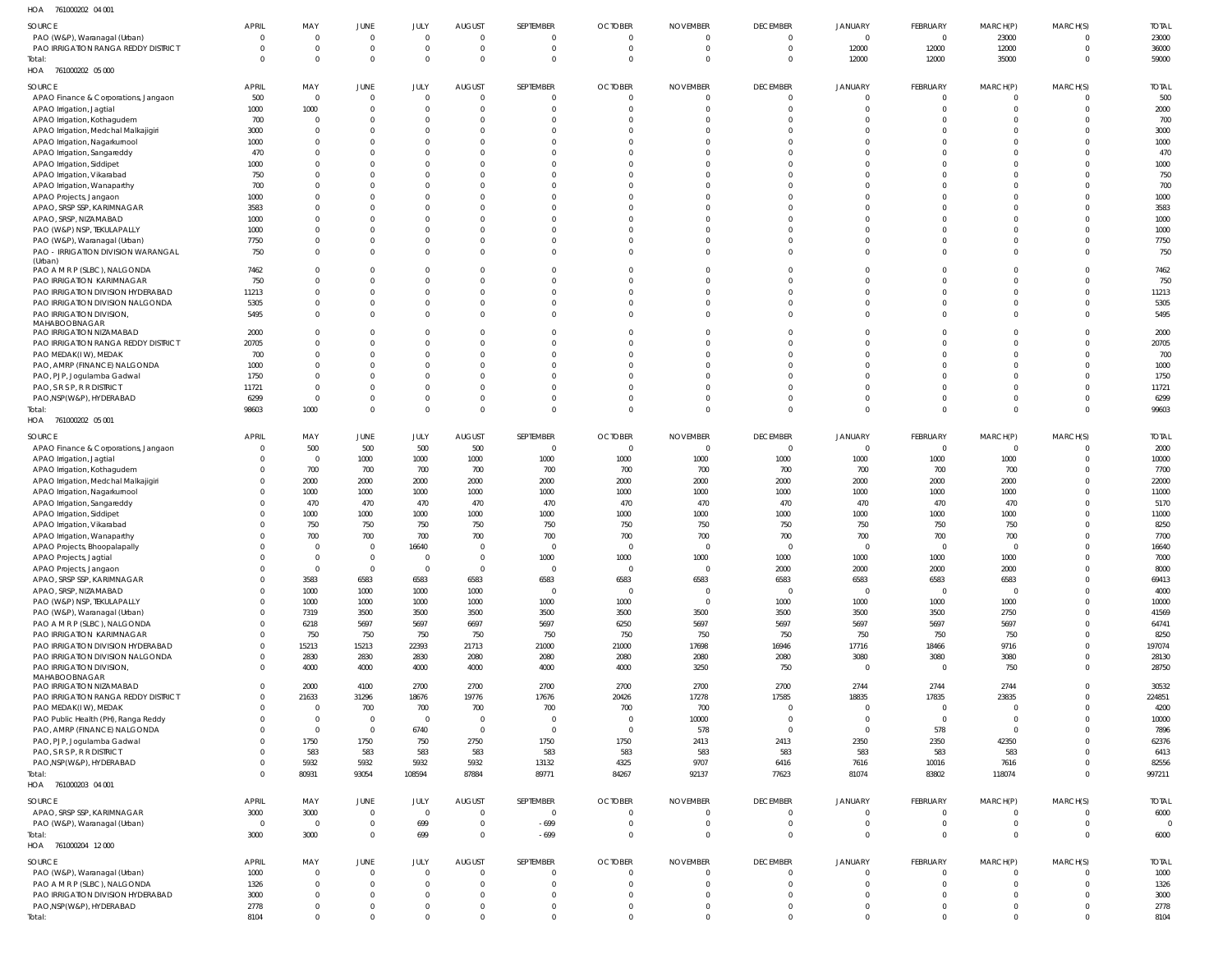| SOURCE                                                   | APRIL          | MAY                     | <b>JUNE</b>                      | JULY                           | <b>AUGUST</b>              | SEPTEMBER               | <b>OCTOBER</b>       | <b>NOVEMBER</b>                  | <b>DECEMBER</b>      | <b>JANUARY</b>                 | FEBRUARY                      | MARCH(P)                         | MARCH(S)                      | <b>TOTAL</b>   |
|----------------------------------------------------------|----------------|-------------------------|----------------------------------|--------------------------------|----------------------------|-------------------------|----------------------|----------------------------------|----------------------|--------------------------------|-------------------------------|----------------------------------|-------------------------------|----------------|
| PAO (W&P), Waranagal (Urban)                             | $\Omega$       | $\Omega$                | $\overline{0}$                   | $\overline{0}$                 | $\overline{0}$             | $\Omega$                | $\Omega$             | $\overline{0}$                   | $\Omega$             | $\overline{0}$                 | $\overline{0}$                | 23000                            | $\Omega$                      | 23000          |
| PAO IRRIGATION RANGA REDDY DISTRICT                      | $\Omega$       | $\Omega$                | $\overline{0}$                   | $\overline{0}$                 | $\overline{0}$             | $\Omega$                | $\Omega$             | $\overline{0}$                   | $\Omega$             | 12000                          | 12000                         | 12000                            | $\overline{0}$                | 36000          |
| Total:                                                   | $\Omega$       | $\Omega$                | $\overline{0}$                   | $\overline{0}$                 | $\Omega$                   | $\Omega$                | - 0                  | $\overline{0}$                   | $\Omega$             | 12000                          | 12000                         | 35000                            | $\overline{0}$                | 59000          |
| HOA 761000202 05 000                                     |                |                         |                                  |                                |                            |                         |                      |                                  |                      |                                |                               |                                  |                               |                |
| SOURCE                                                   | APRIL          | MAY                     | JUNE                             | JULY                           | <b>AUGUST</b>              | SEPTEMBER               | <b>OCTOBER</b>       | <b>NOVEMBER</b>                  | <b>DECEMBER</b>      | JANUARY                        | FEBRUARY                      | MARCH(P)                         | MARCH(S)                      | <b>TOTAL</b>   |
| APAO Finance & Corporations, Jangaon                     | 500            | $\overline{0}$          | $\overline{0}$                   | $\overline{0}$                 | 0                          |                         | - 0                  | - 0                              | $\Omega$             | $\Omega$                       | $\overline{0}$                | $\Omega$                         | $\Omega$                      | 500            |
| APAO Irrigation, Jagtial                                 | 1000           | 1000                    | $\overline{0}$                   | $\overline{0}$                 | $\overline{0}$             |                         |                      | $\circ$                          | $\Omega$             | $\Omega$                       | $\mathbf{0}$                  | $\Omega$                         | $\overline{0}$                | 2000           |
| APAO Irrigation, Kothagudem                              | 700            | $\Omega$                | $\overline{0}$                   | $\overline{0}$                 | $\Omega$                   |                         |                      | -0                               | $\Omega$             | $\Omega$                       | $\mathbf 0$                   | $\Omega$                         | C                             | 700            |
| APAO Irrigation, Medchal Malkajigiri                     | 3000           | $\Omega$                | $\Omega$                         | $\overline{0}$                 | $\Omega$                   |                         |                      | $\Omega$                         | $\Omega$             | $\Omega$                       | $\mathbf 0$                   | $\Omega$                         | $\overline{0}$                | 3000           |
| APAO Irrigation, Nagarkurnool                            | 1000           | $\Omega$                | $\overline{0}$                   | $\mathbf{0}$                   | $\Omega$                   |                         |                      | $\Omega$                         | $\Omega$             | $\Omega$                       | $\mathbf{0}$                  | $\Omega$                         | $\Omega$                      | 1000           |
| APAO Irrigation, Sangareddy                              | 470            | $\cap$                  | $\Omega$                         | $\Omega$                       | $\Omega$                   |                         |                      | $\Omega$                         | $\Omega$             | $\cap$                         | $\mathbf 0$                   | $\Omega$                         | $\Omega$                      | 470            |
| APAO Irrigation, Siddipet                                | 1000           | $\Omega$                | $\Omega$                         | $\mathbf{0}$                   | $\Omega$                   |                         |                      | $\Omega$                         | $\Omega$             | $\cap$                         | $\mathbf 0$                   | $\Omega$                         | $\Omega$                      | 1000           |
| APAO Irrigation, Vikarabad                               | 750            |                         | $\Omega$                         | $\mathbf{0}$                   | $\Omega$                   |                         |                      | $\Omega$                         | $\Omega$             | $\Omega$                       | $\mathbf 0$                   | $\Omega$                         | $\Omega$                      | 750            |
| APAO Irrigation, Wanaparthy                              | 700            | $\Omega$                | $\Omega$                         | $\mathbf{0}$                   | $\Omega$                   |                         |                      | $\Omega$                         | $\Omega$             | $\Omega$                       | $\mathbf 0$                   | $\Omega$                         | $\Omega$                      | 700            |
| APAO Projects, Jangaon                                   | 1000           | $\cap$                  | $\Omega$                         | $\Omega$                       | $\Omega$                   |                         |                      | $\Omega$                         | $\Omega$             | $\Omega$                       | $\mathbf 0$                   | $\Omega$                         | $\Omega$                      | 1000           |
| APAO, SRSP SSP, KARIMNAGAR                               | 3583           | $\Omega$                | $\Omega$                         | $\mathbf{0}$                   | $\Omega$                   |                         |                      | $\Omega$                         | $\Omega$             | $\Omega$                       | $\mathbf 0$                   | $\Omega$                         | $\Omega$                      | 3583           |
| APAO, SRSP, NIZAMABAD                                    | 1000           | $\cap$                  | $\Omega$                         | $\mathbf{0}$                   | $\Omega$                   |                         |                      | $\Omega$                         | $\Omega$             | $\Omega$                       | $\mathbf 0$                   | $\Omega$                         | $\Omega$                      | 1000           |
| PAO (W&P) NSP, TEKULAPALLY                               | 1000           | $\Omega$                | $\overline{0}$                   | $\mathbf{0}$                   | $\Omega$                   |                         |                      | $\Omega$                         | $\Omega$             | $\Omega$                       | $\mathbf 0$                   | $\Omega$                         | $\Omega$                      | 1000           |
| PAO (W&P), Waranagal (Urban)                             | 7750           | $\Omega$                | $\overline{0}$                   | $\mathbf 0$                    | $\Omega$                   |                         |                      | $\Omega$                         | $\Omega$             | $\Omega$                       | $\mathbf 0$                   | $\Omega$                         | $\overline{0}$                | 7750           |
| PAO - IRRIGATION DIVISION WARANGAL                       | 750            | $\Omega$                | $\Omega$                         | $\overline{0}$                 | $\Omega$                   | $\Omega$                |                      | $\Omega$                         | $\Omega$             | $\Omega$                       | $\overline{0}$                | $\Omega$                         | $\Omega$                      | 750            |
| (Urban)                                                  |                |                         |                                  |                                |                            |                         |                      |                                  |                      |                                |                               |                                  |                               |                |
| PAO A M R P (SLBC), NALGONDA                             | 7462           | $\Omega$                | $\Omega$                         | $\mathbf 0$                    | $\Omega$                   |                         |                      | $\Omega$                         | $\Omega$             | $\Omega$                       | $\mathbf 0$                   | $\Omega$                         | $\Omega$                      | 7462           |
| PAO IRRIGATION KARIMNAGAR                                | 750            | $\Omega$                | $\overline{0}$                   | $\mathbf 0$                    | $\Omega$                   |                         |                      | $\Omega$                         | $\Omega$             | $\Omega$                       | $\mathbf 0$                   | $\Omega$                         | $\Omega$                      | 750            |
| PAO IRRIGATION DIVISION HYDERABAD                        | 11213          | $\Omega$                | $\overline{0}$                   | $\mathbf 0$                    | $\Omega$                   |                         |                      | $\overline{0}$                   | $\Omega$             | $\Omega$                       | $\mathbf 0$                   | $\Omega$                         | $\overline{0}$                | 11213          |
| PAO IRRIGATION DIVISION NALGONDA                         | 5305           | $\Omega$                | $\overline{0}$                   | $\mathbf 0$                    | $\Omega$                   | $\Omega$                |                      | $\Omega$                         | $\Omega$             | $\Omega$                       | $\overline{0}$                | $\Omega$                         | $\Omega$                      | 5305           |
| PAO IRRIGATION DIVISION,                                 | 5495           | $\Omega$                | $\Omega$                         | $\overline{0}$                 | $\Omega$                   | $\Omega$                |                      | $\Omega$                         | $\Omega$             | $\Omega$                       | $\mathbf 0$                   | $\Omega$                         | $\Omega$                      | 5495           |
| MAHABOOBNAGAR                                            |                |                         |                                  |                                |                            |                         |                      |                                  |                      |                                |                               |                                  |                               |                |
| PAO IRRIGATION NIZAMABAD                                 | 2000           | $\Omega$                | $\overline{0}$                   | $\mathbf{0}$                   | $\Omega$                   |                         | $\cap$               | $\Omega$                         | $\Omega$             | $\Omega$                       | $\overline{0}$                | $\Omega$                         | $\overline{0}$                | 2000           |
| PAO IRRIGATION RANGA REDDY DISTRICT                      | 20705          | $\Omega$                | $\overline{0}$                   | $\mathbf 0$                    | $\Omega$                   |                         |                      | $\Omega$                         | $\Omega$             | $\Omega$                       | $\mathbf 0$                   | $\Omega$                         | $\overline{0}$                | 20705          |
| PAO MEDAK(IW), MEDAK                                     | 700            | $\Omega$                | $\overline{0}$                   | $\mathbf{0}$                   | $\Omega$                   |                         |                      | $\Omega$                         | $\Omega$             | $\Omega$                       | $\mathbf 0$                   | $\Omega$                         | $\Omega$                      | 700            |
| PAO, AMRP (FINANCE) NALGONDA                             | 1000           |                         | $\Omega$                         | $\mathbf{0}$                   | $\Omega$                   |                         |                      | $\Omega$                         | $\Omega$             | $\Omega$                       | $\mathbf 0$                   | $\Omega$                         | $\Omega$                      | 1000           |
| PAO, PJP, Jogulamba Gadwal                               | 1750           | $\Omega$                | $\overline{0}$                   | $\mathbf{0}$                   | $\Omega$                   |                         |                      | $\Omega$                         | $\Omega$             | $\Omega$                       | $\mathbf 0$                   | $\Omega$                         | $\Omega$                      | 1750           |
| PAO, S R S P, R R DISTRICT                               | 11721          | $\Omega$                | $\overline{0}$                   | $\mathbf{0}$                   | $\Omega$                   |                         |                      | $\Omega$                         | $\Omega$             | $\Omega$                       | $\mathbf 0$                   | $\Omega$                         | $\overline{0}$                | 11721          |
| PAO, NSP(W&P), HYDERABAD                                 | 6299           | $\Omega$                | $\overline{0}$                   | $\mathbf 0$                    | $\Omega$                   | $\Omega$                |                      | $\overline{0}$                   | $\Omega$             | $\Omega$                       | $\overline{0}$                | $\Omega$                         | $\overline{0}$                | 6299           |
| Total:                                                   | 98603          | 1000                    | $\overline{0}$                   | $\overline{0}$                 | $\overline{0}$             | $\Omega$                |                      | $\overline{0}$                   | $\Omega$             | $\Omega$                       | $\mathbf{0}$                  | $\Omega$                         | $\overline{0}$                | 99603          |
| HOA 761000202 05 001                                     |                |                         |                                  |                                |                            |                         |                      |                                  |                      |                                |                               |                                  |                               |                |
| SOURCE                                                   | APRIL          | MAY                     | <b>JUNE</b>                      | JULY                           | <b>AUGUST</b>              | SEPTEMBER               | <b>OCTOBER</b>       | <b>NOVEMBER</b>                  | <b>DECEMBER</b>      | <b>JANUARY</b>                 | FEBRUARY                      | MARCH(P)                         | MARCH(S)                      | <b>TOTAL</b>   |
| APAO Finance & Corporations, Jangaon                     | $\Omega$       | 500                     | 500                              | 500                            | 500                        | $\Omega$                | $\mathbf 0$          | $\circ$                          | $\Omega$             | $\overline{0}$                 | $\overline{0}$                | $\Omega$                         | $\overline{0}$                | 2000           |
| APAO Irrigation, Jagtial                                 | $\Omega$       | $\Omega$                | 1000                             | 1000                           | 1000                       | 1000                    | 1000                 | 1000                             | 1000                 | 1000                           | 1000                          | 1000                             | $\overline{0}$                | 10000          |
| APAO Irrigation, Kothagudem                              | $\Omega$       | 700                     | 700                              | 700                            | 700                        | 700                     | 700                  | 700                              | 700                  | 700                            | 700                           | 700                              | $\overline{0}$                | 7700           |
| APAO Irrigation, Medchal Malkajigiri                     |                | 2000                    | 2000                             | 2000                           | 2000                       | 2000                    | 2000                 | 2000                             | 2000                 | 2000                           | 2000                          | 2000                             | $\Omega$                      | 22000          |
| APAO Irrigation, Nagarkurnool                            |                | 1000                    | 1000                             | 1000                           | 1000                       | 1000                    | 1000                 | 1000                             | 1000                 | 1000                           | 1000                          | 1000                             | $\overline{0}$                | 11000          |
|                                                          |                |                         |                                  |                                |                            | 470                     | 470                  | 470                              | 470                  | 470                            | 470                           | 470                              |                               | 5170           |
|                                                          |                | 470                     | 470                              | 470                            | 470                        |                         |                      |                                  |                      |                                |                               |                                  | $\Omega$                      |                |
| APAO Irrigation, Sangareddy<br>APAO Irrigation, Siddipet |                | 1000                    | 1000                             | 1000                           | 1000                       | 1000                    | 1000                 | 1000                             | 1000                 | 1000                           | 1000                          | 1000                             | $\Omega$                      | 11000          |
| APAO Irrigation, Vikarabad                               |                | 750                     | 750                              | 750                            | 750                        | 750                     | 750                  | 750                              | 750                  | 750                            | 750                           | 750                              | $\Omega$                      | 8250           |
| APAO Irrigation, Wanaparthy                              |                | 700                     | 700                              | 700                            | 700                        | 700                     | 700                  | 700                              | 700                  | 700                            | 700                           | 700                              | C                             | 7700           |
| APAO Projects, Bhoopalapally                             | $\Omega$       | $\Omega$                | $\overline{0}$                   | 16640                          | $\Omega$                   | $\Omega$                | $\Omega$             | $\Omega$                         | $\Omega$             | $\Omega$                       | $\overline{0}$                | $\Omega$                         | $\Omega$                      | 16640          |
| APAO Projects, Jagtial                                   |                |                         |                                  |                                |                            | 1000                    | 1000                 | 1000                             | 1000                 | 1000                           | 1000                          | 1000                             |                               | 7000           |
| APAO Projects, Jangaon                                   | $\Omega$       | $\Omega$                | $\overline{0}$                   | $\overline{0}$                 | $\overline{0}$             | $\Omega$                | $\Omega$             | $\overline{0}$                   | 2000                 | 2000                           | 2000                          | 2000                             | $\Omega$                      | 8000           |
| APAO, SRSP SSP, KARIMNAGAR                               | $\Omega$       | 3583                    | 6583                             | 6583                           | 6583                       | 6583                    | 6583                 | 6583                             | 6583                 | 6583                           | 6583                          | 6583                             | $\overline{0}$                | 69413          |
| APAO, SRSP, NIZAMABAD                                    |                | 1000                    | 1000                             | 1000                           | 1000                       | $\Omega$                | $\Omega$             | $\overline{0}$                   | $\overline{0}$       | $\overline{0}$                 | $\mathbf{0}$                  | $\Omega$                         | $\Omega$                      | 4000           |
| PAO (W&P) NSP, TEKULAPALLY                               | $\Omega$       | 1000                    | 1000                             | 1000                           | 1000                       | 1000                    | 1000                 | $\overline{0}$                   | 1000                 | 1000                           | 1000                          | 1000                             | $\overline{0}$                | 10000          |
| PAO (W&P), Waranagal (Urban)                             | $\Omega$       | 7319                    | 3500                             | 3500                           | 3500                       | 3500                    | 3500                 | 3500                             | 3500                 | 3500                           | 3500                          | 2750                             | $\Omega$                      | 41569          |
| PAO A M R P (SLBC), NALGONDA                             | $\Omega$       | 6218                    | 5697                             | 5697                           | 6697                       | 5697                    | 6250                 | 5697                             | 5697                 | 5697                           | 5697                          | 5697                             | $\overline{0}$                | 64741          |
| PAO IRRIGATION KARIMNAGAR                                | $\Omega$       | 750                     | 750                              | 750                            | 750                        | 750                     | 750                  | 750                              | 750                  | 750                            | 750                           | 750                              | $\Omega$                      | 8250           |
| PAO IRRIGATION DIVISION HYDERABAD                        | $\Omega$       | 15213                   | 15213                            | 22393                          | 21713                      | 21000                   | 21000                | 17698                            | 16946                | 17716                          | 18466                         | 9716                             | $\overline{0}$                | 197074         |
| PAO IRRIGATION DIVISION NALGONDA                         | $\Omega$       | 2830                    | 2830                             | 2830                           | 2080                       | 2080                    | 2080                 | 2080                             | 2080                 | 3080                           | 3080                          | 3080                             | $\overline{0}$                | 28130          |
| PAO IRRIGATION DIVISION.                                 | $\Omega$       | 4000                    | 4000                             | 4000                           | 4000                       | 4000                    | 4000                 | 3250                             | 750                  | $\overline{0}$                 | $\overline{0}$                | 750                              | $\mathbf 0$                   | 28750          |
| MAHABOOBNAGAR                                            |                |                         |                                  |                                |                            |                         |                      |                                  |                      |                                |                               |                                  |                               |                |
| PAO IRRIGATION NIZAMABAD                                 | $\Omega$       | 2000                    | 4100                             | 2700                           | 2700                       | 2700                    | 2700                 | 2700                             | 2700                 | 2744                           | 2744                          | 2744                             | $\mathbf 0$                   | 30532          |
| PAO IRRIGATION RANGA REDDY DISTRICT                      | $\Omega$       | 21633                   | 31296                            | 18676                          | 19776                      | 17676                   | 20426                | 17278                            | 17585                | 18835                          | 17835                         | 23835                            | $\overline{0}$                | 224851         |
| PAO MEDAK(IW), MEDAK                                     | $\Omega$       | $\Omega$                | 700                              | 700                            | 700                        | 700                     | 700                  | 700                              | $\Omega$             | $\overline{0}$                 | $\overline{0}$                | $\Omega$                         | $\overline{0}$                | 4200           |
| PAO Public Health (PH), Ranga Reddy                      | $\Omega$       | $\Omega$                | $\overline{0}$                   | $\overline{0}$                 | $\overline{0}$             | $\Omega$                | $\Omega$             | 10000                            | $\overline{0}$       | $\mathbf{0}$                   | $\overline{0}$                | $\Omega$                         | $\overline{0}$                | 10000          |
| PAO, AMRP (FINANCE) NALGONDA                             | $\Omega$       | $\Omega$                | $\overline{0}$                   | 6740                           | $\overline{0}$             | $\overline{0}$          | $\Omega$             | 578                              | $\overline{0}$       | $\mathbf{0}$                   | 578                           | $\Omega$                         | $\Omega$                      | 7896           |
| PAO, PJP, Jogulamba Gadwal                               |                | 1750                    | 1750                             | 750                            | 2750                       | 1750                    | 1750                 | 2413                             | 2413                 | 2350                           | 2350                          | 42350                            | $\overline{0}$                | 62376          |
| PAO, S R S P, R R DISTRICT                               |                | 583                     | 583                              | 583                            | 583                        | 583                     | 583                  | 583                              | 583                  | 583                            | 583                           | 583                              | $\Omega$                      | 6413           |
| PAO, NSP(W&P), HYDERABAD                                 | $\Omega$       | 5932                    | 5932                             | 5932                           | 5932                       | 13132                   | 4325                 | 9707                             | 6416                 | 7616                           | 10016                         | 7616                             | $\overline{0}$                | 82556          |
| Total:                                                   | $\Omega$       | 80931                   | 93054                            | 108594                         | 87884                      | 89771                   | 84267                | 92137                            | 77623                | 81074                          | 83802                         | 118074                           | $\Omega$                      | 997211         |
| HOA 761000203 04 001                                     |                |                         |                                  |                                |                            |                         |                      |                                  |                      |                                |                               |                                  |                               |                |
| SOURCE                                                   | APRIL          | MAY                     | JUNE                             | JULY                           | <b>AUGUST</b>              | SEPTEMBER               | <b>OCTOBER</b>       | <b>NOVEMBER</b>                  | <b>DECEMBER</b>      | JANUARY                        | FEBRUARY                      | MARCH(P)                         | MARCH(S)                      | <b>TOTAL</b>   |
| APAO, SRSP SSP, KARIMNAGAR                               | 3000           | 3000                    | $\overline{0}$                   | $\overline{0}$                 | $\overline{0}$             | $\overline{0}$          | $\Omega$             | $\overline{0}$                   | $\overline{0}$       | $\mathbf{0}$                   | $\mathbf 0$                   | $\overline{0}$                   | $\overline{0}$                | 6000           |
| PAO (W&P), Waranagal (Urban)                             | $\overline{0}$ | $\Omega$                | $\mathbf 0$                      | 699                            | $\overline{0}$             | $-699$                  | $\Omega$             | $\circ$                          | $\overline{0}$       | $\mathbf{0}$                   | $\overline{0}$                | $\overline{0}$                   | $\overline{0}$                | $\overline{0}$ |
| Total:                                                   | 3000           | 3000                    | $\overline{0}$                   | 699                            | $\overline{0}$             | $-699$                  | $\Omega$             | $\overline{0}$                   | $\overline{0}$       | $\mathbf{0}$                   | $\overline{0}$                | $\overline{0}$                   | $\overline{0}$                | 6000           |
| HOA 761000204 12 000                                     |                |                         |                                  |                                |                            |                         |                      |                                  |                      |                                |                               |                                  |                               |                |
|                                                          |                |                         |                                  |                                |                            |                         |                      |                                  |                      |                                |                               |                                  |                               |                |
| SOURCE                                                   | APRIL          | MAY                     | JUNE                             | JULY                           | <b>AUGUST</b>              | SEPTEMBER               | <b>OCTOBER</b>       | <b>NOVEMBER</b>                  | <b>DECEMBER</b>      | JANUARY                        | FEBRUARY                      | MARCH(P)                         | MARCH(S)                      | <b>TOTAL</b>   |
| PAO (W&P), Waranagal (Urban)                             | 1000           | $\overline{0}$          | $\overline{0}$                   | $\overline{0}$                 | $\overline{0}$             | $\Omega$                | $\Omega$             | $\overline{0}$                   | $\Omega$             | $\overline{0}$                 | $\overline{0}$                | $\overline{0}$                   | $\Omega$                      | 1000           |
| PAO A M R P (SLBC), NALGONDA                             | 1326           | $\Omega$                | $\overline{0}$                   | $\overline{0}$                 | $\overline{0}$             | $\Omega$                | $\Omega$             | $\overline{0}$                   | $\Omega$             | $\Omega$                       | $\overline{0}$                | $\overline{0}$                   | $\Omega$                      | 1326           |
| PAO IRRIGATION DIVISION HYDERABAD                        | 3000           | $\Omega$                | $\overline{0}$                   | $\overline{0}$                 | $\overline{0}$             | $\Omega$                | $\Omega$             | $\overline{0}$                   | $\Omega$             | $\overline{0}$                 | $\overline{0}$                | $\overline{0}$                   | $\overline{0}$                | 3000           |
| PAO, NSP(W&P), HYDERABAD<br>Total:                       | 2778<br>8104   | $\Omega$<br>$\mathbf 0$ | $\overline{0}$<br>$\overline{0}$ | $\overline{0}$<br>$\mathbf{0}$ | $\overline{0}$<br>$\Omega$ | $\Omega$<br>$\mathbf 0$ | $\Omega$<br>$\Omega$ | $\overline{0}$<br>$\overline{0}$ | $\Omega$<br>$\Omega$ | $\overline{0}$<br>$\mathbf{0}$ | $\overline{0}$<br>$\mathbf 0$ | $\overline{0}$<br>$\overline{0}$ | $\overline{0}$<br>$\mathbf 0$ | 2778<br>8104   |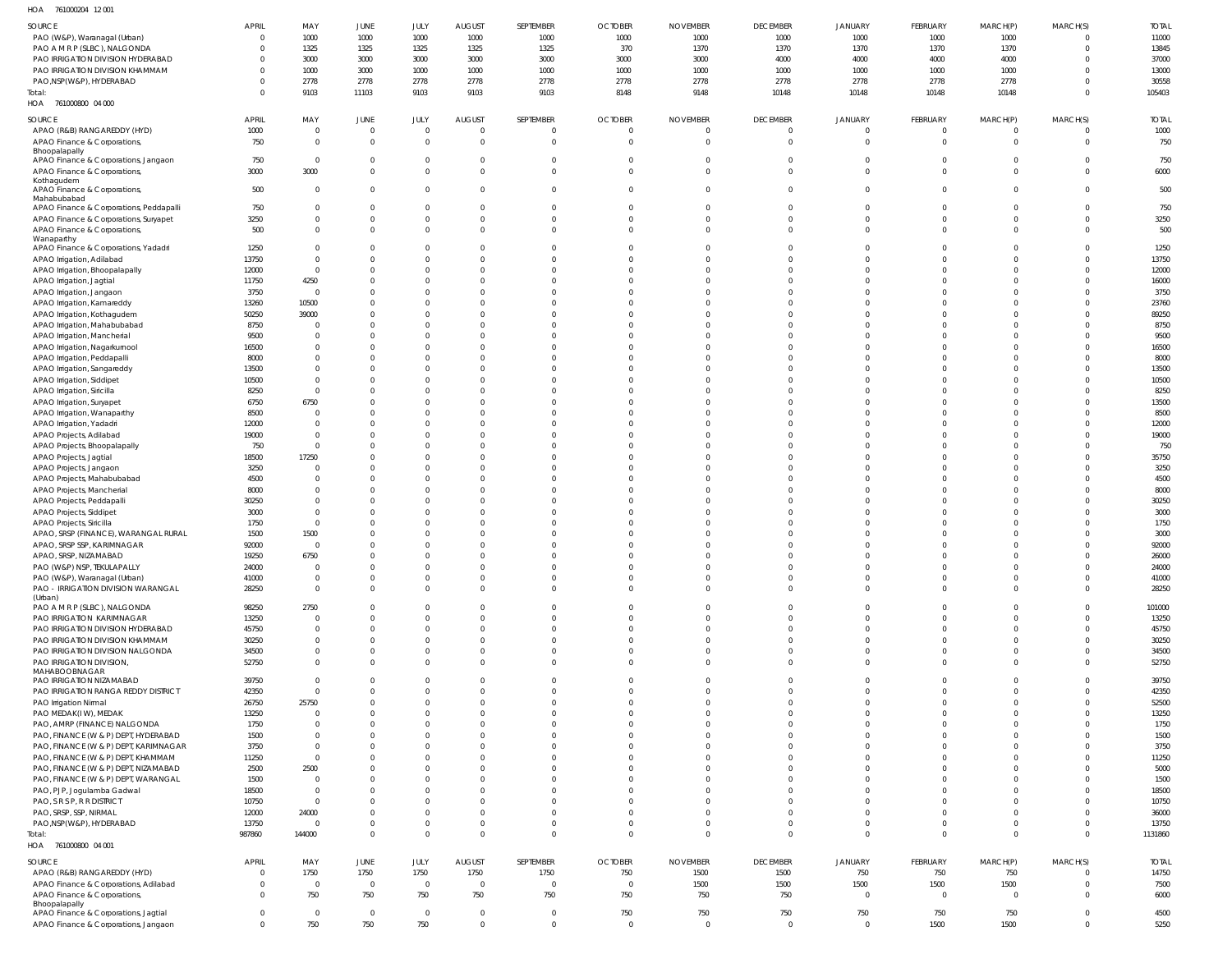761000204 12 001 HOA

| $\cdot$ - $\cdot$                          |              |                |                |                |                |                |                |                 |                 |                |                |                |          |              |
|--------------------------------------------|--------------|----------------|----------------|----------------|----------------|----------------|----------------|-----------------|-----------------|----------------|----------------|----------------|----------|--------------|
| SOURCE                                     | <b>APRIL</b> | MAY            | JUNE           | JULY           | <b>AUGUST</b>  | SEPTEMBER      | <b>OCTOBER</b> | <b>NOVEMBER</b> | <b>DECEMBER</b> | <b>JANUARY</b> | FEBRUARY       | MARCH(P)       | MARCH(S) | <b>TOTAL</b> |
| PAO (W&P), Waranagal (Urban)               | $\Omega$     | 1000           | 1000           | 1000           | 1000           | 1000           | 1000           | 1000            | 1000            | 1000           | 1000           | 1000           |          | 11000        |
| PAO A M R P (SLBC), NALGONDA               | $\Omega$     | 1325           | 1325           | 1325           | 1325           | 1325           | 370            | 1370            | 1370            | 1370           | 1370           | 1370           |          | 13845        |
| PAO IRRIGATION DIVISION HYDERABAD          | $\Omega$     | 3000           | 3000           | 3000           | 3000           | 3000           | 3000           | 3000            | 4000            | 4000           | 4000           | 4000           |          | 37000        |
| PAO IRRIGATION DIVISION KHAMMAM            | $\Omega$     | 1000           | 3000           | 1000           | 1000           | 1000           | 1000           | 1000            | 1000            | 1000           | 1000           | 1000           |          | 13000        |
| PAO, NSP(W&P), HYDERABAD                   | $\Omega$     | 2778           | 2778           | 2778           | 2778           | 2778           | 2778           | 2778            | 2778            | 2778           | 2778           | 2778           |          | 30558        |
| Total:                                     | $\Omega$     | 9103           | 11103          | 9103           | 9103           | 9103           | 8148           | 9148            | 10148           | 10148          | 10148          | 10148          | $\Omega$ | 105403       |
| HOA 761000800 04 000                       |              |                |                |                |                |                |                |                 |                 |                |                |                |          |              |
|                                            |              |                |                |                |                |                |                |                 |                 |                |                |                |          |              |
| SOURCE                                     | <b>APRIL</b> | MAY            | JUNE           | JULY           | <b>AUGUST</b>  | SEPTEMBER      | <b>OCTOBER</b> | <b>NOVEMBER</b> | <b>DECEMBER</b> | <b>JANUARY</b> | FEBRUARY       | MARCH(P)       | MARCH(S) | <b>TOTAL</b> |
| APAO (R&B) RANGAREDDY (HYD)                | 1000         | $\overline{0}$ | $\overline{0}$ | $\overline{0}$ | $\overline{0}$ | - 0            | $\overline{0}$ | $\mathbf 0$     | $\overline{0}$  | $\overline{0}$ | $\overline{0}$ | 0              | $\Omega$ | 1000         |
| APAO Finance & Corporations,               | 750          | $\mathbf{0}$   | $\overline{0}$ | $\overline{0}$ | $\overline{0}$ | $\Omega$       | $\Omega$       | $\mathbf 0$     | $\Omega$        | $\mathbf{0}$   | $\Omega$       | $\overline{0}$ | $\Omega$ | 750          |
| Bhoopalapally                              |              |                |                |                |                |                |                |                 |                 |                |                |                |          |              |
| APAO Finance & Corporations, Jangaon       | 750          | $\overline{0}$ | $\mathbf 0$    | $\overline{0}$ | 0              | $\Omega$       | $\Omega$       | 0               |                 | $\overline{0}$ | $\Omega$       | $\mathbf{0}$   | $\Omega$ | 750          |
|                                            |              | 3000           | $\mathbf{0}$   | $\overline{0}$ | $\mathbf 0$    | $\Omega$       | $\Omega$       | $\mathbf 0$     | $\Omega$        | $\mathbf{0}$   | $\Omega$       | $\overline{0}$ | $\Omega$ |              |
| APAO Finance & Corporations,               | 3000         |                |                |                |                |                |                |                 |                 |                |                |                |          | 6000         |
| Kothagudem<br>APAO Finance & Corporations, | 500          | $^{\circ}$     | $\mathbf 0$    | $\overline{0}$ | $\Omega$       | $\Omega$       | $\Omega$       | 0               | $\Omega$        | $\overline{0}$ | $\Omega$       | $\overline{0}$ | $\Omega$ | 500          |
| Mahabubabad                                |              |                |                |                |                |                |                |                 |                 |                |                |                |          |              |
| APAO Finance & Corporations, Peddapalli    | 750          | $^{\circ}$     | $\Omega$       | $\overline{0}$ | $\Omega$       | $\Omega$       | $\Omega$       | $\Omega$        | $\Omega$        | $\Omega$       | $\Omega$       | $\mathbf{0}$   | $\Omega$ | 750          |
| APAO Finance & Corporations, Suryapet      | 3250         | $\mathbf 0$    | $\overline{0}$ | $\overline{0}$ | $\overline{0}$ | $\Omega$       | $\Omega$       | $\Omega$        | $\Omega$        | $\Omega$       | $\Omega$       | $\mathbf 0$    | $\Omega$ | 3250         |
|                                            |              |                |                |                | $\Omega$       | $\Omega$       |                |                 | $\Omega$        | $\Omega$       |                | $\Omega$       |          |              |
| APAO Finance & Corporations,               | 500          | $\mathbf 0$    | $\mathbf{0}$   | $\mathbf{0}$   |                |                | $\Omega$       | $\Omega$        |                 |                | $\Omega$       |                | $\Omega$ | 500          |
| Wanaparthy                                 | 1250         | $^{\circ}$     | $\Omega$       | $\Omega$       | 0              |                |                | $\Omega$        |                 | $\Omega$       | - 0            | $\Omega$       |          | 1250         |
| APAO Finance & Corporations, Yadadri       |              |                |                |                |                |                |                |                 |                 |                |                |                |          |              |
| APAO Irrigation, Adilabad                  | 13750        | $\overline{0}$ | $\Omega$       | $\Omega$       | $\Omega$       |                | $\Omega$       | $\Omega$        |                 | $\Omega$       | $\Omega$       | $\Omega$       | $\Omega$ | 13750        |
| APAO Irrigation, Bhoopalapally             | 12000        | $\mathbf{0}$   | $\Omega$       | $\overline{0}$ | $\Omega$       |                | $\Omega$       | $\Omega$        |                 | $\Omega$       | $\Omega$       | $\Omega$       | $\Omega$ | 12000        |
| APAO Irrigation, Jagtial                   | 11750        | 4250           | $\Omega$       | $\Omega$       | $\Omega$       |                |                | $\Omega$        |                 | $\Omega$       | $\Omega$       | $\Omega$       | $\Omega$ | 16000        |
| APAO Irrigation, Jangaon                   | 3750         | $\overline{0}$ | $\Omega$       | $\Omega$       | $\Omega$       |                |                |                 |                 | $\Omega$       | $\Omega$       | $\Omega$       | $\Omega$ | 3750         |
| APAO Irrigation, Kamareddy                 | 13260        | 10500          | $\Omega$       | $\Omega$       | $\Omega$       |                |                |                 |                 | $\Omega$       | $\Omega$       | $\Omega$       | $\Omega$ | 23760        |
| APAO Irrigation, Kothagudem                | 50250        | 39000          | $\Omega$       | $\overline{0}$ | $\Omega$       |                |                | $\Omega$        |                 | $\Omega$       | $\Omega$       | $\Omega$       | $\Omega$ | 89250        |
| APAO Irrigation, Mahabubabad               | 8750         | 0              | $\Omega$       | $\Omega$       | $\Omega$       |                | $\Omega$       | $\Omega$        |                 | $\Omega$       | $\Omega$       | $\Omega$       | $\Omega$ | 8750         |
|                                            |              |                |                |                |                |                |                |                 |                 |                |                |                |          |              |
| APAO Irrigation, Mancherial                | 9500         | $\mathbf{0}$   | $\Omega$       | $\Omega$       | $\Omega$       |                |                | $\Omega$        |                 | $\Omega$       | $\Omega$       | $\Omega$       |          | 9500         |
| APAO Irrigation, Nagarkurnool              | 16500        | $\mathbf{0}$   | $\Omega$       | $\Omega$       | $\Omega$       |                | $\Omega$       | $\Omega$        |                 | $\Omega$       | $\Omega$       | $\Omega$       | $\Omega$ | 16500        |
| APAO Irrigation, Peddapalli                | 8000         | $\mathbf{0}$   | $\Omega$       | $\Omega$       | $\Omega$       |                |                | $\Omega$        |                 | $\Omega$       | $\Omega$       | $\Omega$       |          | 8000         |
| APAO Irrigation, Sangareddy                | 13500        | $\mathbf{0}$   | $\Omega$       | $\Omega$       | $\Omega$       |                |                | $\Omega$        |                 | $\Omega$       | $\Omega$       | $\Omega$       | $\Omega$ | 13500        |
| APAO Irrigation, Siddipet                  | 10500        | $\overline{0}$ | $\Omega$       | $\Omega$       | $\Omega$       |                |                | $\Omega$        |                 | $\Omega$       | $\Omega$       | $\Omega$       | $\Omega$ | 10500        |
| APAO Irrigation, Siricilla                 | 8250         | $\mathbf{0}$   | $\Omega$       | $\Omega$       | $\Omega$       |                |                |                 |                 | $\Omega$       | $\Omega$       | $\Omega$       | $\Omega$ | 8250         |
|                                            | 6750         | 6750           | $\Omega$       | $\overline{0}$ | $\Omega$       |                |                | $\Omega$        |                 | $\Omega$       | $\Omega$       | $\Omega$       | $\Omega$ | 13500        |
| APAO Irrigation, Suryapet                  |              |                |                |                |                |                |                |                 |                 |                |                |                |          |              |
| APAO Irrigation, Wanaparthy                | 8500         | $\mathbf{0}$   | $\Omega$       | $\Omega$       | $\Omega$       |                |                | $\Omega$        |                 | $\Omega$       | $\Omega$       | $\Omega$       | $\Omega$ | 8500         |
| APAO Irrigation, Yadadri                   | 12000        | $\mathbf{0}$   | $\Omega$       | $\Omega$       | $\Omega$       |                |                | $\Omega$        |                 | $\Omega$       | $\Omega$       | $\Omega$       | $\Omega$ | 12000        |
| APAO Projects, Adilabad                    | 19000        | $\overline{0}$ | $\Omega$       | $\Omega$       | $\Omega$       |                | $\Omega$       | $\Omega$        |                 | $\Omega$       | $\Omega$       | $\Omega$       | $\Omega$ | 19000        |
| APAO Projects, Bhoopalapally               | 750          | $\mathbf{0}$   | $\Omega$       | $\Omega$       | $\Omega$       |                |                | $\Omega$        |                 | $\Omega$       | $\Omega$       | $\Omega$       |          | 750          |
| APAO Projects, Jagtial                     | 18500        | 17250          | $\Omega$       | $\Omega$       | $\Omega$       |                | $\Omega$       | $\Omega$        |                 | $\Omega$       | $\Omega$       | $\Omega$       | $\Omega$ | 35750        |
| APAO Projects, Jangaon                     | 3250         | $\mathbf{0}$   | $\Omega$       | $\Omega$       | $\Omega$       |                |                | $\Omega$        |                 | $\Omega$       | $\Omega$       | $\Omega$       |          | 3250         |
|                                            |              | $\mathbf{0}$   | $\Omega$       | $\Omega$       | $\Omega$       |                |                |                 |                 | $\Omega$       | $\Omega$       | $\Omega$       | $\Omega$ |              |
| APAO Projects, Mahabubabad                 | 4500         |                |                |                |                |                |                |                 |                 |                |                |                |          | 4500         |
| APAO Projects, Mancherial                  | 8000         | $\mathbf{0}$   | $\Omega$       | $\overline{0}$ | $\Omega$       |                |                | $\Omega$        |                 | $\Omega$       | $\Omega$       | $\Omega$       | $\Omega$ | 8000         |
| APAO Projects, Peddapalli                  | 30250        | $\mathbf{0}$   | $\Omega$       | $\Omega$       | $\Omega$       |                |                | $\Omega$        |                 | $\Omega$       | $\Omega$       | $\Omega$       | $\Omega$ | 30250        |
| <b>APAO Projects, Siddipet</b>             | 3000         | $\mathbf 0$    | $\Omega$       | $\Omega$       | $\Omega$       |                |                |                 |                 | $\Omega$       | $\Omega$       | $\Omega$       |          | 3000         |
| APAO Projects, Siricilla                   | 1750         | $\overline{0}$ | $\Omega$       | $\Omega$       | $\Omega$       |                | $\Omega$       |                 |                 | $\Omega$       | $\Omega$       | $\Omega$       |          | 1750         |
| APAO, SRSP (FINANCE), WARANGAL RURAL       | 1500         | 1500           | $\Omega$       | $\Omega$       | $\Omega$       |                |                |                 |                 | $\Omega$       | $\Omega$       | $\Omega$       |          | 3000         |
| APAO, SRSP SSP, KARIMNAGAR                 | 92000        | $\overline{0}$ | $\Omega$       | $\Omega$       | $\Omega$       |                |                | $\Omega$        |                 | $\Omega$       | $\Omega$       | $\Omega$       |          | 92000        |
| APAO, SRSP, NIZAMABAD                      | 19250        | 6750           | $\Omega$       | $\Omega$       | $\Omega$       |                |                | $\Omega$        |                 | $\Omega$       | $\Omega$       | $\Omega$       | $\Omega$ | 26000        |
|                                            | 24000        | $^{\circ}$     | $\Omega$       | $\Omega$       | $\Omega$       | $\Omega$       | $\Omega$       | $\Omega$        | $\Omega$        | $\Omega$       | $\Omega$       | $\Omega$       | $\Omega$ |              |
| PAO (W&P) NSP, TEKULAPALLY                 |              |                |                |                |                |                |                |                 |                 |                |                |                |          | 24000        |
| PAO (W&P), Waranagal (Urban)               | 41000        | $\mathbf{0}$   | $\overline{0}$ | $\overline{0}$ | $\mathbf 0$    | $\Omega$       | $\Omega$       | $\mathbf 0$     | $\mathbf{0}$    | $\mathbf{0}$   | $\mathbf 0$    | $\overline{0}$ | $\Omega$ | 41000        |
| PAO - IRRIGATION DIVISION WARANGAL         | 28250        | $\overline{0}$ | $\mathbf{0}$   | $\overline{0}$ | $\Omega$       | $\Omega$       | $\Omega$       | $\Omega$        | $\Omega$        | $\Omega$       | $\Omega$       | $\overline{0}$ | $\Omega$ | 28250        |
| (Urban)                                    |              |                |                |                |                |                |                |                 |                 |                |                |                |          |              |
| PAO A M R P (SLBC), NALGONDA               | 98250        | 2750           | $\Omega$       | $\overline{0}$ | $\Omega$       | $\Omega$       | $\Omega$       | $\Omega$        | $\Omega$        | $\Omega$       | $\Omega$       | $\mathbf{0}$   | $\Omega$ | 101000       |
| PAO IRRIGATION KARIMNAGAR                  | 13250        | $\overline{0}$ | $\Omega$       | $\Omega$       | $\Omega$       | $\Omega$       | $\Omega$       | $\Omega$        | $\Omega$        | $\Omega$       | $\Omega$       | $\Omega$       | $\Omega$ | 13250        |
| PAO IRRIGATION DIVISION HYDERABAD          | 45750        | $\overline{0}$ | $\Omega$       | $\mathbf{0}$   | $\Omega$       | $\Omega$       | $\Omega$       | $\Omega$        | $\Omega$        | $\Omega$       | $\Omega$       | $\overline{0}$ | $\Omega$ | 45750        |
| PAO IRRIGATION DIVISION KHAMMAM            | 30250        | $\mathbf 0$    | $\Omega$       | $\mathbf{0}$   | $\Omega$       | $\Omega$       | $\Omega$       | $\Omega$        | $\Omega$        | $\Omega$       | $\Omega$       | $\Omega$       | $\Omega$ | 30250        |
| PAO IRRIGATION DIVISION NALGONDA           | 34500        | $\mathbf 0$    | $\overline{0}$ | $\overline{0}$ | $\mathbf{0}$   | $\Omega$       | $\Omega$       | $\mathbf 0$     | $\Omega$        | $\overline{0}$ | $\Omega$       | $\overline{0}$ | $\Omega$ | 34500        |
| PAO IRRIGATION DIVISION,                   | 52750        | $\overline{0}$ | $\Omega$       | $\Omega$       | $\Omega$       | $\Omega$       | $\Omega$       | $\Omega$        | $\Omega$        | $\Omega$       | $\Omega$       | $\Omega$       | $\Omega$ | 52750        |
| MAHABOOBNAGAR                              |              |                |                |                |                |                |                |                 |                 |                |                |                |          |              |
| PAO IRRIGATION NIZAMABAD                   | 39750        | $\overline{0}$ | $\Omega$       | $\overline{0}$ | $\Omega$       | $\Omega$       | $\Omega$       | $\mathbf 0$     | $\Omega$        | $\overline{0}$ | $\Omega$       | $\mathbf{0}$   | $\Omega$ | 39750        |
| PAO IRRIGATION RANGA REDDY DISTRICT        | 42350        | $\mathbf{0}$   | $\Omega$       | $\Omega$       | $\Omega$       | $\Omega$       | $\Omega$       | $\Omega$        | $\Omega$        | $\Omega$       | $\Omega$       | $\Omega$       | $\Omega$ | 42350        |
| PAO Irrigation Nirmal                      | 26750        | 25750          | $\Omega$       | $\overline{0}$ | $\Omega$       | $\Omega$       | $\Omega$       | $\Omega$        | $\Omega$        | $\Omega$       | $\Omega$       | $\overline{0}$ | $\Omega$ | 52500        |
| PAO MEDAK(IW), MEDAK                       | 13250        | $\overline{0}$ | $\Omega$       | $\Omega$       | $\Omega$       | $\Omega$       | $\Omega$       | $\Omega$        | $\Omega$        | $\Omega$       | $\Omega$       | $\Omega$       | $\Omega$ | 13250        |
|                                            |              | $\overline{0}$ | $\Omega$       | $\Omega$       | $\Omega$       |                | $\Omega$       | $\Omega$        | $\Omega$        | $\Omega$       | $\Omega$       | $\Omega$       | $\Omega$ | 1750         |
| PAO, AMRP (FINANCE) NALGONDA               | 1750         |                |                |                |                |                |                |                 |                 |                |                |                |          |              |
| PAO, FINANCE (W & P) DEPT, HYDERABAD       | 1500         | $\overline{0}$ | $\Omega$       | $\Omega$       | $\Omega$       | $\Omega$       | $\Omega$       | $\Omega$        | $\Omega$        | $\Omega$       | $\Omega$       | $\Omega$       | $\Omega$ | 1500         |
| PAO, FINANCE (W & P) DEPT, KARIMNAGAR      | 3750         | $\overline{0}$ | $\Omega$       | $\Omega$       | $\Omega$       |                | $\Omega$       | $\Omega$        | $\Omega$        | $\Omega$       | $\Omega$       | $\Omega$       |          | 3750         |
| PAO, FINANCE (W & P) DEPT, KHAMMAM         | 11250        | $\overline{0}$ | $\Omega$       | $\Omega$       | $\Omega$       | $\Omega$       | $\Omega$       | $\Omega$        | $\Omega$        | $\Omega$       | $\Omega$       | $\Omega$       | $\Omega$ | 11250        |
| PAO, FINANCE (W & P) DEPT, NIZAMABAD       | 2500         | 2500           | $\Omega$       | $\Omega$       | $\Omega$       | $\Omega$       | $\Omega$       | $\Omega$        | $\Omega$        | $\Omega$       | $\Omega$       | $\Omega$       |          | 5000         |
| PAO, FINANCE (W & P) DEPT, WARANGAL        | 1500         | $\overline{0}$ | $\Omega$       | $\Omega$       | $\Omega$       |                | $\Omega$       | $\Omega$        | $\Omega$        | $\Omega$       | $\Omega$       | $\Omega$       | $\Omega$ | 1500         |
| PAO, PJP, Jogulamba Gadwal                 | 18500        | $\overline{0}$ | $\Omega$       | $\overline{0}$ | $\Omega$       | $\Omega$       | $\Omega$       | $\Omega$        | $\Omega$        | $\Omega$       | $\Omega$       | $\Omega$       |          | 18500        |
| PAO, S R S P, R R DISTRICT                 | 10750        | $\mathbf{0}$   | $\Omega$       | $\Omega$       | $\Omega$       | $\Omega$       | $\Omega$       | $\Omega$        | $\Omega$        | $\Omega$       | $\Omega$       | $\Omega$       | $\Omega$ | 10750        |
|                                            |              |                |                |                |                |                |                |                 |                 |                |                |                |          |              |
| PAO, SRSP, SSP, NIRMAL                     | 12000        | 24000          | $\overline{0}$ | $\overline{0}$ | $\Omega$       | $\Omega$       | $\Omega$       | $\Omega$        | $\Omega$        | $\Omega$       | $\Omega$       | $\Omega$       | $\Omega$ | 36000        |
| PAO, NSP(W&P), HYDERABAD                   | 13750        | $\overline{0}$ | $\mathbf{0}$   | $\mathbf{0}$   | $\mathbf 0$    | $\Omega$       | $\Omega$       | $\mathbf 0$     | $\Omega$        | $\Omega$       | $\Omega$       | $\overline{0}$ | $\Omega$ | 13750        |
| Total:                                     | 987860       | 144000         | $\overline{0}$ | $\overline{0}$ | $\Omega$       | $\Omega$       | $\Omega$       | $\Omega$        | $\Omega$        | $\Omega$       | $\Omega$       | $\Omega$       | $\Omega$ | 1131860      |
| HOA 761000800 04 001                       |              |                |                |                |                |                |                |                 |                 |                |                |                |          |              |
|                                            |              |                |                |                |                |                |                |                 |                 |                |                |                |          |              |
| SOURCE                                     | <b>APRIL</b> | MAY            | JUNE           | JULY           | <b>AUGUST</b>  | SEPTEMBER      | <b>OCTOBER</b> | <b>NOVEMBER</b> | <b>DECEMBER</b> | <b>JANUARY</b> | FEBRUARY       | MARCH(P)       | MARCH(S) | <b>TOTAL</b> |
| APAO (R&B) RANGAREDDY (HYD)                | $\mathbf{0}$ | 1750           | 1750           | 1750           | 1750           | 1750           | 750            | 1500            | 1500            | 750            | 750            | 750            |          | 14750        |
| APAO Finance & Corporations, Adilabad      | $\mathbf{0}$ | $\overline{0}$ | $\overline{0}$ | $\overline{0}$ | $\overline{0}$ | $\overline{0}$ | $\overline{0}$ | 1500            | 1500            | 1500           | 1500           | 1500           |          | 7500         |
| APAO Finance & Corporations,               | $\Omega$     | 750            | 750            | 750            | 750            | 750            | 750            | 750             | 750             | $\overline{0}$ | $\overline{0}$ | $\overline{0}$ |          | 6000         |
| Bhoopalapally                              |              |                |                |                |                |                |                |                 |                 |                |                |                |          |              |
| APAO Finance & Corporations, Jagtial       | $\Omega$     | $\overline{0}$ | $\overline{0}$ | $\overline{0}$ | $\overline{0}$ | $\Omega$       | 750            | 750             | 750             | 750            | 750            | 750            | $\Omega$ | 4500         |
| APAO Finance & Corporations, Jangaon       | $\Omega$     | 750            | 750            | 750            | $\overline{0}$ | $\Omega$       | $\mathbf 0$    | $\overline{0}$  | $\overline{0}$  | $\overline{0}$ | 1500           | 1500           | $\Omega$ | 5250         |
|                                            |              |                |                |                |                |                |                |                 |                 |                |                |                |          |              |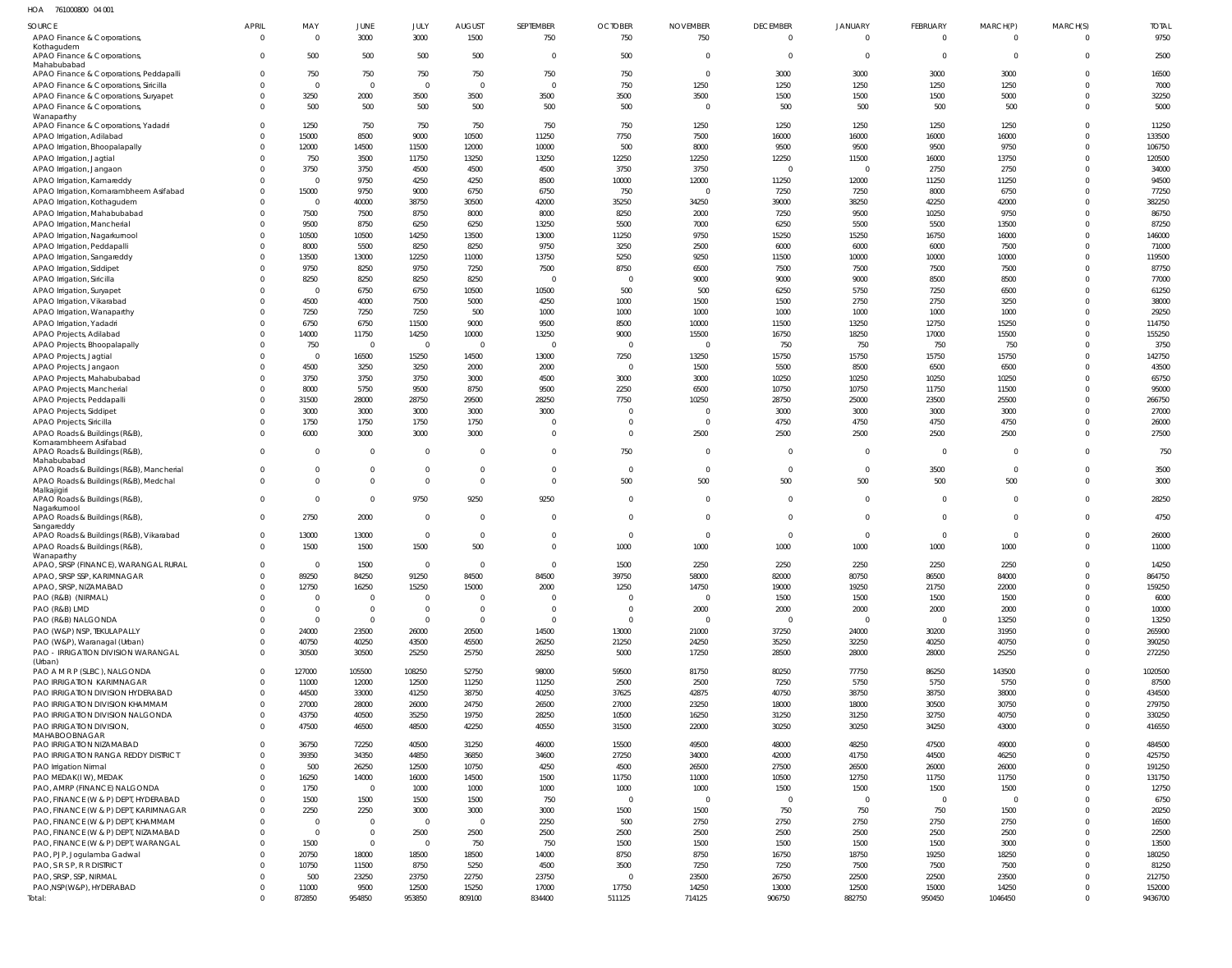HOA 761000800 04 001

| SOURCE                                                                            | <b>APRIL</b>                     | MAY                 | JUNE                    | JULY                    | <b>AUGUST</b>           | SEPTEMBER        | <b>OCTOBER</b>         | <b>NOVEMBER</b>        | <b>DECEMBER</b>        | JANUARY                | <b>FEBRUARY</b>        | MARCH(P)       | MARCH(S)             | <b>TOTAL</b>     |
|-----------------------------------------------------------------------------------|----------------------------------|---------------------|-------------------------|-------------------------|-------------------------|------------------|------------------------|------------------------|------------------------|------------------------|------------------------|----------------|----------------------|------------------|
| APAO Finance & Corporations,                                                      | $\overline{0}$                   | $\mathsf{C}$        | 3000                    | 3000                    | 1500                    | 750              | 750                    | 750                    | $\Omega$               | $\Omega$               | $\Omega$               | $\Omega$       | $\Omega$             | 9750             |
| Kothagudem<br>APAO Finance & Corporations,                                        | $\Omega$                         | 500                 | 500                     | 500                     | 500                     | $\mathbf 0$      | 500                    | $\overline{0}$         | $\Omega$               | $\overline{0}$         | $\Omega$               | $\overline{0}$ | $\Omega$             | 2500             |
| Mahabubabad                                                                       |                                  |                     |                         |                         |                         |                  |                        |                        |                        |                        |                        |                |                      |                  |
| APAO Finance & Corporations, Peddapalli<br>APAO Finance & Corporations, Siricilla | $\overline{0}$<br>$\Omega$       | 750<br>$\mathsf{C}$ | 750<br>$\overline{0}$   | 750<br>$\Omega$         | 750<br>$\overline{0}$   | 750<br>$\Omega$  | 750<br>750             | $\overline{0}$<br>1250 | 3000<br>1250           | 3000<br>1250           | 3000<br>1250           | 3000<br>1250   | $\Omega$<br>$\Omega$ | 16500<br>7000    |
| APAO Finance & Corporations, Suryapet                                             | $\overline{0}$                   | 3250                | 2000                    | 3500                    | 3500                    | 3500             | 3500                   | 3500                   | 1500                   | 1500                   | 1500                   | 5000           | $\Omega$             | 32250            |
| APAO Finance & Corporations,                                                      | $\Omega$                         | 500                 | 500                     | 500                     | 500                     | 500              | 500                    | $\Omega$               | 500                    | 500                    | 500                    | 500            | $\Omega$             | 5000             |
| Wanaparthy<br>APAO Finance & Corporations, Yadadri                                | $\Omega$                         | 1250                | 750                     | 750                     | 750                     | 750              | 750                    | 1250                   | 1250                   | 1250                   | 1250                   | 1250           | <sup>0</sup>         | 11250            |
| APAO Irrigation, Adilabad                                                         | $\Omega$                         | 15000               | 8500                    | 9000                    | 10500                   | 11250            | 7750                   | 7500                   | 16000                  | 16000                  | 16000                  | 16000          | $\Omega$             | 133500           |
| APAO Irrigation, Bhoopalapally                                                    | $\Omega$                         | 12000               | 14500                   | 11500                   | 12000                   | 10000            | 500                    | 8000                   | 9500                   | 9500                   | 9500                   | 9750           | <sup>0</sup>         | 106750           |
| APAO Irrigation, Jagtial                                                          | $\Omega$                         | 750                 | 3500                    | 11750                   | 13250                   | 13250            | 12250                  | 12250                  | 12250                  | 11500                  | 16000                  | 13750          |                      | 120500           |
| APAO Irrigation, Jangaon                                                          | $\Omega$<br>$\Omega$             | 3750<br>- 0         | 3750<br>9750            | 4500                    | 4500                    | 4500<br>8500     | 3750<br>10000          | 3750<br>12000          | $\Omega$               | $\overline{0}$         | 2750                   | 2750           |                      | 34000<br>94500   |
| APAO Irrigation, Kamareddy<br>APAO Irrigation, Komarambheem Asifabad              | $\Omega$                         | 15000               | 9750                    | 4250<br>9000            | 4250<br>6750            | 6750             | 750                    | $\Omega$               | 11250<br>7250          | 12000<br>7250          | 11250<br>8000          | 11250<br>6750  |                      | 77250            |
| APAO Irrigation, Kothagudem                                                       | $\Omega$                         | - 0                 | 40000                   | 38750                   | 30500                   | 42000            | 35250                  | 34250                  | 39000                  | 38250                  | 42250                  | 42000          |                      | 382250           |
| APAO Irrigation, Mahabubabad                                                      | $\Omega$                         | 7500                | 7500                    | 8750                    | 8000                    | 8000             | 8250                   | 2000                   | 7250                   | 9500                   | 10250                  | 9750           |                      | 86750            |
| APAO Irrigation, Mancherial                                                       | $\Omega$                         | 9500                | 8750                    | 6250                    | 6250                    | 13250            | 5500                   | 7000                   | 6250                   | 5500                   | 5500                   | 13500          |                      | 87250            |
| APAO Irrigation, Nagarkurnool<br>APAO Irrigation, Peddapalli                      | $\Omega$<br>$\Omega$             | 10500<br>8000       | 10500<br>5500           | 14250<br>8250           | 13500<br>8250           | 13000<br>9750    | 11250<br>3250          | 9750<br>2500           | 15250<br>6000          | 15250<br>6000          | 16750<br>6000          | 16000<br>7500  |                      | 146000<br>71000  |
| APAO Irrigation, Sangareddy                                                       | $\Omega$                         | 13500               | 13000                   | 12250                   | 11000                   | 13750            | 5250                   | 9250                   | 11500                  | 10000                  | 10000                  | 10000          |                      | 119500           |
| APAO Irrigation, Siddipet                                                         | $\Omega$                         | 9750                | 8250                    | 9750                    | 7250                    | 7500             | 8750                   | 6500                   | 7500                   | 7500                   | 7500                   | 7500           |                      | 87750            |
| APAO Irrigation, Siricilla                                                        | $\Omega$                         | 8250                | 8250                    | 8250                    | 8250                    | $\Omega$         | $\Omega$               | 9000                   | 9000                   | 9000                   | 8500                   | 8500           |                      | 77000            |
| APAO Irrigation, Suryapet<br>APAO Irrigation, Vikarabad                           | $\Omega$<br>$\Omega$             | - 0<br>4500         | 6750<br>4000            | 6750<br>7500            | 10500<br>5000           | 10500<br>4250    | 500<br>1000            | 500<br>1500            | 6250<br>1500           | 5750<br>2750           | 7250<br>2750           | 6500<br>3250   |                      | 61250<br>38000   |
| APAO Irrigation, Wanaparthy                                                       | $\Omega$                         | 7250                | 7250                    | 7250                    | 500                     | 1000             | 1000                   | 1000                   | 1000                   | 1000                   | 1000                   | 1000           |                      | 29250            |
| APAO Irrigation, Yadadri                                                          | $\Omega$                         | 6750                | 6750                    | 11500                   | 9000                    | 9500             | 8500                   | 10000                  | 11500                  | 13250                  | 12750                  | 15250          |                      | 114750           |
| APAO Projects, Adilabad                                                           | $\Omega$                         | 14000               | 11750                   | 14250                   | 10000                   | 13250            | 9000                   | 15500                  | 16750                  | 18250                  | 17000                  | 15500          |                      | 155250           |
| APAO Projects, Bhoopalapally                                                      | $\Omega$                         | 750                 | $\overline{0}$          | $\overline{0}$          | $\overline{0}$          | $\overline{0}$   | $\overline{0}$         | $\overline{0}$         | 750                    | 750                    | 750                    | 750            |                      | 3750             |
| APAO Projects, Jagtial<br>APAO Projects, Jangaon                                  | $\Omega$<br>$\Omega$             | - 0<br>4500         | 16500<br>3250           | 15250<br>3250           | 14500<br>2000           | 13000<br>2000    | 7250<br>$\overline{0}$ | 13250<br>1500          | 15750<br>5500          | 15750<br>8500          | 15750<br>6500          | 15750<br>6500  |                      | 142750<br>43500  |
| APAO Projects, Mahabubabad                                                        | $\Omega$                         | 3750                | 3750                    | 3750                    | 3000                    | 4500             | 3000                   | 3000                   | 10250                  | 10250                  | 10250                  | 10250          |                      | 65750            |
| APAO Projects, Mancheria                                                          | $\Omega$                         | 8000                | 5750                    | 9500                    | 8750                    | 9500             | 2250                   | 6500                   | 10750                  | 10750                  | 11750                  | 11500          |                      | 95000            |
| APAO Projects, Peddapalli                                                         | $\Omega$                         | 31500               | 28000                   | 28750                   | 29500                   | 28250            | 7750                   | 10250                  | 28750                  | 25000                  | 23500                  | 25500          |                      | 266750           |
| APAO Projects, Siddipet                                                           | $\Omega$<br>$\Omega$             | 3000<br>1750        | 3000                    | 3000<br>1750            | 3000                    | 3000<br>$\Omega$ | $\Omega$<br>$\Omega$   | $\Omega$<br>$\Omega$   | 3000<br>4750           | 3000                   | 3000<br>4750           | 3000<br>4750   |                      | 27000<br>26000   |
| APAO Projects, Siricilla<br>APAO Roads & Buildings (R&B)                          | $\Omega$                         | 6000                | 1750<br>3000            | 3000                    | 1750<br>3000            | $\Omega$         | $\Omega$               | 2500                   | 2500                   | 4750<br>2500           | 2500                   | 2500           | $\Omega$             | 27500            |
| Komarambheem Asifabad                                                             |                                  |                     |                         |                         |                         |                  |                        |                        |                        |                        |                        |                |                      |                  |
| APAO Roads & Buildings (R&B),<br>Mahabubabad                                      | $\Omega$                         | - 0                 | $\overline{0}$          | $\mathbf{0}$            | $\overline{0}$          | $\mathbf 0$      | 750                    | $\mathbf{0}$           | $\mathbf{0}$           | $\overline{0}$         | $\overline{0}$         | $\mathbf 0$    | $\Omega$             | 750              |
| APAO Roads & Buildings (R&B), Mancherial                                          | $\overline{0}$                   |                     | $\mathbf 0$             | 0                       | $\mathbf 0$             | $\mathbf 0$      | $\mathbf 0$            | $\mathbf{0}$           | $\Omega$               | $\overline{0}$         | 3500                   | $\mathbf 0$    | $\Omega$             | 3500             |
| APAO Roads & Buildings (R&B), Medchal                                             | $\Omega$                         | $\mathsf{C}$        | $\mathbf{0}$            | $\Omega$                | $\mathbf 0$             | $\overline{0}$   | 500                    | 500                    | 500                    | 500                    | 500                    | 500            | $\Omega$             | 3000             |
| Malkajigiri<br>APAO Roads & Buildings (R&B),                                      | $\Omega$                         |                     | $\overline{0}$          | 9750                    | 9250                    | 9250             | $\Omega$               | $\mathbf{0}$           | $\Omega$               | $\overline{0}$         | $\overline{0}$         | $\mathbf 0$    | $\Omega$             | 28250            |
| Nagarkurnool                                                                      |                                  |                     |                         |                         |                         |                  |                        |                        |                        |                        |                        |                |                      |                  |
| APAO Roads & Buildings (R&B)<br>Sangareddy                                        | $\Omega$                         | 2750                | 2000                    | $\mathbf{0}$            | $\overline{0}$          | $\Omega$         | $\Omega$               | $\mathbf{0}$           | $\Omega$               | $\Omega$               | $\Omega$               | $\overline{0}$ | $\Omega$             | 4750             |
| APAO Roads & Buildings (R&B), Vikarabad                                           | $\Omega$                         | 13000               | 13000                   | 0                       | $\overline{0}$          | 0                | $\mathbf 0$            | $\Omega$               | $\Omega$               | $\Omega$               | $\Omega$               | $\mathbf 0$    |                      | 26000            |
| APAO Roads & Buildings (R&B)<br>Wanaparthy                                        | $\Omega$                         | 1500                | 1500                    | 1500                    | 500                     | $\Omega$         | 1000                   | 1000                   | 1000                   | 1000                   | 1000                   | 1000           | $\Omega$             | 11000            |
| APAO, SRSP (FINANCE), WARANGAL RURAL                                              |                                  |                     | 1500                    | -0                      | - 0                     |                  | 1500                   | 2250                   | 2250                   | 2250                   | 2250                   | 2250           |                      | 14250            |
| APAO, SRSP SSP, KARIMNAGAR                                                        | $\Omega$                         | 89250               | 84250                   | 91250                   | 84500                   | 84500            | 39750                  | 58000                  | 82000                  | 80750                  | 86500                  | 84000          | $\Omega$             | 864750           |
| APAO, SRSP, NIZAMABAD<br>PAO (R&B) (NIRMAL)                                       | $\Omega$<br>$\Omega$             | 12750<br>- 0        | 16250<br>$\overline{0}$ | 15250<br>$\Omega$       | 15000<br>$\overline{0}$ | 2000<br>$\Omega$ | 1250<br>$\overline{0}$ | 14750<br>$\Omega$      | 19000<br>1500          | 19250<br>1500          | 21750<br>1500          | 22000<br>1500  | $\Omega$             | 159250<br>6000   |
| PAO (R&B) LMD                                                                     | $\Omega$                         | - 0                 | $\overline{0}$          | $\overline{0}$          | $\mathbf{0}$            | $\Omega$         | $\overline{0}$         | 2000                   | 2000                   | 2000                   | 2000                   | 2000           |                      | 10000            |
| PAO (R&B) NALGONDA                                                                | $\Omega$                         | $\Omega$            | $\overline{0}$          | $\Omega$                | $\overline{0}$          | $\Omega$         | $\overline{0}$         | $\Omega$               | $\Omega$               | $\Omega$               | $\Omega$               | 13250          | $\Omega$             | 13250            |
| PAO (W&P) NSP, TEKULAPALLY                                                        | $\Omega$                         | 24000               | 23500                   | 26000                   | 20500                   | 14500            | 13000                  | 21000                  | 37250                  | 24000                  | 30200                  | 31950          |                      | 265900           |
| PAO (W&P), Waranagal (Urban)<br><b>PAO - IRRIGATION DIVISION WARANGAL</b>         | $\Omega$<br>$\Omega$             | 40750<br>30500      | 40250<br>30500          | 43500<br>25250          | 45500<br>25750          | 26250<br>28250   | 21250<br>5000          | 24250<br>17250         | 35250<br>28500         | 32250<br>28000         | 40250<br>28000         | 40750<br>25250 | $\Omega$<br>$\Omega$ | 390250<br>272250 |
| (Urban)                                                                           |                                  |                     |                         |                         |                         |                  |                        |                        |                        |                        |                        |                |                      |                  |
| PAO A M R P (SLBC), NALGONDA                                                      | $\overline{0}$                   | 127000              | 105500                  | 108250                  | 52750                   | 98000            | 59500                  | 81750                  | 80250                  | 77750                  | 86250                  | 143500         | $\Omega$             | 1020500          |
| PAO IRRIGATION KARIMNAGAR<br>PAO IRRIGATION DIVISION HYDERABAD                    | $\overline{0}$<br>$\overline{0}$ | 11000<br>44500      | 12000<br>33000          | 12500<br>41250          | 11250<br>38750          | 11250<br>40250   | 2500<br>37625          | 2500<br>42875          | 7250<br>40750          | 5750<br>38750          | 5750<br>38750          | 5750<br>38000  | $\Omega$<br>$\Omega$ | 87500<br>434500  |
| PAO IRRIGATION DIVISION KHAMMAM                                                   | $\overline{0}$                   | 27000               | 28000                   | 26000                   | 24750                   | 26500            | 27000                  | 23250                  | 18000                  | 18000                  | 30500                  | 30750          | $\Omega$             | 279750           |
| PAO IRRIGATION DIVISION NALGONDA                                                  | $\overline{0}$                   | 43750               | 40500                   | 35250                   | 19750                   | 28250            | 10500                  | 16250                  | 31250                  | 31250                  | 32750                  | 40750          | $\Omega$             | 330250           |
| PAO IRRIGATION DIVISION,                                                          | $\Omega$                         | 47500               | 46500                   | 48500                   | 42250                   | 40550            | 31500                  | 22000                  | 30250                  | 30250                  | 34250                  | 43000          | $\Omega$             | 416550           |
| MAHABOOBNAGAR<br>PAO IRRIGATION NIZAMABAD                                         | $\overline{0}$                   | 36750               | 72250                   | 40500                   | 31250                   | 46000            | 15500                  | 49500                  | 48000                  | 48250                  | 47500                  | 49000          | $\Omega$             | 484500           |
| PAO IRRIGATION RANGA REDDY DISTRICT                                               | $\overline{0}$                   | 39350               | 34350                   | 44850                   | 36850                   | 34600            | 27250                  | 34000                  | 42000                  | 41750                  | 44500                  | 46250          | $\Omega$             | 425750           |
| PAO Irrigation Nirmal                                                             | $\Omega$                         | 500                 | 26250                   | 12500                   | 10750                   | 4250             | 4500                   | 26500                  | 27500                  | 26500                  | 26000                  | 26000          | $\Omega$             | 191250           |
| PAO MEDAK(IW), MEDAK                                                              | $\overline{0}$<br>$\Omega$       | 16250<br>1750       | 14000<br>$\overline{0}$ | 16000                   | 14500                   | 1500             | 11750                  | 11000                  | 10500                  | 12750                  | 11750                  | 11750          | $\Omega$<br>$\Omega$ | 131750           |
| PAO, AMRP (FINANCE) NALGONDA<br>PAO, FINANCE (W & P) DEPT, HYDERABAD              | $\overline{0}$                   | 1500                | 1500                    | 1000<br>1500            | 1000<br>1500            | 1000<br>750      | 1000<br>$\overline{0}$ | 1000<br>$\Omega$       | 1500<br>$\overline{0}$ | 1500<br>$\overline{0}$ | 1500<br>$\overline{0}$ | 1500<br>- 0    |                      | 12750<br>6750    |
| PAO, FINANCE (W & P) DEPT, KARIMNAGAR                                             | $\Omega$                         | 2250                | 2250                    | 3000                    | 3000                    | 3000             | 1500                   | 1500                   | 750                    | 750                    | 750                    | 1500           | $\Omega$             | 20250            |
| PAO, FINANCE (W & P) DEPT, KHAMMAM                                                | $\overline{0}$                   | $\mathsf{C}$        | $\overline{0}$          | $\overline{0}$          | $\overline{0}$          | 2250             | 500                    | 2750                   | 2750                   | 2750                   | 2750                   | 2750           |                      | 16500            |
| PAO, FINANCE (W & P) DEPT, NIZAMABAD                                              | $\Omega$                         | $\Omega$            | $\mathbf{0}$            | 2500                    | 2500                    | 2500             | 2500                   | 2500                   | 2500                   | 2500                   | 2500                   | 2500           | $\Omega$             | 22500            |
| PAO, FINANCE (W & P) DEPT, WARANGAL<br>PAO, PJP, Jogulamba Gadwal                 | $\Omega$<br>$\overline{0}$       | 1500<br>20750       | $\mathbf{0}$<br>18000   | $\overline{0}$<br>18500 | 750<br>18500            | 750<br>14000     | 1500<br>8750           | 1500<br>8750           | 1500<br>16750          | 1500<br>18750          | 1500<br>19250          | 3000<br>18250  | $\Omega$             | 13500<br>180250  |
| PAO, S R S P, R R DISTRICT                                                        | $\Omega$                         | 10750               | 11500                   | 8750                    | 5250                    | 4500             | 3500                   | 7250                   | 7250                   | 7500                   | 7500                   | 7500           |                      | 81250            |
| PAO, SRSP, SSP, NIRMAL                                                            | $\Omega$                         | 500                 | 23250                   | 23750                   | 22750                   | 23750            | $\overline{0}$         | 23500                  | 26750                  | 22500                  | 22500                  | 23500          | $\Omega$             | 212750           |
| PAO, NSP (W&P), HYDERABAD                                                         | $\overline{0}$                   | 11000               | 9500                    | 12500                   | 15250                   | 17000            | 17750                  | 14250                  | 13000                  | 12500                  | 15000                  | 14250          |                      | 152000           |
| Total:                                                                            | $\Omega$                         | 872850              | 954850                  | 953850                  | 809100                  | 834400           | 511125                 | 714125                 | 906750                 | 882750                 | 950450                 | 1046450        | $\Omega$             | 9436700          |